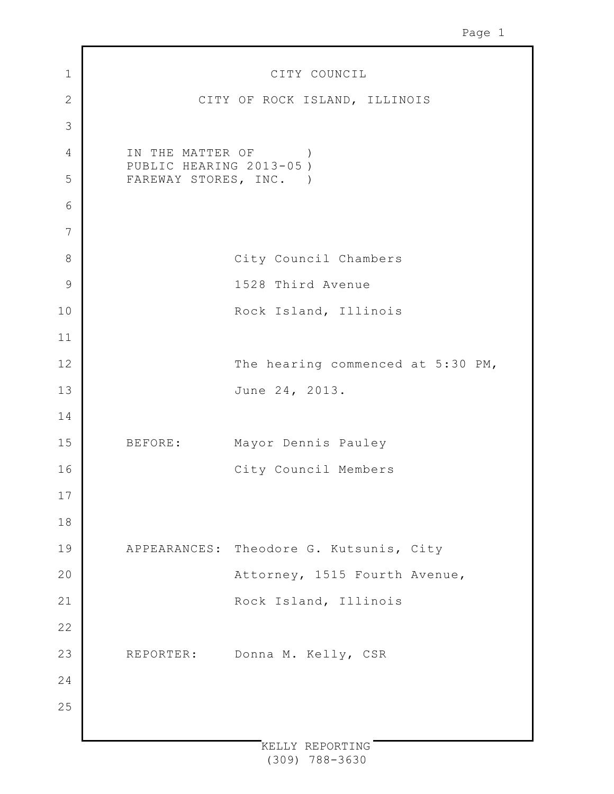| $\mathbf 1$    | CITY COUNCIL                                |
|----------------|---------------------------------------------|
| $\overline{2}$ | CITY OF ROCK ISLAND, ILLINOIS               |
| 3              |                                             |
| $\sqrt{4}$     | IN THE MATTER OF<br>PUBLIC HEARING 2013-05) |
| 5              | FAREWAY STORES, INC. )                      |
| 6              |                                             |
| $\overline{7}$ |                                             |
| 8              | City Council Chambers                       |
| $\mathcal{G}$  | 1528 Third Avenue                           |
| 10             | Rock Island, Illinois                       |
| 11             |                                             |
| 12             | The hearing commenced at 5:30 PM,           |
| 13             | June 24, 2013.                              |
| 14             |                                             |
| 15             | BEFORE: Mayor Dennis Pauley                 |
| 16             | City Council Members                        |
| 17             |                                             |
| 18             |                                             |
| 19             | APPEARANCES: Theodore G. Kutsunis, City     |
| 20             | Attorney, 1515 Fourth Avenue,               |
| 21             | Rock Island, Illinois                       |
| 22             |                                             |
| 23             | Donna M. Kelly, CSR<br>REPORTER:            |
| 24             |                                             |
| 25             |                                             |
|                |                                             |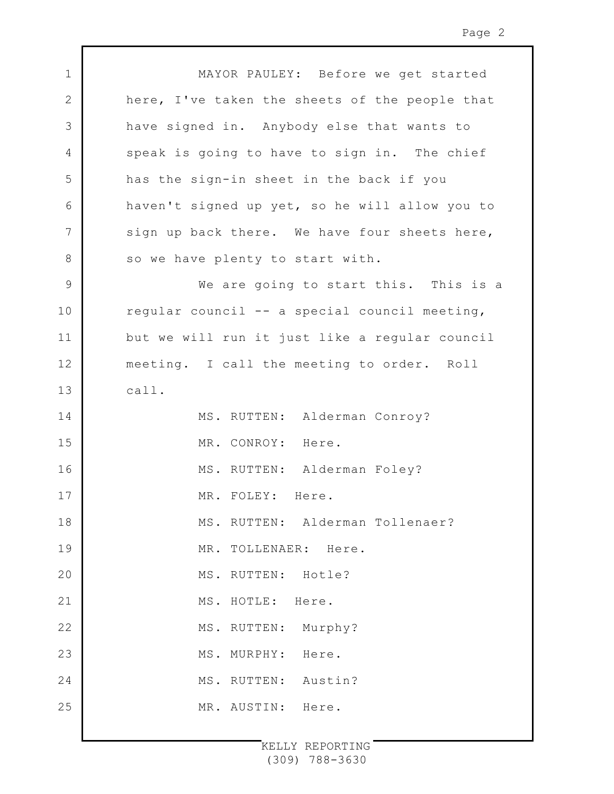| $\mathbf 1$    | MAYOR PAULEY: Before we get started            |
|----------------|------------------------------------------------|
| $\mathbf{2}$   | here, I've taken the sheets of the people that |
| $\mathcal{S}$  | have signed in. Anybody else that wants to     |
| 4              | speak is going to have to sign in. The chief   |
| 5              | has the sign-in sheet in the back if you       |
| 6              | haven't signed up yet, so he will allow you to |
| $\overline{7}$ | sign up back there. We have four sheets here,  |
| $8\,$          | so we have plenty to start with.               |
| $\mathsf 9$    | We are going to start this. This is a          |
| 10             | regular council -- a special council meeting,  |
| 11             | but we will run it just like a regular council |
| 12             | meeting. I call the meeting to order. Roll     |
| 13             | call.                                          |
| 14             | MS. RUTTEN: Alderman Conroy?                   |
| 15             | MR. CONROY: Here.                              |
| 16             | MS. RUTTEN: Alderman Foley?                    |
| 17             | MR. FOLEY: Here.                               |
| 18             | MS. RUTTEN: Alderman Tollenaer?                |
| 19             | MR. TOLLENAER: Here.                           |
| 20             | MS. RUTTEN: Hotle?                             |
| 21             | MS. HOTLE:<br>Here.                            |
| 22             | MS. RUTTEN: Murphy?                            |
| 23             | MS. MURPHY:<br>Here.                           |
| 24             | Austin?<br>MS. RUTTEN:                         |
| 25             | MR. AUSTIN:<br>Here.                           |
|                |                                                |

 $\mathbf l$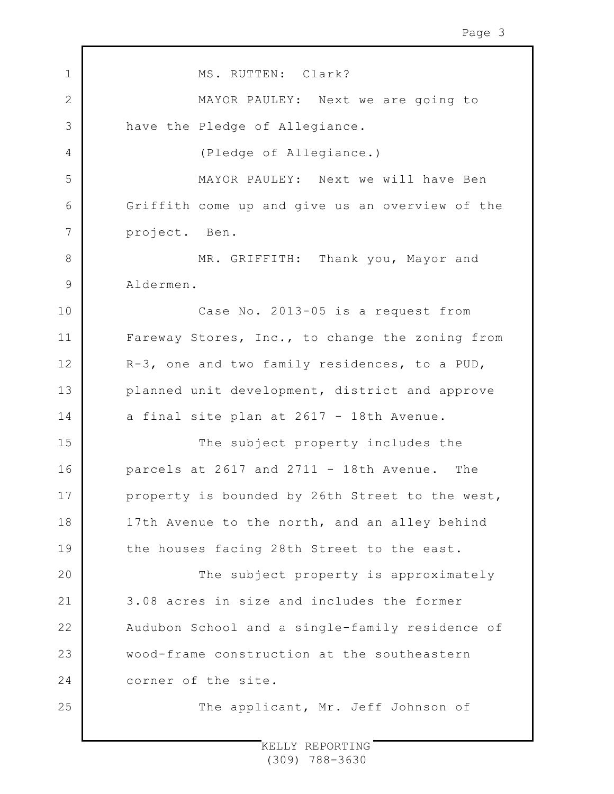| $\mathbf 1$    | MS. RUTTEN: Clark?                              |
|----------------|-------------------------------------------------|
| $\mathbf{2}$   | MAYOR PAULEY: Next we are going to              |
| 3              | have the Pledge of Allegiance.                  |
| $\overline{4}$ | (Pledge of Allegiance.)                         |
| 5              | MAYOR PAULEY: Next we will have Ben             |
| 6              | Griffith come up and give us an overview of the |
| 7              | project. Ben.                                   |
| 8              | MR. GRIFFITH: Thank you, Mayor and              |
| 9              | Aldermen.                                       |
| 10             | Case No. 2013-05 is a request from              |
| 11             | Fareway Stores, Inc., to change the zoning from |
| 12             | R-3, one and two family residences, to a PUD,   |
| 13             | planned unit development, district and approve  |
| 14             | a final site plan at 2617 - 18th Avenue.        |
| 15             | The subject property includes the               |
| 16             | parcels at 2617 and 2711 - 18th Avenue. The     |
| 17             | property is bounded by 26th Street to the west, |
| 18             | 17th Avenue to the north, and an alley behind   |
| 19             | the houses facing 28th Street to the east.      |
| 20             | The subject property is approximately           |
| 21             | 3.08 acres in size and includes the former      |
| 22             | Audubon School and a single-family residence of |
| 23             | wood-frame construction at the southeastern     |
| 24             | corner of the site.                             |
| 25             | The applicant, Mr. Jeff Johnson of              |
|                |                                                 |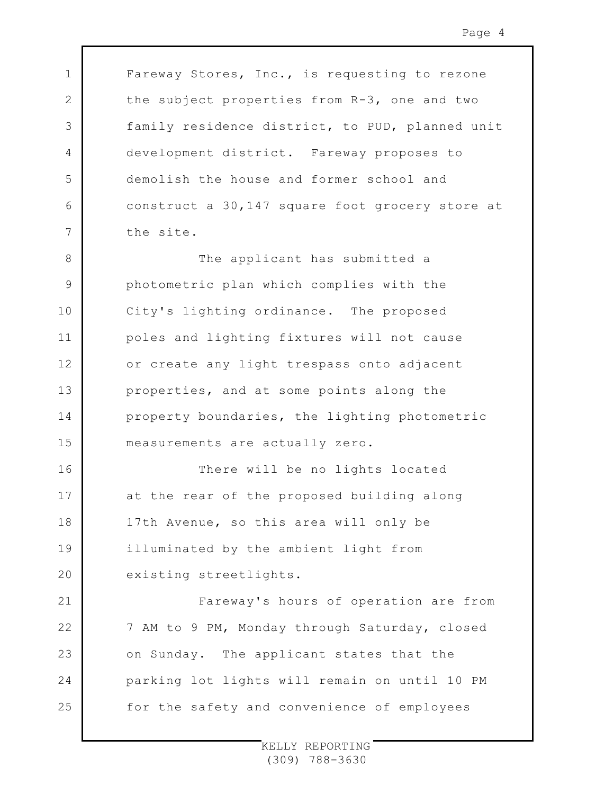Fareway Stores, Inc., is requesting to rezone the subject properties from R-3, one and two family residence district, to PUD, planned unit development district. Fareway proposes to demolish the house and former school and construct a 30,147 square foot grocery store at the site.

1

2

3

4

5

6

7

16

17

18

19

20

21

22

23

24

25

8 9 10 11 12 13 14 15 The applicant has submitted a photometric plan which complies with the City's lighting ordinance. The proposed poles and lighting fixtures will not cause or create any light trespass onto adjacent properties, and at some points along the property boundaries, the lighting photometric measurements are actually zero.

There will be no lights located at the rear of the proposed building along 17th Avenue, so this area will only be illuminated by the ambient light from existing streetlights.

Fareway's hours of operation are from 7 AM to 9 PM, Monday through Saturday, closed on Sunday. The applicant states that the parking lot lights will remain on until 10 PM for the safety and convenience of employees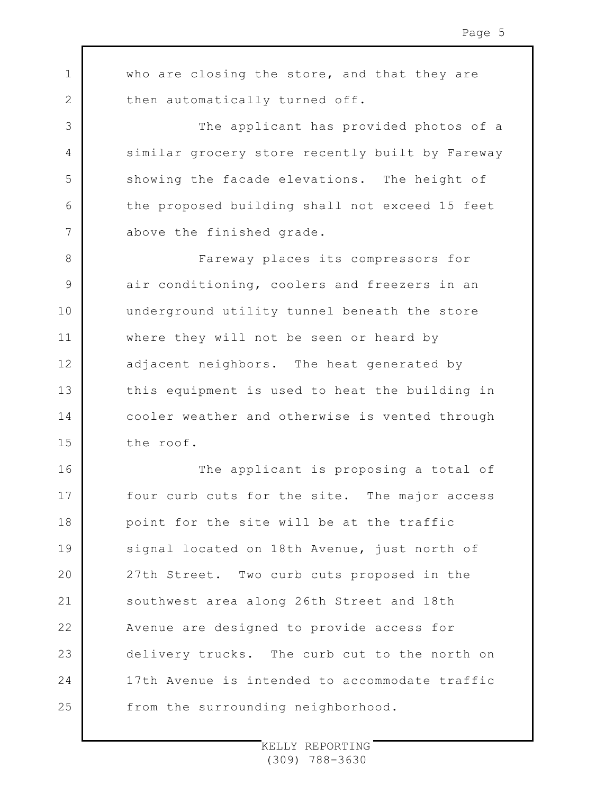who are closing the store, and that they are then automatically turned off.

1

2

3

4

5

6

7

8

9

10

11

12

13

14

15

The applicant has provided photos of a similar grocery store recently built by Fareway showing the facade elevations. The height of the proposed building shall not exceed 15 feet above the finished grade.

Fareway places its compressors for air conditioning, coolers and freezers in an underground utility tunnel beneath the store where they will not be seen or heard by adjacent neighbors. The heat generated by this equipment is used to heat the building in cooler weather and otherwise is vented through the roof.

16 17 18 19  $20$ 21 22 23 24 25 The applicant is proposing a total of four curb cuts for the site. The major access point for the site will be at the traffic signal located on 18th Avenue, just north of 27th Street. Two curb cuts proposed in the southwest area along 26th Street and 18th Avenue are designed to provide access for delivery trucks. The curb cut to the north on 17th Avenue is intended to accommodate traffic from the surrounding neighborhood.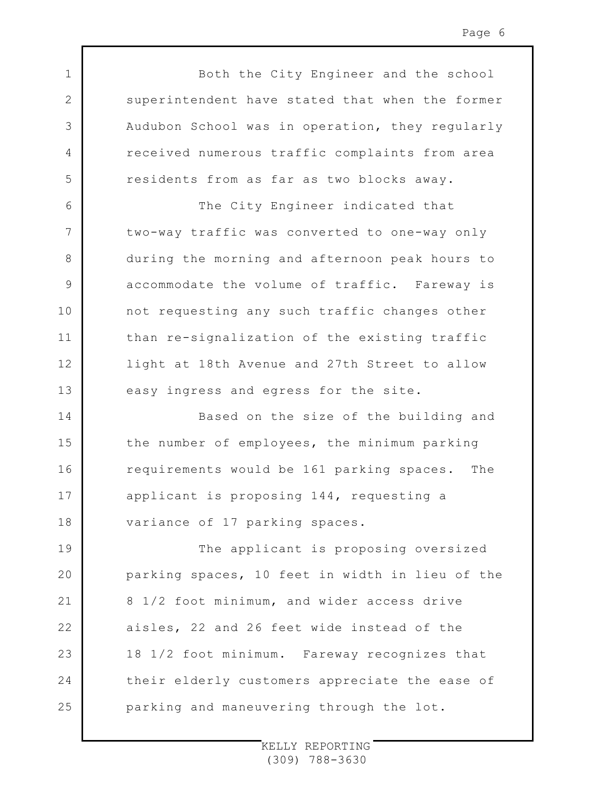Both the City Engineer and the school superintendent have stated that when the former Audubon School was in operation, they regularly received numerous traffic complaints from area residents from as far as two blocks away.

1

2

3

4

5

6

7

8

9

10

11

12

13

The City Engineer indicated that two-way traffic was converted to one-way only during the morning and afternoon peak hours to accommodate the volume of traffic. Fareway is not requesting any such traffic changes other than re-signalization of the existing traffic light at 18th Avenue and 27th Street to allow easy ingress and egress for the site.

14 15 16 17 18 Based on the size of the building and the number of employees, the minimum parking requirements would be 161 parking spaces. The applicant is proposing 144, requesting a variance of 17 parking spaces.

19  $20$ 21 22 23 24 25 The applicant is proposing oversized parking spaces, 10 feet in width in lieu of the 8 1/2 foot minimum, and wider access drive aisles, 22 and 26 feet wide instead of the 18 1/2 foot minimum. Fareway recognizes that their elderly customers appreciate the ease of parking and maneuvering through the lot.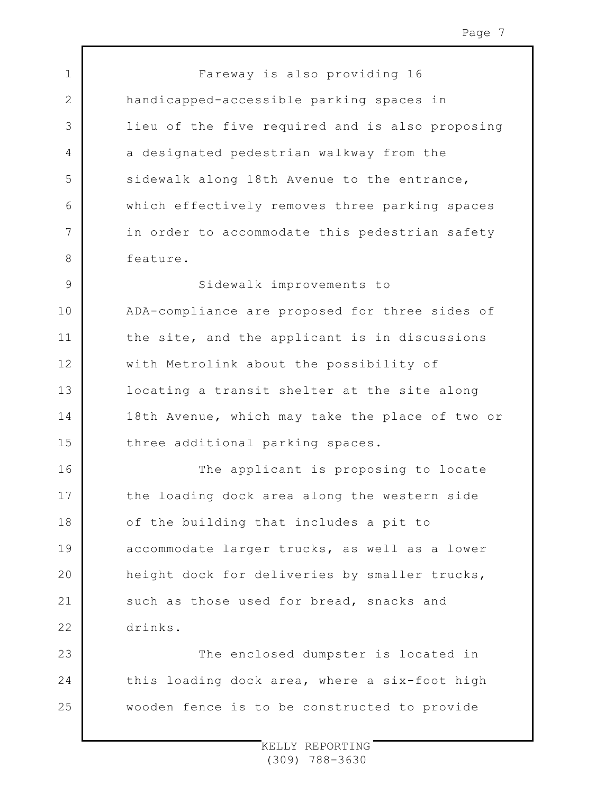Fareway is also providing 16 handicapped-accessible parking spaces in lieu of the five required and is also proposing a designated pedestrian walkway from the sidewalk along 18th Avenue to the entrance, which effectively removes three parking spaces in order to accommodate this pedestrian safety feature.

1

2

3

4

5

6

7

8

16

17

18

19

 $20$ 

21

22

9 10 11 12 13 14 15 Sidewalk improvements to ADA-compliance are proposed for three sides of the site, and the applicant is in discussions with Metrolink about the possibility of locating a transit shelter at the site along 18th Avenue, which may take the place of two or three additional parking spaces.

The applicant is proposing to locate the loading dock area along the western side of the building that includes a pit to accommodate larger trucks, as well as a lower height dock for deliveries by smaller trucks, such as those used for bread, snacks and drinks.

23 24 25 The enclosed dumpster is located in this loading dock area, where a six-foot high wooden fence is to be constructed to provide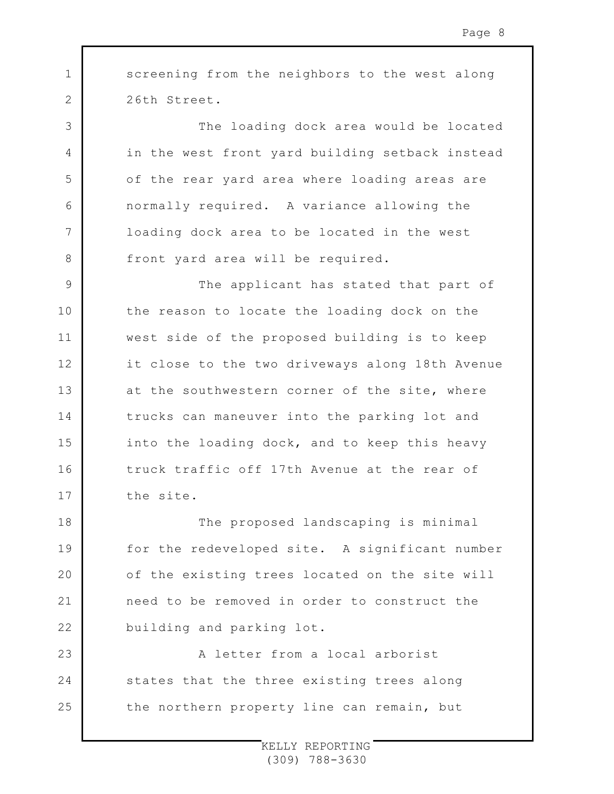screening from the neighbors to the west along 26th Street.

1

2

3

4

5

6

7

8

The loading dock area would be located in the west front yard building setback instead of the rear yard area where loading areas are normally required. A variance allowing the loading dock area to be located in the west front yard area will be required.

9 10 11 12 13 14 15 16 17 The applicant has stated that part of the reason to locate the loading dock on the west side of the proposed building is to keep it close to the two driveways along 18th Avenue at the southwestern corner of the site, where trucks can maneuver into the parking lot and into the loading dock, and to keep this heavy truck traffic off 17th Avenue at the rear of the site.

18 19  $20$ 21 22 The proposed landscaping is minimal for the redeveloped site. A significant number of the existing trees located on the site will need to be removed in order to construct the building and parking lot.

23 24 25 A letter from a local arborist states that the three existing trees along the northern property line can remain, but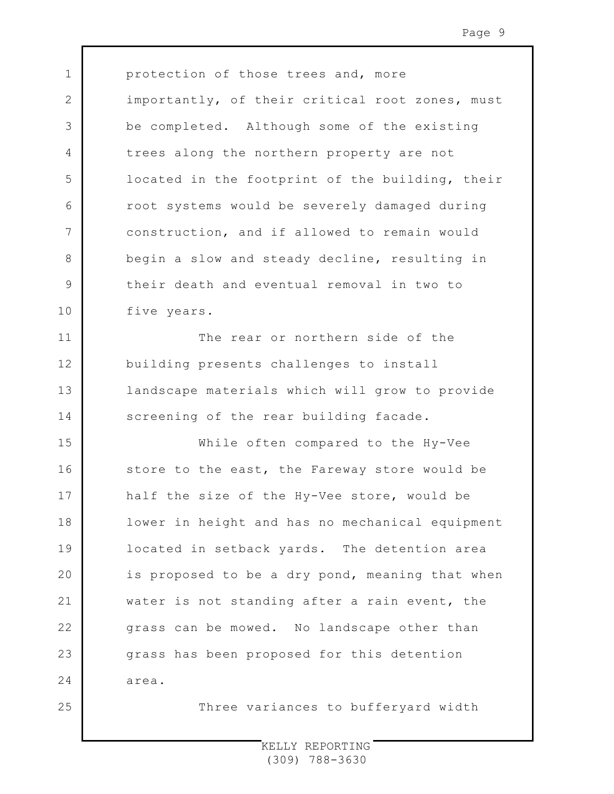3 4 5 6 7 9 10 protection of those trees and, more importantly, of their critical root zones, must be completed. Although some of the existing trees along the northern property are not located in the footprint of the building, their root systems would be severely damaged during construction, and if allowed to remain would begin a slow and steady decline, resulting in their death and eventual removal in two to five years.

1

2

8

11

12

13

14

The rear or northern side of the building presents challenges to install landscape materials which will grow to provide screening of the rear building facade.

15 16 17 18 19  $20$ 21 22 23 24 25 While often compared to the Hy-Vee store to the east, the Fareway store would be half the size of the Hy-Vee store, would be lower in height and has no mechanical equipment located in setback yards. The detention area is proposed to be a dry pond, meaning that when water is not standing after a rain event, the grass can be mowed. No landscape other than grass has been proposed for this detention area.

Three variances to bufferyard width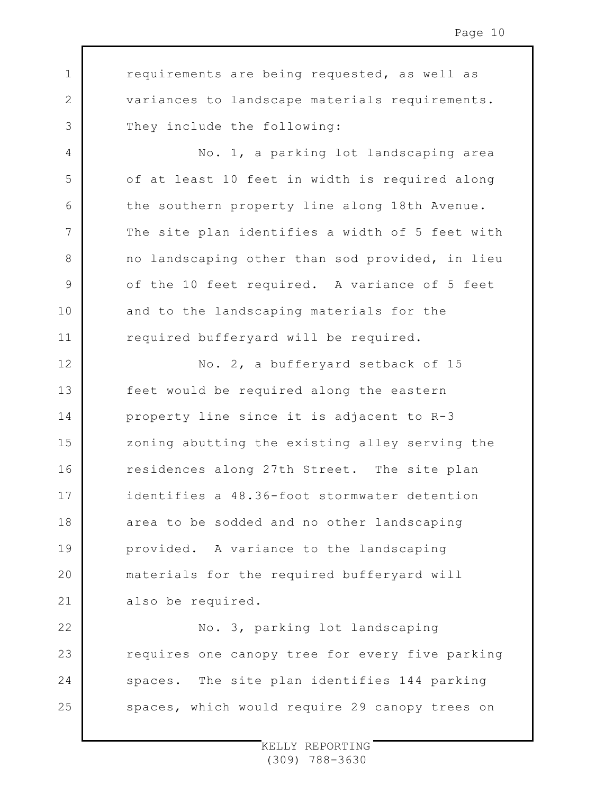requirements are being requested, as well as variances to landscape materials requirements. They include the following:

1

2

3

4

5

6

7

8

9

10

11

No. 1, a parking lot landscaping area of at least 10 feet in width is required along the southern property line along 18th Avenue. The site plan identifies a width of 5 feet with no landscaping other than sod provided, in lieu of the 10 feet required. A variance of 5 feet and to the landscaping materials for the required bufferyard will be required.

12 13 14 15 16 17 18 19  $20$ 21 No. 2, a bufferyard setback of 15 feet would be required along the eastern property line since it is adjacent to R-3 zoning abutting the existing alley serving the residences along 27th Street. The site plan identifies a 48.36-foot stormwater detention area to be sodded and no other landscaping provided. A variance to the landscaping materials for the required bufferyard will also be required.

22 23 24 25 No. 3, parking lot landscaping requires one canopy tree for every five parking spaces. The site plan identifies 144 parking spaces, which would require 29 canopy trees on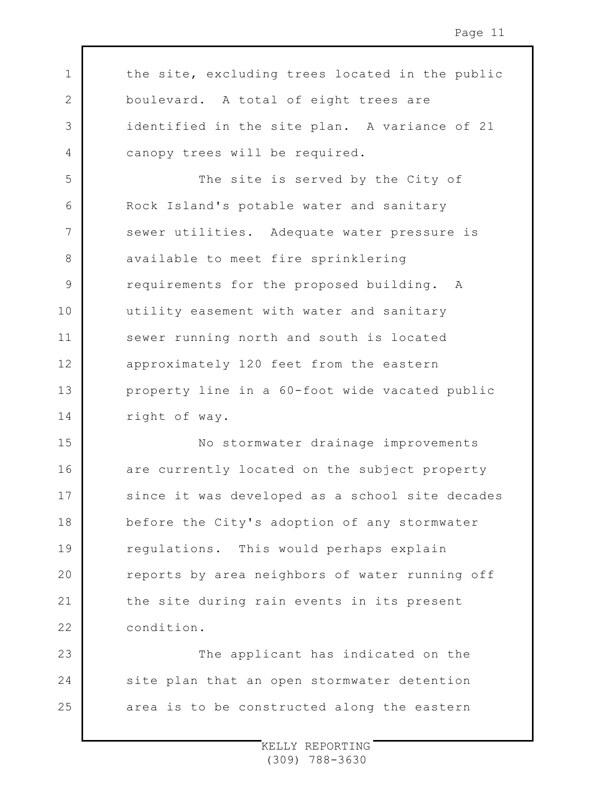the site, excluding trees located in the public boulevard. A total of eight trees are identified in the site plan. A variance of 21 canopy trees will be required.

1

2

3

4

5 6 7 8 9 10 11 12 13 14 The site is served by the City of Rock Island's potable water and sanitary sewer utilities. Adequate water pressure is available to meet fire sprinklering requirements for the proposed building. A utility easement with water and sanitary sewer running north and south is located approximately 120 feet from the eastern property line in a 60-foot wide vacated public right of way.

15 16 17 18 19  $20$ 21 22 No stormwater drainage improvements are currently located on the subject property since it was developed as a school site decades before the City's adoption of any stormwater regulations. This would perhaps explain reports by area neighbors of water running off the site during rain events in its present condition.

23 24 25 The applicant has indicated on the site plan that an open stormwater detention area is to be constructed along the eastern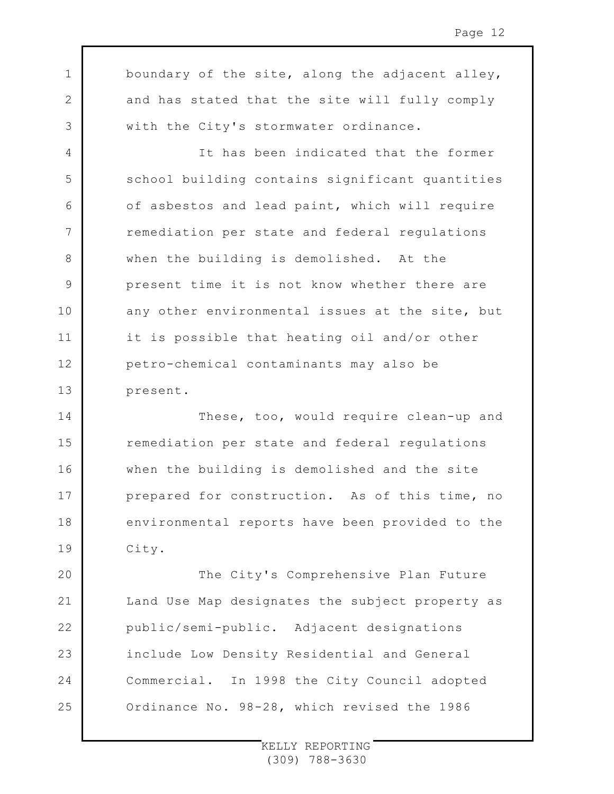boundary of the site, along the adjacent alley, and has stated that the site will fully comply with the City's stormwater ordinance.

1

2

3

4

5

6

7

8

9

10

11

12

13

It has been indicated that the former school building contains significant quantities of asbestos and lead paint, which will require remediation per state and federal regulations when the building is demolished. At the present time it is not know whether there are any other environmental issues at the site, but it is possible that heating oil and/or other petro-chemical contaminants may also be present.

14 15 16 17 18 19 These, too, would require clean-up and remediation per state and federal regulations when the building is demolished and the site prepared for construction. As of this time, no environmental reports have been provided to the City.

 $20$ 21 22 23 24 25 The City's Comprehensive Plan Future Land Use Map designates the subject property as public/semi-public. Adjacent designations include Low Density Residential and General Commercial. In 1998 the City Council adopted Ordinance No. 98-28, which revised the 1986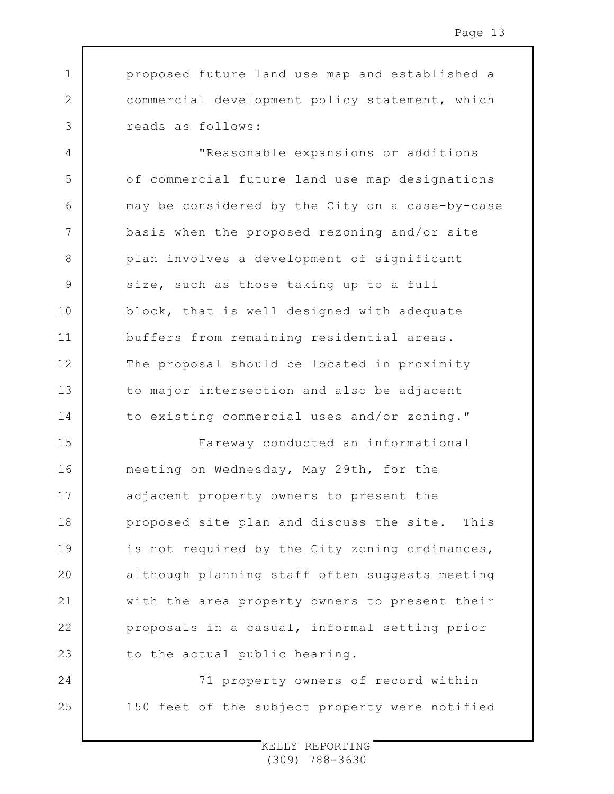3 proposed future land use map and established a commercial development policy statement, which reads as follows:

1

2

4

5

6

7

8

9

10

11

12

13

14

24

25

"Reasonable expansions or additions of commercial future land use map designations may be considered by the City on a case-by-case basis when the proposed rezoning and/or site plan involves a development of significant size, such as those taking up to a full block, that is well designed with adequate buffers from remaining residential areas. The proposal should be located in proximity to major intersection and also be adjacent to existing commercial uses and/or zoning."

15 16 17 18 19  $20$ 21 22 23 Fareway conducted an informational meeting on Wednesday, May 29th, for the adjacent property owners to present the proposed site plan and discuss the site. This is not required by the City zoning ordinances, although planning staff often suggests meeting with the area property owners to present their proposals in a casual, informal setting prior to the actual public hearing.

71 property owners of record within 150 feet of the subject property were notified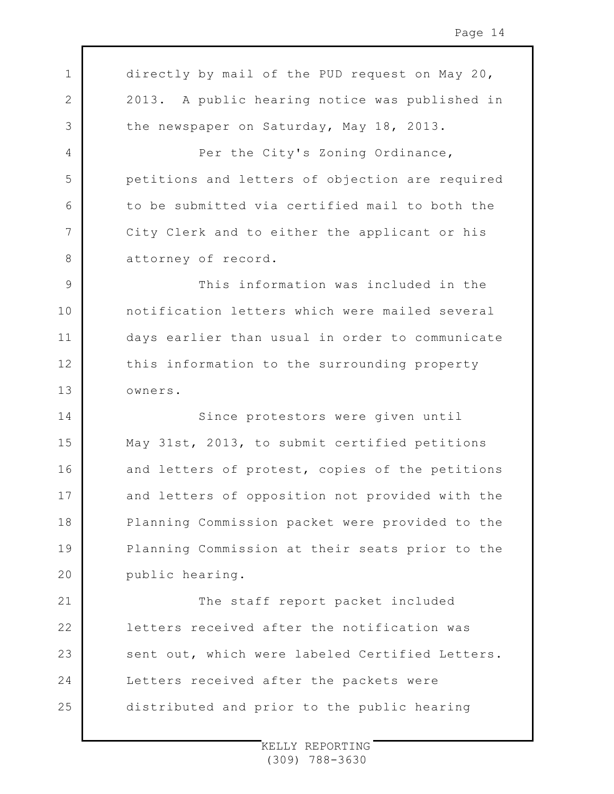1 2 3 4 5 6 7 8 9 10 11 12 13 14 15 16 17 18 19  $20$ 21 22 23 24 25 directly by mail of the PUD request on May 20, 2013. A public hearing notice was published in the newspaper on Saturday, May 18, 2013. Per the City's Zoning Ordinance, petitions and letters of objection are required to be submitted via certified mail to both the City Clerk and to either the applicant or his attorney of record. This information was included in the notification letters which were mailed several days earlier than usual in order to communicate this information to the surrounding property owners. Since protestors were given until May 31st, 2013, to submit certified petitions and letters of protest, copies of the petitions and letters of opposition not provided with the Planning Commission packet were provided to the Planning Commission at their seats prior to the public hearing. The staff report packet included letters received after the notification was sent out, which were labeled Certified Letters. Letters received after the packets were distributed and prior to the public hearing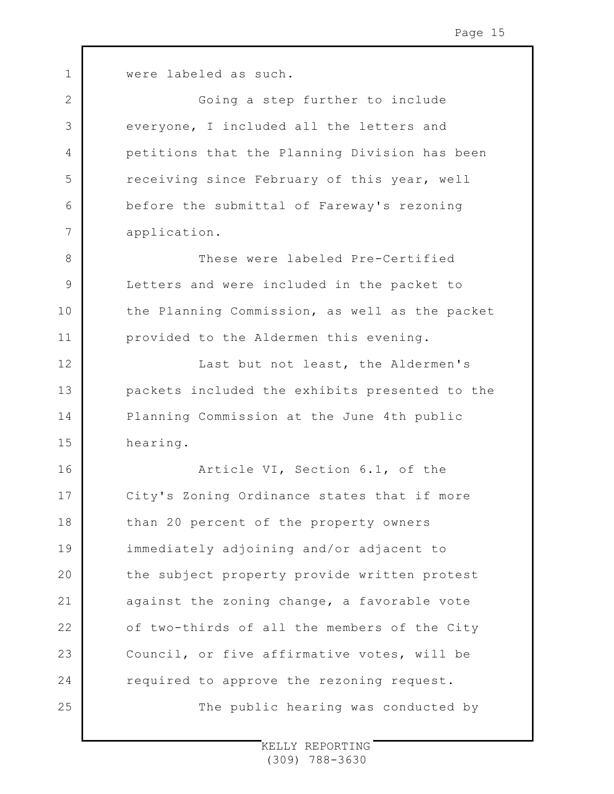1 2 3 4 5 6 7 8 9 10 11 12 13 14 15 16 17 18 19  $20$ 21 22 23 24 25 were labeled as such. Going a step further to include everyone, I included all the letters and petitions that the Planning Division has been receiving since February of this year, well before the submittal of Fareway's rezoning application. These were labeled Pre-Certified Letters and were included in the packet to the Planning Commission, as well as the packet provided to the Aldermen this evening. Last but not least, the Aldermen's packets included the exhibits presented to the Planning Commission at the June 4th public hearing. Article VI, Section 6.1, of the City's Zoning Ordinance states that if more than 20 percent of the property owners immediately adjoining and/or adjacent to the subject property provide written protest against the zoning change, a favorable vote of two-thirds of all the members of the City Council, or five affirmative votes, will be required to approve the rezoning request. The public hearing was conducted by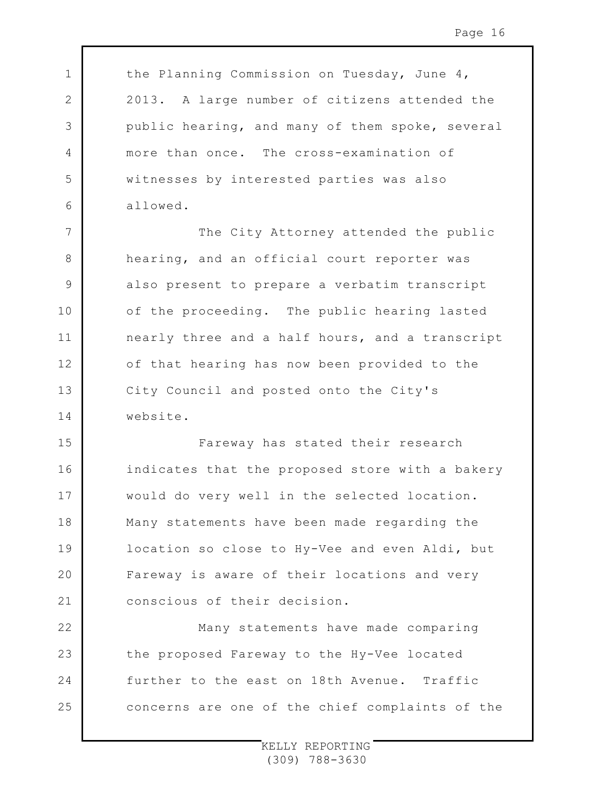the Planning Commission on Tuesday, June 4, 2013. A large number of citizens attended the public hearing, and many of them spoke, several more than once. The cross-examination of witnesses by interested parties was also allowed.

1

2

3

4

5

6

7 8 9 10 11 12 13 14 The City Attorney attended the public hearing, and an official court reporter was also present to prepare a verbatim transcript of the proceeding. The public hearing lasted nearly three and a half hours, and a transcript of that hearing has now been provided to the City Council and posted onto the City's website.

15 16 17 18 19  $20$ 21 Fareway has stated their research indicates that the proposed store with a bakery would do very well in the selected location. Many statements have been made regarding the location so close to Hy-Vee and even Aldi, but Fareway is aware of their locations and very conscious of their decision.

22 23 24 25 Many statements have made comparing the proposed Fareway to the Hy-Vee located further to the east on 18th Avenue. Traffic concerns are one of the chief complaints of the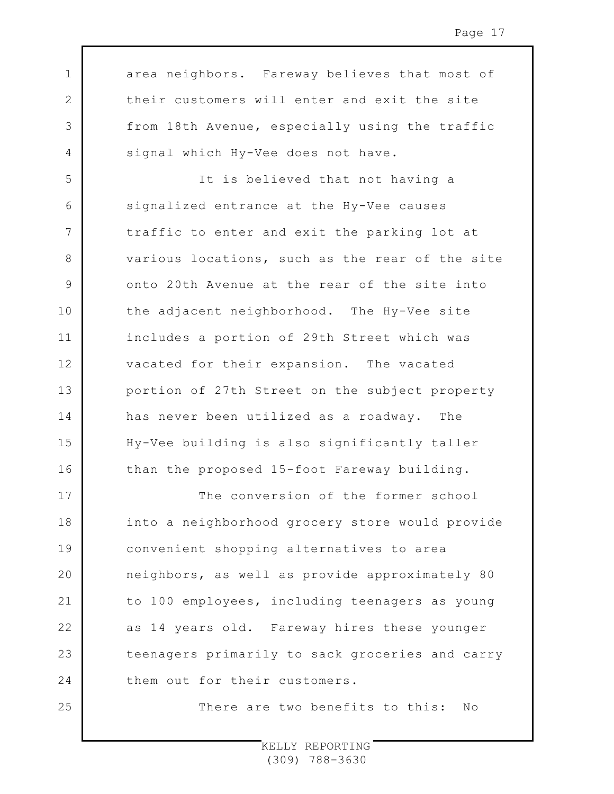area neighbors. Fareway believes that most of their customers will enter and exit the site from 18th Avenue, especially using the traffic signal which Hy-Vee does not have.

1

2

3

4

5

8

9

11

12

14

16

25

6 7 10 13 15 It is believed that not having a signalized entrance at the Hy-Vee causes traffic to enter and exit the parking lot at various locations, such as the rear of the site onto 20th Avenue at the rear of the site into the adjacent neighborhood. The Hy-Vee site includes a portion of 29th Street which was vacated for their expansion. The vacated portion of 27th Street on the subject property has never been utilized as a roadway. The Hy-Vee building is also significantly taller than the proposed 15-foot Fareway building.

17 18 19  $20$ 21 22 23 24 The conversion of the former school into a neighborhood grocery store would provide convenient shopping alternatives to area neighbors, as well as provide approximately 80 to 100 employees, including teenagers as young as 14 years old. Fareway hires these younger teenagers primarily to sack groceries and carry them out for their customers.

There are two benefits to this: No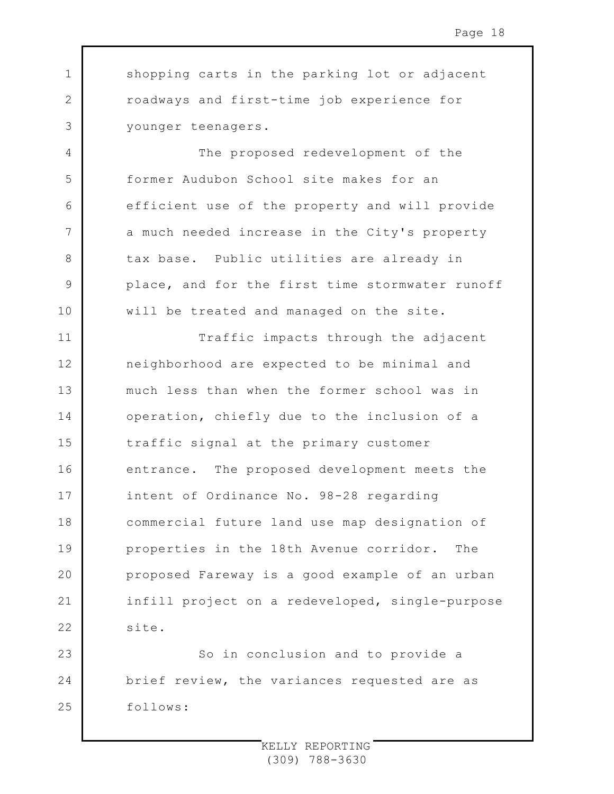shopping carts in the parking lot or adjacent roadways and first-time job experience for younger teenagers.

1

2

3

4

5

6

7

8

9

10

The proposed redevelopment of the former Audubon School site makes for an efficient use of the property and will provide a much needed increase in the City's property tax base. Public utilities are already in place, and for the first time stormwater runoff will be treated and managed on the site.

11 12 13 14 15 16 17 18 19  $20$ 21 22 Traffic impacts through the adjacent neighborhood are expected to be minimal and much less than when the former school was in operation, chiefly due to the inclusion of a traffic signal at the primary customer entrance. The proposed development meets the intent of Ordinance No. 98-28 regarding commercial future land use map designation of properties in the 18th Avenue corridor. The proposed Fareway is a good example of an urban infill project on a redeveloped, single-purpose site.

23 24 25 So in conclusion and to provide a brief review, the variances requested are as follows: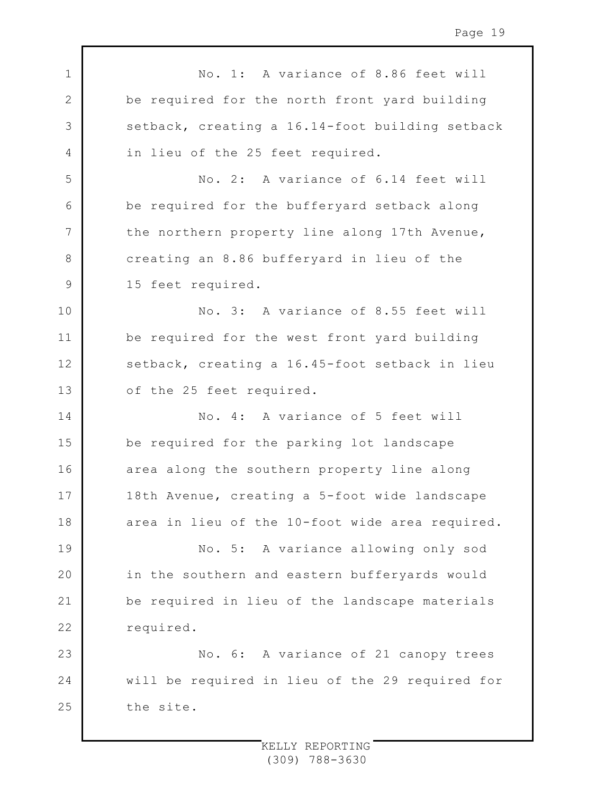1 2 3 4 5 6 7 8 9 10 11 12 13 14 15 16 17 18 19 20 21 22 23 24 25 No. 1: A variance of 8.86 feet will be required for the north front yard building setback, creating a 16.14-foot building setback in lieu of the 25 feet required. No. 2: A variance of 6.14 feet will be required for the bufferyard setback along the northern property line along 17th Avenue, creating an 8.86 bufferyard in lieu of the 15 feet required. No. 3: A variance of 8.55 feet will be required for the west front yard building setback, creating a 16.45-foot setback in lieu of the 25 feet required. No. 4: A variance of 5 feet will be required for the parking lot landscape area along the southern property line along 18th Avenue, creating a 5-foot wide landscape area in lieu of the 10-foot wide area required. No. 5: A variance allowing only sod in the southern and eastern bufferyards would be required in lieu of the landscape materials required. No. 6: A variance of 21 canopy trees will be required in lieu of the 29 required for the site.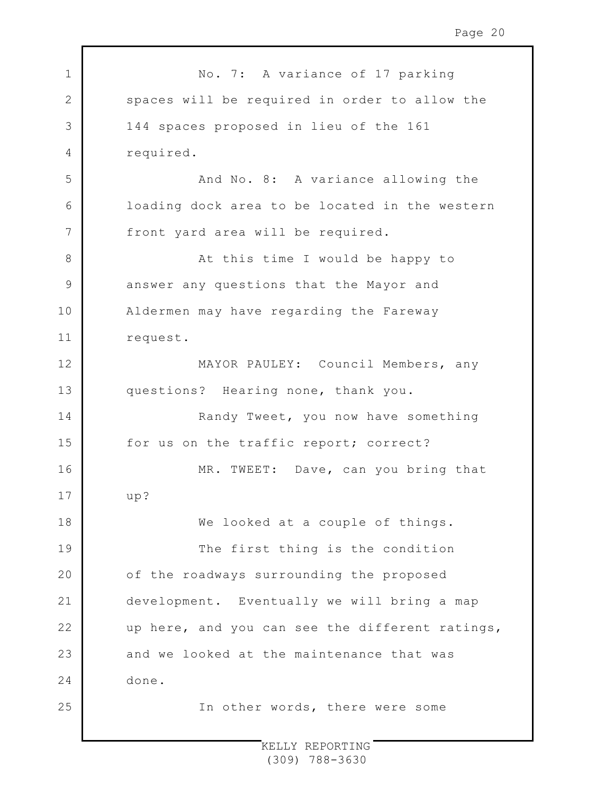| $\mathbf 1$  | No. 7: A variance of 17 parking                 |
|--------------|-------------------------------------------------|
| $\mathbf{2}$ | spaces will be required in order to allow the   |
| 3            | 144 spaces proposed in lieu of the 161          |
| 4            | required.                                       |
| 5            | And No. 8: A variance allowing the              |
| 6            | loading dock area to be located in the western  |
| 7            | front yard area will be required.               |
| 8            | At this time I would be happy to                |
| $\mathsf 9$  | answer any questions that the Mayor and         |
| 10           | Aldermen may have regarding the Fareway         |
| 11           | request.                                        |
| 12           | MAYOR PAULEY: Council Members, any              |
| 13           | questions? Hearing none, thank you.             |
| 14           | Randy Tweet, you now have something             |
| 15           | for us on the traffic report; correct?          |
| 16           | MR. TWEET: Dave, can you bring that             |
| 17           | up?                                             |
| 18           | We looked at a couple of things.                |
| 19           | The first thing is the condition                |
| 20           | of the roadways surrounding the proposed        |
| 21           | development. Eventually we will bring a map     |
| 22           | up here, and you can see the different ratings, |
| 23           | and we looked at the maintenance that was       |
| 24           | done.                                           |
| 25           | In other words, there were some                 |
|              |                                                 |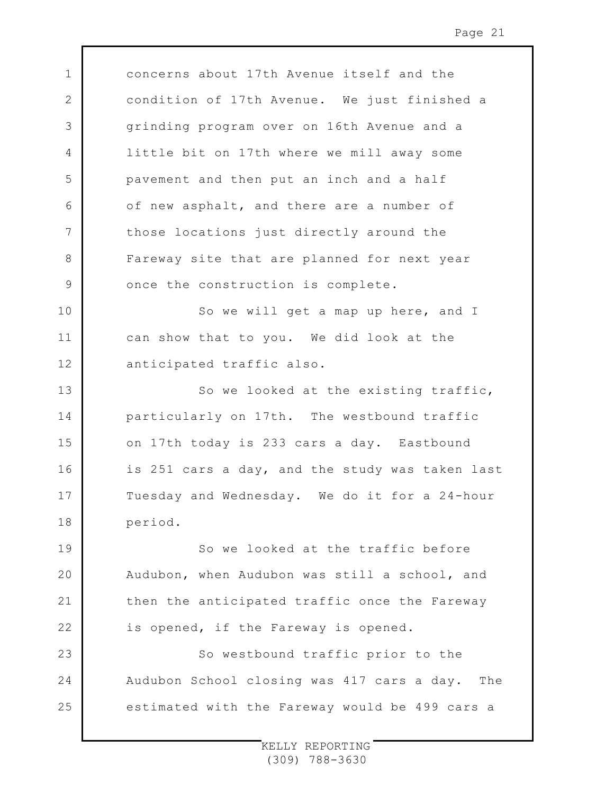concerns about 17th Avenue itself and the condition of 17th Avenue. We just finished a grinding program over on 16th Avenue and a little bit on 17th where we mill away some pavement and then put an inch and a half of new asphalt, and there are a number of those locations just directly around the Fareway site that are planned for next year once the construction is complete.

1

2

3

4

5

6

7

8

9

10 11 12 So we will get a map up here, and I can show that to you. We did look at the anticipated traffic also.

13 14 15 16 17 18 So we looked at the existing traffic, particularly on 17th. The westbound traffic on 17th today is 233 cars a day. Eastbound is 251 cars a day, and the study was taken last Tuesday and Wednesday. We do it for a 24-hour period.

19 20 21 22 So we looked at the traffic before Audubon, when Audubon was still a school, and then the anticipated traffic once the Fareway is opened, if the Fareway is opened.

23 24 25 So westbound traffic prior to the Audubon School closing was 417 cars a day. The estimated with the Fareway would be 499 cars a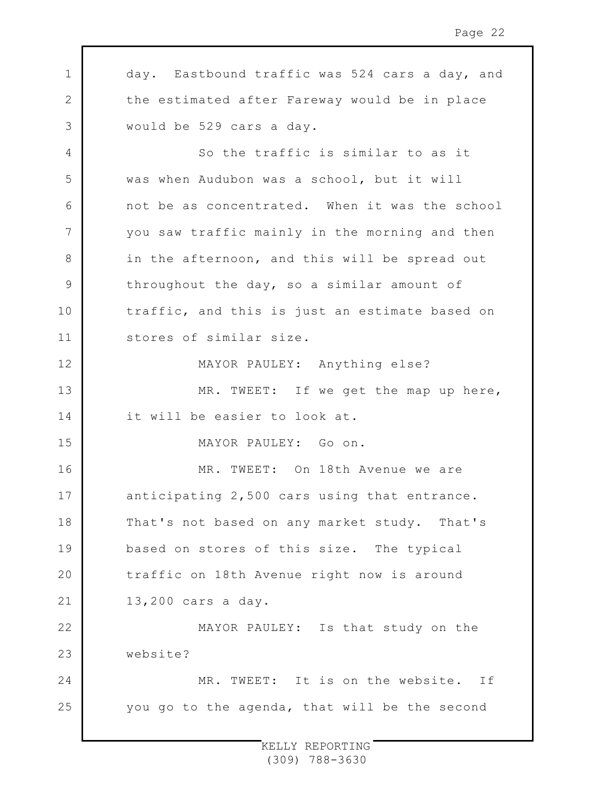1 2 3 4 5 6 7 8 9 10 11 12 13 14 15 16 17 18 19 20 21 22 23 24 25 day. Eastbound traffic was 524 cars a day, and the estimated after Fareway would be in place would be 529 cars a day. So the traffic is similar to as it was when Audubon was a school, but it will not be as concentrated. When it was the school you saw traffic mainly in the morning and then in the afternoon, and this will be spread out throughout the day, so a similar amount of traffic, and this is just an estimate based on stores of similar size. MAYOR PAULEY: Anything else? MR. TWEET: If we get the map up here, it will be easier to look at. MAYOR PAULEY: Go on. MR. TWEET: On 18th Avenue we are anticipating 2,500 cars using that entrance. That's not based on any market study. That's based on stores of this size. The typical traffic on 18th Avenue right now is around 13,200 cars a day. MAYOR PAULEY: Is that study on the website? MR. TWEET: It is on the website. If you go to the agenda, that will be the second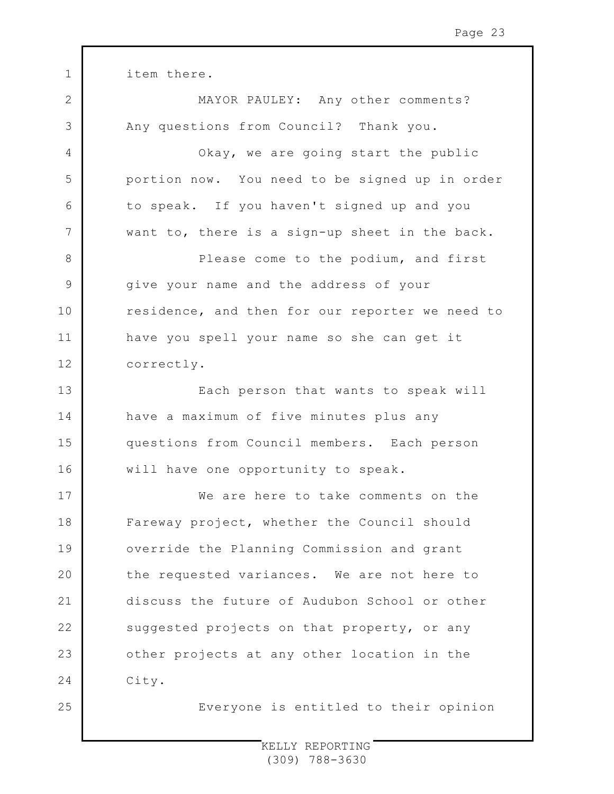1 2 3 4 5 6 7 8 9 10 11 12 13 14 15 16 17 18 19  $20$ 21 22 23 24 25 item there. MAYOR PAULEY: Any other comments? Any questions from Council? Thank you. Okay, we are going start the public portion now. You need to be signed up in order to speak. If you haven't signed up and you want to, there is a sign-up sheet in the back. Please come to the podium, and first give your name and the address of your residence, and then for our reporter we need to have you spell your name so she can get it correctly. Each person that wants to speak will have a maximum of five minutes plus any questions from Council members. Each person will have one opportunity to speak. We are here to take comments on the Fareway project, whether the Council should override the Planning Commission and grant the requested variances. We are not here to discuss the future of Audubon School or other suggested projects on that property, or any other projects at any other location in the City. Everyone is entitled to their opinion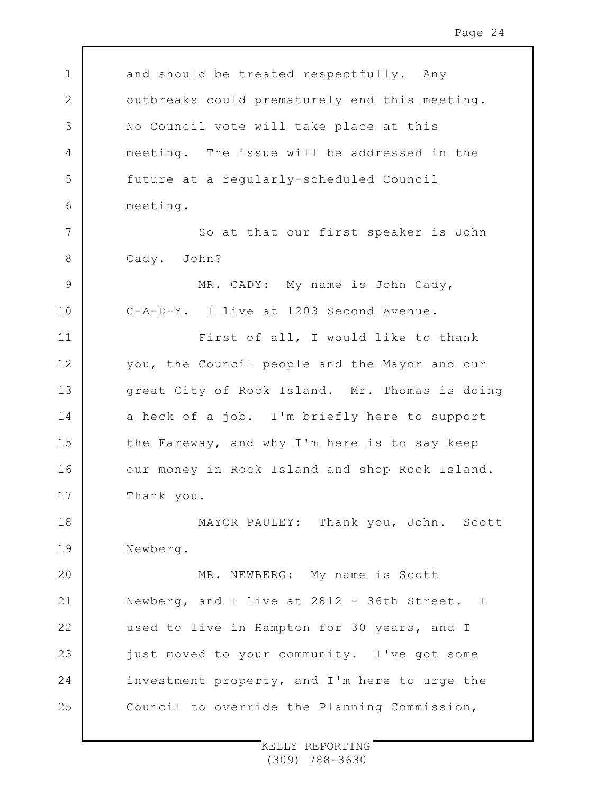1 2 3 4 5 6 7 8 9 10 11 12 13 14 15 16 17 18 19  $20$ 21 22 23 24 25 and should be treated respectfully. Any outbreaks could prematurely end this meeting. No Council vote will take place at this meeting. The issue will be addressed in the future at a regularly-scheduled Council meeting. So at that our first speaker is John Cady. John? MR. CADY: My name is John Cady, C-A-D-Y. I live at 1203 Second Avenue. First of all, I would like to thank you, the Council people and the Mayor and our great City of Rock Island. Mr. Thomas is doing a heck of a job. I'm briefly here to support the Fareway, and why I'm here is to say keep our money in Rock Island and shop Rock Island. Thank you. MAYOR PAULEY: Thank you, John. Scott Newberg. MR. NEWBERG: My name is Scott Newberg, and I live at 2812 - 36th Street. I used to live in Hampton for 30 years, and I just moved to your community. I've got some investment property, and I'm here to urge the Council to override the Planning Commission,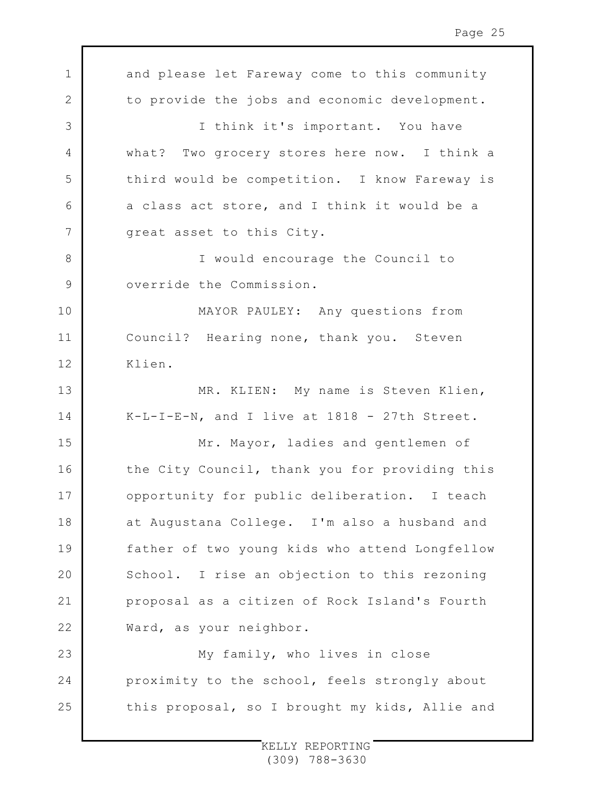1 2 3 4 5 6 7 8 9 10 11 12 13 14 15 16 17 18 19  $20$ 21 22 23 24 25 and please let Fareway come to this community to provide the jobs and economic development. I think it's important. You have what? Two grocery stores here now. I think a third would be competition. I know Fareway is a class act store, and I think it would be a great asset to this City. I would encourage the Council to override the Commission. MAYOR PAULEY: Any questions from Council? Hearing none, thank you. Steven Klien. MR. KLIEN: My name is Steven Klien, K-L-I-E-N, and I live at 1818 - 27th Street. Mr. Mayor, ladies and gentlemen of the City Council, thank you for providing this opportunity for public deliberation. I teach at Augustana College. I'm also a husband and father of two young kids who attend Longfellow School. I rise an objection to this rezoning proposal as a citizen of Rock Island's Fourth Ward, as your neighbor. My family, who lives in close proximity to the school, feels strongly about this proposal, so I brought my kids, Allie and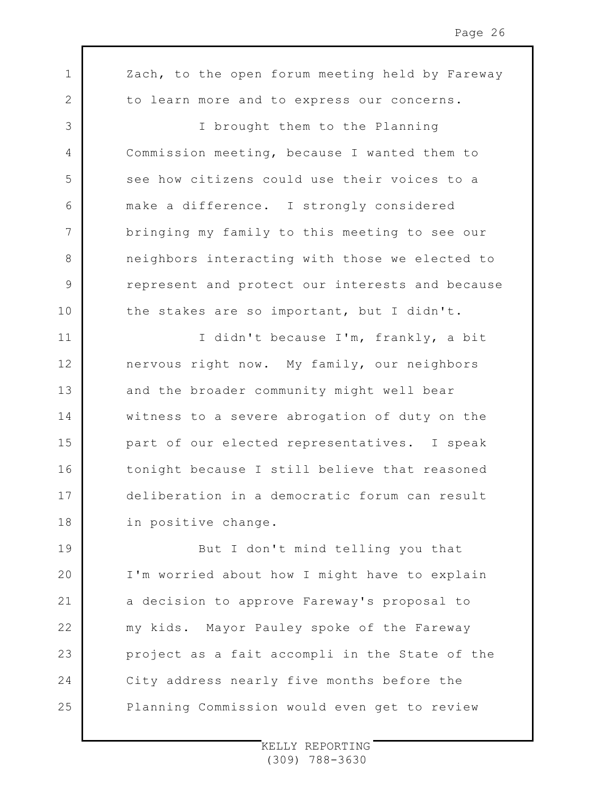1 2 3 4 5 6 7 8 9 10 11 12 13 14 15 16 17 18 19  $20$ 21 22 23 24 25 Zach, to the open forum meeting held by Fareway to learn more and to express our concerns. I brought them to the Planning Commission meeting, because I wanted them to see how citizens could use their voices to a make a difference. I strongly considered bringing my family to this meeting to see our neighbors interacting with those we elected to represent and protect our interests and because the stakes are so important, but I didn't. I didn't because I'm, frankly, a bit nervous right now. My family, our neighbors and the broader community might well bear witness to a severe abrogation of duty on the part of our elected representatives. I speak tonight because I still believe that reasoned deliberation in a democratic forum can result in positive change. But I don't mind telling you that I'm worried about how I might have to explain a decision to approve Fareway's proposal to my kids. Mayor Pauley spoke of the Fareway project as a fait accompli in the State of the City address nearly five months before the Planning Commission would even get to review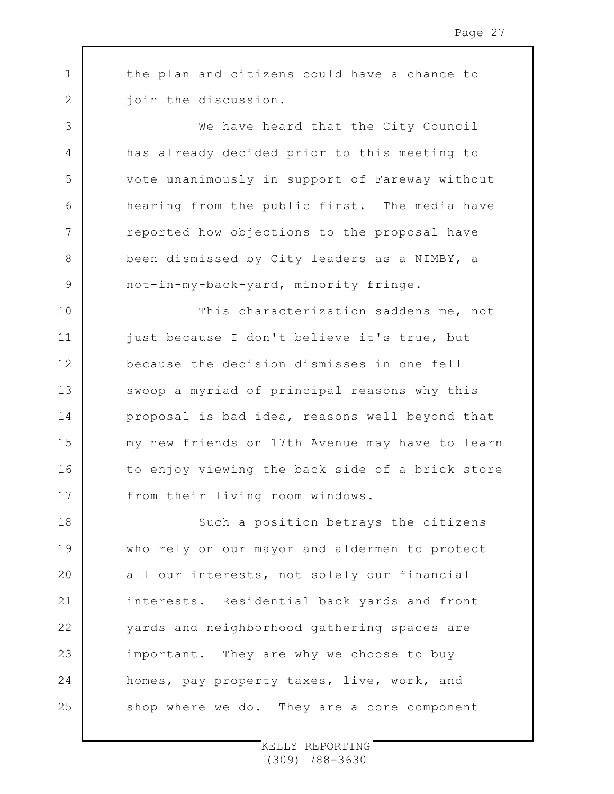the plan and citizens could have a chance to join the discussion.

1

2

3

4

5

6

7

8

9

We have heard that the City Council has already decided prior to this meeting to vote unanimously in support of Fareway without hearing from the public first. The media have reported how objections to the proposal have been dismissed by City leaders as a NIMBY, a not-in-my-back-yard, minority fringe.

10 11 12 13 14 15 16 17 This characterization saddens me, not just because I don't believe it's true, but because the decision dismisses in one fell swoop a myriad of principal reasons why this proposal is bad idea, reasons well beyond that my new friends on 17th Avenue may have to learn to enjoy viewing the back side of a brick store from their living room windows.

18 19  $20$ 21 22 23 24 25 Such a position betrays the citizens who rely on our mayor and aldermen to protect all our interests, not solely our financial interests. Residential back yards and front yards and neighborhood gathering spaces are important. They are why we choose to buy homes, pay property taxes, live, work, and shop where we do. They are a core component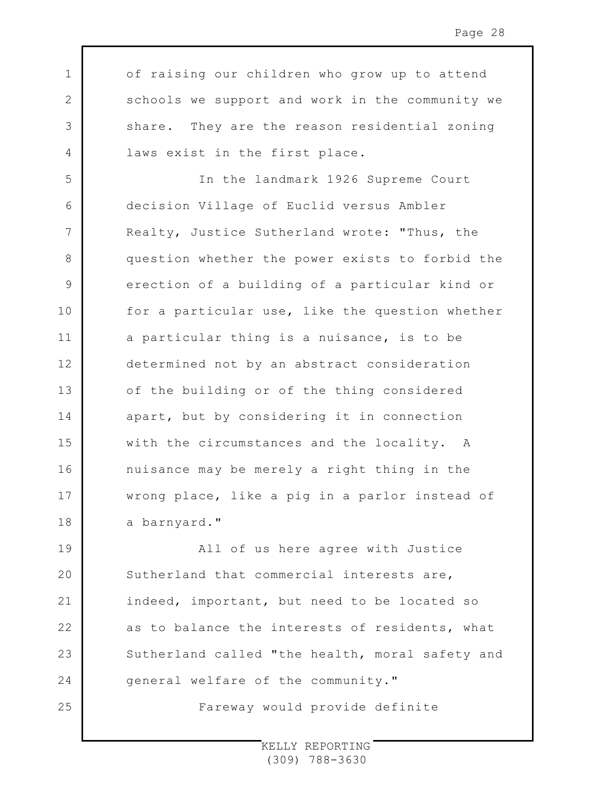of raising our children who grow up to attend schools we support and work in the community we share. They are the reason residential zoning laws exist in the first place.

1

2

3

4

25

5 6 7 8 9 10 11 12 13 14 15 16 17 18 In the landmark 1926 Supreme Court decision Village of Euclid versus Ambler Realty, Justice Sutherland wrote: "Thus, the question whether the power exists to forbid the erection of a building of a particular kind or for a particular use, like the question whether a particular thing is a nuisance, is to be determined not by an abstract consideration of the building or of the thing considered apart, but by considering it in connection with the circumstances and the locality. A nuisance may be merely a right thing in the wrong place, like a pig in a parlor instead of a barnyard."

19  $20$ 21 22 23 24 All of us here agree with Justice Sutherland that commercial interests are, indeed, important, but need to be located so as to balance the interests of residents, what Sutherland called "the health, moral safety and general welfare of the community."

Fareway would provide definite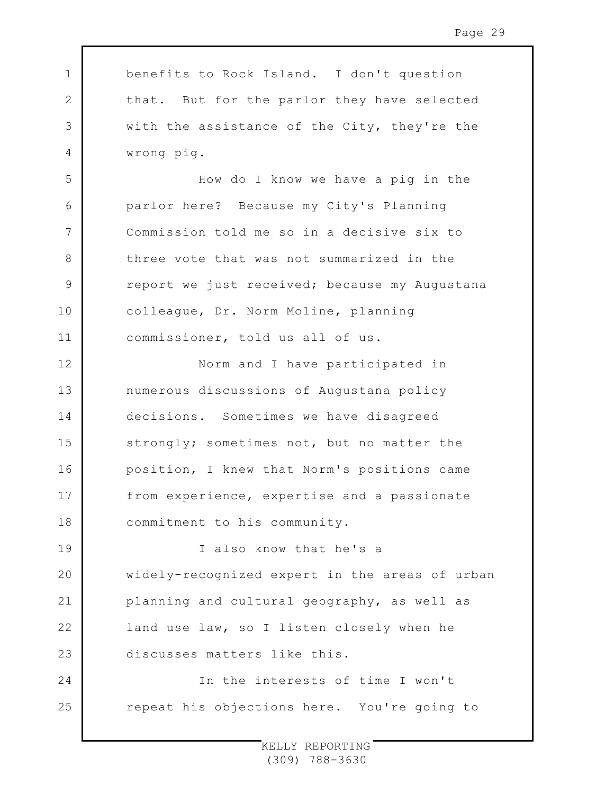1 2 3 4 5 6 7 8 9 10 11 12 13 14 15 16 17 18 19  $20$ 21 22 23 24 25 benefits to Rock Island. I don't question that. But for the parlor they have selected with the assistance of the City, they're the wrong pig. How do I know we have a pig in the parlor here? Because my City's Planning Commission told me so in a decisive six to three vote that was not summarized in the report we just received; because my Augustana colleague, Dr. Norm Moline, planning commissioner, told us all of us. Norm and I have participated in numerous discussions of Augustana policy decisions. Sometimes we have disagreed strongly; sometimes not, but no matter the position, I knew that Norm's positions came from experience, expertise and a passionate commitment to his community. I also know that he's a widely-recognized expert in the areas of urban planning and cultural geography, as well as land use law, so I listen closely when he discusses matters like this. In the interests of time I won't repeat his objections here. You're going to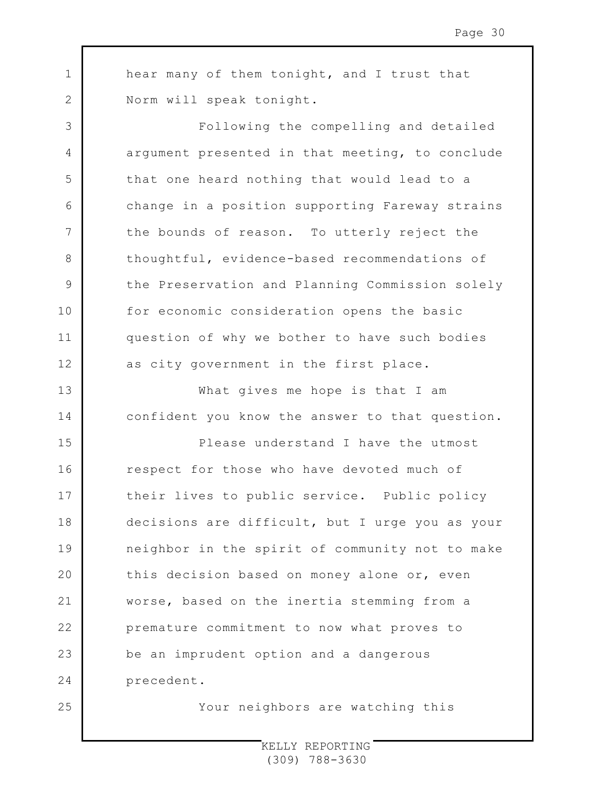hear many of them tonight, and I trust that Norm will speak tonight.

1

2

3

4

5

6

7

8

9

10

11

12

13

14

25

Following the compelling and detailed argument presented in that meeting, to conclude that one heard nothing that would lead to a change in a position supporting Fareway strains the bounds of reason. To utterly reject the thoughtful, evidence-based recommendations of the Preservation and Planning Commission solely for economic consideration opens the basic question of why we bother to have such bodies as city government in the first place.

What gives me hope is that I am confident you know the answer to that question.

15 16 17 18 19  $20$ 21 22 23 24 Please understand I have the utmost respect for those who have devoted much of their lives to public service. Public policy decisions are difficult, but I urge you as your neighbor in the spirit of community not to make this decision based on money alone or, even worse, based on the inertia stemming from a premature commitment to now what proves to be an imprudent option and a dangerous precedent.

Your neighbors are watching this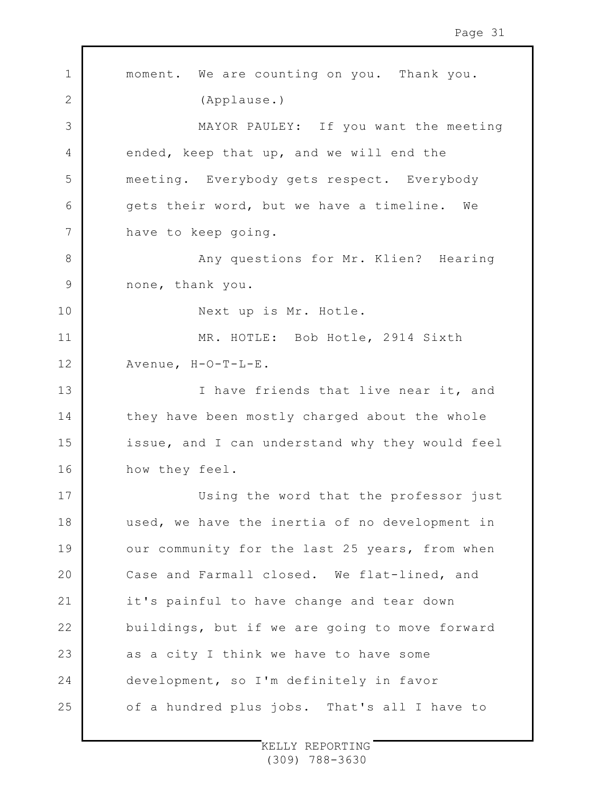1 2 3 4 5 6 7 8 9 10 11 12 13 14 15 16 17 18 19  $20$ 21 22 23 24 25 moment. We are counting on you. Thank you. (Applause.) MAYOR PAULEY: If you want the meeting ended, keep that up, and we will end the meeting. Everybody gets respect. Everybody gets their word, but we have a timeline. We have to keep going. Any questions for Mr. Klien? Hearing none, thank you. Next up is Mr. Hotle. MR. HOTLE: Bob Hotle, 2914 Sixth Avenue, H-O-T-L-E. I have friends that live near it, and they have been mostly charged about the whole issue, and I can understand why they would feel how they feel. Using the word that the professor just used, we have the inertia of no development in our community for the last 25 years, from when Case and Farmall closed. We flat-lined, and it's painful to have change and tear down buildings, but if we are going to move forward as a city I think we have to have some development, so I'm definitely in favor of a hundred plus jobs. That's all I have to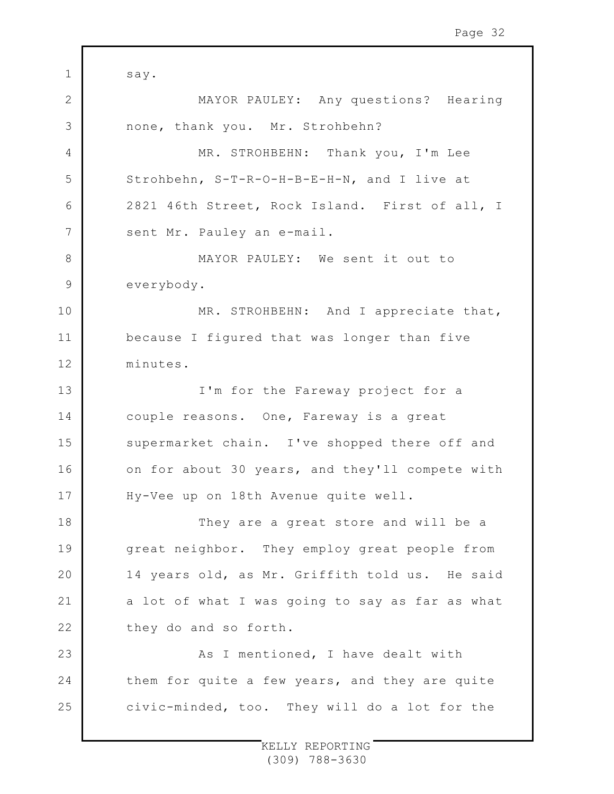1 2 3 4 5 6 7 8 9 10 11 12 13 14 15 16 17 18 19  $20$ 21 22 23 24 25 say. MAYOR PAULEY: Any questions? Hearing none, thank you. Mr. Strohbehn? MR. STROHBEHN: Thank you, I'm Lee Strohbehn, S-T-R-O-H-B-E-H-N, and I live at 2821 46th Street, Rock Island. First of all, I sent Mr. Pauley an e-mail. MAYOR PAULEY: We sent it out to everybody. MR. STROHBEHN: And I appreciate that, because I figured that was longer than five minutes. I'm for the Fareway project for a couple reasons. One, Fareway is a great supermarket chain. I've shopped there off and on for about 30 years, and they'll compete with Hy-Vee up on 18th Avenue quite well. They are a great store and will be a great neighbor. They employ great people from 14 years old, as Mr. Griffith told us. He said a lot of what I was going to say as far as what they do and so forth. As I mentioned, I have dealt with them for quite a few years, and they are quite civic-minded, too. They will do a lot for the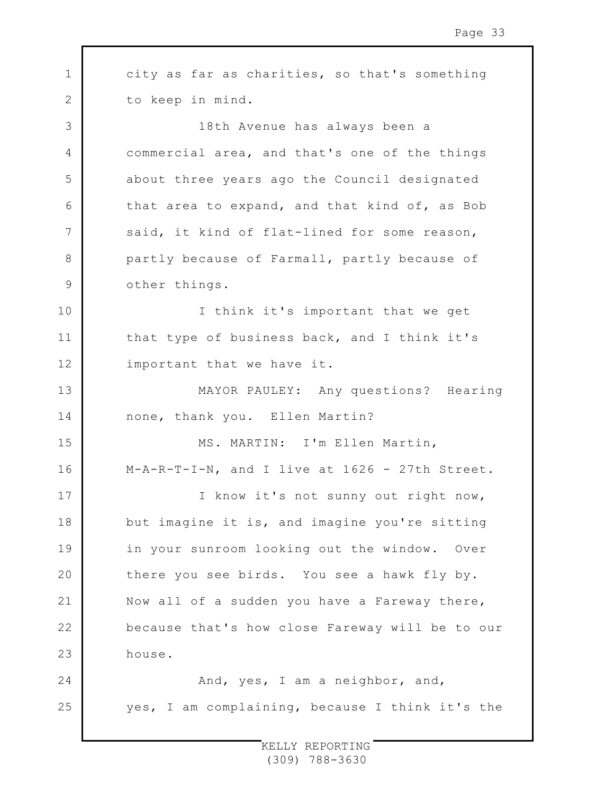1 2 3 4 5 6 7 8 9 10 11 12 13 14 15 16 17 18 19 20 21 22 23 24 25 city as far as charities, so that's something to keep in mind. 18th Avenue has always been a commercial area, and that's one of the things about three years ago the Council designated that area to expand, and that kind of, as Bob said, it kind of flat-lined for some reason, partly because of Farmall, partly because of other things. I think it's important that we get that type of business back, and I think it's important that we have it. MAYOR PAULEY: Any questions? Hearing none, thank you. Ellen Martin? MS. MARTIN: I'm Ellen Martin, M-A-R-T-I-N, and I live at 1626 - 27th Street. I know it's not sunny out right now, but imagine it is, and imagine you're sitting in your sunroom looking out the window. Over there you see birds. You see a hawk fly by. Now all of a sudden you have a Fareway there, because that's how close Fareway will be to our house. And, yes, I am a neighbor, and, yes, I am complaining, because I think it's the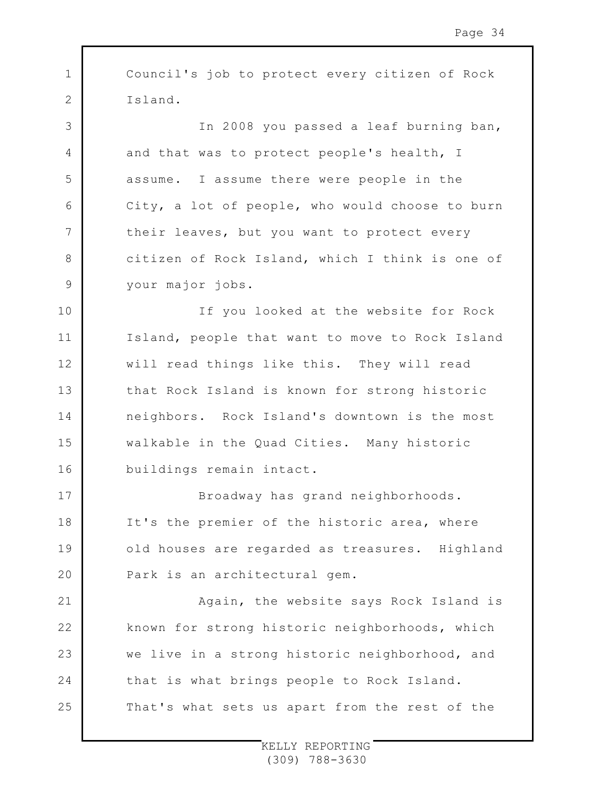1 2 3 4 5 6 7 8 9 10 11 12 13 14 15 16 17 18 19  $20$ 21 22 23 24 Council's job to protect every citizen of Rock Island. In 2008 you passed a leaf burning ban, and that was to protect people's health, I assume. I assume there were people in the City, a lot of people, who would choose to burn their leaves, but you want to protect every citizen of Rock Island, which I think is one of your major jobs. If you looked at the website for Rock Island, people that want to move to Rock Island will read things like this. They will read that Rock Island is known for strong historic neighbors. Rock Island's downtown is the most walkable in the Quad Cities. Many historic buildings remain intact. Broadway has grand neighborhoods. It's the premier of the historic area, where old houses are regarded as treasures. Highland Park is an architectural gem. Again, the website says Rock Island is known for strong historic neighborhoods, which we live in a strong historic neighborhood, and that is what brings people to Rock Island.

That's what sets us apart from the rest of the

25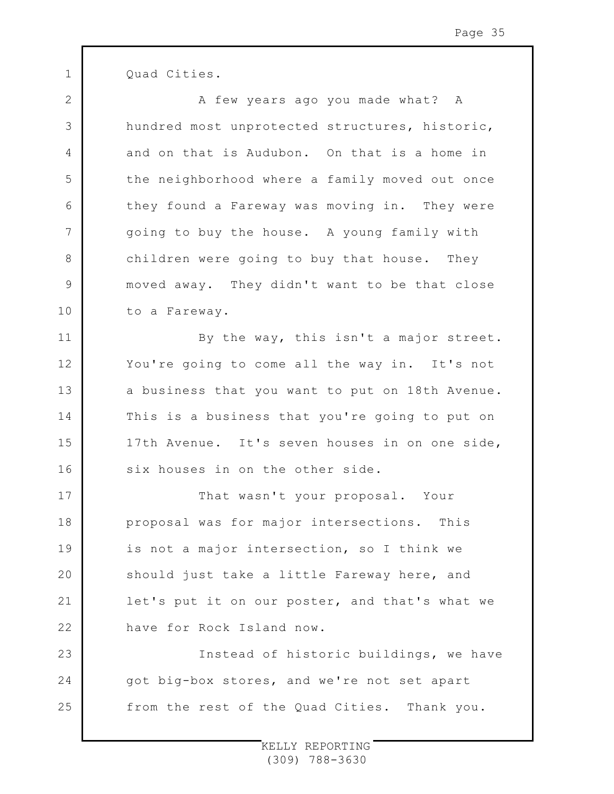Quad Cities.

1

2

8

11

12

13

14

15

16

3 4 5 6 7 9 10 A few years ago you made what? A hundred most unprotected structures, historic, and on that is Audubon. On that is a home in the neighborhood where a family moved out once they found a Fareway was moving in. They were going to buy the house. A young family with children were going to buy that house. They moved away. They didn't want to be that close to a Fareway.

By the way, this isn't a major street. You're going to come all the way in. It's not a business that you want to put on 18th Avenue. This is a business that you're going to put on 17th Avenue. It's seven houses in on one side, six houses in on the other side.

17 18 19  $20$ 21 22 That wasn't your proposal. Your proposal was for major intersections. This is not a major intersection, so I think we should just take a little Fareway here, and let's put it on our poster, and that's what we have for Rock Island now.

23 24 25 Instead of historic buildings, we have got big-box stores, and we're not set apart from the rest of the Quad Cities. Thank you.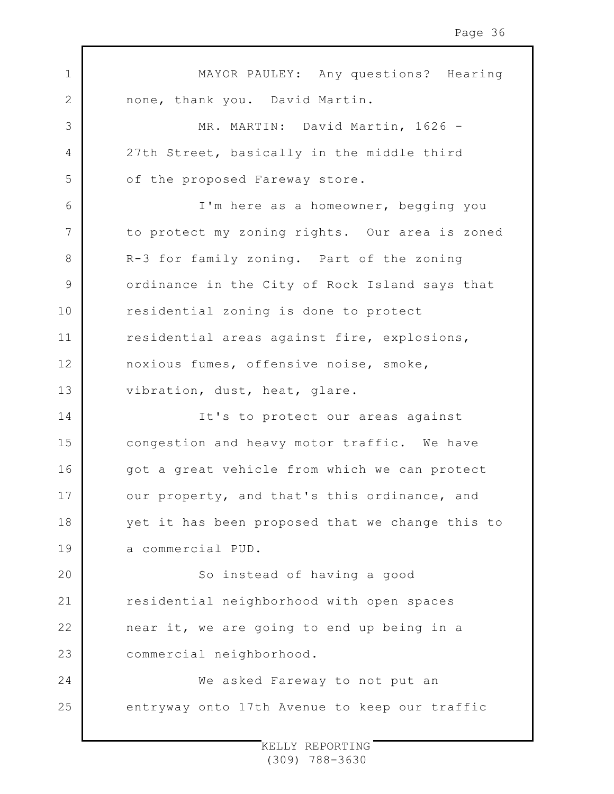1 2 3 4 5 6 7 8 9 10 11 12 13 14 15 16 17 18 19  $20$ 21 22 23 24 25 MAYOR PAULEY: Any questions? Hearing none, thank you. David Martin. MR. MARTIN: David Martin, 1626 -27th Street, basically in the middle third of the proposed Fareway store. I'm here as a homeowner, begging you to protect my zoning rights. Our area is zoned R-3 for family zoning. Part of the zoning ordinance in the City of Rock Island says that residential zoning is done to protect residential areas against fire, explosions, noxious fumes, offensive noise, smoke, vibration, dust, heat, glare. It's to protect our areas against congestion and heavy motor traffic. We have got a great vehicle from which we can protect our property, and that's this ordinance, and yet it has been proposed that we change this to a commercial PUD. So instead of having a good residential neighborhood with open spaces near it, we are going to end up being in a commercial neighborhood. We asked Fareway to not put an entryway onto 17th Avenue to keep our traffic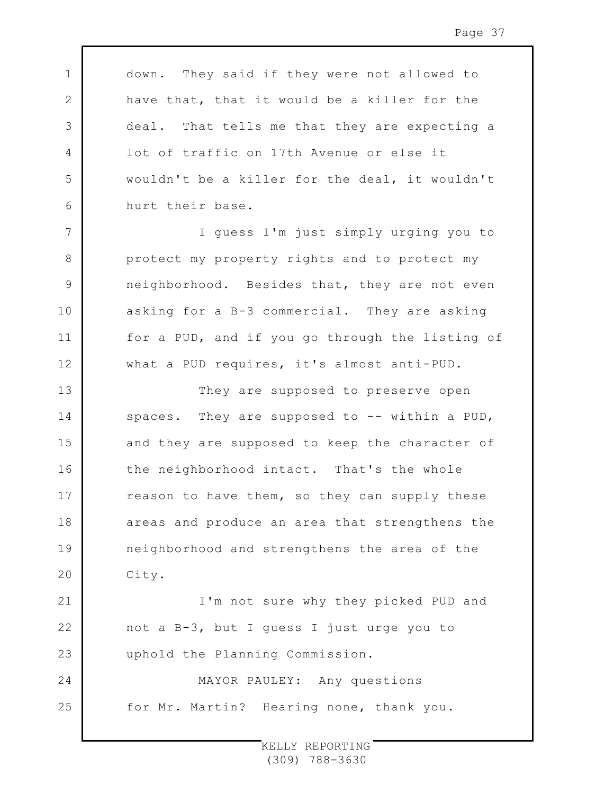down. They said if they were not allowed to have that, that it would be a killer for the deal. That tells me that they are expecting a lot of traffic on 17th Avenue or else it wouldn't be a killer for the deal, it wouldn't hurt their base.

1

2

3

4

5

6

7

8

9

10

11

12

21

22

23

I guess I'm just simply urging you to protect my property rights and to protect my neighborhood. Besides that, they are not even asking for a B-3 commercial. They are asking for a PUD, and if you go through the listing of what a PUD requires, it's almost anti-PUD.

13 14 15 16 17 18 19  $20$ They are supposed to preserve open spaces. They are supposed to  $-$ - within a PUD, and they are supposed to keep the character of the neighborhood intact. That's the whole reason to have them, so they can supply these areas and produce an area that strengthens the neighborhood and strengthens the area of the City.

I'm not sure why they picked PUD and not a B-3, but I guess I just urge you to uphold the Planning Commission.

24 25 MAYOR PAULEY: Any questions for Mr. Martin? Hearing none, thank you.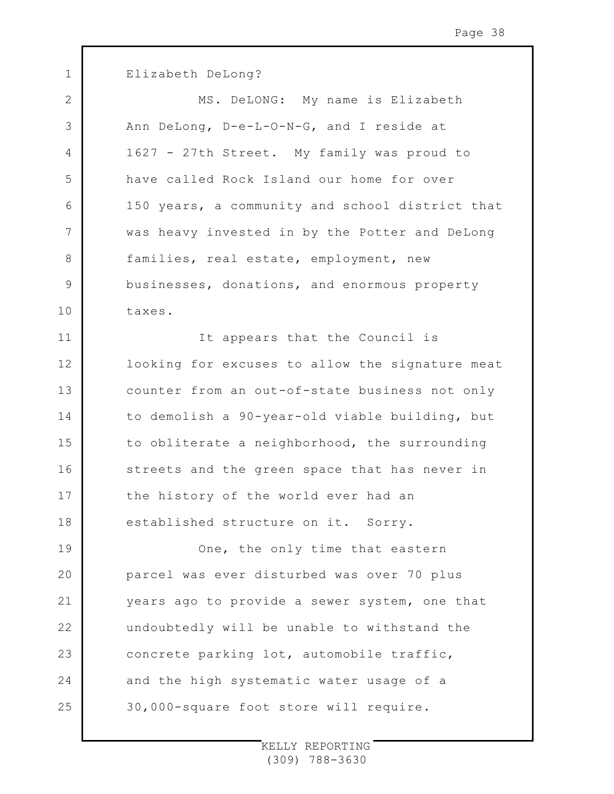1 2 3 4 5 6 7 8 9 10 11 12 13 14 15 16 17 18 19  $20$ 21 22 23 24 25 Elizabeth DeLong? MS. DeLONG: My name is Elizabeth Ann DeLong, D-e-L-O-N-G, and I reside at 1627 - 27th Street. My family was proud to have called Rock Island our home for over 150 years, a community and school district that was heavy invested in by the Potter and DeLong families, real estate, employment, new businesses, donations, and enormous property taxes. It appears that the Council is looking for excuses to allow the signature meat counter from an out-of-state business not only to demolish a 90-year-old viable building, but to obliterate a neighborhood, the surrounding streets and the green space that has never in the history of the world ever had an established structure on it. Sorry. One, the only time that eastern parcel was ever disturbed was over 70 plus years ago to provide a sewer system, one that undoubtedly will be unable to withstand the concrete parking lot, automobile traffic, and the high systematic water usage of a 30,000-square foot store will require.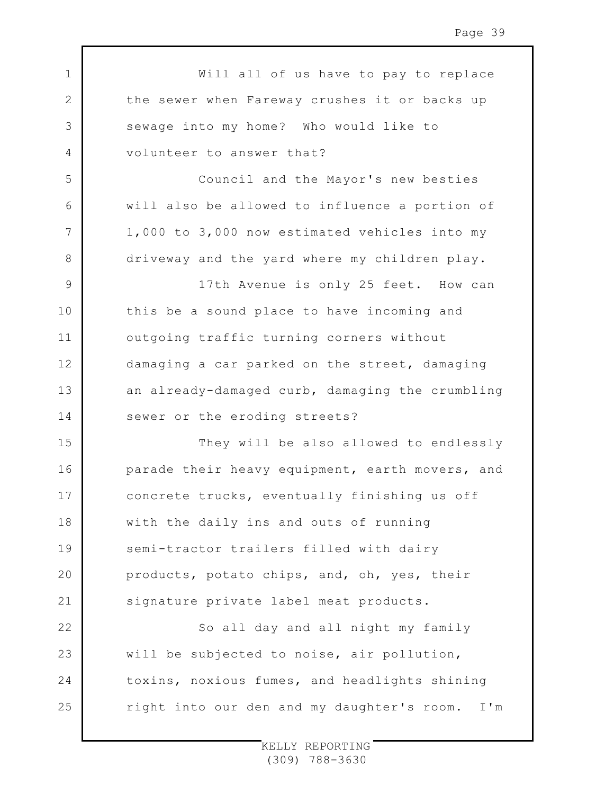1 2 3 4 5 6 7 8 9 10 11 12 13 14 15 16 17 18 19 20 21 22 23 24 25 Will all of us have to pay to replace the sewer when Fareway crushes it or backs up sewage into my home? Who would like to volunteer to answer that? Council and the Mayor's new besties will also be allowed to influence a portion of 1,000 to 3,000 now estimated vehicles into my driveway and the yard where my children play. 17th Avenue is only 25 feet. How can this be a sound place to have incoming and outgoing traffic turning corners without damaging a car parked on the street, damaging an already-damaged curb, damaging the crumbling sewer or the eroding streets? They will be also allowed to endlessly parade their heavy equipment, earth movers, and concrete trucks, eventually finishing us off with the daily ins and outs of running semi-tractor trailers filled with dairy products, potato chips, and, oh, yes, their signature private label meat products. So all day and all night my family will be subjected to noise, air pollution, toxins, noxious fumes, and headlights shining right into our den and my daughter's room. I'm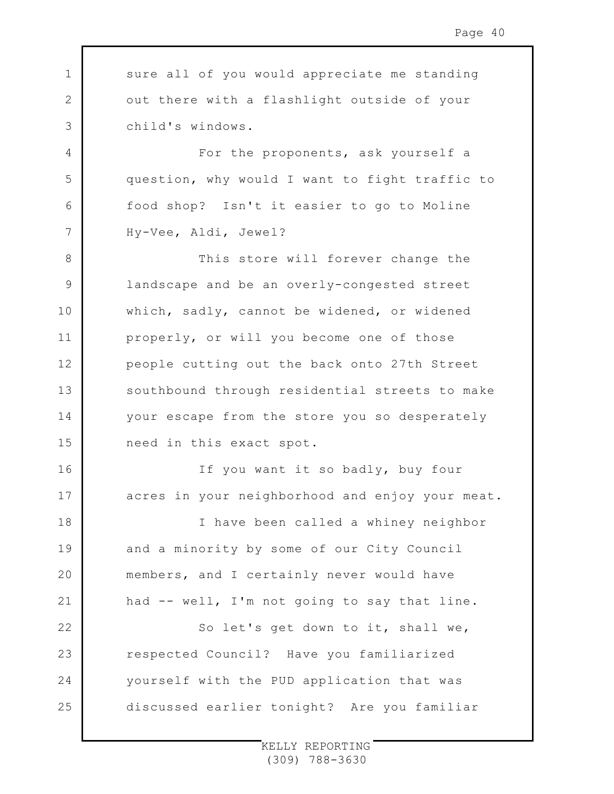1 2 3 4 5 6 7 8 9 10 11 12 13 14 15 16 17 18 19  $20$ 21 22 23 24 25 sure all of you would appreciate me standing out there with a flashlight outside of your child's windows. For the proponents, ask yourself a question, why would I want to fight traffic to food shop? Isn't it easier to go to Moline Hy-Vee, Aldi, Jewel? This store will forever change the landscape and be an overly-congested street which, sadly, cannot be widened, or widened properly, or will you become one of those people cutting out the back onto 27th Street southbound through residential streets to make your escape from the store you so desperately need in this exact spot. If you want it so badly, buy four acres in your neighborhood and enjoy your meat. I have been called a whiney neighbor and a minority by some of our City Council members, and I certainly never would have had -- well, I'm not going to say that line. So let's get down to it, shall we, respected Council? Have you familiarized yourself with the PUD application that was discussed earlier tonight? Are you familiar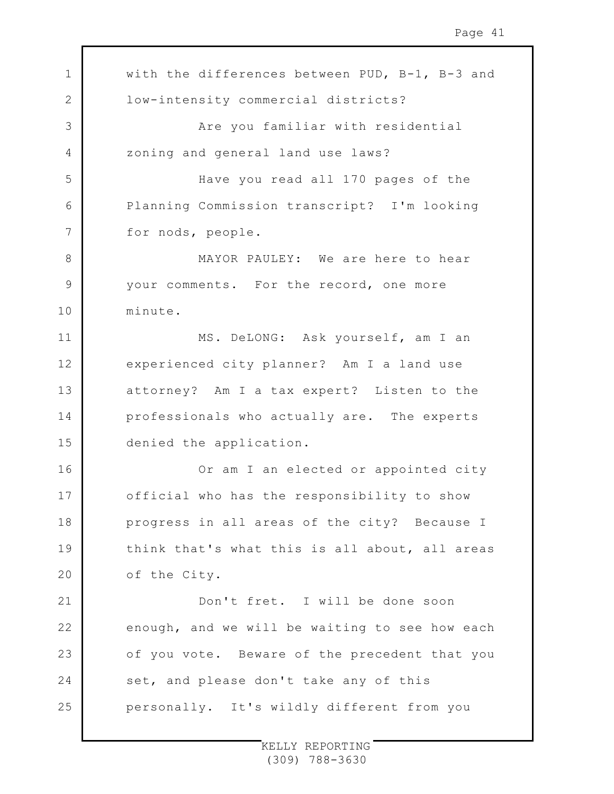| 1            | with the differences between PUD, B-1, B-3 and |
|--------------|------------------------------------------------|
| $\mathbf{2}$ | low-intensity commercial districts?            |
| 3            | Are you familiar with residential              |
| 4            | zoning and general land use laws?              |
| 5            | Have you read all 170 pages of the             |
| 6            | Planning Commission transcript? I'm looking    |
| 7            | for nods, people.                              |
| 8            | MAYOR PAULEY: We are here to hear              |
| $\mathsf 9$  | your comments. For the record, one more        |
| 10           | minute.                                        |
| 11           | MS. DeLONG: Ask yourself, am I an              |
| 12           | experienced city planner? Am I a land use      |
| 13           | attorney? Am I a tax expert? Listen to the     |
| 14           | professionals who actually are. The experts    |
| 15           | denied the application.                        |
| 16           | Or am I an elected or appointed city           |
| 17           | official who has the responsibility to show    |
| 18           | progress in all areas of the city? Because I   |
| 19           | think that's what this is all about, all areas |
| 20           | of the City.                                   |
| 21           | Don't fret. I will be done soon                |
| 22           | enough, and we will be waiting to see how each |
| 23           | of you vote. Beware of the precedent that you  |
| 24           | set, and please don't take any of this         |
| 25           | personally. It's wildly different from you     |

 $\Gamma$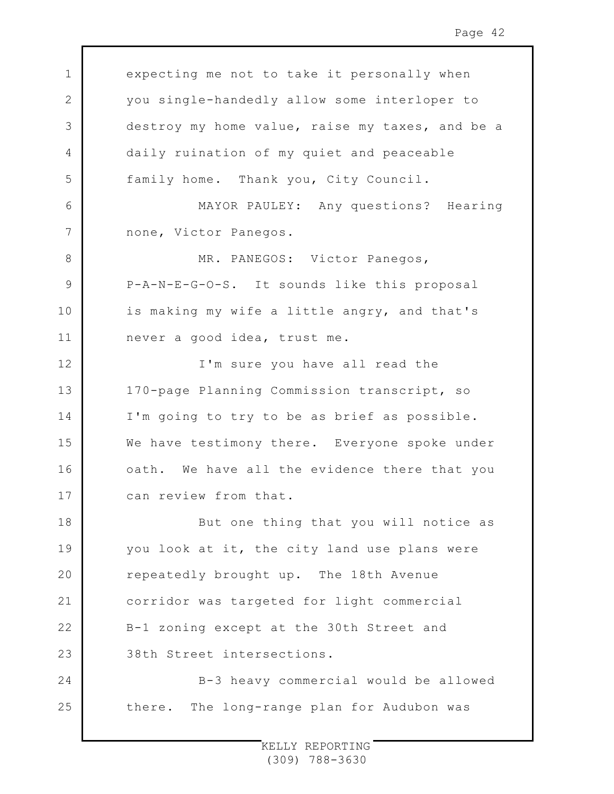expecting me not to take it personally when you single-handedly allow some interloper to destroy my home value, raise my taxes, and be a daily ruination of my quiet and peaceable family home. Thank you, City Council.

1

2

3

4

5

6

7

8

9

10

11

MAYOR PAULEY: Any questions? Hearing none, Victor Panegos.

MR. PANEGOS: Victor Panegos, P-A-N-E-G-O-S. It sounds like this proposal is making my wife a little angry, and that's never a good idea, trust me.

12 13 14 15 16 17 I'm sure you have all read the 170-page Planning Commission transcript, so I'm going to try to be as brief as possible. We have testimony there. Everyone spoke under oath. We have all the evidence there that you can review from that.

18 19  $20$ 21 22 23 But one thing that you will notice as you look at it, the city land use plans were repeatedly brought up. The 18th Avenue corridor was targeted for light commercial B-1 zoning except at the 30th Street and 38th Street intersections.

24 25 B-3 heavy commercial would be allowed there. The long-range plan for Audubon was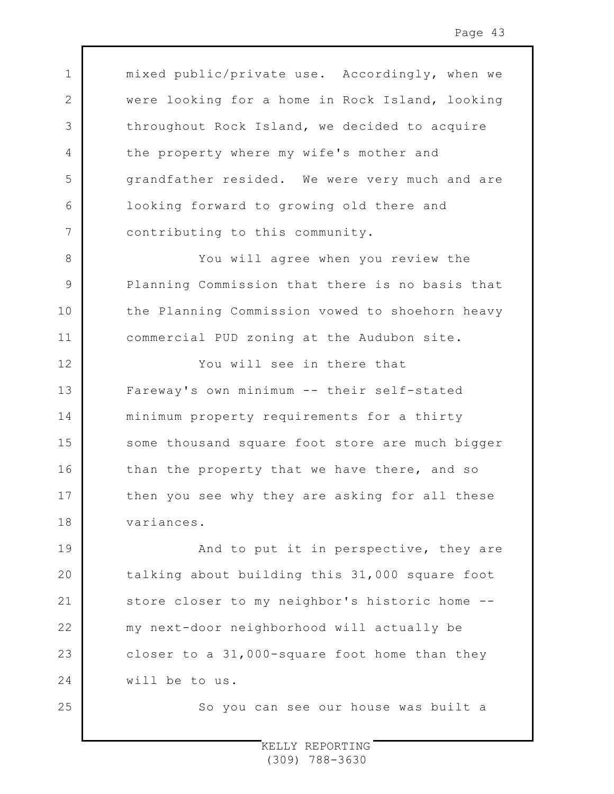mixed public/private use. Accordingly, when we were looking for a home in Rock Island, looking throughout Rock Island, we decided to acquire the property where my wife's mother and grandfather resided. We were very much and are looking forward to growing old there and contributing to this community.

1

2

3

4

5

6

7

8

9

10

11

25

You will agree when you review the Planning Commission that there is no basis that the Planning Commission vowed to shoehorn heavy commercial PUD zoning at the Audubon site.

12 13 14 15 16 17 18 You will see in there that Fareway's own minimum -- their self-stated minimum property requirements for a thirty some thousand square foot store are much bigger than the property that we have there, and so then you see why they are asking for all these variances.

19  $20$ 21 22 23 24 And to put it in perspective, they are talking about building this 31,000 square foot store closer to my neighbor's historic home - my next-door neighborhood will actually be closer to a 31,000-square foot home than they will be to us.

So you can see our house was built a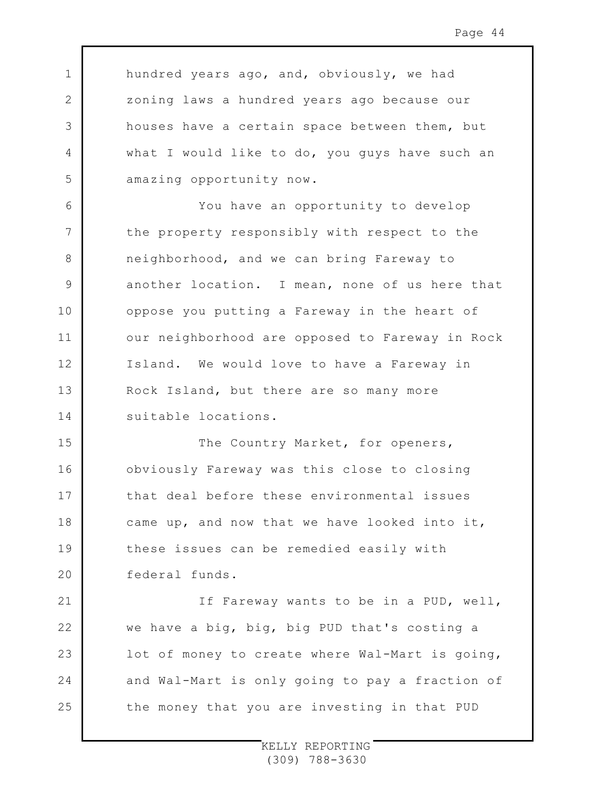hundred years ago, and, obviously, we had zoning laws a hundred years ago because our houses have a certain space between them, but what I would like to do, you guys have such an amazing opportunity now.

1

2

3

4

5

6

7

8

9

10

11

12

13

14

21

22

23

24

25

You have an opportunity to develop the property responsibly with respect to the neighborhood, and we can bring Fareway to another location. I mean, none of us here that oppose you putting a Fareway in the heart of our neighborhood are opposed to Fareway in Rock Island. We would love to have a Fareway in Rock Island, but there are so many more suitable locations.

15 16 17 18 19  $20$ The Country Market, for openers, obviously Fareway was this close to closing that deal before these environmental issues came up, and now that we have looked into it, these issues can be remedied easily with federal funds.

If Fareway wants to be in a PUD, well, we have a big, big, big PUD that's costing a lot of money to create where Wal-Mart is going, and Wal-Mart is only going to pay a fraction of the money that you are investing in that PUD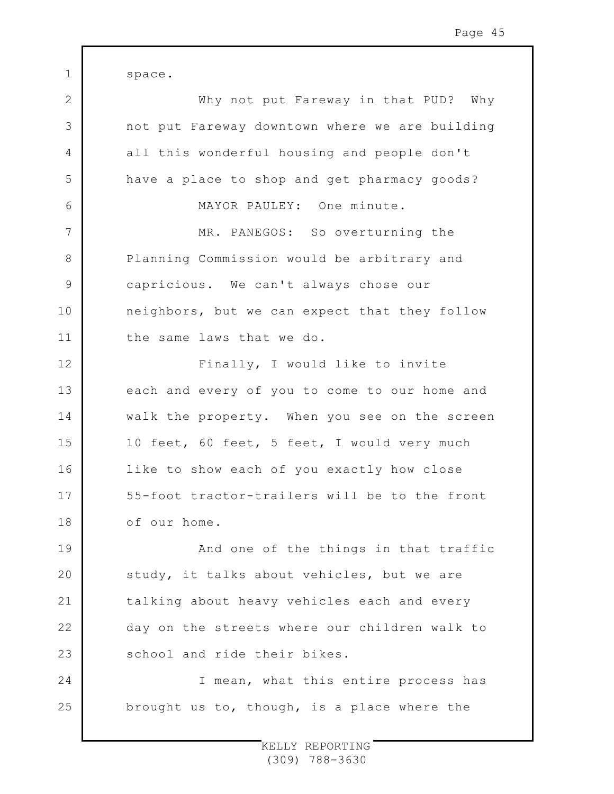1 2 3 4 5 6 7 8 9 10 11 12 13 14 15 16 17 18 19  $20$ 21 22 23 24 25 space. Why not put Fareway in that PUD? Why not put Fareway downtown where we are building all this wonderful housing and people don't have a place to shop and get pharmacy goods? MAYOR PAULEY: One minute. MR. PANEGOS: So overturning the Planning Commission would be arbitrary and capricious. We can't always chose our neighbors, but we can expect that they follow the same laws that we do. Finally, I would like to invite each and every of you to come to our home and walk the property. When you see on the screen 10 feet, 60 feet, 5 feet, I would very much like to show each of you exactly how close 55-foot tractor-trailers will be to the front of our home. And one of the things in that traffic study, it talks about vehicles, but we are talking about heavy vehicles each and every day on the streets where our children walk to school and ride their bikes. I mean, what this entire process has brought us to, though, is a place where the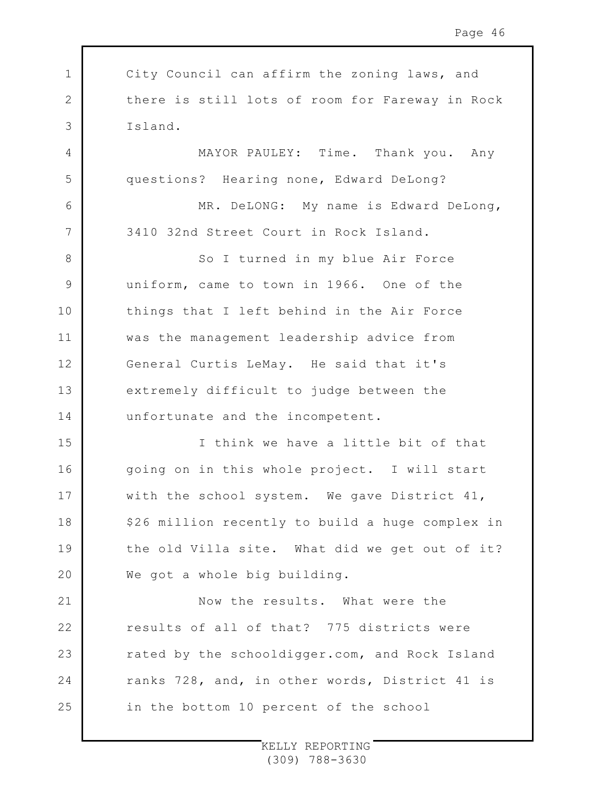1 2 3 4 5 6 7 8 9 10 11 12 13 14 15 16 17 18 19  $20$ 21 22 23 24 25 City Council can affirm the zoning laws, and there is still lots of room for Fareway in Rock Island. MAYOR PAULEY: Time. Thank you. Any questions? Hearing none, Edward DeLong? MR. DeLONG: My name is Edward DeLong, 3410 32nd Street Court in Rock Island. So I turned in my blue Air Force uniform, came to town in 1966. One of the things that I left behind in the Air Force was the management leadership advice from General Curtis LeMay. He said that it's extremely difficult to judge between the unfortunate and the incompetent. I think we have a little bit of that going on in this whole project. I will start with the school system. We gave District 41, \$26 million recently to build a huge complex in the old Villa site. What did we get out of it? We got a whole big building. Now the results. What were the results of all of that? 775 districts were rated by the schooldigger.com, and Rock Island ranks 728, and, in other words, District 41 is in the bottom 10 percent of the school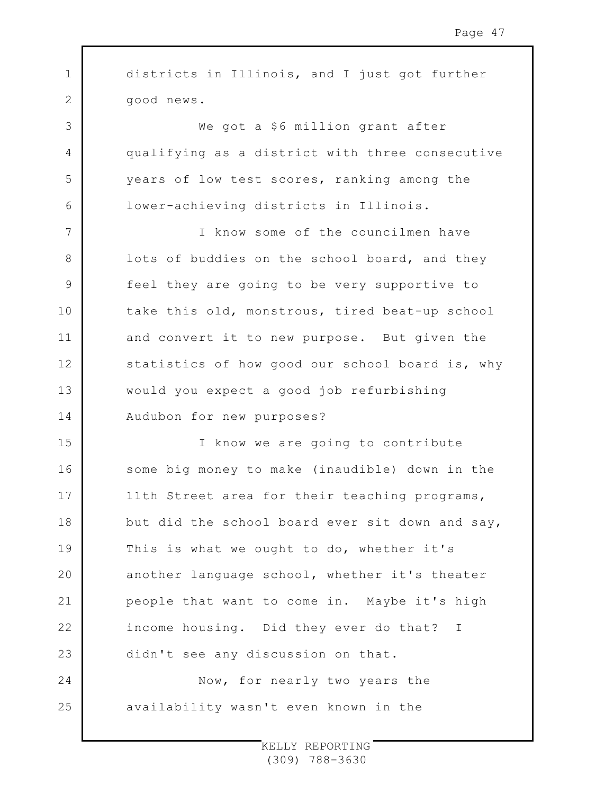1 2 3 4 5 6 7 8 9 10 11 12 13 14 15 16 17 18 19  $20$ 21 22 23 24 25 districts in Illinois, and I just got further good news. We got a \$6 million grant after qualifying as a district with three consecutive years of low test scores, ranking among the lower-achieving districts in Illinois. I know some of the councilmen have lots of buddies on the school board, and they feel they are going to be very supportive to take this old, monstrous, tired beat-up school and convert it to new purpose. But given the statistics of how good our school board is, why would you expect a good job refurbishing Audubon for new purposes? I know we are going to contribute some big money to make (inaudible) down in the 11th Street area for their teaching programs, but did the school board ever sit down and say, This is what we ought to do, whether it's another language school, whether it's theater people that want to come in. Maybe it's high income housing. Did they ever do that? I didn't see any discussion on that. Now, for nearly two years the availability wasn't even known in the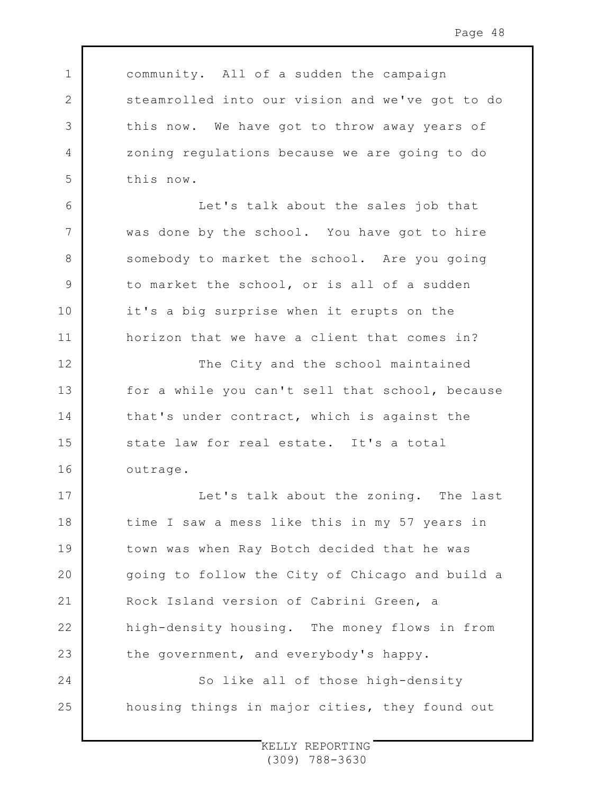1 2 3 4 5 6 7 8 9 10 11 12 13 14 15 16 17 18 19  $20$ 21 22 23 24 25 community. All of a sudden the campaign steamrolled into our vision and we've got to do this now. We have got to throw away years of zoning regulations because we are going to do this now. Let's talk about the sales job that was done by the school. You have got to hire somebody to market the school. Are you going to market the school, or is all of a sudden it's a big surprise when it erupts on the horizon that we have a client that comes in? The City and the school maintained for a while you can't sell that school, because that's under contract, which is against the state law for real estate. It's a total outrage. Let's talk about the zoning. The last time I saw a mess like this in my 57 years in town was when Ray Botch decided that he was going to follow the City of Chicago and build a Rock Island version of Cabrini Green, a high-density housing. The money flows in from the government, and everybody's happy. So like all of those high-density housing things in major cities, they found out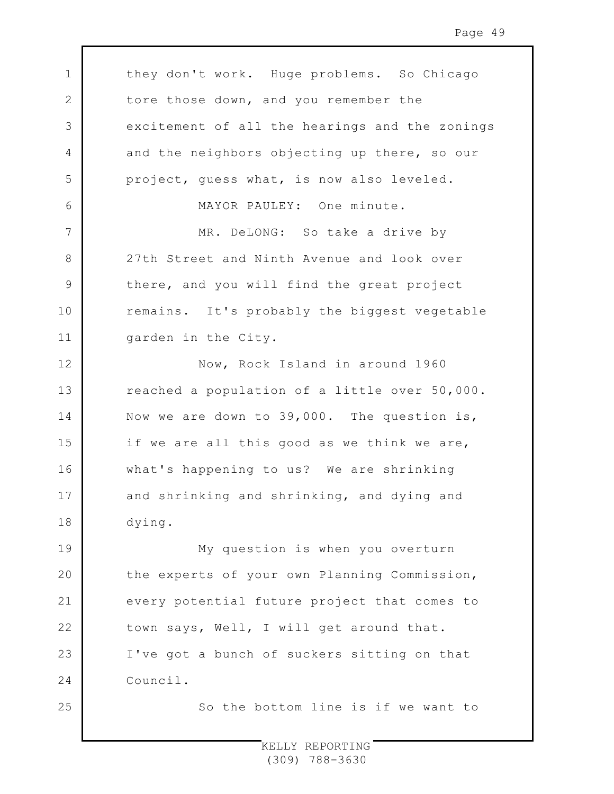1 2 3 4 5 6 7 8 9 10 11 12 13 14 15 16 17 18 19 20 21 22 23 24 25 they don't work. Huge problems. So Chicago tore those down, and you remember the excitement of all the hearings and the zonings and the neighbors objecting up there, so our project, guess what, is now also leveled. MAYOR PAULEY: One minute. MR. DeLONG: So take a drive by 27th Street and Ninth Avenue and look over there, and you will find the great project remains. It's probably the biggest vegetable garden in the City. Now, Rock Island in around 1960 reached a population of a little over 50,000. Now we are down to 39,000. The question is, if we are all this good as we think we are, what's happening to us? We are shrinking and shrinking and shrinking, and dying and dying. My question is when you overturn the experts of your own Planning Commission, every potential future project that comes to town says, Well, I will get around that. I've got a bunch of suckers sitting on that Council. So the bottom line is if we want to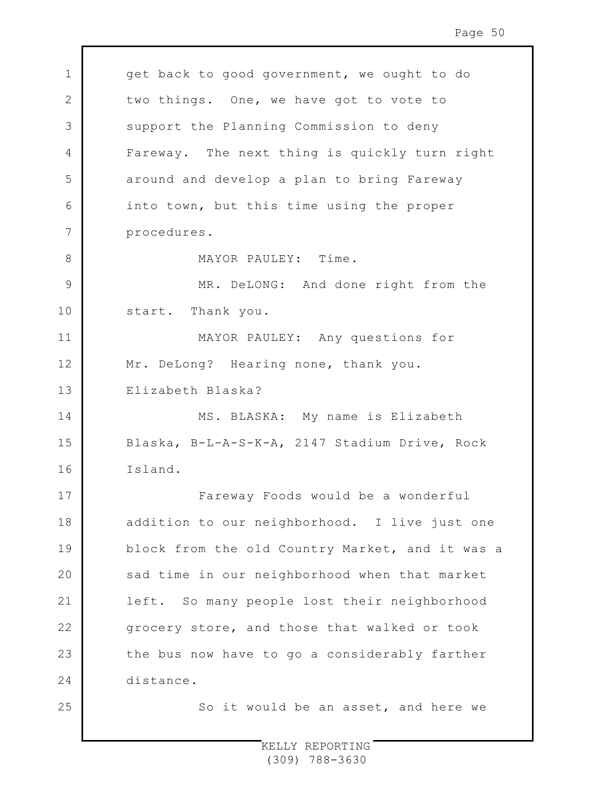1 2 3 4 5 6 7 8 9 10 11 12 13 14 15 16 17 18 19 20 21 22 23 24 25 get back to good government, we ought to do two things. One, we have got to vote to support the Planning Commission to deny Fareway. The next thing is quickly turn right around and develop a plan to bring Fareway into town, but this time using the proper procedures. MAYOR PAULEY: Time. MR. DeLONG: And done right from the start. Thank you. MAYOR PAULEY: Any questions for Mr. DeLong? Hearing none, thank you. Elizabeth Blaska? MS. BLASKA: My name is Elizabeth Blaska, B-L-A-S-K-A, 2147 Stadium Drive, Rock Island. Fareway Foods would be a wonderful addition to our neighborhood. I live just one block from the old Country Market, and it was a sad time in our neighborhood when that market left. So many people lost their neighborhood grocery store, and those that walked or took the bus now have to go a considerably farther distance. So it would be an asset, and here we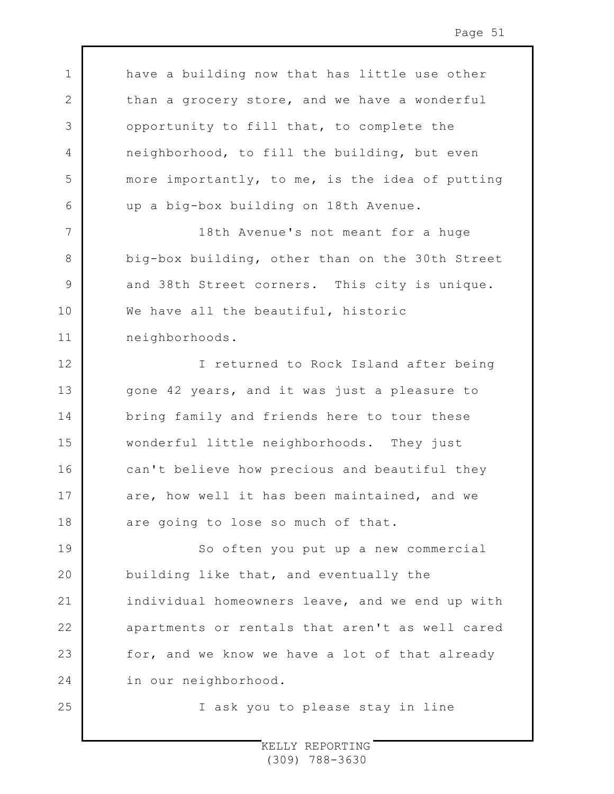have a building now that has little use other than a grocery store, and we have a wonderful opportunity to fill that, to complete the neighborhood, to fill the building, but even more importantly, to me, is the idea of putting up a big-box building on 18th Avenue.

1

2

3

4

5

6

7

8

9

10

11

25

18th Avenue's not meant for a huge big-box building, other than on the 30th Street and 38th Street corners. This city is unique. We have all the beautiful, historic neighborhoods.

12 13 14 15 16 17 18 I returned to Rock Island after being gone 42 years, and it was just a pleasure to bring family and friends here to tour these wonderful little neighborhoods. They just can't believe how precious and beautiful they are, how well it has been maintained, and we are going to lose so much of that.

19 20 21 22 23 24 So often you put up a new commercial building like that, and eventually the individual homeowners leave, and we end up with apartments or rentals that aren't as well cared for, and we know we have a lot of that already in our neighborhood.

I ask you to please stay in line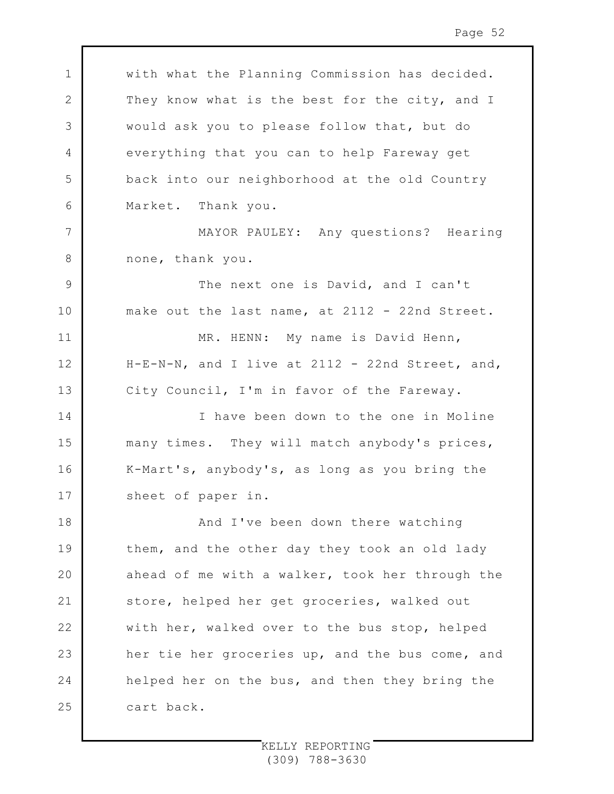1 2 3 4 5 6 7 8 9 10 11 12 13 14 15 16 17 18 19 20 21 22 23 24 25 with what the Planning Commission has decided. They know what is the best for the city, and I would ask you to please follow that, but do everything that you can to help Fareway get back into our neighborhood at the old Country Market. Thank you. MAYOR PAULEY: Any questions? Hearing none, thank you. The next one is David, and I can't make out the last name, at 2112 - 22nd Street. MR. HENN: My name is David Henn, H-E-N-N, and I live at 2112 - 22nd Street, and, City Council, I'm in favor of the Fareway. I have been down to the one in Moline many times. They will match anybody's prices, K-Mart's, anybody's, as long as you bring the sheet of paper in. And I've been down there watching them, and the other day they took an old lady ahead of me with a walker, took her through the store, helped her get groceries, walked out with her, walked over to the bus stop, helped her tie her groceries up, and the bus come, and helped her on the bus, and then they bring the cart back.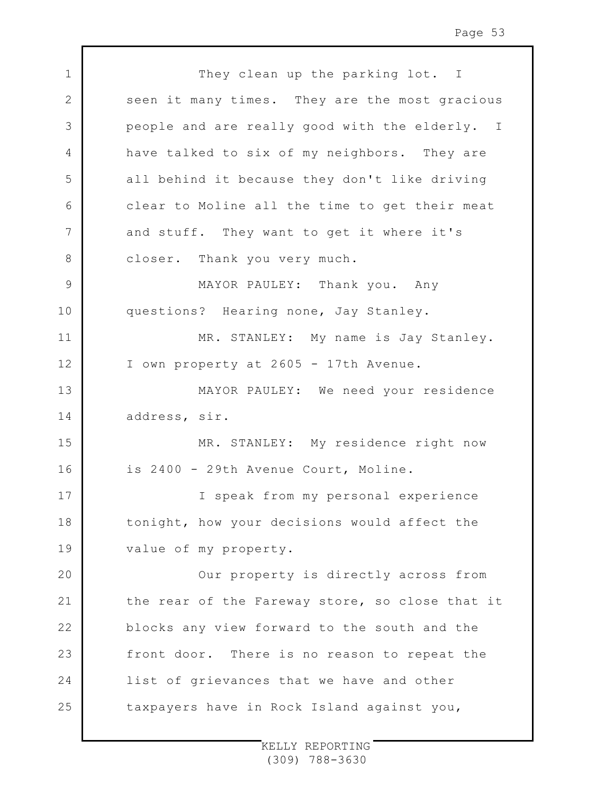| $\mathbf 1$    | They clean up the parking lot. I                |
|----------------|-------------------------------------------------|
| $\overline{2}$ | seen it many times. They are the most gracious  |
| 3              | people and are really good with the elderly. I  |
| 4              | have talked to six of my neighbors. They are    |
| 5              | all behind it because they don't like driving   |
| 6              | clear to Moline all the time to get their meat  |
| 7              | and stuff. They want to get it where it's       |
| 8              | closer. Thank you very much.                    |
| $\mathcal{G}$  | MAYOR PAULEY: Thank you. Any                    |
| 10             | questions? Hearing none, Jay Stanley.           |
| 11             | MR. STANLEY: My name is Jay Stanley.            |
| 12             | I own property at 2605 - 17th Avenue.           |
| 13             | MAYOR PAULEY: We need your residence            |
| 14             | address, sir.                                   |
| 15             | MR. STANLEY: My residence right now             |
| 16             | is 2400 - 29th Avenue Court, Moline.            |
| 17             | I speak from my personal experience             |
| 18             | tonight, how your decisions would affect the    |
| 19             | value of my property.                           |
| 20             | Our property is directly across from            |
| 21             | the rear of the Fareway store, so close that it |
| 22             | blocks any view forward to the south and the    |
| 23             | front door. There is no reason to repeat the    |
| 24             | list of grievances that we have and other       |
| 25             | taxpayers have in Rock Island against you,      |

 $\mathsf{L}$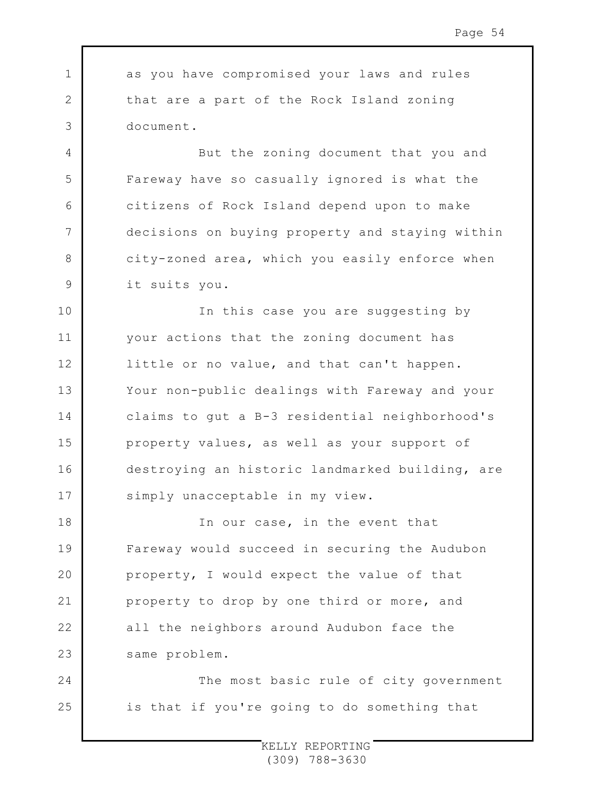1 2 3 4 5 6 7 8 9 10 11 12 13 14 15 16 17 18 19  $20$ 21 22 23 24 as you have compromised your laws and rules that are a part of the Rock Island zoning document. But the zoning document that you and Fareway have so casually ignored is what the citizens of Rock Island depend upon to make decisions on buying property and staying within city-zoned area, which you easily enforce when it suits you. In this case you are suggesting by your actions that the zoning document has little or no value, and that can't happen. Your non-public dealings with Fareway and your claims to gut a B-3 residential neighborhood's property values, as well as your support of destroying an historic landmarked building, are simply unacceptable in my view. In our case, in the event that Fareway would succeed in securing the Audubon property, I would expect the value of that property to drop by one third or more, and all the neighbors around Audubon face the same problem. The most basic rule of city government

is that if you're going to do something that

25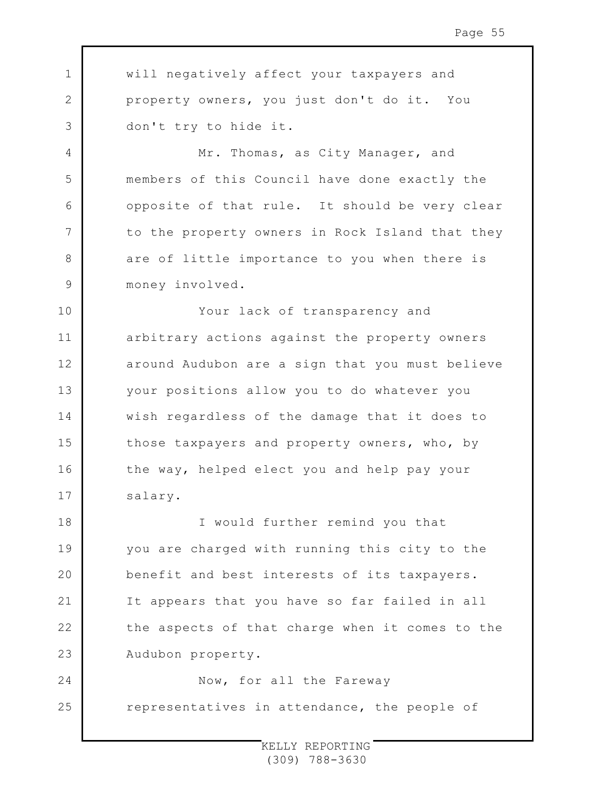1 2 3 4 5 6 7 8 9 10 11 12 13 14 15 16 17 18 19  $20$ 21 22 23 24 25 will negatively affect your taxpayers and property owners, you just don't do it. You don't try to hide it. Mr. Thomas, as City Manager, and members of this Council have done exactly the opposite of that rule. It should be very clear to the property owners in Rock Island that they are of little importance to you when there is money involved. Your lack of transparency and arbitrary actions against the property owners around Audubon are a sign that you must believe your positions allow you to do whatever you wish regardless of the damage that it does to those taxpayers and property owners, who, by the way, helped elect you and help pay your salary. I would further remind you that you are charged with running this city to the benefit and best interests of its taxpayers. It appears that you have so far failed in all the aspects of that charge when it comes to the Audubon property. Now, for all the Fareway representatives in attendance, the people of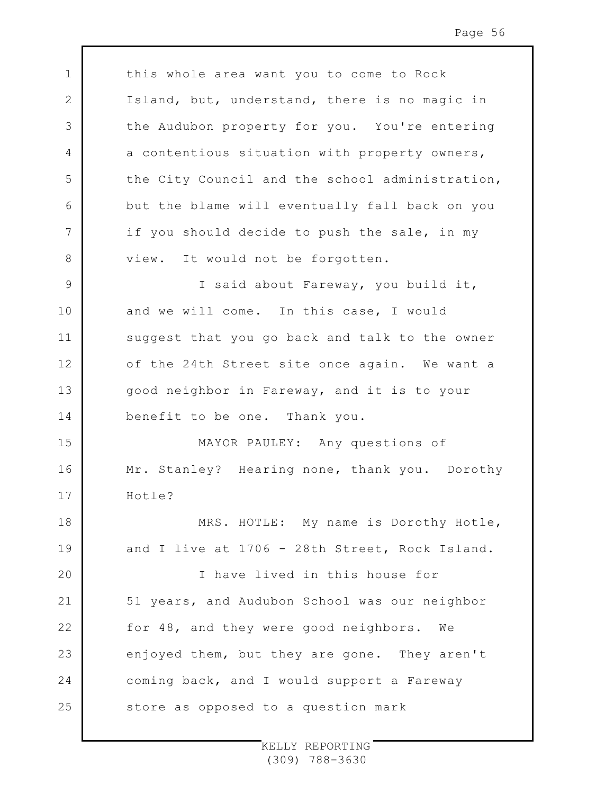this whole area want you to come to Rock Island, but, understand, there is no magic in the Audubon property for you. You're entering a contentious situation with property owners, the City Council and the school administration, but the blame will eventually fall back on you if you should decide to push the sale, in my view. It would not be forgotten. I said about Fareway, you build it,

1

2

3

4

5

6

7

8

9

10

11

12

13

14

16

and we will come. In this case, I would suggest that you go back and talk to the owner of the 24th Street site once again. We want a good neighbor in Fareway, and it is to your benefit to be one. Thank you.

15 17 MAYOR PAULEY: Any questions of Mr. Stanley? Hearing none, thank you. Dorothy Hotle?

18 19 MRS. HOTLE: My name is Dorothy Hotle, and I live at 1706 - 28th Street, Rock Island.

 $20$ 21 22 23 24 25 I have lived in this house for 51 years, and Audubon School was our neighbor for 48, and they were good neighbors. We enjoyed them, but they are gone. They aren't coming back, and I would support a Fareway store as opposed to a question mark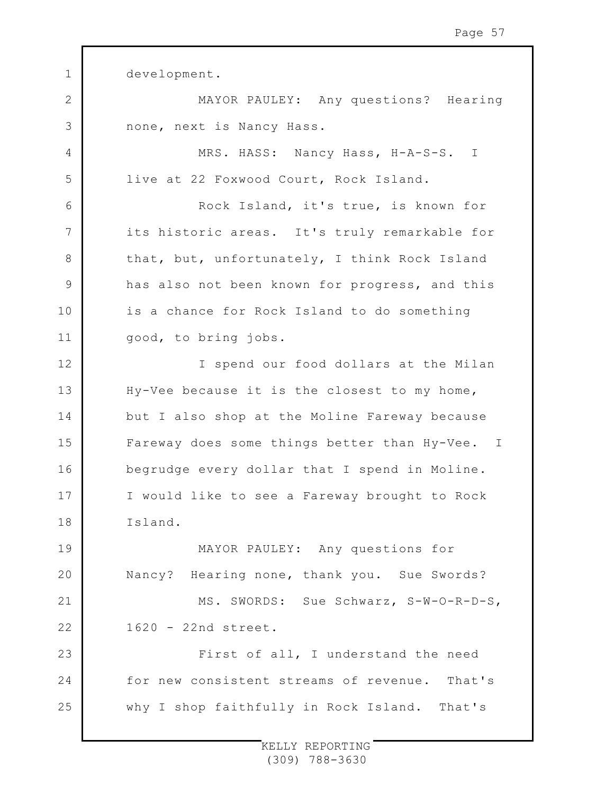1 2 3 4 5 6 7 8 9 10 11 12 13 14 15 16 17 18 19 20 21 22 23 24 25 development. MAYOR PAULEY: Any questions? Hearing none, next is Nancy Hass. MRS. HASS: Nancy Hass, H-A-S-S. I live at 22 Foxwood Court, Rock Island. Rock Island, it's true, is known for its historic areas. It's truly remarkable for that, but, unfortunately, I think Rock Island has also not been known for progress, and this is a chance for Rock Island to do something good, to bring jobs. I spend our food dollars at the Milan Hy-Vee because it is the closest to my home, but I also shop at the Moline Fareway because Fareway does some things better than Hy-Vee. I begrudge every dollar that I spend in Moline. I would like to see a Fareway brought to Rock Island. MAYOR PAULEY: Any questions for Nancy? Hearing none, thank you. Sue Swords? MS. SWORDS: Sue Schwarz, S-W-O-R-D-S, 1620 - 22nd street. First of all, I understand the need for new consistent streams of revenue. That's why I shop faithfully in Rock Island. That's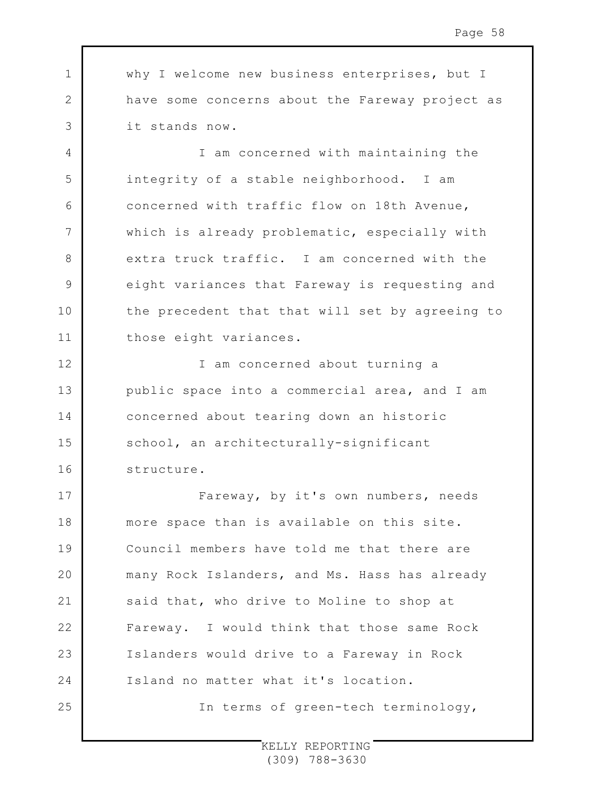1 2 3 why I welcome new business enterprises, but I have some concerns about the Fareway project as it stands now.

4

5

6

7

8

9

10

11

I am concerned with maintaining the integrity of a stable neighborhood. I am concerned with traffic flow on 18th Avenue, which is already problematic, especially with extra truck traffic. I am concerned with the eight variances that Fareway is requesting and the precedent that that will set by agreeing to those eight variances.

12 13 14 15 16 I am concerned about turning a public space into a commercial area, and I am concerned about tearing down an historic school, an architecturally-significant structure.

17 18 19  $20$ 21 22 23 24 25 Fareway, by it's own numbers, needs more space than is available on this site. Council members have told me that there are many Rock Islanders, and Ms. Hass has already said that, who drive to Moline to shop at Fareway. I would think that those same Rock Islanders would drive to a Fareway in Rock Island no matter what it's location. In terms of green-tech terminology,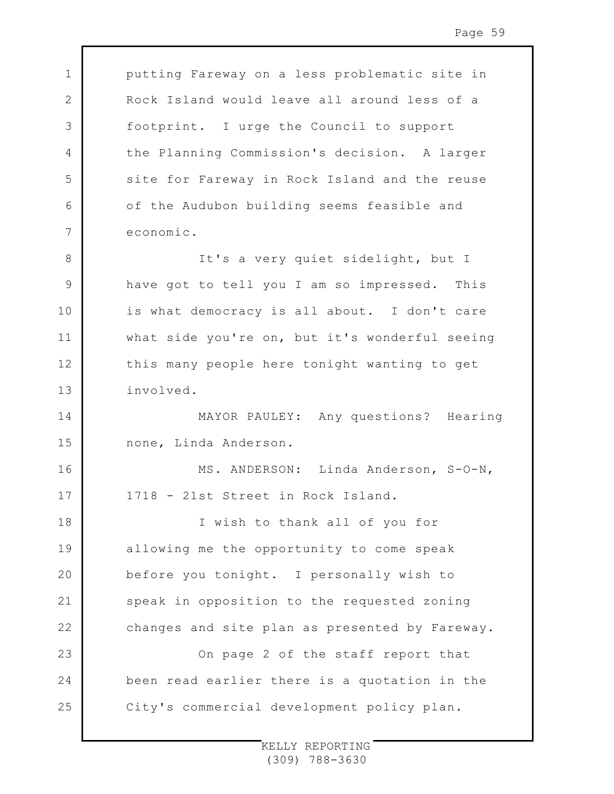putting Fareway on a less problematic site in Rock Island would leave all around less of a footprint. I urge the Council to support the Planning Commission's decision. A larger site for Fareway in Rock Island and the reuse of the Audubon building seems feasible and economic.

1

2

3

4

5

6

7

16

17

8 9 10 11 12 13 It's a very quiet sidelight, but I have got to tell you I am so impressed. This is what democracy is all about. I don't care what side you're on, but it's wonderful seeing this many people here tonight wanting to get involved.

14 15 MAYOR PAULEY: Any questions? Hearing none, Linda Anderson.

> MS. ANDERSON: Linda Anderson, S-O-N, 1718 - 21st Street in Rock Island.

18 19  $20$ 21 22 I wish to thank all of you for allowing me the opportunity to come speak before you tonight. I personally wish to speak in opposition to the requested zoning changes and site plan as presented by Fareway.

23 24 25 On page 2 of the staff report that been read earlier there is a quotation in the City's commercial development policy plan.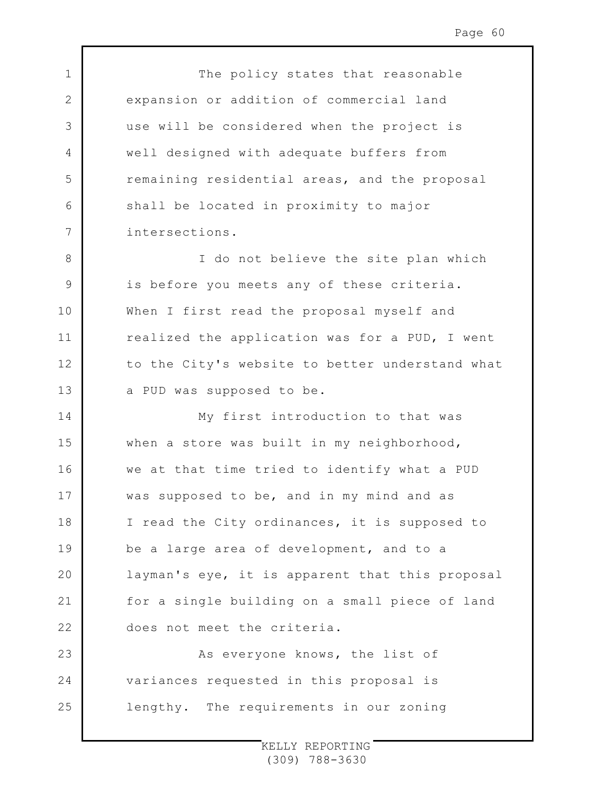1 2 3 4 5 6 7 8 9 10 11 12 13 14 15 16 17 18 19  $20$ 21 22 23 24 25 The policy states that reasonable expansion or addition of commercial land use will be considered when the project is well designed with adequate buffers from remaining residential areas, and the proposal shall be located in proximity to major intersections. I do not believe the site plan which is before you meets any of these criteria. When I first read the proposal myself and realized the application was for a PUD, I went to the City's website to better understand what a PUD was supposed to be. My first introduction to that was when a store was built in my neighborhood, we at that time tried to identify what a PUD was supposed to be, and in my mind and as I read the City ordinances, it is supposed to be a large area of development, and to a layman's eye, it is apparent that this proposal for a single building on a small piece of land does not meet the criteria. As everyone knows, the list of variances requested in this proposal is lengthy. The requirements in our zoning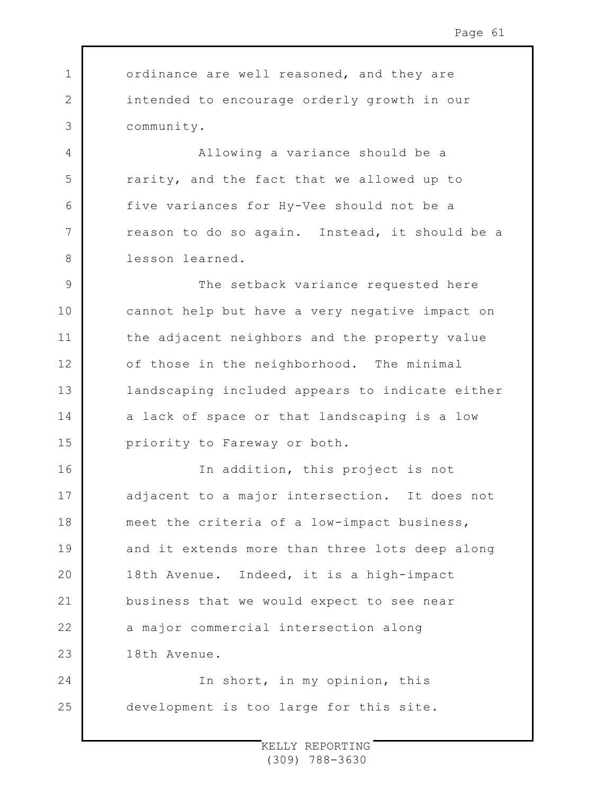1 2 3 4 5 6 7 8 9 10 11 12 13 14 15 16 17 18 19  $20$ 21 22 23 24 25 ordinance are well reasoned, and they are intended to encourage orderly growth in our community. Allowing a variance should be a rarity, and the fact that we allowed up to five variances for Hy-Vee should not be a reason to do so again. Instead, it should be a lesson learned. The setback variance requested here cannot help but have a very negative impact on the adjacent neighbors and the property value of those in the neighborhood. The minimal landscaping included appears to indicate either a lack of space or that landscaping is a low priority to Fareway or both. In addition, this project is not adjacent to a major intersection. It does not meet the criteria of a low-impact business, and it extends more than three lots deep along 18th Avenue. Indeed, it is a high-impact business that we would expect to see near a major commercial intersection along 18th Avenue. In short, in my opinion, this development is too large for this site.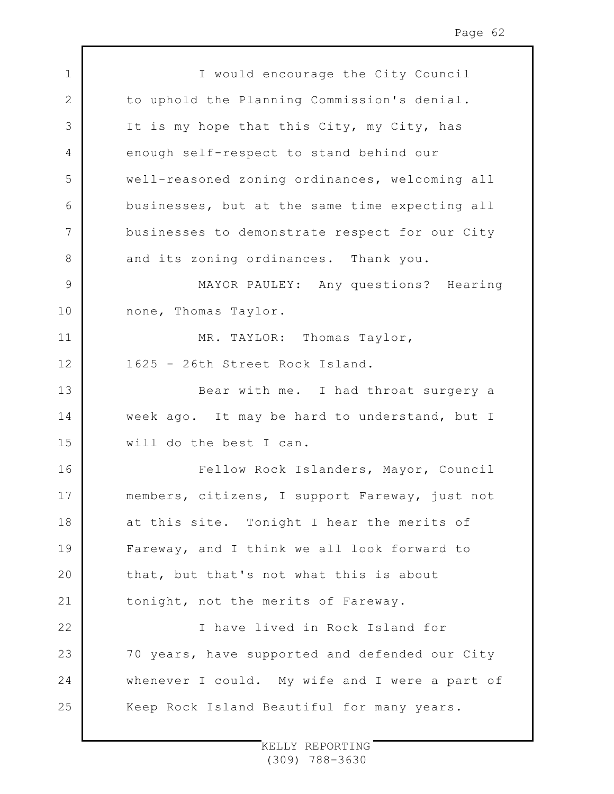| $\mathbf 1$  | I would encourage the City Council             |
|--------------|------------------------------------------------|
| $\mathbf{2}$ | to uphold the Planning Commission's denial.    |
| 3            | It is my hope that this City, my City, has     |
| 4            | enough self-respect to stand behind our        |
| 5            | well-reasoned zoning ordinances, welcoming all |
| 6            | businesses, but at the same time expecting all |
| 7            | businesses to demonstrate respect for our City |
| 8            | and its zoning ordinances. Thank you.          |
| $\mathsf 9$  | MAYOR PAULEY: Any questions? Hearing           |
| 10           | none, Thomas Taylor.                           |
| 11           | MR. TAYLOR: Thomas Taylor,                     |
| 12           | 1625 - 26th Street Rock Island.                |
| 13           | Bear with me. I had throat surgery a           |
| 14           | week ago. It may be hard to understand, but I  |
| 15           | will do the best I can.                        |
| 16           | Fellow Rock Islanders, Mayor, Council          |
| 17           | members, citizens, I support Fareway, just not |
| 18           | at this site. Tonight I hear the merits of     |
| 19           | Fareway, and I think we all look forward to    |
| 20           | that, but that's not what this is about        |
| 21           | tonight, not the merits of Fareway.            |
| 22           | I have lived in Rock Island for                |
| 23           | 70 years, have supported and defended our City |
| 24           | whenever I could. My wife and I were a part of |
| 25           | Keep Rock Island Beautiful for many years.     |
|              |                                                |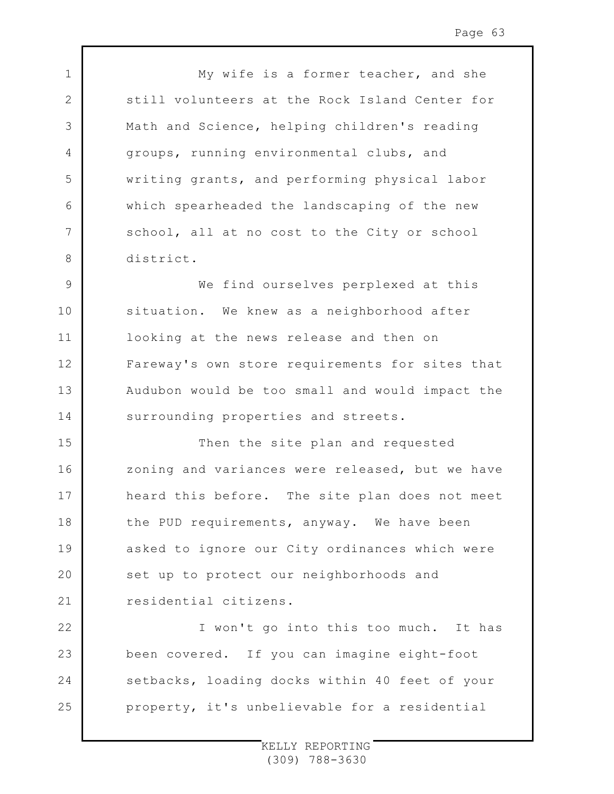My wife is a former teacher, and she still volunteers at the Rock Island Center for Math and Science, helping children's reading groups, running environmental clubs, and writing grants, and performing physical labor which spearheaded the landscaping of the new school, all at no cost to the City or school district.

1

2

3

4

5

6

7

8

9 10 11 12 13 14 We find ourselves perplexed at this situation. We knew as a neighborhood after looking at the news release and then on Fareway's own store requirements for sites that Audubon would be too small and would impact the surrounding properties and streets.

15 16 17 18 19  $20$ 21 Then the site plan and requested zoning and variances were released, but we have heard this before. The site plan does not meet the PUD requirements, anyway. We have been asked to ignore our City ordinances which were set up to protect our neighborhoods and residential citizens.

22 23 24 25 I won't go into this too much. It has been covered. If you can imagine eight-foot setbacks, loading docks within 40 feet of your property, it's unbelievable for a residential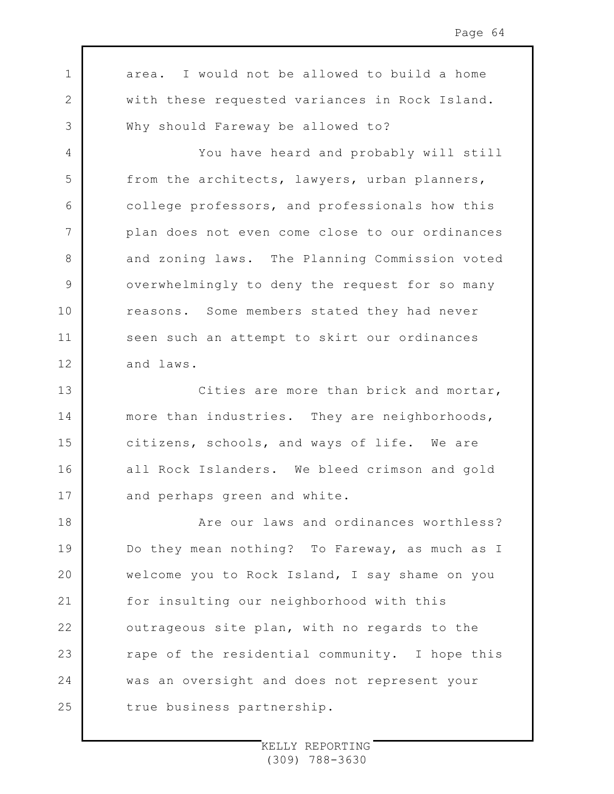1 2 3 4 5 6 7 8 9 10 11 12 13 14 15 16 17 18 19  $20$ 21 22 23 24 25 area. I would not be allowed to build a home with these requested variances in Rock Island. Why should Fareway be allowed to? You have heard and probably will still from the architects, lawyers, urban planners, college professors, and professionals how this plan does not even come close to our ordinances and zoning laws. The Planning Commission voted overwhelmingly to deny the request for so many reasons. Some members stated they had never seen such an attempt to skirt our ordinances and laws. Cities are more than brick and mortar, more than industries. They are neighborhoods, citizens, schools, and ways of life. We are all Rock Islanders. We bleed crimson and gold and perhaps green and white. Are our laws and ordinances worthless? Do they mean nothing? To Fareway, as much as I welcome you to Rock Island, I say shame on you for insulting our neighborhood with this outrageous site plan, with no regards to the rape of the residential community. I hope this was an oversight and does not represent your true business partnership.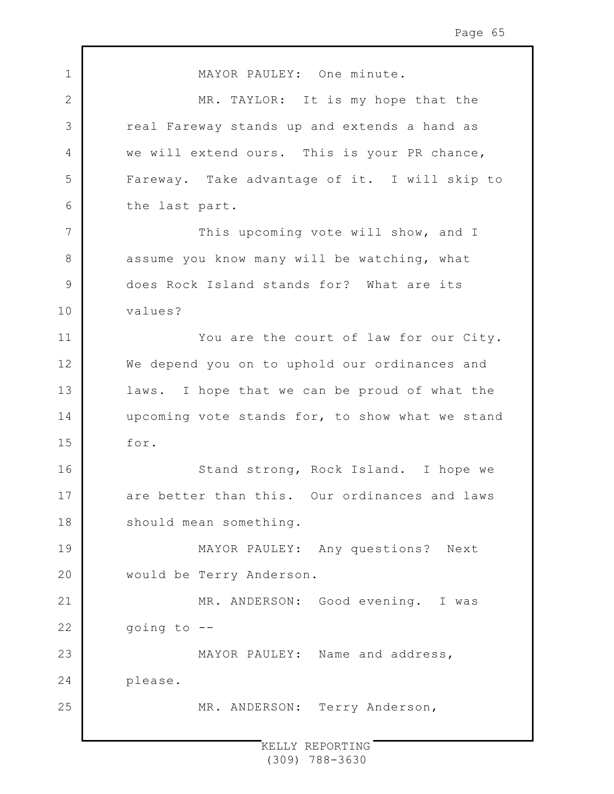1 2 3 4 5 6 7 8 9 10 11 12 13 14 15 16 17 18 19 20 21 22 23 24 25 MAYOR PAULEY: One minute. MR. TAYLOR: It is my hope that the real Fareway stands up and extends a hand as we will extend ours. This is your PR chance, Fareway. Take advantage of it. I will skip to the last part. This upcoming vote will show, and I assume you know many will be watching, what does Rock Island stands for? What are its values? You are the court of law for our City. We depend you on to uphold our ordinances and laws. I hope that we can be proud of what the upcoming vote stands for, to show what we stand for. Stand strong, Rock Island. I hope we are better than this. Our ordinances and laws should mean something. MAYOR PAULEY: Any questions? Next would be Terry Anderson. MR. ANDERSON: Good evening. I was going to -- MAYOR PAULEY: Name and address, please. MR. ANDERSON: Terry Anderson,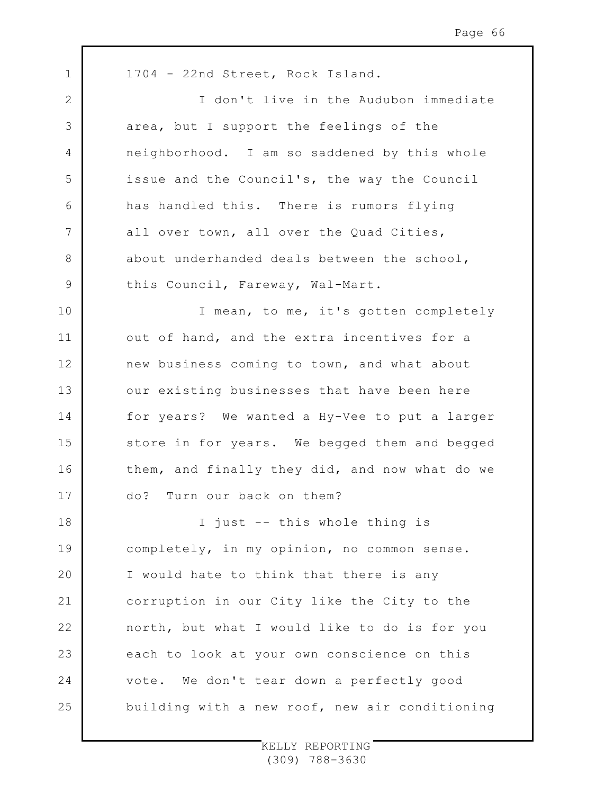1 2 3 4 5 6 7 8 9 10 11 12 13 14 15 16 17 18 19  $20$ 21 22 23 24 25 1704 - 22nd Street, Rock Island. I don't live in the Audubon immediate area, but I support the feelings of the neighborhood. I am so saddened by this whole issue and the Council's, the way the Council has handled this. There is rumors flying all over town, all over the Quad Cities, about underhanded deals between the school, this Council, Fareway, Wal-Mart. I mean, to me, it's gotten completely out of hand, and the extra incentives for a new business coming to town, and what about our existing businesses that have been here for years? We wanted a Hy-Vee to put a larger store in for years. We begged them and begged them, and finally they did, and now what do we do? Turn our back on them? I just -- this whole thing is completely, in my opinion, no common sense. I would hate to think that there is any corruption in our City like the City to the north, but what I would like to do is for you each to look at your own conscience on this vote. We don't tear down a perfectly good building with a new roof, new air conditioning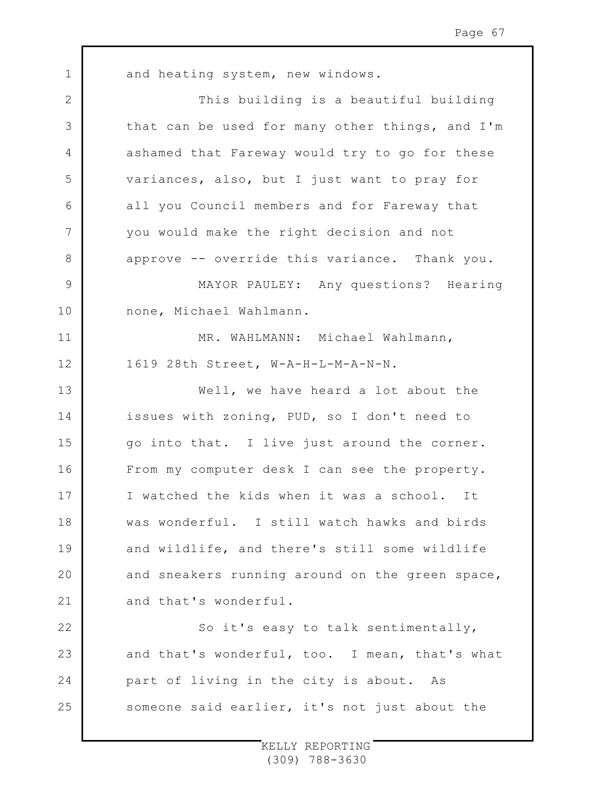1 2 3 4 5 6 7 8 9 10 11 12 13 14 15 16 17 18 19  $20$ 21 22 23 24 25 and heating system, new windows. This building is a beautiful building that can be used for many other things, and I'm ashamed that Fareway would try to go for these variances, also, but I just want to pray for all you Council members and for Fareway that you would make the right decision and not approve -- override this variance. Thank you. MAYOR PAULEY: Any questions? Hearing none, Michael Wahlmann. MR. WAHLMANN: Michael Wahlmann, 1619 28th Street, W-A-H-L-M-A-N-N. Well, we have heard a lot about the issues with zoning, PUD, so I don't need to go into that. I live just around the corner. From my computer desk I can see the property. I watched the kids when it was a school. It was wonderful. I still watch hawks and birds and wildlife, and there's still some wildlife and sneakers running around on the green space, and that's wonderful. So it's easy to talk sentimentally, and that's wonderful, too. I mean, that's what part of living in the city is about. As someone said earlier, it's not just about the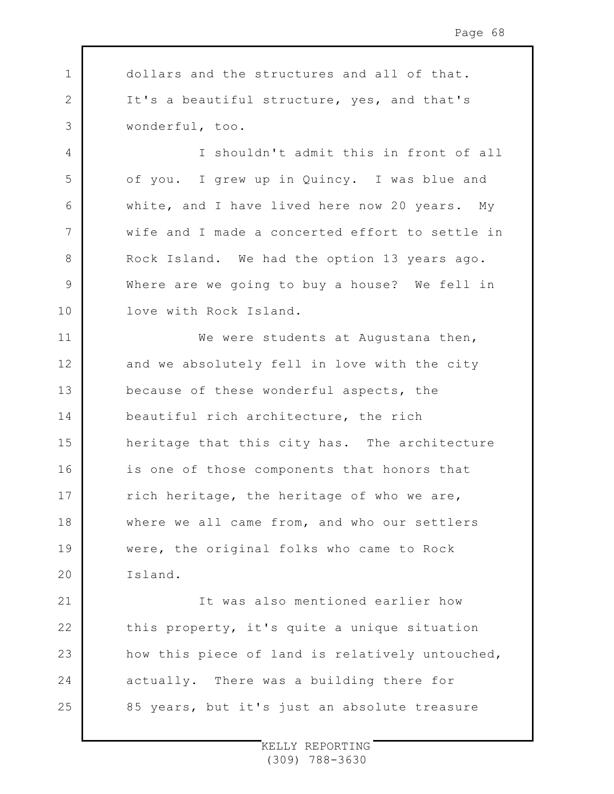1 2 3 4 5 6 7 8 9 10 11 12 13 14 15 16 17 18 19  $20$ 21 dollars and the structures and all of that. It's a beautiful structure, yes, and that's wonderful, too. I shouldn't admit this in front of all of you. I grew up in Quincy. I was blue and white, and I have lived here now 20 years. My wife and I made a concerted effort to settle in Rock Island. We had the option 13 years ago. Where are we going to buy a house? We fell in love with Rock Island. We were students at Augustana then, and we absolutely fell in love with the city because of these wonderful aspects, the beautiful rich architecture, the rich heritage that this city has. The architecture is one of those components that honors that rich heritage, the heritage of who we are, where we all came from, and who our settlers were, the original folks who came to Rock Island. It was also mentioned earlier how

this property, it's quite a unique situation how this piece of land is relatively untouched, actually. There was a building there for 85 years, but it's just an absolute treasure

22

23

24

25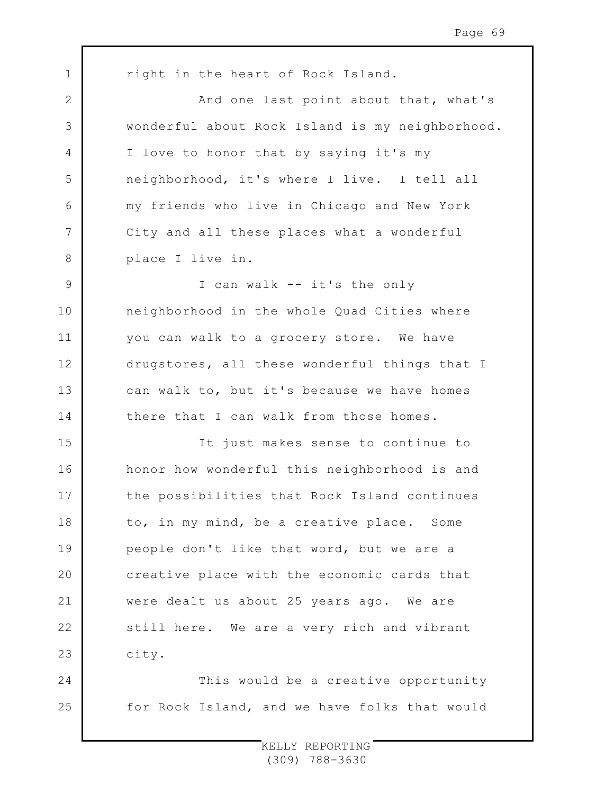1 2 3 4 5 6 7 8 9 10 11 12 13 14 15 16 17 18 19  $20$ 21 22 23 24 25 right in the heart of Rock Island. And one last point about that, what's wonderful about Rock Island is my neighborhood. I love to honor that by saying it's my neighborhood, it's where I live. I tell all my friends who live in Chicago and New York City and all these places what a wonderful place I live in. I can walk -- it's the only neighborhood in the whole Quad Cities where you can walk to a grocery store. We have drugstores, all these wonderful things that I can walk to, but it's because we have homes there that I can walk from those homes. It just makes sense to continue to honor how wonderful this neighborhood is and the possibilities that Rock Island continues to, in my mind, be a creative place. Some people don't like that word, but we are a creative place with the economic cards that were dealt us about 25 years ago. We are still here. We are a very rich and vibrant city. This would be a creative opportunity for Rock Island, and we have folks that would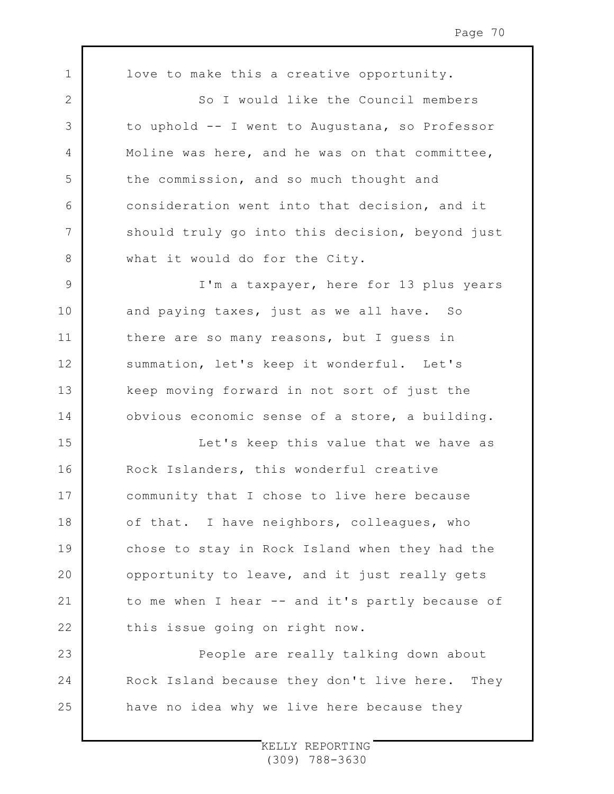1 2 3 4 5 6 7 8 9 10 11 12 13 14 15 16 17 18 19 20 21 22 23 24 25 love to make this a creative opportunity. So I would like the Council members to uphold -- I went to Augustana, so Professor Moline was here, and he was on that committee, the commission, and so much thought and consideration went into that decision, and it should truly go into this decision, beyond just what it would do for the City. I'm a taxpayer, here for 13 plus years and paying taxes, just as we all have. So there are so many reasons, but I guess in summation, let's keep it wonderful. Let's keep moving forward in not sort of just the obvious economic sense of a store, a building. Let's keep this value that we have as Rock Islanders, this wonderful creative community that I chose to live here because of that. I have neighbors, colleagues, who chose to stay in Rock Island when they had the opportunity to leave, and it just really gets to me when I hear -- and it's partly because of this issue going on right now. People are really talking down about Rock Island because they don't live here. They have no idea why we live here because they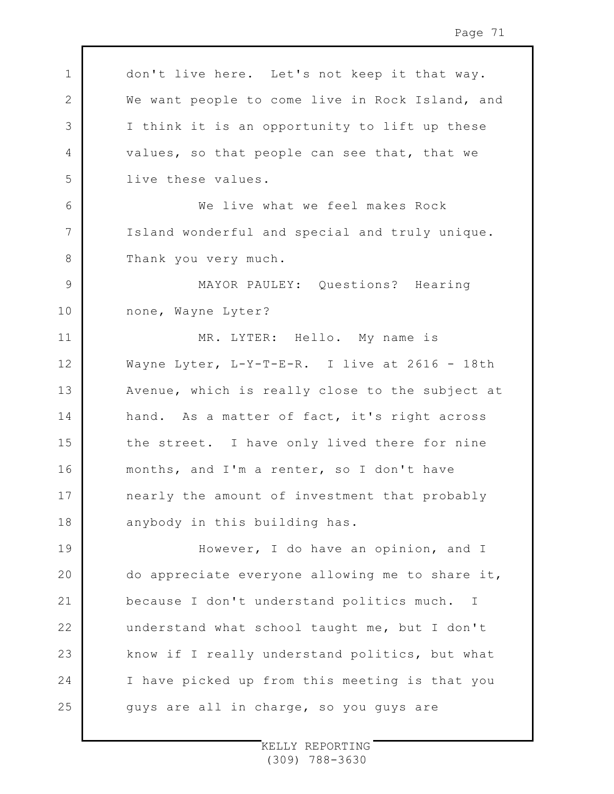1 2 3 4 5 6 7 8 9 10 11 12 13 14 15 16 17 18 19 20 21 22 23 24 25 don't live here. Let's not keep it that way. We want people to come live in Rock Island, and I think it is an opportunity to lift up these values, so that people can see that, that we live these values. We live what we feel makes Rock Island wonderful and special and truly unique. Thank you very much. MAYOR PAULEY: Questions? Hearing none, Wayne Lyter? MR. LYTER: Hello. My name is Wayne Lyter, L-Y-T-E-R. I live at 2616 - 18th Avenue, which is really close to the subject at hand. As a matter of fact, it's right across the street. I have only lived there for nine months, and I'm a renter, so I don't have nearly the amount of investment that probably anybody in this building has. However, I do have an opinion, and I do appreciate everyone allowing me to share it, because I don't understand politics much. I understand what school taught me, but I don't know if I really understand politics, but what I have picked up from this meeting is that you guys are all in charge, so you guys are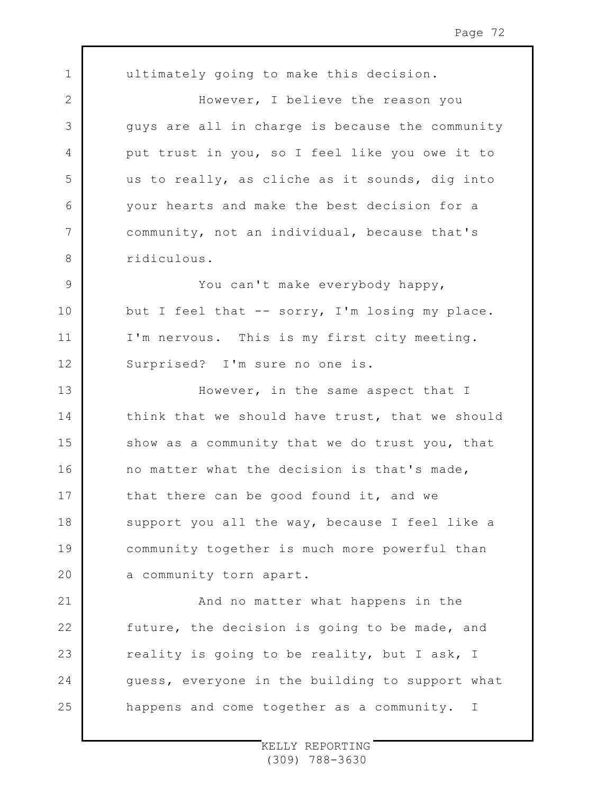1 2 3 4 5 6 7 8 9 10 11 12 13 14 15 16 17 18 19  $20$ 21 22 23 24 25 ultimately going to make this decision. However, I believe the reason you guys are all in charge is because the community put trust in you, so I feel like you owe it to us to really, as cliche as it sounds, dig into your hearts and make the best decision for a community, not an individual, because that's ridiculous. You can't make everybody happy, but I feel that -- sorry, I'm losing my place. I'm nervous. This is my first city meeting. Surprised? I'm sure no one is. However, in the same aspect that I think that we should have trust, that we should show as a community that we do trust you, that no matter what the decision is that's made, that there can be good found it, and we support you all the way, because I feel like a community together is much more powerful than a community torn apart. And no matter what happens in the future, the decision is going to be made, and reality is going to be reality, but I ask, I guess, everyone in the building to support what happens and come together as a community. I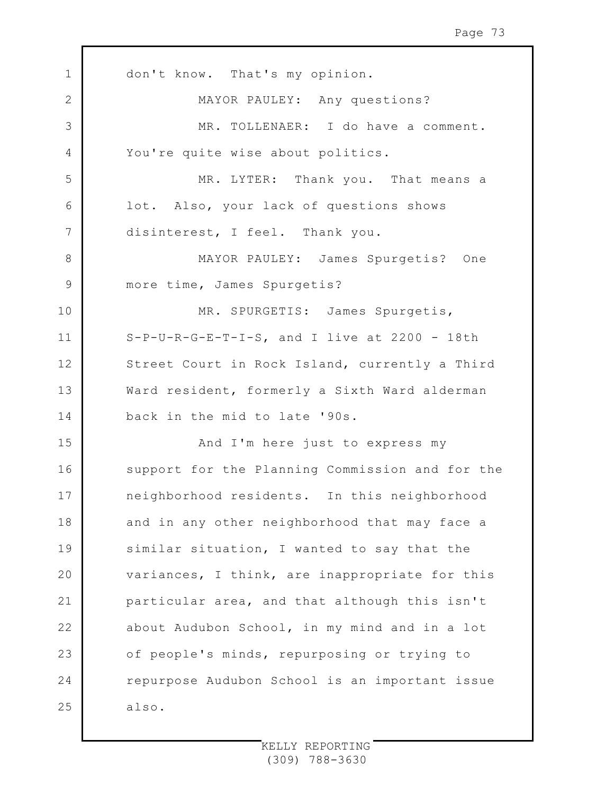1 2 3 4 5 6 7 8 9 10 11 12 13 14 15 16 17 18 19 20 21 22 23 24 25 don't know. That's my opinion. MAYOR PAULEY: Any questions? MR. TOLLENAER: I do have a comment. You're quite wise about politics. MR. LYTER: Thank you. That means a lot. Also, your lack of questions shows disinterest, I feel. Thank you. MAYOR PAULEY: James Spurgetis? One more time, James Spurgetis? MR. SPURGETIS: James Spurgetis, S-P-U-R-G-E-T-I-S, and I live at 2200 - 18th Street Court in Rock Island, currently a Third Ward resident, formerly a Sixth Ward alderman back in the mid to late '90s. And I'm here just to express my support for the Planning Commission and for the neighborhood residents. In this neighborhood and in any other neighborhood that may face a similar situation, I wanted to say that the variances, I think, are inappropriate for this particular area, and that although this isn't about Audubon School, in my mind and in a lot of people's minds, repurposing or trying to repurpose Audubon School is an important issue also.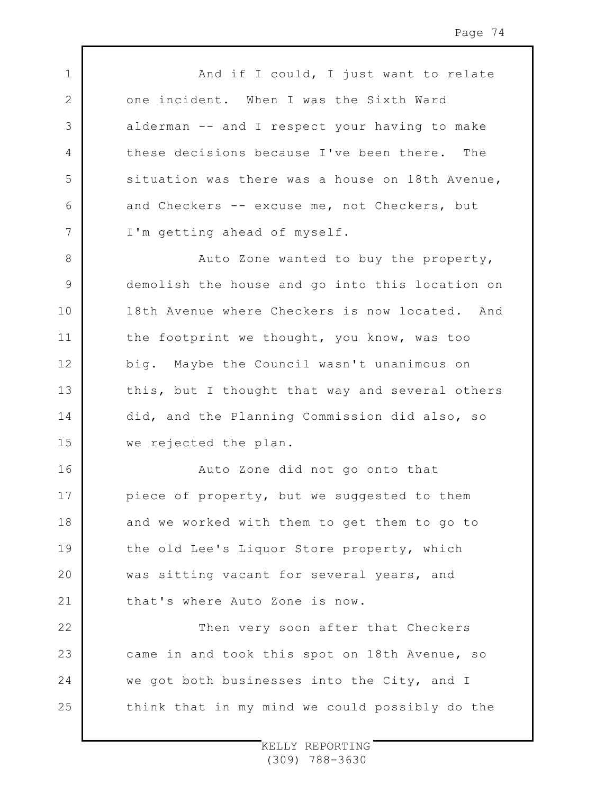1 2 3 4 5 6 7 8 9 10 11 12 13 14 15 16 17 18 19  $20$ 21 And if I could, I just want to relate one incident. When I was the Sixth Ward alderman -- and I respect your having to make these decisions because I've been there. The situation was there was a house on 18th Avenue, and Checkers -- excuse me, not Checkers, but I'm getting ahead of myself. Auto Zone wanted to buy the property, demolish the house and go into this location on 18th Avenue where Checkers is now located. And the footprint we thought, you know, was too big. Maybe the Council wasn't unanimous on this, but I thought that way and several others did, and the Planning Commission did also, so we rejected the plan. Auto Zone did not go onto that piece of property, but we suggested to them and we worked with them to get them to go to the old Lee's Liquor Store property, which was sitting vacant for several years, and that's where Auto Zone is now.

Then very soon after that Checkers came in and took this spot on 18th Avenue, so we got both businesses into the City, and I think that in my mind we could possibly do the

22

23

24

25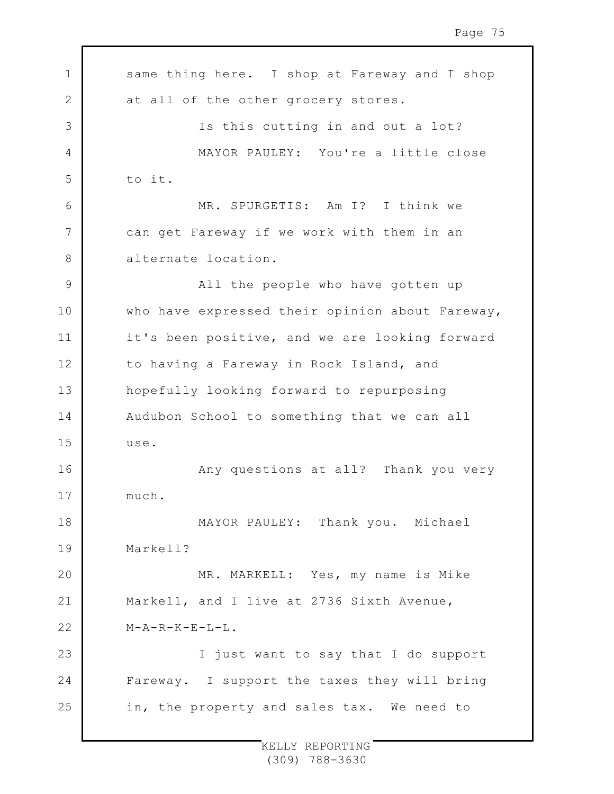1 2 3 4 5 6 7 8 9 10 11 12 13 14 15 16 17 18 19  $20$ 21 22 23 24 25 same thing here. I shop at Fareway and I shop at all of the other grocery stores. Is this cutting in and out a lot? MAYOR PAULEY: You're a little close to it. MR. SPURGETIS: Am I? I think we can get Fareway if we work with them in an alternate location. All the people who have gotten up who have expressed their opinion about Fareway, it's been positive, and we are looking forward to having a Fareway in Rock Island, and hopefully looking forward to repurposing Audubon School to something that we can all use. Any questions at all? Thank you very much. MAYOR PAULEY: Thank you. Michael Markell? MR. MARKELL: Yes, my name is Mike Markell, and I live at 2736 Sixth Avenue,  $M-A-R-K-E-L-L$ . I just want to say that I do support Fareway. I support the taxes they will bring in, the property and sales tax. We need to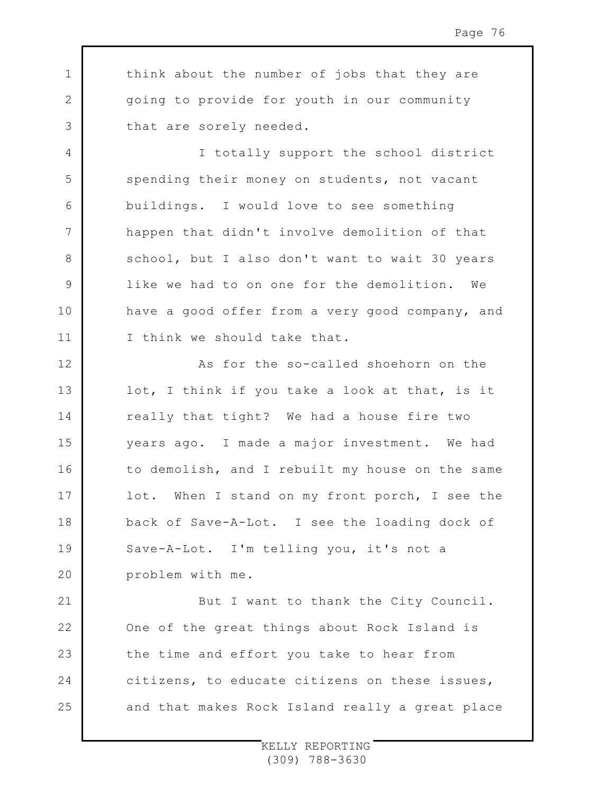think about the number of jobs that they are going to provide for youth in our community that are sorely needed.

1

2

3

4

5

6

7

8

9

10

11

I totally support the school district spending their money on students, not vacant buildings. I would love to see something happen that didn't involve demolition of that school, but I also don't want to wait 30 years like we had to on one for the demolition. We have a good offer from a very good company, and I think we should take that.

12 13 14 15 16 17 18 19  $20$ As for the so-called shoehorn on the lot, I think if you take a look at that, is it really that tight? We had a house fire two years ago. I made a major investment. We had to demolish, and I rebuilt my house on the same lot. When I stand on my front porch, I see the back of Save-A-Lot. I see the loading dock of Save-A-Lot. I'm telling you, it's not a problem with me.

21 22 23 24 25 But I want to thank the City Council. One of the great things about Rock Island is the time and effort you take to hear from citizens, to educate citizens on these issues, and that makes Rock Island really a great place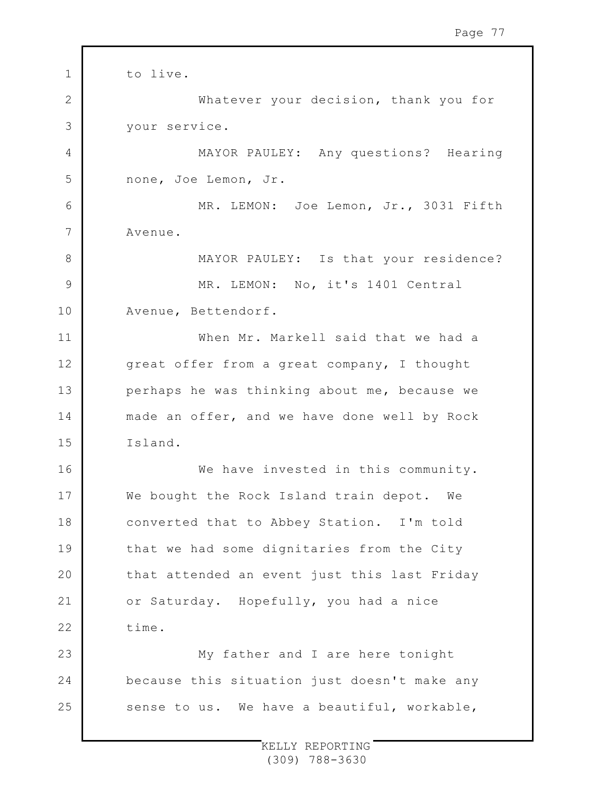1 2 3 4 5 6 7 8 9 10 11 12 13 14 15 16 17 18 19 20 21 22 23 24 25 to live. Whatever your decision, thank you for your service. MAYOR PAULEY: Any questions? Hearing none, Joe Lemon, Jr. MR. LEMON: Joe Lemon, Jr., 3031 Fifth Avenue. MAYOR PAULEY: Is that your residence? MR. LEMON: No, it's 1401 Central Avenue, Bettendorf. When Mr. Markell said that we had a great offer from a great company, I thought perhaps he was thinking about me, because we made an offer, and we have done well by Rock Island. We have invested in this community. We bought the Rock Island train depot. We converted that to Abbey Station. I'm told that we had some dignitaries from the City that attended an event just this last Friday or Saturday. Hopefully, you had a nice time. My father and I are here tonight because this situation just doesn't make any sense to us. We have a beautiful, workable,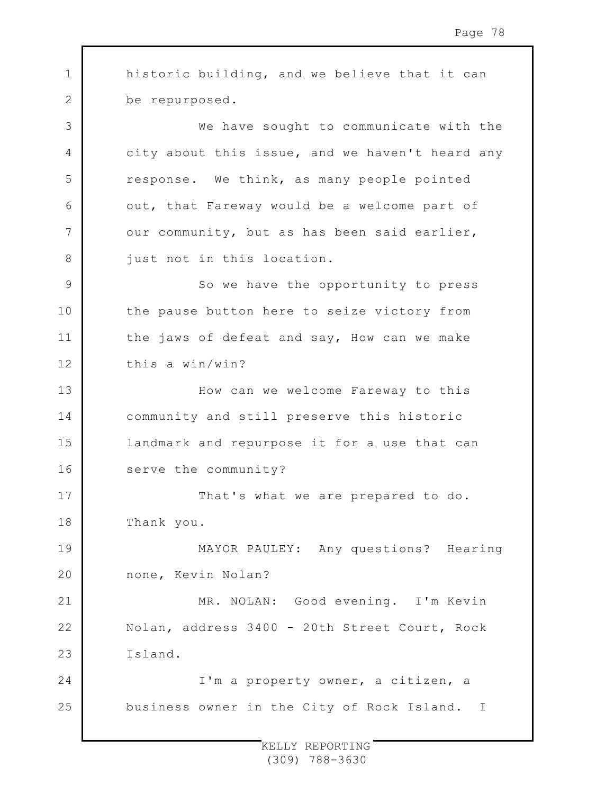1 2 3 4 5 6 7 8 9 10 11 12 13 14 15 16 17 18 19 20 21 22 23 24 25 historic building, and we believe that it can be repurposed. We have sought to communicate with the city about this issue, and we haven't heard any response. We think, as many people pointed out, that Fareway would be a welcome part of our community, but as has been said earlier, just not in this location. So we have the opportunity to press the pause button here to seize victory from the jaws of defeat and say, How can we make this a win/win? How can we welcome Fareway to this community and still preserve this historic landmark and repurpose it for a use that can serve the community? That's what we are prepared to do. Thank you. MAYOR PAULEY: Any questions? Hearing none, Kevin Nolan? MR. NOLAN: Good evening. I'm Kevin Nolan, address 3400 - 20th Street Court, Rock Island. I'm a property owner, a citizen, a business owner in the City of Rock Island. I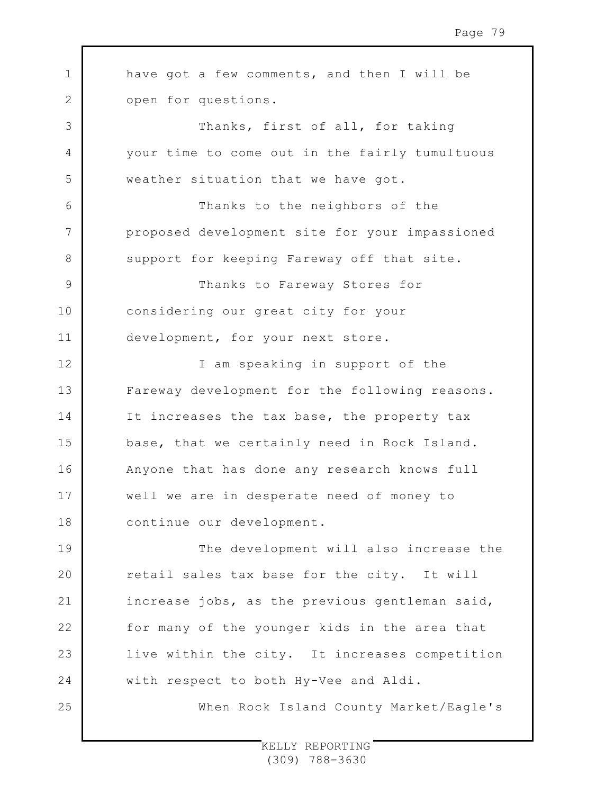| $\mathbf 1$   | have got a few comments, and then I will be    |
|---------------|------------------------------------------------|
| 2             | open for questions.                            |
| $\mathcal{S}$ | Thanks, first of all, for taking               |
| 4             | your time to come out in the fairly tumultuous |
| 5             | weather situation that we have got.            |
| 6             | Thanks to the neighbors of the                 |
| 7             | proposed development site for your impassioned |
| 8             | support for keeping Fareway off that site.     |
| 9             | Thanks to Fareway Stores for                   |
| 10            | considering our great city for your            |
| 11            | development, for your next store.              |
| 12            | I am speaking in support of the                |
| 13            | Fareway development for the following reasons. |
| 14            | It increases the tax base, the property tax    |
| 15            | base, that we certainly need in Rock Island.   |
| 16            | Anyone that has done any research knows full   |
| 17            | well we are in desperate need of money to      |
| 18            | continue our development.                      |
| 19            | The development will also increase the         |
| 20            | retail sales tax base for the city. It will    |
| 21            | increase jobs, as the previous gentleman said, |
| 22            | for many of the younger kids in the area that  |
| 23            | live within the city. It increases competition |
| 24            | with respect to both Hy-Vee and Aldi.          |
| 25            | When Rock Island County Market/Eagle's         |
|               |                                                |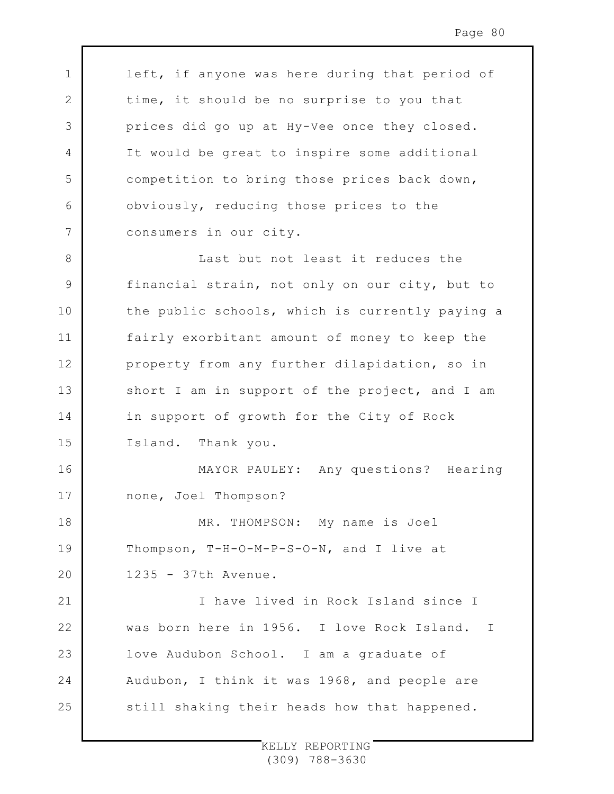left, if anyone was here during that period of time, it should be no surprise to you that prices did go up at Hy-Vee once they closed. It would be great to inspire some additional competition to bring those prices back down, obviously, reducing those prices to the consumers in our city. Last but not least it reduces the

1

2

3

4

5

6

7

8

16

17

18

19

 $20$ 

9 10 11 12 13 14 15 financial strain, not only on our city, but to the public schools, which is currently paying a fairly exorbitant amount of money to keep the property from any further dilapidation, so in short I am in support of the project, and I am in support of growth for the City of Rock Island. Thank you.

MAYOR PAULEY: Any questions? Hearing none, Joel Thompson?

MR. THOMPSON: My name is Joel Thompson, T-H-O-M-P-S-O-N, and I live at 1235 - 37th Avenue.

21 22 23 24 25 I have lived in Rock Island since I was born here in 1956. I love Rock Island. I love Audubon School. I am a graduate of Audubon, I think it was 1968, and people are still shaking their heads how that happened.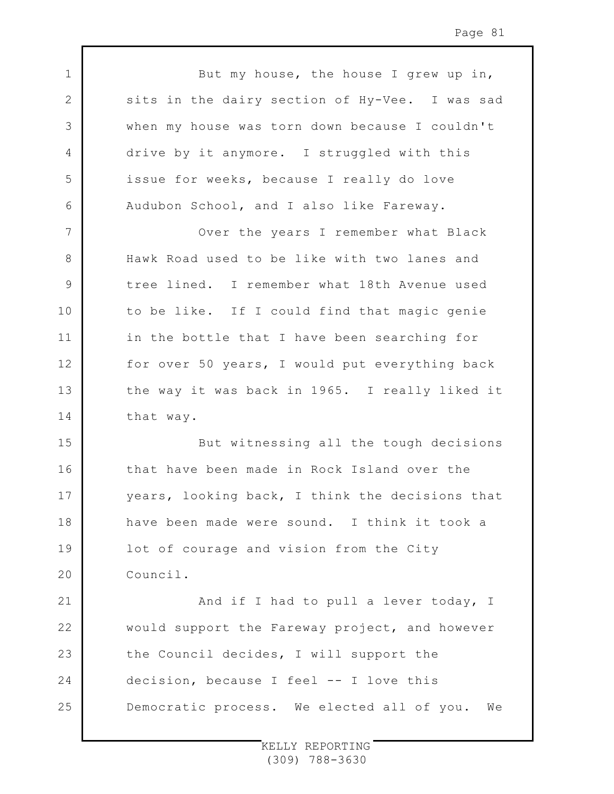1 2 3 4 5 6 7 8 9 10 11 12 13 14 15 16 17 18 19  $20$ 21 22 23 24 But my house, the house I grew up in, sits in the dairy section of Hy-Vee. I was sad when my house was torn down because I couldn't drive by it anymore. I struggled with this issue for weeks, because I really do love Audubon School, and I also like Fareway. Over the years I remember what Black Hawk Road used to be like with two lanes and tree lined. I remember what 18th Avenue used to be like. If I could find that magic genie in the bottle that I have been searching for for over 50 years, I would put everything back the way it was back in 1965. I really liked it that way. But witnessing all the tough decisions that have been made in Rock Island over the years, looking back, I think the decisions that have been made were sound. I think it took a lot of courage and vision from the City Council. And if I had to pull a lever today, I would support the Fareway project, and however the Council decides, I will support the decision, because I feel -- I love this

Democratic process. We elected all of you. We

25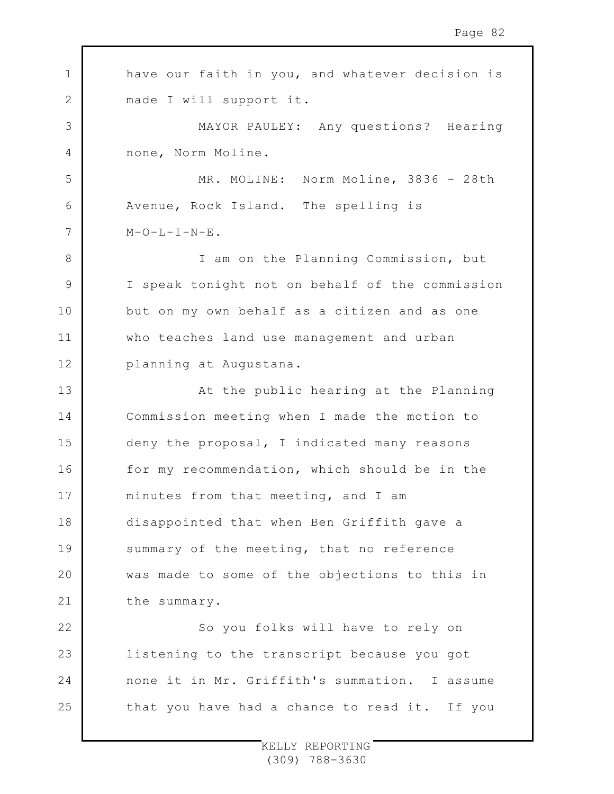| $\mathbf 1$  | have our faith in you, and whatever decision is |
|--------------|-------------------------------------------------|
| $\mathbf{2}$ | made I will support it.                         |
| 3            | MAYOR PAULEY: Any questions? Hearing            |
| 4            | none, Norm Moline.                              |
| 5            | MR. MOLINE: Norm Moline, 3836 - 28th            |
| 6            | Avenue, Rock Island. The spelling is            |
| 7            | $M-O-L-I-N-E$ .                                 |
| 8            | I am on the Planning Commission, but            |
| $\mathsf 9$  | I speak tonight not on behalf of the commission |
| 10           | but on my own behalf as a citizen and as one    |
| 11           | who teaches land use management and urban       |
| 12           | planning at Augustana.                          |
| 13           | At the public hearing at the Planning           |
| 14           | Commission meeting when I made the motion to    |
| 15           | deny the proposal, I indicated many reasons     |
| 16           | for my recommendation, which should be in the   |
| 17           | minutes from that meeting, and I am             |
| 18           | disappointed that when Ben Griffith gave a      |
| 19           | summary of the meeting, that no reference       |
| 20           | was made to some of the objections to this in   |
| 21           | the summary.                                    |
| 22           | So you folks will have to rely on               |
| 23           | listening to the transcript because you got     |
| 24           | none it in Mr. Griffith's summation. I assume   |
| 25           | that you have had a chance to read it. If you   |
|              |                                                 |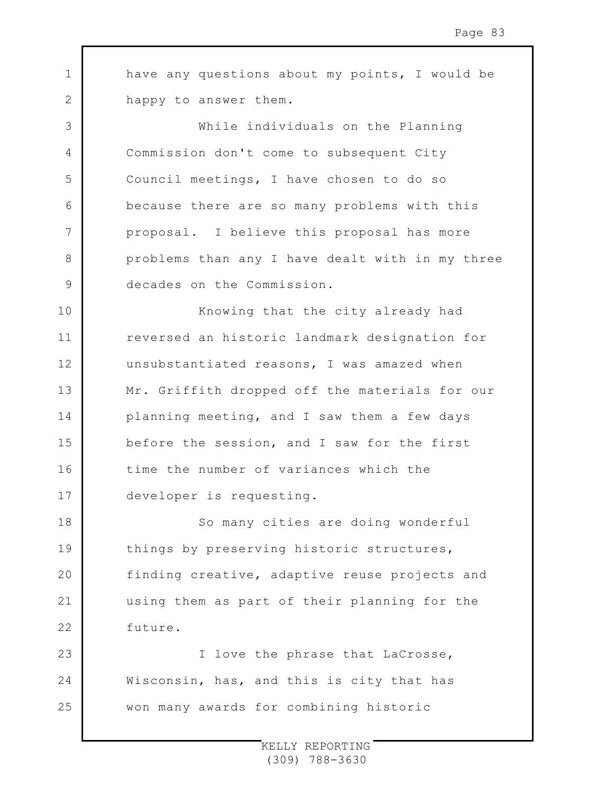1 2 have any questions about my points, I would be happy to answer them.

3

4

5

6

7

8

9

While individuals on the Planning Commission don't come to subsequent City Council meetings, I have chosen to do so because there are so many problems with this proposal. I believe this proposal has more problems than any I have dealt with in my three decades on the Commission.

10 11 12 13 14 15 16 17 Knowing that the city already had reversed an historic landmark designation for unsubstantiated reasons, I was amazed when Mr. Griffith dropped off the materials for our planning meeting, and I saw them a few days before the session, and I saw for the first time the number of variances which the developer is requesting.

18 19  $20$ 21 22 So many cities are doing wonderful things by preserving historic structures, finding creative, adaptive reuse projects and using them as part of their planning for the future.

23 24 25 I love the phrase that LaCrosse, Wisconsin, has, and this is city that has won many awards for combining historic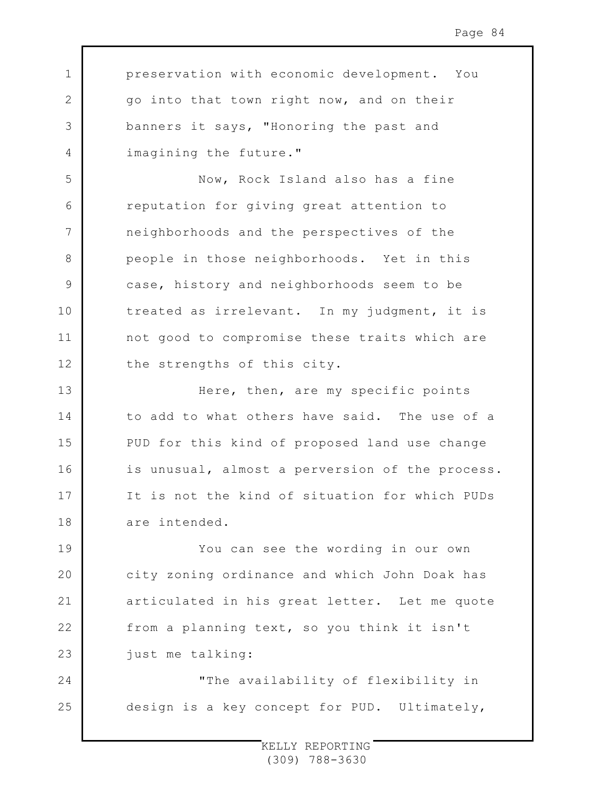preservation with economic development. You go into that town right now, and on their banners it says, "Honoring the past and imagining the future."

1

2

3

4

5

6

7

8

9

10

11

12

Now, Rock Island also has a fine reputation for giving great attention to neighborhoods and the perspectives of the people in those neighborhoods. Yet in this case, history and neighborhoods seem to be treated as irrelevant. In my judgment, it is not good to compromise these traits which are the strengths of this city.

13 14 15 16 17 18 Here, then, are my specific points to add to what others have said. The use of a PUD for this kind of proposed land use change is unusual, almost a perversion of the process. It is not the kind of situation for which PUDs are intended.

19 20 21 22 23 You can see the wording in our own city zoning ordinance and which John Doak has articulated in his great letter. Let me quote from a planning text, so you think it isn't just me talking:

24 25 "The availability of flexibility in design is a key concept for PUD. Ultimately,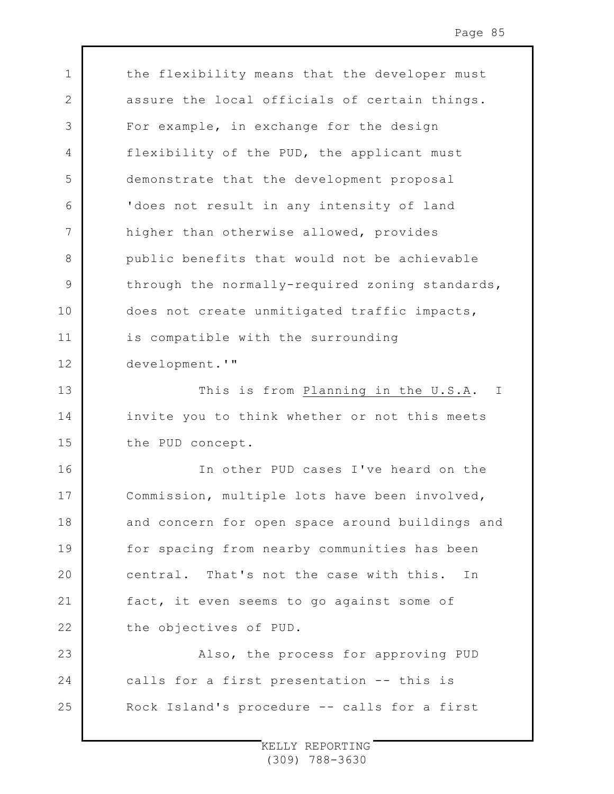the flexibility means that the developer must assure the local officials of certain things. For example, in exchange for the design flexibility of the PUD, the applicant must demonstrate that the development proposal 'does not result in any intensity of land higher than otherwise allowed, provides public benefits that would not be achievable through the normally-required zoning standards, does not create unmitigated traffic impacts, is compatible with the surrounding development.'"

1

2

3

4

5

6

7

8

9

10

11

12

16

17

18

19

 $20$ 

21

22

13 14 15 This is from Planning in the U.S.A. I invite you to think whether or not this meets the PUD concept.

In other PUD cases I've heard on the Commission, multiple lots have been involved, and concern for open space around buildings and for spacing from nearby communities has been central. That's not the case with this. In fact, it even seems to go against some of the objectives of PUD.

23 24 25 Also, the process for approving PUD calls for a first presentation -- this is Rock Island's procedure -- calls for a first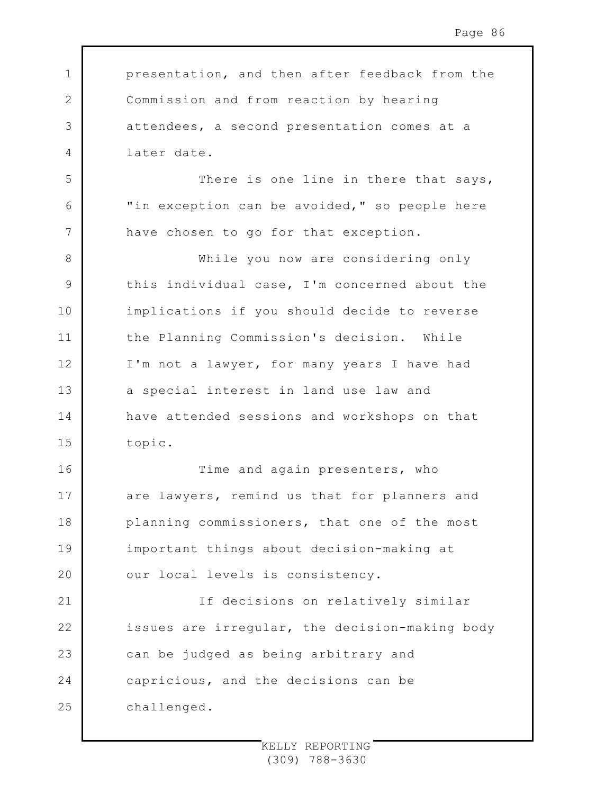presentation, and then after feedback from the Commission and from reaction by hearing attendees, a second presentation comes at a later date.

1

2

3

4

5

6

7

16

17

18

19

 $20$ 

There is one line in there that says, "in exception can be avoided," so people here have chosen to go for that exception.

8 9 10 11 12 13 14 15 While you now are considering only this individual case, I'm concerned about the implications if you should decide to reverse the Planning Commission's decision. While I'm not a lawyer, for many years I have had a special interest in land use law and have attended sessions and workshops on that topic.

Time and again presenters, who are lawyers, remind us that for planners and planning commissioners, that one of the most important things about decision-making at our local levels is consistency.

21 22 23 24 25 If decisions on relatively similar issues are irregular, the decision-making body can be judged as being arbitrary and capricious, and the decisions can be challenged.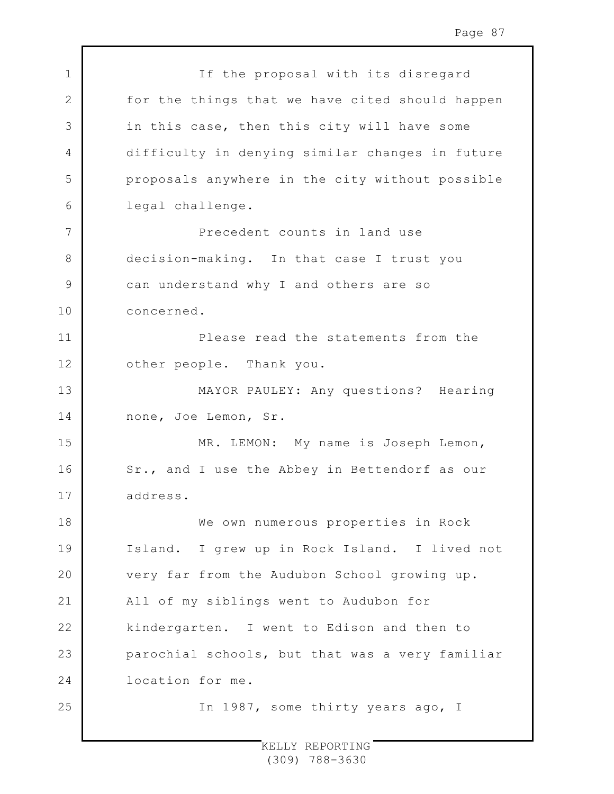| $\mathbf 1$ | If the proposal with its disregard              |
|-------------|-------------------------------------------------|
| $\mathbf 2$ | for the things that we have cited should happen |
| 3           | in this case, then this city will have some     |
| 4           | difficulty in denying similar changes in future |
| 5           | proposals anywhere in the city without possible |
| 6           | legal challenge.                                |
| 7           | Precedent counts in land use                    |
| 8           | decision-making. In that case I trust you       |
| $\mathsf 9$ | can understand why I and others are so          |
| 10          | concerned.                                      |
| 11          | Please read the statements from the             |
| 12          | other people. Thank you.                        |
| 13          | MAYOR PAULEY: Any questions? Hearing            |
| 14          | none, Joe Lemon, Sr.                            |
| 15          | MR. LEMON: My name is Joseph Lemon,             |
| 16          | Sr., and I use the Abbey in Bettendorf as our   |
| 17          | address.                                        |
| 18          | We own numerous properties in Rock              |
| 19          | Island. I grew up in Rock Island. I lived not   |
| 20          | very far from the Audubon School growing up.    |
| 21          | All of my siblings went to Audubon for          |
| 22          | kindergarten. I went to Edison and then to      |
| 23          | parochial schools, but that was a very familiar |
| 24          | location for me.                                |
| 25          | In 1987, some thirty years ago, I               |
|             |                                                 |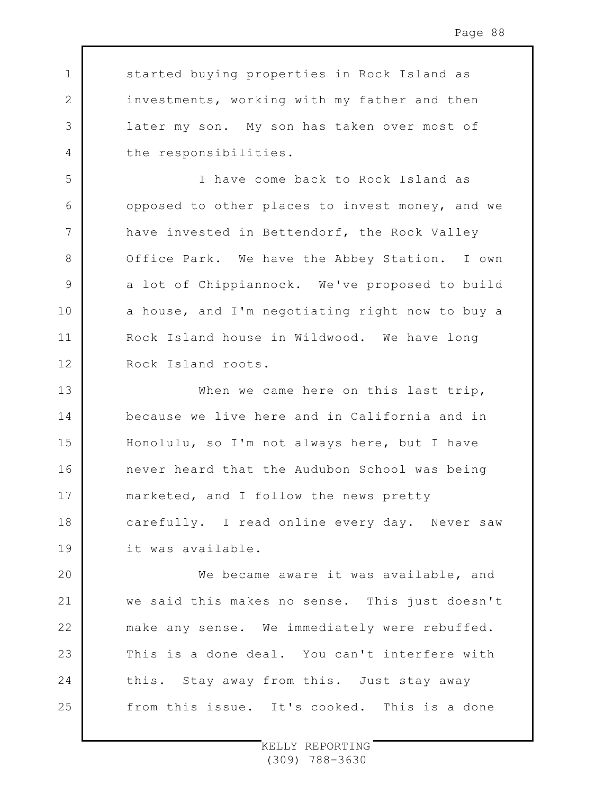started buying properties in Rock Island as investments, working with my father and then later my son. My son has taken over most of the responsibilities.

1

2

3

4

5

6

7

8

9

10

11

12

I have come back to Rock Island as opposed to other places to invest money, and we have invested in Bettendorf, the Rock Valley Office Park. We have the Abbey Station. I own a lot of Chippiannock. We've proposed to build a house, and I'm negotiating right now to buy a Rock Island house in Wildwood. We have long Rock Island roots.

13 14 15 16 17 18 19 When we came here on this last trip, because we live here and in California and in Honolulu, so I'm not always here, but I have never heard that the Audubon School was being marketed, and I follow the news pretty carefully. I read online every day. Never saw it was available.

 $20$ 21 22 23 24 25 We became aware it was available, and we said this makes no sense. This just doesn't make any sense. We immediately were rebuffed. This is a done deal. You can't interfere with this. Stay away from this. Just stay away from this issue. It's cooked. This is a done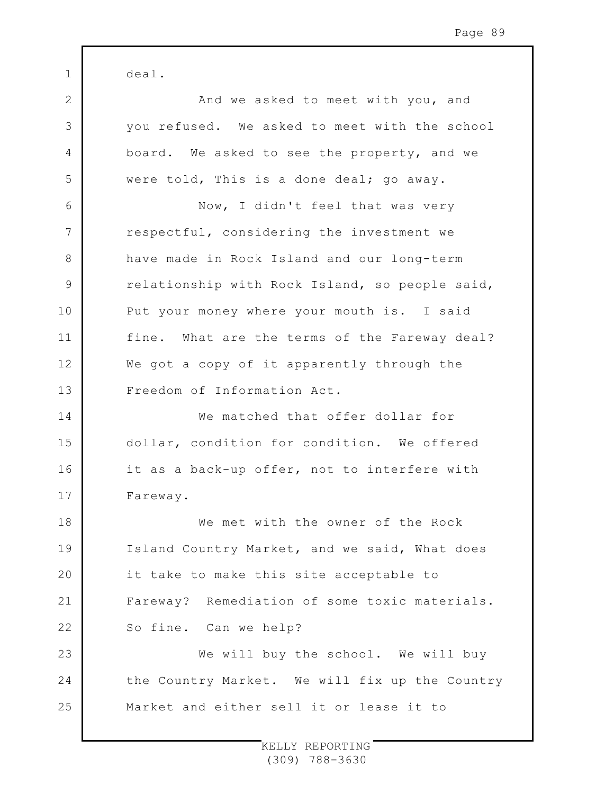1 2 3 4 5 6 7 8 9 10 11 12 13 14 15 16 17 18 19  $20$ 21 22 23 24 25 deal. And we asked to meet with you, and you refused. We asked to meet with the school board. We asked to see the property, and we were told, This is a done deal; go away. Now, I didn't feel that was very respectful, considering the investment we have made in Rock Island and our long-term relationship with Rock Island, so people said, Put your money where your mouth is. I said fine. What are the terms of the Fareway deal? We got a copy of it apparently through the Freedom of Information Act. We matched that offer dollar for dollar, condition for condition. We offered it as a back-up offer, not to interfere with Fareway. We met with the owner of the Rock Island Country Market, and we said, What does it take to make this site acceptable to Fareway? Remediation of some toxic materials. So fine. Can we help? We will buy the school. We will buy the Country Market. We will fix up the Country Market and either sell it or lease it to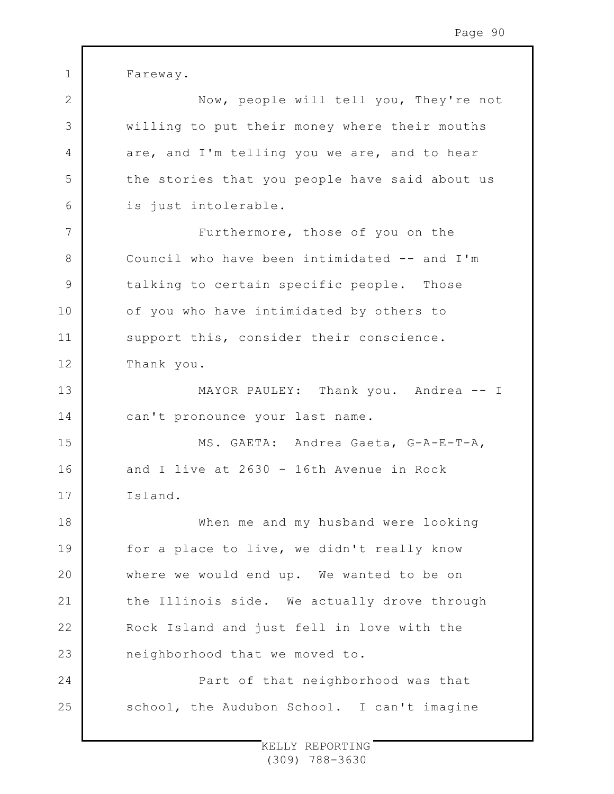1 2 3 4 5 6 7 8 9 10 11 12 13 14 15 16 17 18 19  $20$ 21 22 23 24 25 Fareway. Now, people will tell you, They're not willing to put their money where their mouths are, and I'm telling you we are, and to hear the stories that you people have said about us is just intolerable. Furthermore, those of you on the Council who have been intimidated -- and I'm talking to certain specific people. Those of you who have intimidated by others to support this, consider their conscience. Thank you. MAYOR PAULEY: Thank you. Andrea -- I can't pronounce your last name. MS. GAETA: Andrea Gaeta, G-A-E-T-A, and I live at 2630 - 16th Avenue in Rock Island. When me and my husband were looking for a place to live, we didn't really know where we would end up. We wanted to be on the Illinois side. We actually drove through Rock Island and just fell in love with the neighborhood that we moved to. Part of that neighborhood was that school, the Audubon School. I can't imagine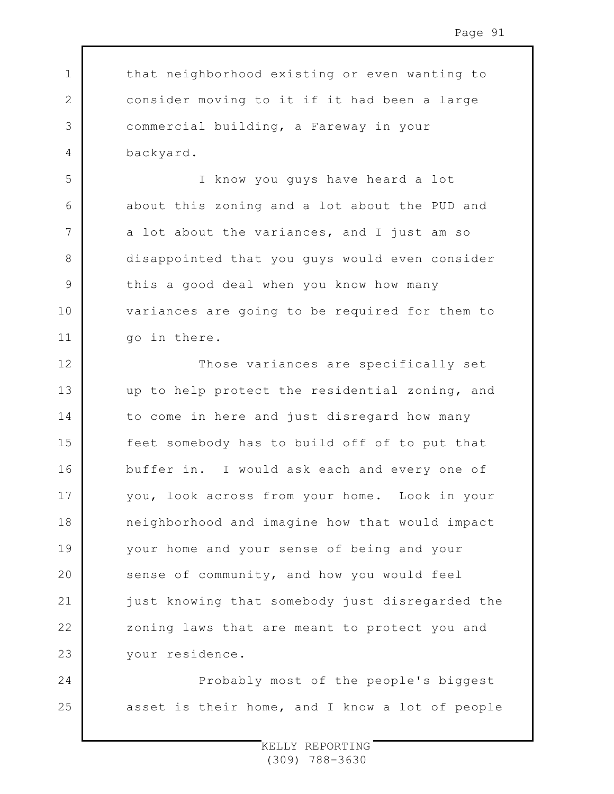that neighborhood existing or even wanting to consider moving to it if it had been a large commercial building, a Fareway in your backyard.

1

2

3

4

5

6

7

8

9

10

11

24

25

I know you guys have heard a lot about this zoning and a lot about the PUD and a lot about the variances, and I just am so disappointed that you guys would even consider this a good deal when you know how many variances are going to be required for them to go in there.

12 13 14 15 16 17 18 19  $20$ 21 22 23 Those variances are specifically set up to help protect the residential zoning, and to come in here and just disregard how many feet somebody has to build off of to put that buffer in. I would ask each and every one of you, look across from your home. Look in your neighborhood and imagine how that would impact your home and your sense of being and your sense of community, and how you would feel just knowing that somebody just disregarded the zoning laws that are meant to protect you and your residence.

Probably most of the people's biggest asset is their home, and I know a lot of people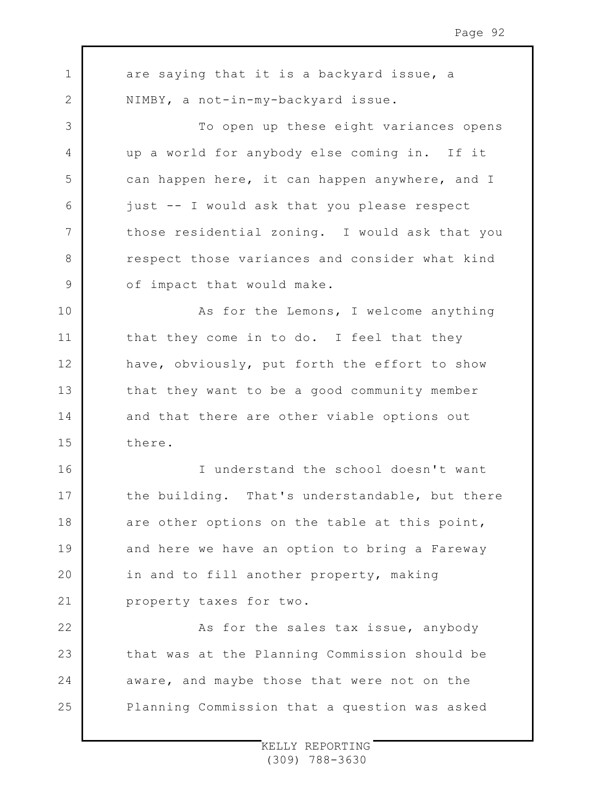1 2 3 4 5 6 7 8 9 10 11 12 13 14 15 16 17 18 19  $20$ 21 22 23 24 25 are saying that it is a backyard issue, a NIMBY, a not-in-my-backyard issue. To open up these eight variances opens up a world for anybody else coming in. If it can happen here, it can happen anywhere, and I just -- I would ask that you please respect those residential zoning. I would ask that you respect those variances and consider what kind of impact that would make. As for the Lemons, I welcome anything that they come in to do. I feel that they have, obviously, put forth the effort to show that they want to be a good community member and that there are other viable options out there. I understand the school doesn't want the building. That's understandable, but there are other options on the table at this point, and here we have an option to bring a Fareway in and to fill another property, making property taxes for two. As for the sales tax issue, anybody that was at the Planning Commission should be aware, and maybe those that were not on the Planning Commission that a question was asked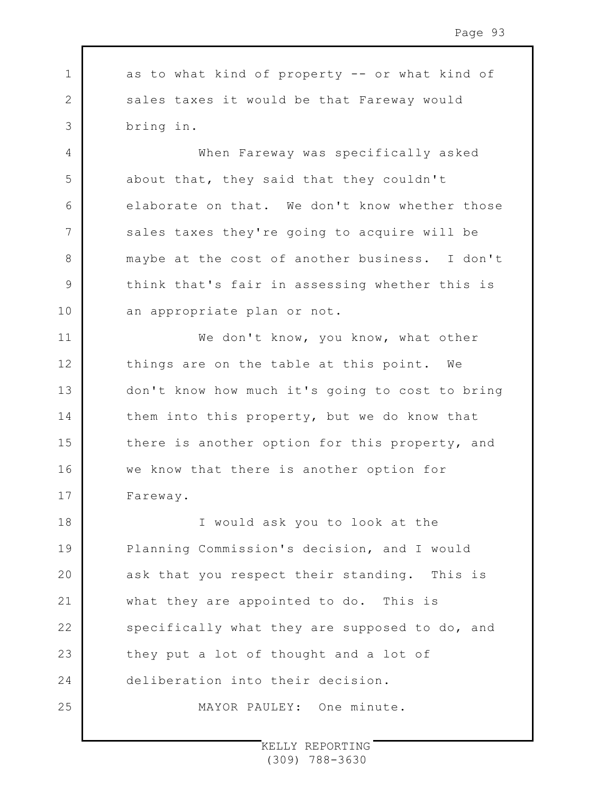1 2 3 as to what kind of property -- or what kind of sales taxes it would be that Fareway would bring in.

4

5

6

7

8

9

10

11

12

13

14

15

16

17

When Fareway was specifically asked about that, they said that they couldn't elaborate on that. We don't know whether those sales taxes they're going to acquire will be maybe at the cost of another business. I don't think that's fair in assessing whether this is an appropriate plan or not.

We don't know, you know, what other things are on the table at this point. We don't know how much it's going to cost to bring them into this property, but we do know that there is another option for this property, and we know that there is another option for Fareway.

18 19  $20$ 21 22 23 24 25 I would ask you to look at the Planning Commission's decision, and I would ask that you respect their standing. This is what they are appointed to do. This is specifically what they are supposed to do, and they put a lot of thought and a lot of deliberation into their decision.

MAYOR PAULEY: One minute.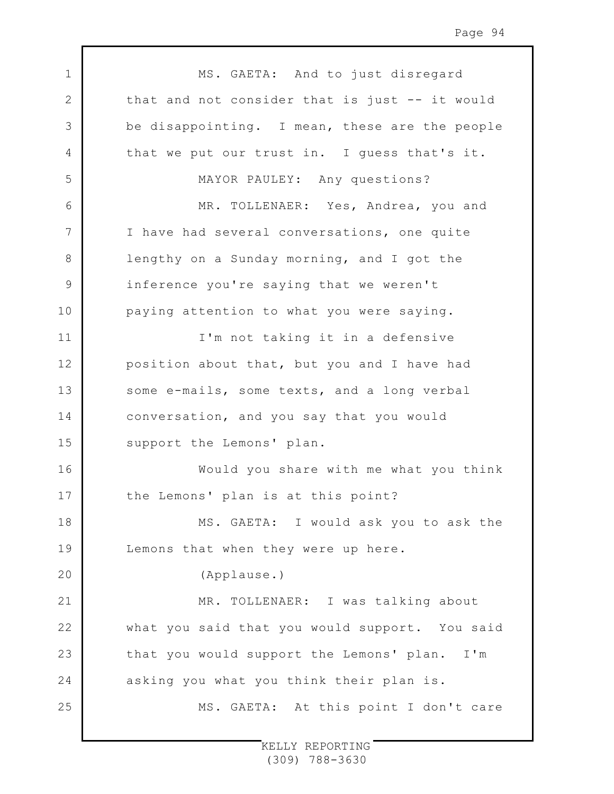1 2 3 4 5 6 7 8 9 10 11 12 13 14 15 16 17 18 19  $20$ 21 22 23 24 25 MS. GAETA: And to just disregard that and not consider that is just -- it would be disappointing. I mean, these are the people that we put our trust in. I guess that's it. MAYOR PAULEY: Any questions? MR. TOLLENAER: Yes, Andrea, you and I have had several conversations, one quite lengthy on a Sunday morning, and I got the inference you're saying that we weren't paying attention to what you were saying. I'm not taking it in a defensive position about that, but you and I have had some e-mails, some texts, and a long verbal conversation, and you say that you would support the Lemons' plan. Would you share with me what you think the Lemons' plan is at this point? MS. GAETA: I would ask you to ask the Lemons that when they were up here. (Applause.) MR. TOLLENAER: I was talking about what you said that you would support. You said that you would support the Lemons' plan. I'm asking you what you think their plan is. MS. GAETA: At this point I don't care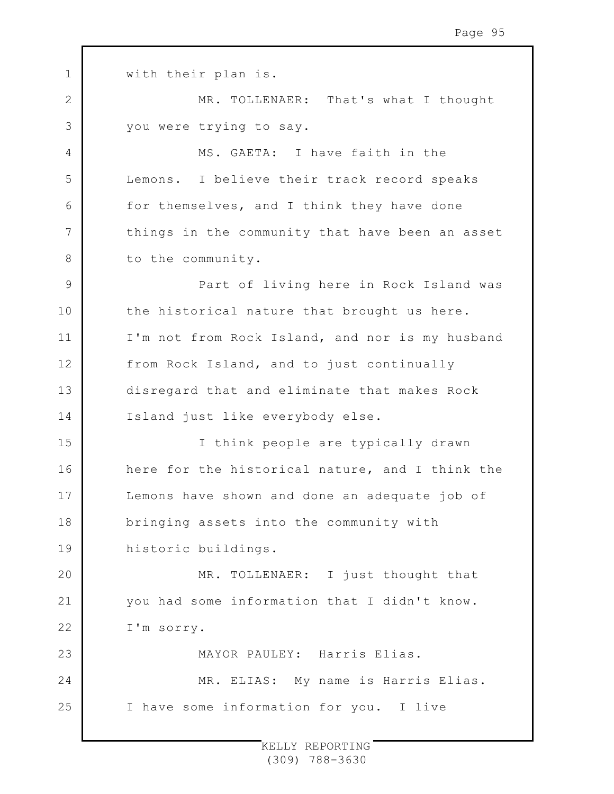| $\mathbf 1$   | with their plan is.                             |
|---------------|-------------------------------------------------|
| $\mathbf{2}$  | MR. TOLLENAER: That's what I thought            |
| 3             | you were trying to say.                         |
| 4             | MS. GAETA: I have faith in the                  |
| 5             | Lemons. I believe their track record speaks     |
| 6             | for themselves, and I think they have done      |
| 7             | things in the community that have been an asset |
| 8             | to the community.                               |
| $\mathcal{G}$ | Part of living here in Rock Island was          |
| 10            | the historical nature that brought us here.     |
| 11            | I'm not from Rock Island, and nor is my husband |
| 12            | from Rock Island, and to just continually       |
| 13            | disregard that and eliminate that makes Rock    |
| 14            | Island just like everybody else.                |
| 15            | I think people are typically drawn              |
| 16            | here for the historical nature, and I think the |
| 17            | Lemons have shown and done an adequate job of   |
| 18            | bringing assets into the community with         |
| 19            | historic buildings.                             |
| 20            | MR. TOLLENAER: I just thought that              |
| 21            | you had some information that I didn't know.    |
| 22            | I'm sorry.                                      |
| 23            | MAYOR PAULEY: Harris Elias.                     |
| 24            | MR. ELIAS: My name is Harris Elias.             |
| 25            | I have some information for you. I live         |
|               |                                                 |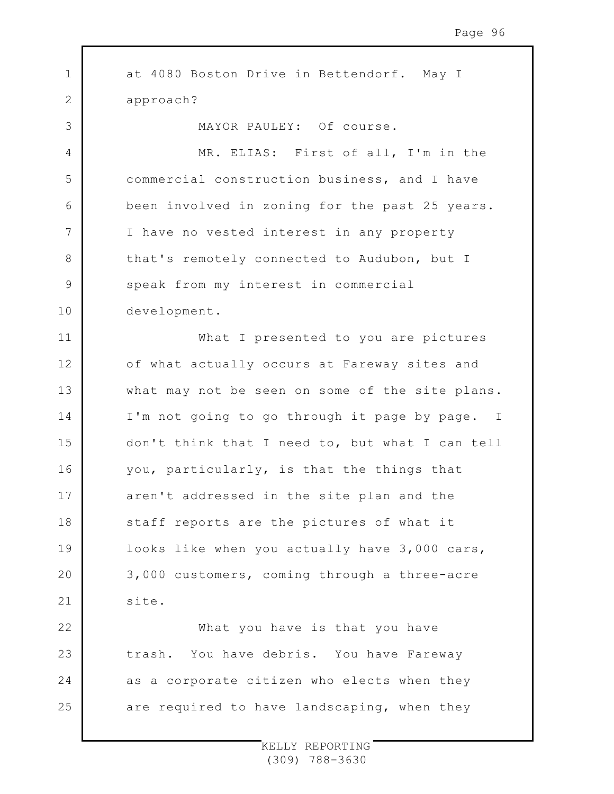1 2 3 4 5 6 7 8 9 10 11 12 13 14 15 16 17 18 19 20 21 22 23 24 25 at 4080 Boston Drive in Bettendorf. May I approach? MAYOR PAULEY: Of course. MR. ELIAS: First of all, I'm in the commercial construction business, and I have been involved in zoning for the past 25 years. I have no vested interest in any property that's remotely connected to Audubon, but I speak from my interest in commercial development. What I presented to you are pictures of what actually occurs at Fareway sites and what may not be seen on some of the site plans. I'm not going to go through it page by page. I don't think that I need to, but what I can tell you, particularly, is that the things that aren't addressed in the site plan and the staff reports are the pictures of what it looks like when you actually have 3,000 cars, 3,000 customers, coming through a three-acre site. What you have is that you have trash. You have debris. You have Fareway as a corporate citizen who elects when they are required to have landscaping, when they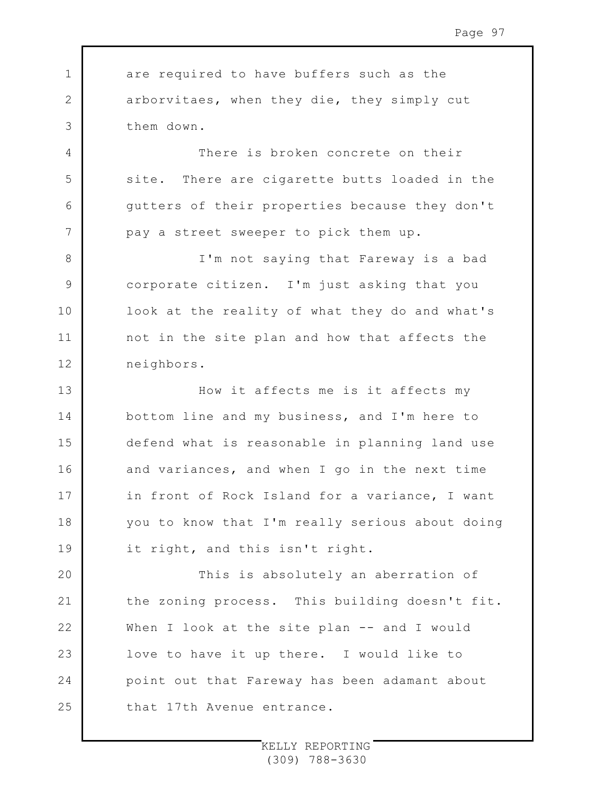1 2 3 are required to have buffers such as the arborvitaes, when they die, they simply cut them down.

4

5

6

7

8

9

10

11

12

There is broken concrete on their site. There are cigarette butts loaded in the gutters of their properties because they don't pay a street sweeper to pick them up.

I'm not saying that Fareway is a bad corporate citizen. I'm just asking that you look at the reality of what they do and what's not in the site plan and how that affects the neighbors.

13 14 15 16 17 18 19 How it affects me is it affects my bottom line and my business, and I'm here to defend what is reasonable in planning land use and variances, and when I go in the next time in front of Rock Island for a variance, I want you to know that I'm really serious about doing it right, and this isn't right.

 $20$ 21 22 23 24 25 This is absolutely an aberration of the zoning process. This building doesn't fit. When I look at the site plan -- and I would love to have it up there. I would like to point out that Fareway has been adamant about that 17th Avenue entrance.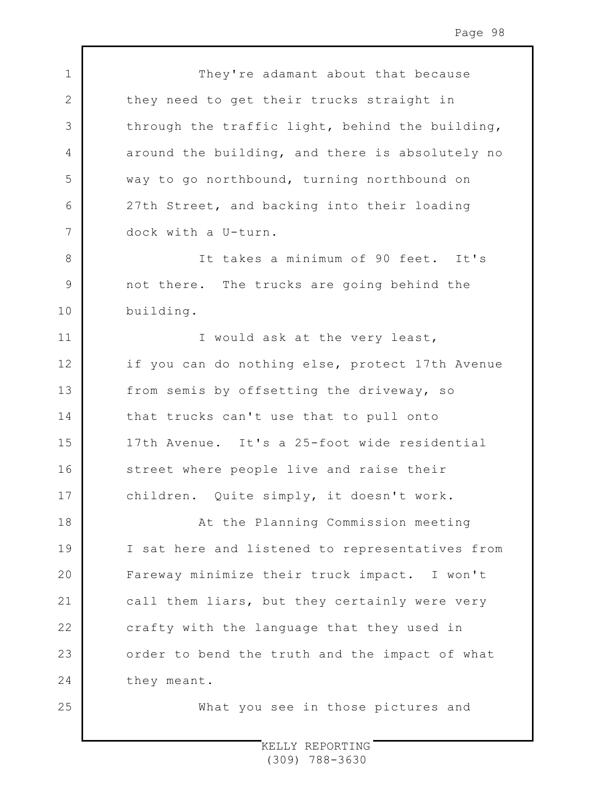1 2 3 4 5 6 7 8 9 10 11 12 13 14 15 16 17 18 19  $20$ 21 22 23 24 25 They're adamant about that because they need to get their trucks straight in through the traffic light, behind the building, around the building, and there is absolutely no way to go northbound, turning northbound on 27th Street, and backing into their loading dock with a U-turn. It takes a minimum of 90 feet. It's not there. The trucks are going behind the building. I would ask at the very least, if you can do nothing else, protect 17th Avenue from semis by offsetting the driveway, so that trucks can't use that to pull onto 17th Avenue. It's a 25-foot wide residential street where people live and raise their children. Quite simply, it doesn't work. At the Planning Commission meeting I sat here and listened to representatives from Fareway minimize their truck impact. I won't call them liars, but they certainly were very crafty with the language that they used in order to bend the truth and the impact of what they meant. What you see in those pictures and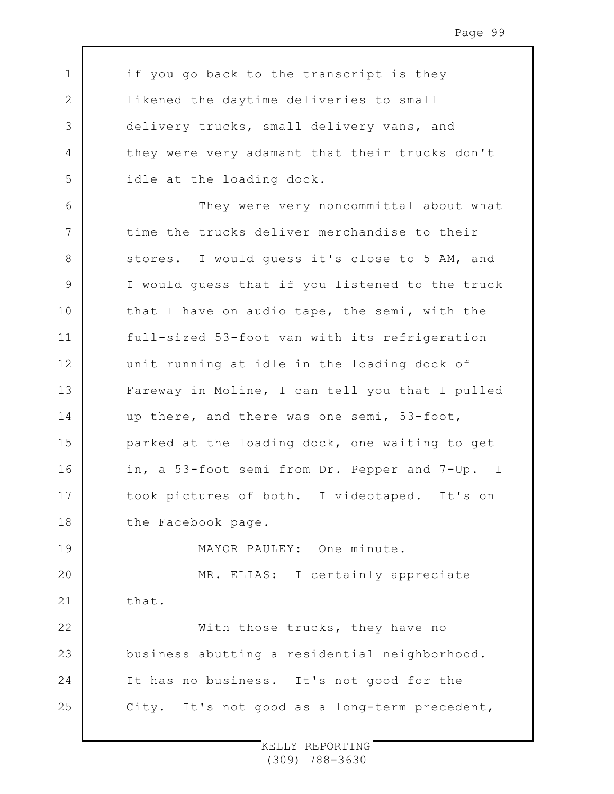if you go back to the transcript is they likened the daytime deliveries to small delivery trucks, small delivery vans, and they were very adamant that their trucks don't idle at the loading dock.

1

2

3

4

5

6 7 8 9 10 11 12 13 14 15 16 17 18 19 They were very noncommittal about what time the trucks deliver merchandise to their stores. I would guess it's close to 5 AM, and I would guess that if you listened to the truck that I have on audio tape, the semi, with the full-sized 53-foot van with its refrigeration unit running at idle in the loading dock of Fareway in Moline, I can tell you that I pulled up there, and there was one semi, 53-foot, parked at the loading dock, one waiting to get in, a 53-foot semi from Dr. Pepper and 7-Up. I took pictures of both. I videotaped. It's on the Facebook page.

MAYOR PAULEY: One minute.

 $20$ 21 22 MR. ELIAS: I certainly appreciate that.

23 24 25 With those trucks, they have no business abutting a residential neighborhood. It has no business. It's not good for the City. It's not good as a long-term precedent,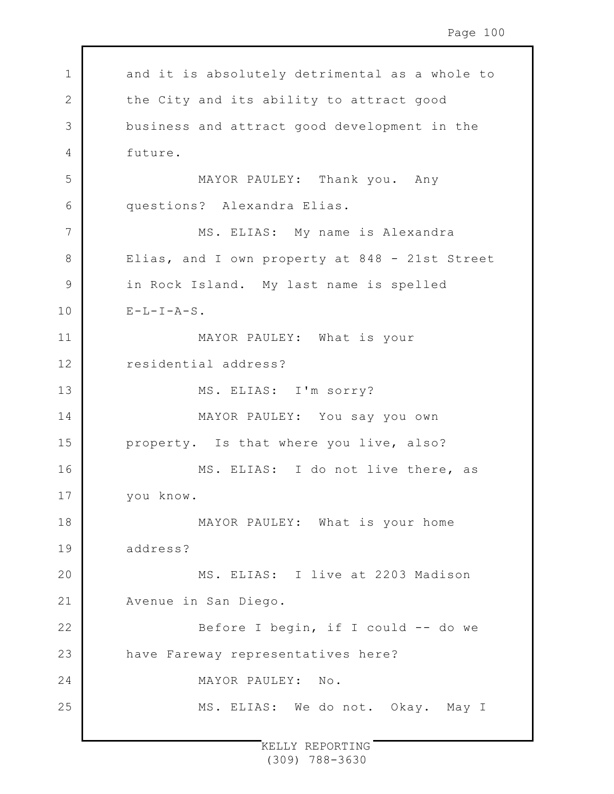| $\mathbf 1$  | and it is absolutely detrimental as a whole to |
|--------------|------------------------------------------------|
| $\mathbf{2}$ | the City and its ability to attract good       |
| 3            | business and attract good development in the   |
| 4            | future.                                        |
| 5            | MAYOR PAULEY: Thank you. Any                   |
| 6            | questions? Alexandra Elias.                    |
| 7            | MS. ELIAS: My name is Alexandra                |
| 8            | Elias, and I own property at 848 - 21st Street |
| 9            | in Rock Island. My last name is spelled        |
| 10           | $E-L-I-A-S$ .                                  |
| 11           | MAYOR PAULEY: What is your                     |
| 12           | residential address?                           |
| 13           | MS. ELIAS: I'm sorry?                          |
| 14           | MAYOR PAULEY: You say you own                  |
| 15           | property. Is that where you live, also?        |
| 16           | MS. ELIAS: I do not live there, as             |
| 17           | you know.                                      |
| 18           | MAYOR PAULEY: What is your home                |
| 19           | address?                                       |
| 20           | MS. ELIAS: I live at 2203 Madison              |
| 21           | Avenue in San Diego.                           |
| 22           | Before I begin, if I could -- do we            |
| 23           | have Fareway representatives here?             |
| 24           | MAYOR PAULEY: No.                              |
| 25           | MS. ELIAS: We do not. Okay. May I              |
|              |                                                |

 $\Gamma$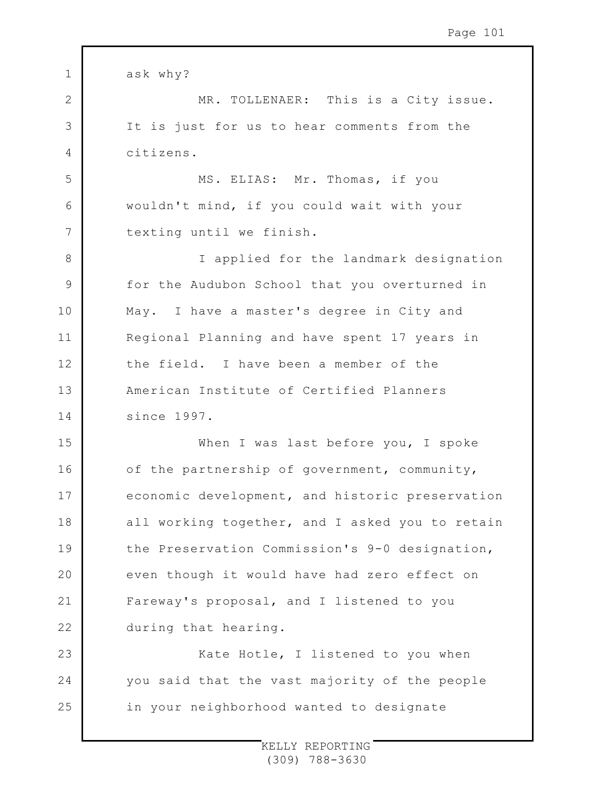| $\mathbf 1$ | ask why?                                        |
|-------------|-------------------------------------------------|
| 2           | MR. TOLLENAER: This is a City issue.            |
| 3           | It is just for us to hear comments from the     |
| 4           | citizens.                                       |
| 5           | MS. ELIAS: Mr. Thomas, if you                   |
| 6           | wouldn't mind, if you could wait with your      |
| 7           | texting until we finish.                        |
| 8           | I applied for the landmark designation          |
| 9           | for the Audubon School that you overturned in   |
| 10          | May. I have a master's degree in City and       |
| 11          | Regional Planning and have spent 17 years in    |
| 12          | the field. I have been a member of the          |
| 13          | American Institute of Certified Planners        |
| 14          | since 1997.                                     |
| 15          | When I was last before you, I spoke             |
| 16          | of the partnership of government, community,    |
| 17          | economic development, and historic preservation |
| 18          | all working together, and I asked you to retain |
| 19          | the Preservation Commission's 9-0 designation,  |
| 20          | even though it would have had zero effect on    |
| 21          | Fareway's proposal, and I listened to you       |
| 22          | during that hearing.                            |
| 23          | Kate Hotle, I listened to you when              |
| 24          | you said that the vast majority of the people   |
| 25          | in your neighborhood wanted to designate        |
|             |                                                 |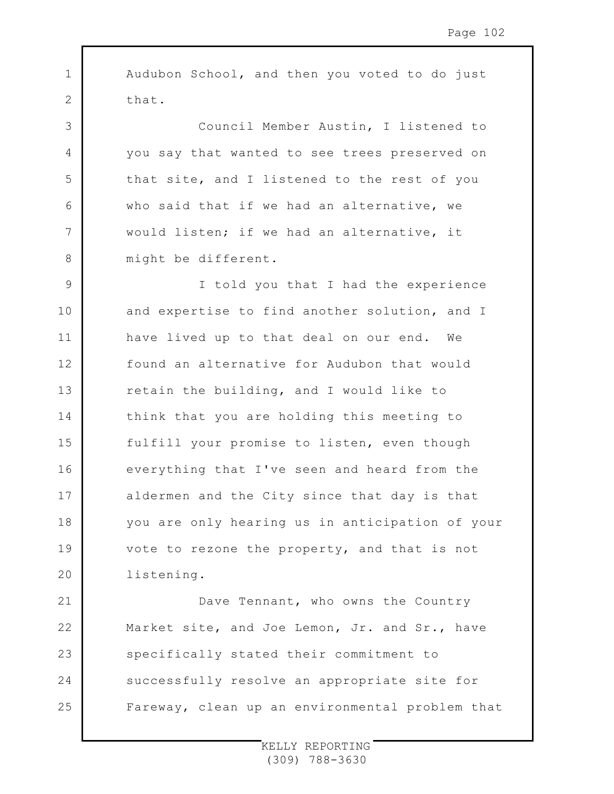1 2 3 4 5 6 7 8 9 10 11 12 13 14 15 16 17 18 19  $20$ 21 22 23 Audubon School, and then you voted to do just that. Council Member Austin, I listened to you say that wanted to see trees preserved on that site, and I listened to the rest of you who said that if we had an alternative, we would listen; if we had an alternative, it might be different. I told you that I had the experience and expertise to find another solution, and I have lived up to that deal on our end. We found an alternative for Audubon that would retain the building, and I would like to think that you are holding this meeting to fulfill your promise to listen, even though everything that I've seen and heard from the aldermen and the City since that day is that you are only hearing us in anticipation of your vote to rezone the property, and that is not listening. Dave Tennant, who owns the Country Market site, and Joe Lemon, Jr. and Sr., have specifically stated their commitment to

Fareway, clean up an environmental problem that

successfully resolve an appropriate site for

24

25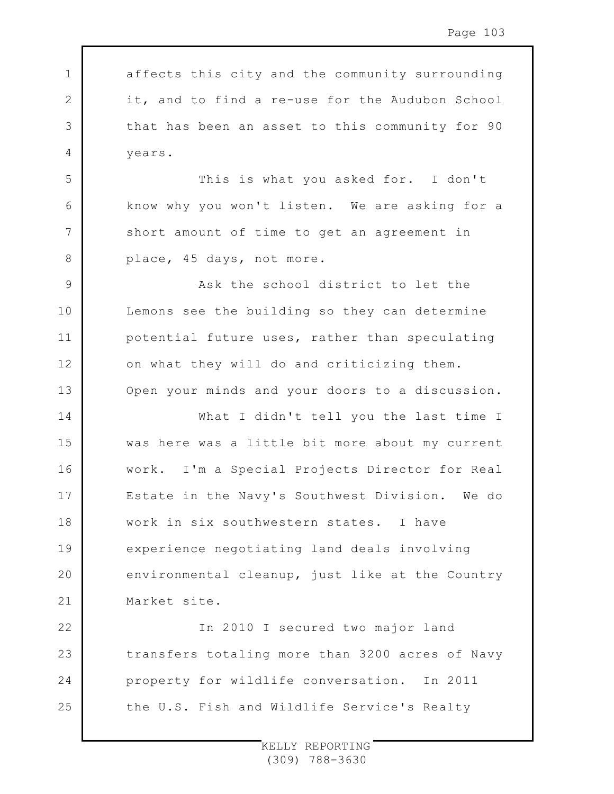affects this city and the community surrounding it, and to find a re-use for the Audubon School that has been an asset to this community for 90 years.

1

2

3

4

5

6

7

8

This is what you asked for. I don't know why you won't listen. We are asking for a short amount of time to get an agreement in place, 45 days, not more.

9 10 11 12 13 Ask the school district to let the Lemons see the building so they can determine potential future uses, rather than speculating on what they will do and criticizing them. Open your minds and your doors to a discussion.

14 15 16 17 18 19  $20$ 21 What I didn't tell you the last time I was here was a little bit more about my current work. I'm a Special Projects Director for Real Estate in the Navy's Southwest Division. We do work in six southwestern states. I have experience negotiating land deals involving environmental cleanup, just like at the Country Market site.

22 23 24 25 In 2010 I secured two major land transfers totaling more than 3200 acres of Navy property for wildlife conversation. In 2011 the U.S. Fish and Wildlife Service's Realty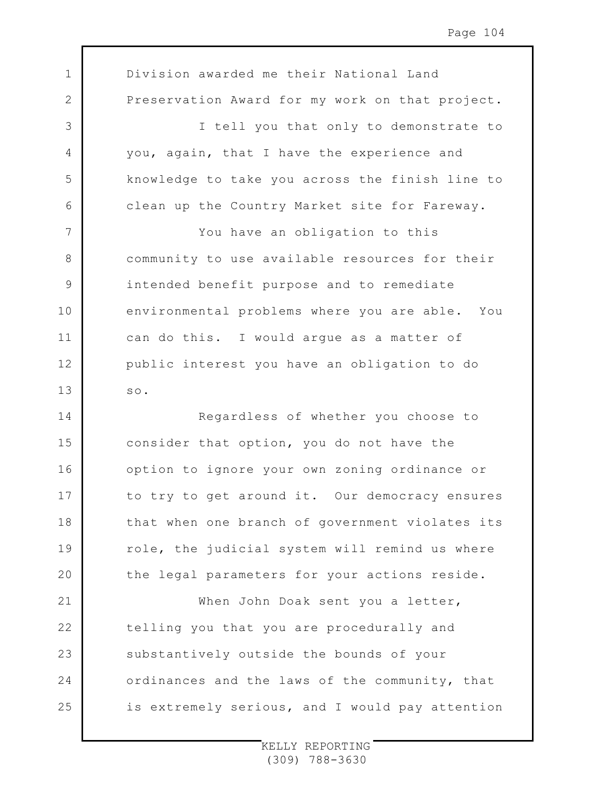1 2 3 4 5 6 7 8 9 10 11 12 13 14 15 16 17 18 19  $20$ 21 22 23 24 25 Division awarded me their National Land Preservation Award for my work on that project. I tell you that only to demonstrate to you, again, that I have the experience and knowledge to take you across the finish line to clean up the Country Market site for Fareway. You have an obligation to this community to use available resources for their intended benefit purpose and to remediate environmental problems where you are able. You can do this. I would argue as a matter of public interest you have an obligation to do so. Regardless of whether you choose to consider that option, you do not have the option to ignore your own zoning ordinance or to try to get around it. Our democracy ensures that when one branch of government violates its role, the judicial system will remind us where the legal parameters for your actions reside. When John Doak sent you a letter, telling you that you are procedurally and substantively outside the bounds of your ordinances and the laws of the community, that is extremely serious, and I would pay attention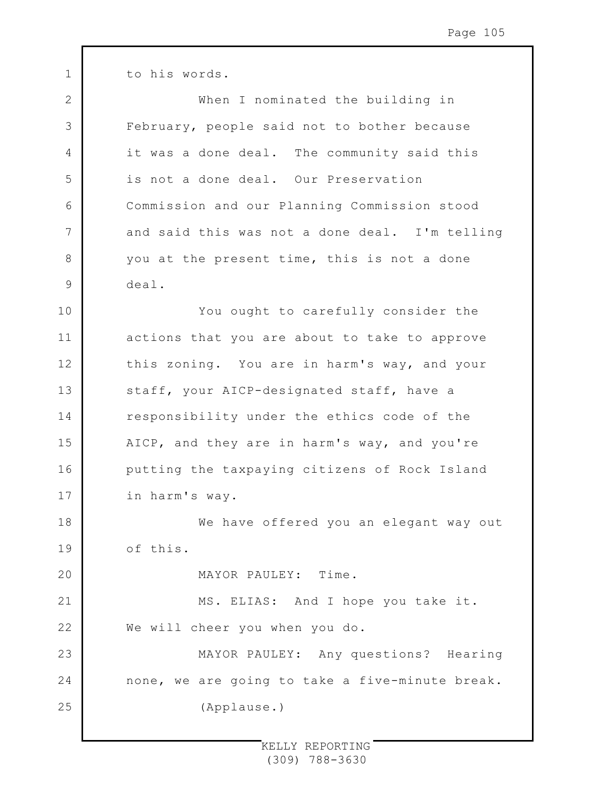1 2 3 4 5 6 7 8 9 10 11 12 13 14 15 16 17 18 19  $20$ 21 22 23 24 25 to his words. When I nominated the building in February, people said not to bother because it was a done deal. The community said this is not a done deal. Our Preservation Commission and our Planning Commission stood and said this was not a done deal. I'm telling you at the present time, this is not a done deal. You ought to carefully consider the actions that you are about to take to approve this zoning. You are in harm's way, and your staff, your AICP-designated staff, have a responsibility under the ethics code of the AICP, and they are in harm's way, and you're putting the taxpaying citizens of Rock Island in harm's way. We have offered you an elegant way out of this. MAYOR PAULEY: Time. MS. ELIAS: And I hope you take it. We will cheer you when you do. MAYOR PAULEY: Any questions? Hearing none, we are going to take a five-minute break. (Applause.)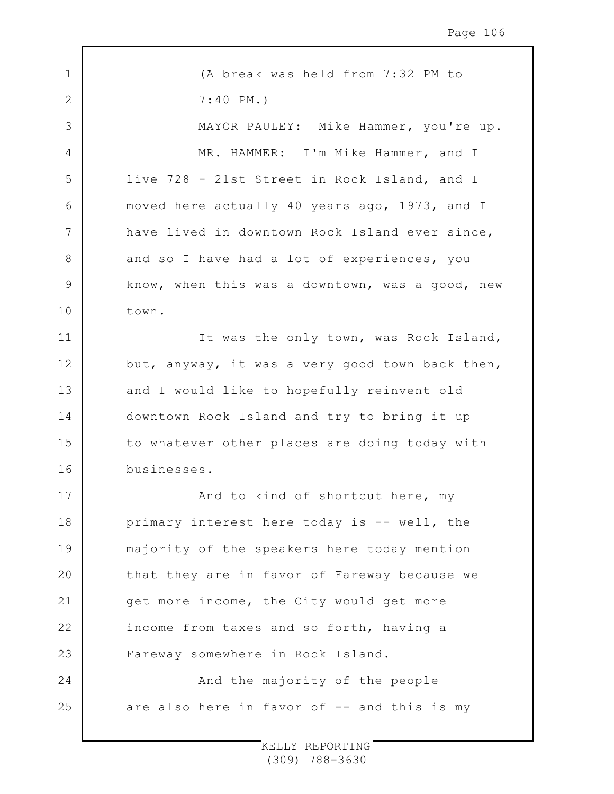1 2 3 4 5 6 7 8 9 10 11 12 13 14 15 16 17 18 19 20 21 22 23 24 25 (A break was held from 7:32 PM to 7:40 PM.) MAYOR PAULEY: Mike Hammer, you're up. MR. HAMMER: I'm Mike Hammer, and I live 728 - 21st Street in Rock Island, and I moved here actually 40 years ago, 1973, and I have lived in downtown Rock Island ever since, and so I have had a lot of experiences, you know, when this was a downtown, was a good, new town. It was the only town, was Rock Island, but, anyway, it was a very good town back then, and I would like to hopefully reinvent old downtown Rock Island and try to bring it up to whatever other places are doing today with businesses. And to kind of shortcut here, my primary interest here today is -- well, the majority of the speakers here today mention that they are in favor of Fareway because we get more income, the City would get more income from taxes and so forth, having a Fareway somewhere in Rock Island. And the majority of the people are also here in favor of -- and this is my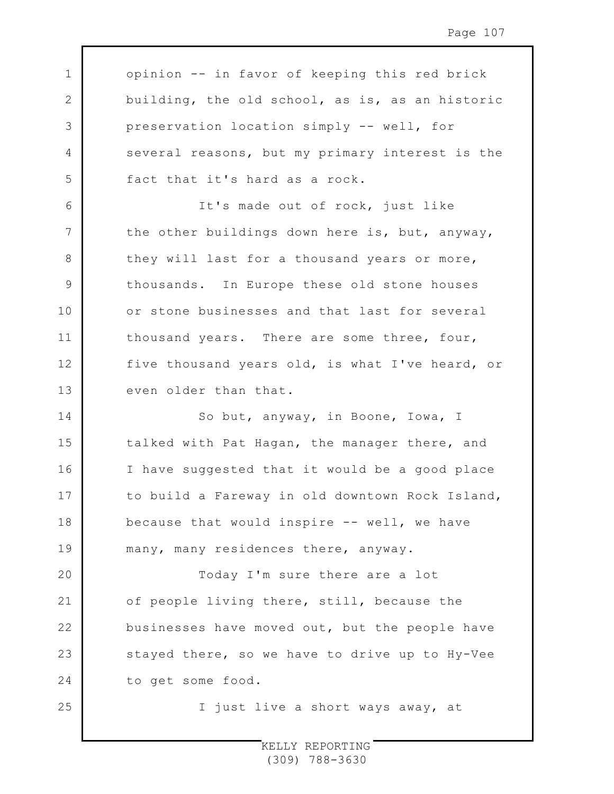opinion -- in favor of keeping this red brick building, the old school, as is, as an historic preservation location simply -- well, for several reasons, but my primary interest is the fact that it's hard as a rock.

1

2

3

4

5

6

7

8

9

10

11

12

13

25

It's made out of rock, just like the other buildings down here is, but, anyway, they will last for a thousand years or more, thousands. In Europe these old stone houses or stone businesses and that last for several thousand years. There are some three, four, five thousand years old, is what I've heard, or even older than that.

14 15 16 17 18 19 So but, anyway, in Boone, Iowa, I talked with Pat Hagan, the manager there, and I have suggested that it would be a good place to build a Fareway in old downtown Rock Island, because that would inspire -- well, we have many, many residences there, anyway.

 $20$ 21 22 23 24 Today I'm sure there are a lot of people living there, still, because the businesses have moved out, but the people have stayed there, so we have to drive up to Hy-Vee to get some food.

I just live a short ways away, at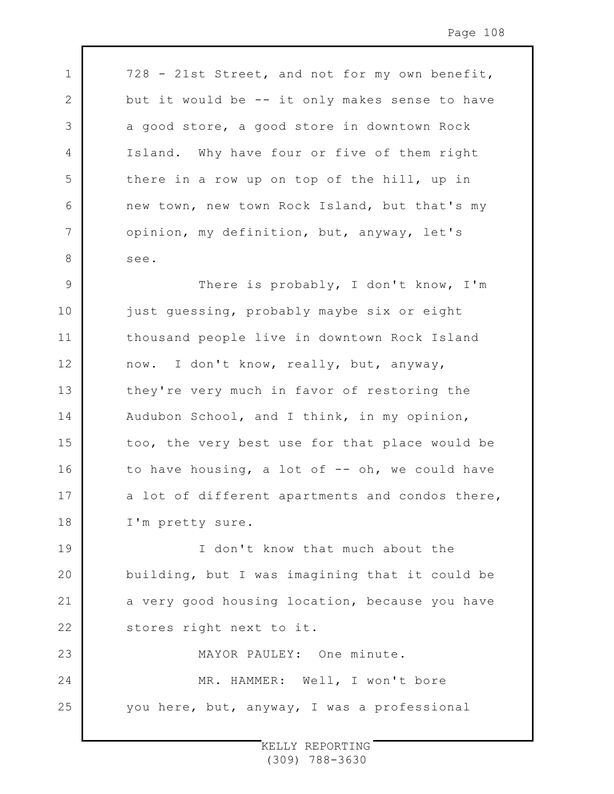728 - 21st Street, and not for my own benefit, but it would be -- it only makes sense to have a good store, a good store in downtown Rock Island. Why have four or five of them right there in a row up on top of the hill, up in new town, new town Rock Island, but that's my opinion, my definition, but, anyway, let's see.

1

2

3

4

5

6

7

8

9 10 11 12 13 14 15 16 17 18 There is probably, I don't know, I'm just guessing, probably maybe six or eight thousand people live in downtown Rock Island now. I don't know, really, but, anyway, they're very much in favor of restoring the Audubon School, and I think, in my opinion, too, the very best use for that place would be to have housing, a lot of -- oh, we could have a lot of different apartments and condos there, I'm pretty sure.

19 20 21 22 I don't know that much about the building, but I was imagining that it could be a very good housing location, because you have stores right next to it.

23 24 25 MAYOR PAULEY: One minute. MR. HAMMER: Well, I won't bore you here, but, anyway, I was a professional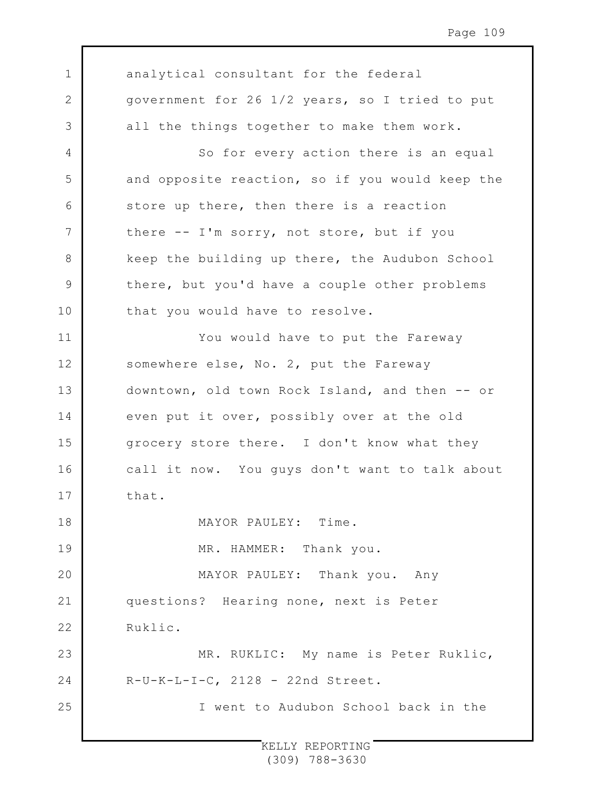1 2 3 4 5 6 7 8 9 10 11 12 13 14 15 16 17 18 19  $20$ 21 22 23 24 25 analytical consultant for the federal government for 26 1/2 years, so I tried to put all the things together to make them work. So for every action there is an equal and opposite reaction, so if you would keep the store up there, then there is a reaction there -- I'm sorry, not store, but if you keep the building up there, the Audubon School there, but you'd have a couple other problems that you would have to resolve. You would have to put the Fareway somewhere else, No. 2, put the Fareway downtown, old town Rock Island, and then -- or even put it over, possibly over at the old grocery store there. I don't know what they call it now. You guys don't want to talk about that. MAYOR PAULEY: Time. MR. HAMMER: Thank you. MAYOR PAULEY: Thank you. Any questions? Hearing none, next is Peter Ruklic. MR. RUKLIC: My name is Peter Ruklic,  $R-U-K-L-I-C$ , 2128 - 22nd Street. I went to Audubon School back in the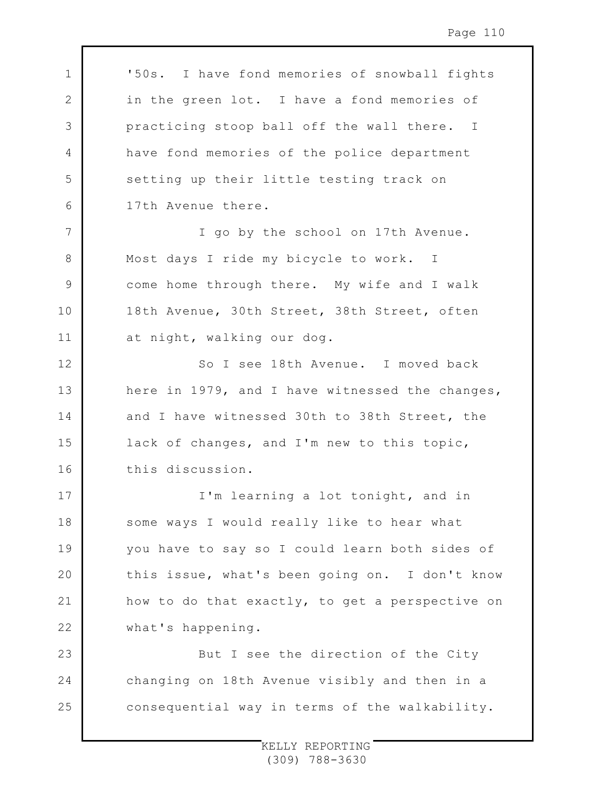1 2 3 4 5 6 7 8 9 10 11 12 13 14 15 16 17 18 19 20 21 22 23 24 25 '50s. I have fond memories of snowball fights in the green lot. I have a fond memories of practicing stoop ball off the wall there. I have fond memories of the police department setting up their little testing track on 17th Avenue there. I go by the school on 17th Avenue. Most days I ride my bicycle to work. I come home through there. My wife and I walk 18th Avenue, 30th Street, 38th Street, often at night, walking our dog. So I see 18th Avenue. I moved back here in 1979, and I have witnessed the changes, and I have witnessed 30th to 38th Street, the lack of changes, and I'm new to this topic, this discussion. I'm learning a lot tonight, and in some ways I would really like to hear what you have to say so I could learn both sides of this issue, what's been going on. I don't know how to do that exactly, to get a perspective on what's happening. But I see the direction of the City changing on 18th Avenue visibly and then in a consequential way in terms of the walkability.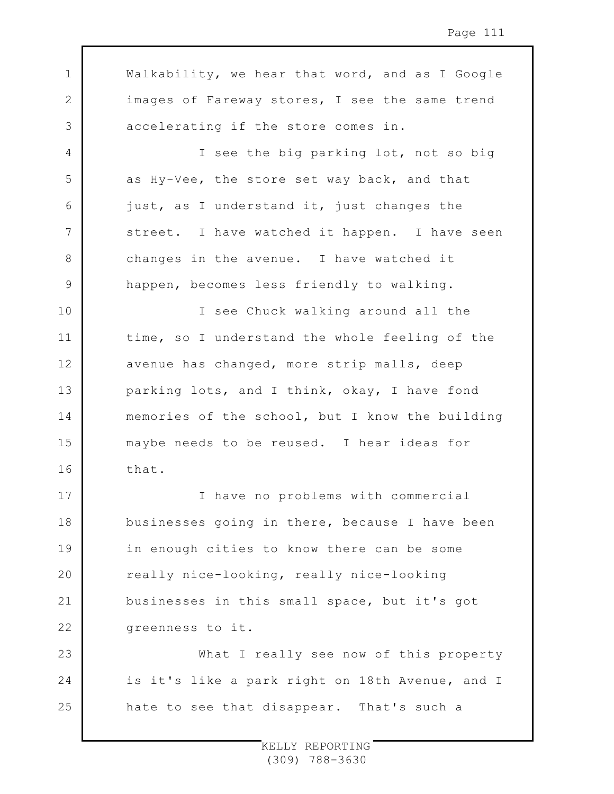1 2 3 4 5 6 7 8 9 10 11 12 13 14 15 16 17 18 19 20 21 22 23 24 25 Walkability, we hear that word, and as I Google images of Fareway stores, I see the same trend accelerating if the store comes in. I see the big parking lot, not so big as Hy-Vee, the store set way back, and that just, as I understand it, just changes the street. I have watched it happen. I have seen changes in the avenue. I have watched it happen, becomes less friendly to walking. I see Chuck walking around all the time, so I understand the whole feeling of the avenue has changed, more strip malls, deep parking lots, and I think, okay, I have fond memories of the school, but I know the building maybe needs to be reused. I hear ideas for that. I have no problems with commercial businesses going in there, because I have been in enough cities to know there can be some really nice-looking, really nice-looking businesses in this small space, but it's got greenness to it. What I really see now of this property is it's like a park right on 18th Avenue, and I hate to see that disappear. That's such a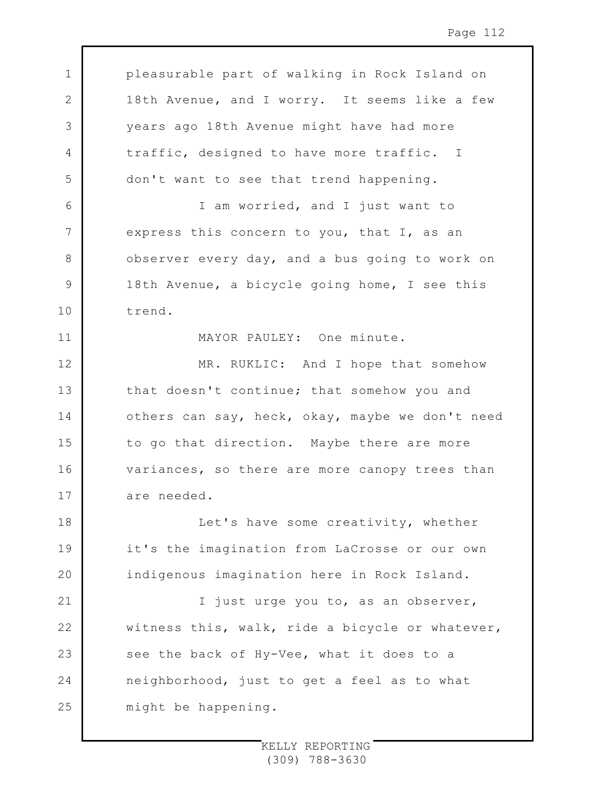1 2 3 4 5 6 7 8 9 10 11 12 13 14 15 16 17 18 19 20 21 22 23 24 25 pleasurable part of walking in Rock Island on 18th Avenue, and I worry. It seems like a few years ago 18th Avenue might have had more traffic, designed to have more traffic. I don't want to see that trend happening. I am worried, and I just want to express this concern to you, that I, as an observer every day, and a bus going to work on 18th Avenue, a bicycle going home, I see this trend. MAYOR PAULEY: One minute. MR. RUKLIC: And I hope that somehow that doesn't continue; that somehow you and others can say, heck, okay, maybe we don't need to go that direction. Maybe there are more variances, so there are more canopy trees than are needed. Let's have some creativity, whether it's the imagination from LaCrosse or our own indigenous imagination here in Rock Island. I just urge you to, as an observer, witness this, walk, ride a bicycle or whatever, see the back of Hy-Vee, what it does to a neighborhood, just to get a feel as to what might be happening.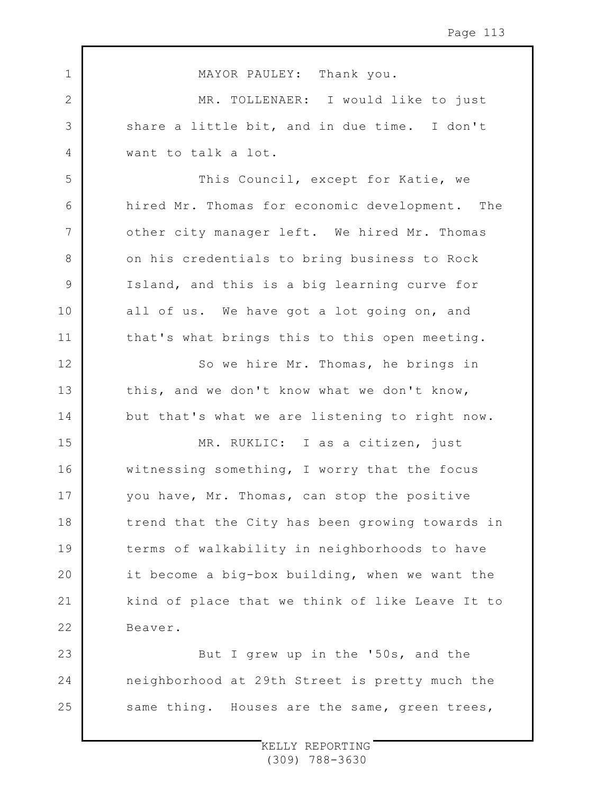1 2 3 4 5 6 7 8 9 10 11 12 13 14 15 16 17 18 19 20 21 22 23 24 25 MAYOR PAULEY: Thank you. MR. TOLLENAER: I would like to just share a little bit, and in due time. I don't want to talk a lot. This Council, except for Katie, we hired Mr. Thomas for economic development. The other city manager left. We hired Mr. Thomas on his credentials to bring business to Rock Island, and this is a big learning curve for all of us. We have got a lot going on, and that's what brings this to this open meeting. So we hire Mr. Thomas, he brings in this, and we don't know what we don't know, but that's what we are listening to right now. MR. RUKLIC: I as a citizen, just witnessing something, I worry that the focus you have, Mr. Thomas, can stop the positive trend that the City has been growing towards in terms of walkability in neighborhoods to have it become a big-box building, when we want the kind of place that we think of like Leave It to Beaver. But I grew up in the '50s, and the neighborhood at 29th Street is pretty much the same thing. Houses are the same, green trees,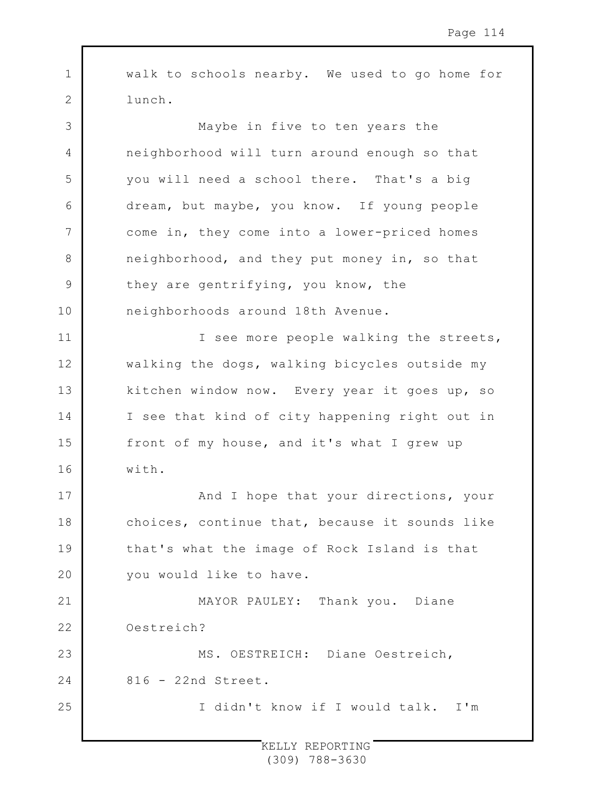walk to schools nearby. We used to go home for lunch.

1

2

11

12

13

14

15

16

17

18

19

 $20$ 

25

3 4 5 6 7 8 9 10 Maybe in five to ten years the neighborhood will turn around enough so that you will need a school there. That's a big dream, but maybe, you know. If young people come in, they come into a lower-priced homes neighborhood, and they put money in, so that they are gentrifying, you know, the neighborhoods around 18th Avenue.

I see more people walking the streets, walking the dogs, walking bicycles outside my kitchen window now. Every year it goes up, so I see that kind of city happening right out in front of my house, and it's what I grew up with.

And I hope that your directions, your choices, continue that, because it sounds like that's what the image of Rock Island is that you would like to have.

21 22 23 24 MAYOR PAULEY: Thank you. Diane Oestreich? MS. OESTREICH: Diane Oestreich, 816 - 22nd Street.

I didn't know if I would talk. I'm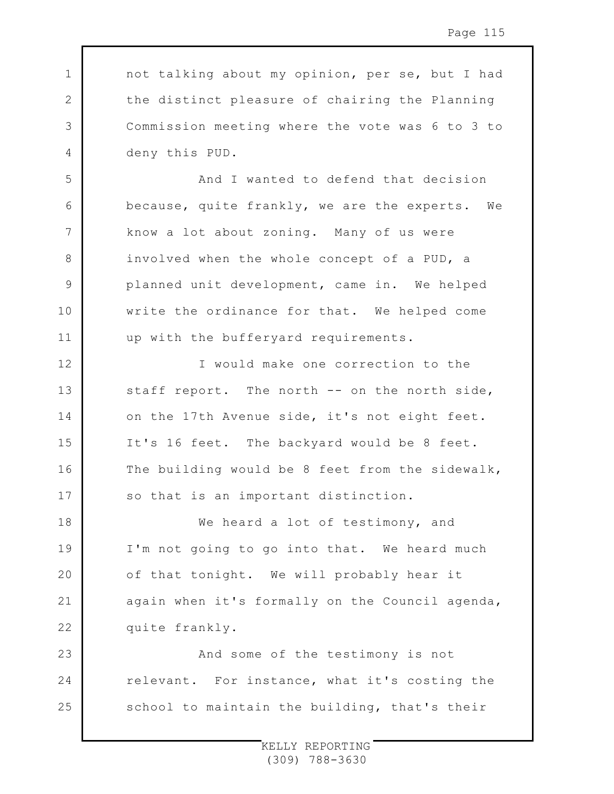not talking about my opinion, per se, but I had the distinct pleasure of chairing the Planning Commission meeting where the vote was 6 to 3 to deny this PUD.

1

2

3

4

5

6

7

8

9

10

11

12

13

14

15

16

17

And I wanted to defend that decision because, quite frankly, we are the experts. We know a lot about zoning. Many of us were involved when the whole concept of a PUD, a planned unit development, came in. We helped write the ordinance for that. We helped come up with the bufferyard requirements.

I would make one correction to the staff report. The north -- on the north side, on the 17th Avenue side, it's not eight feet. It's 16 feet. The backyard would be 8 feet. The building would be 8 feet from the sidewalk, so that is an important distinction.

18 19  $20$ 21 22 We heard a lot of testimony, and I'm not going to go into that. We heard much of that tonight. We will probably hear it again when it's formally on the Council agenda, quite frankly.

23 24 25 And some of the testimony is not relevant. For instance, what it's costing the school to maintain the building, that's their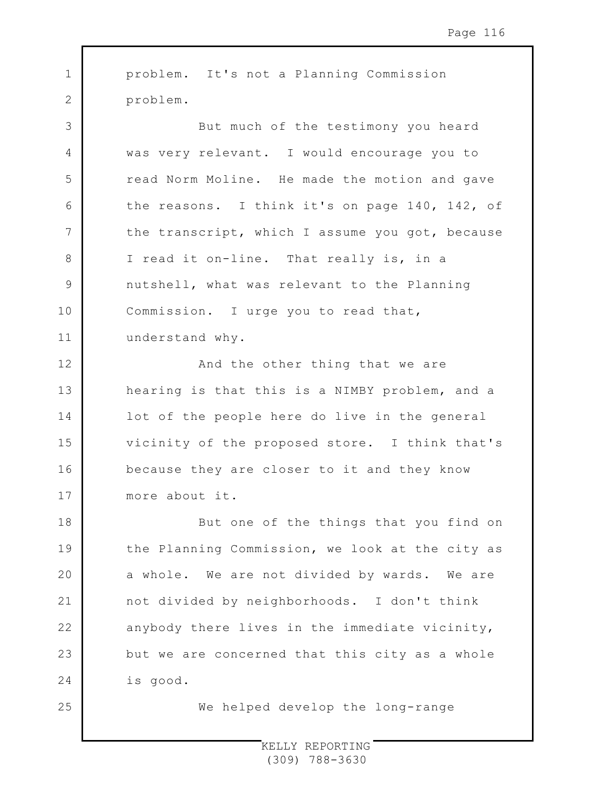1 2 3 4 5 6 7 8 9 10 11 12 13 14 15 16 17 18 19  $20$ 21 22 23 24 problem. It's not a Planning Commission problem. But much of the testimony you heard was very relevant. I would encourage you to read Norm Moline. He made the motion and gave the reasons. I think it's on page 140, 142, of the transcript, which I assume you got, because I read it on-line. That really is, in a nutshell, what was relevant to the Planning Commission. I urge you to read that, understand why. And the other thing that we are hearing is that this is a NIMBY problem, and a lot of the people here do live in the general vicinity of the proposed store. I think that's because they are closer to it and they know more about it. But one of the things that you find on the Planning Commission, we look at the city as a whole. We are not divided by wards. We are not divided by neighborhoods. I don't think anybody there lives in the immediate vicinity, but we are concerned that this city as a whole is good.

We helped develop the long-range

25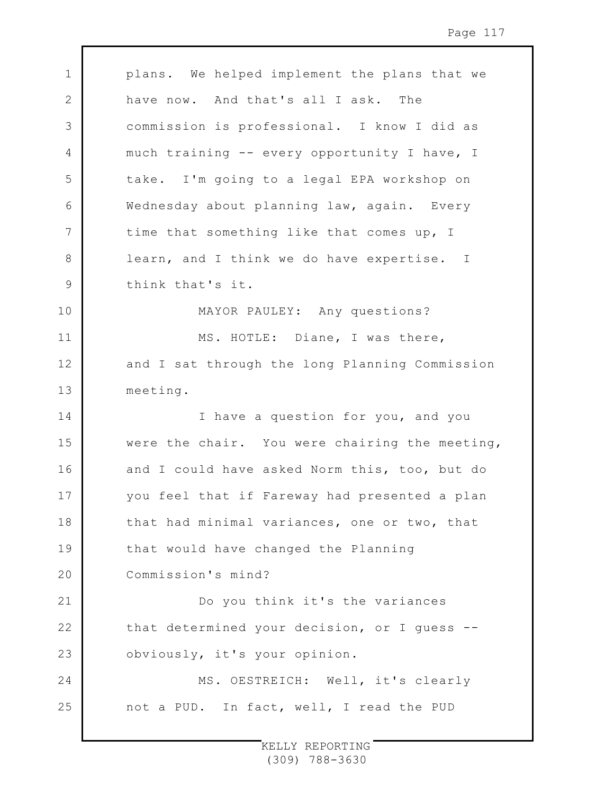1 2 3 4 5 6 7 8 9 10 11 12 13 14 15 16 17 18 19  $20$ 21 22 23 24 25 plans. We helped implement the plans that we have now. And that's all I ask. The commission is professional. I know I did as much training -- every opportunity I have, I take. I'm going to a legal EPA workshop on Wednesday about planning law, again. Every time that something like that comes up, I learn, and I think we do have expertise. I think that's it. MAYOR PAULEY: Any questions? MS. HOTLE: Diane, I was there, and I sat through the long Planning Commission meeting. I have a question for you, and you were the chair. You were chairing the meeting, and I could have asked Norm this, too, but do you feel that if Fareway had presented a plan that had minimal variances, one or two, that that would have changed the Planning Commission's mind? Do you think it's the variances that determined your decision, or I guess - obviously, it's your opinion. MS. OESTREICH: Well, it's clearly not a PUD. In fact, well, I read the PUD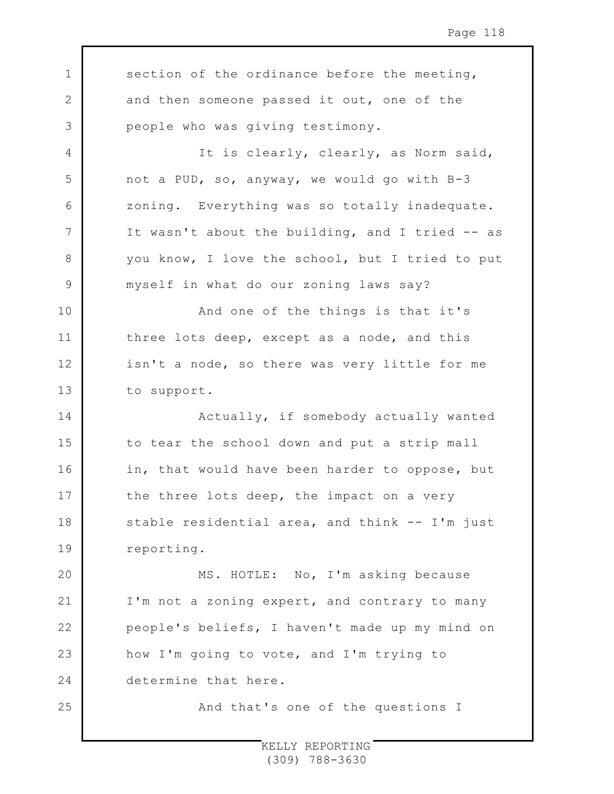1 2 3 4 5 6 7 8 9 10 11 12 13 14 15 16 17 18 19 20 21 22 23 24 25 section of the ordinance before the meeting, and then someone passed it out, one of the people who was giving testimony. It is clearly, clearly, as Norm said, not a PUD, so, anyway, we would go with B-3 zoning. Everything was so totally inadequate. It wasn't about the building, and I tried -- as you know, I love the school, but I tried to put myself in what do our zoning laws say? And one of the things is that it's three lots deep, except as a node, and this isn't a node, so there was very little for me to support. Actually, if somebody actually wanted to tear the school down and put a strip mall in, that would have been harder to oppose, but the three lots deep, the impact on a very stable residential area, and think -- I'm just reporting. MS. HOTLE: No, I'm asking because I'm not a zoning expert, and contrary to many people's beliefs, I haven't made up my mind on how I'm going to vote, and I'm trying to determine that here. And that's one of the questions I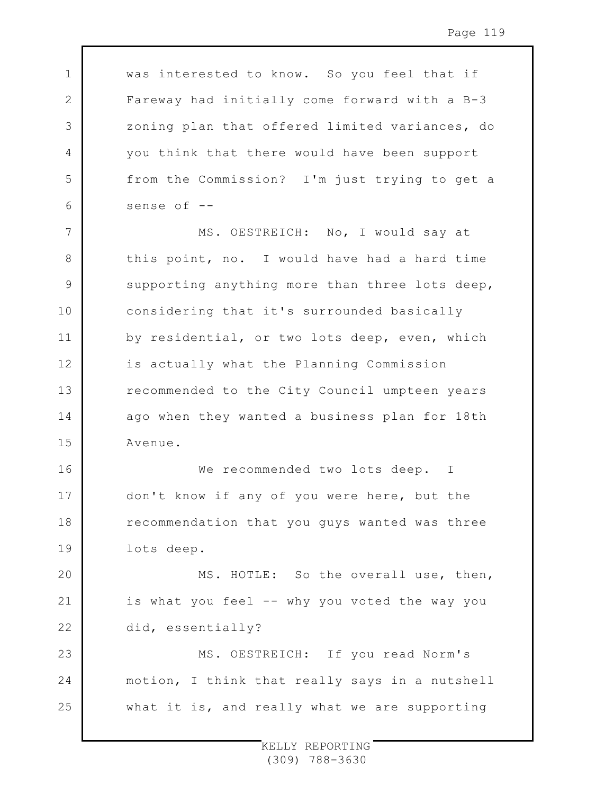1 2 3 4 5 6 7 8 9 10 11 12 13 14 15 16 17 18 19  $20$ 21 22 23 24 25 was interested to know. So you feel that if Fareway had initially come forward with a B-3 zoning plan that offered limited variances, do you think that there would have been support from the Commission? I'm just trying to get a sense of -- MS. OESTREICH: No, I would say at this point, no. I would have had a hard time supporting anything more than three lots deep, considering that it's surrounded basically by residential, or two lots deep, even, which is actually what the Planning Commission recommended to the City Council umpteen years ago when they wanted a business plan for 18th Avenue. We recommended two lots deep. I don't know if any of you were here, but the recommendation that you guys wanted was three lots deep. MS. HOTLE: So the overall use, then, is what you feel -- why you voted the way you did, essentially? MS. OESTREICH: If you read Norm's motion, I think that really says in a nutshell what it is, and really what we are supporting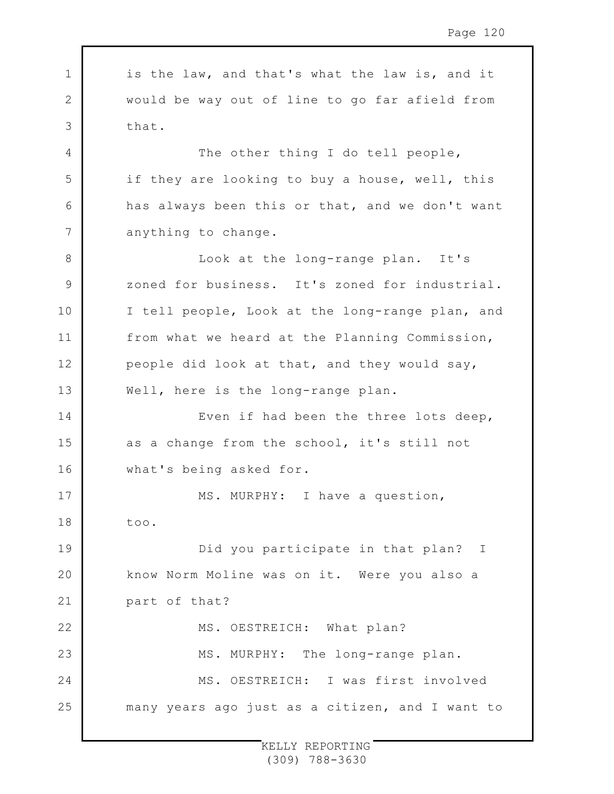1 2 3 4 5 6 7 8 9 10 11 12 13 14 15 16 17 18 19 20 21 22 23 24 25 is the law, and that's what the law is, and it would be way out of line to go far afield from that. The other thing I do tell people, if they are looking to buy a house, well, this has always been this or that, and we don't want anything to change. Look at the long-range plan. It's zoned for business. It's zoned for industrial. I tell people, Look at the long-range plan, and from what we heard at the Planning Commission, people did look at that, and they would say, Well, here is the long-range plan. Even if had been the three lots deep, as a change from the school, it's still not what's being asked for. MS. MURPHY: I have a question, too. Did you participate in that plan? I know Norm Moline was on it. Were you also a part of that? MS. OESTREICH: What plan? MS. MURPHY: The long-range plan. MS. OESTREICH: I was first involved many years ago just as a citizen, and I want to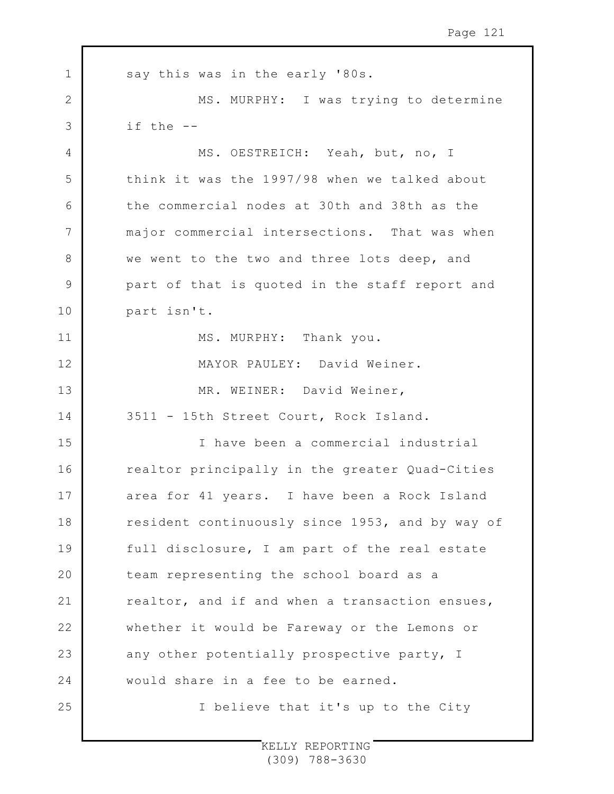| $\mathbf 1$ | say this was in the early '80s.                 |
|-------------|-------------------------------------------------|
| 2           | MS. MURPHY: I was trying to determine           |
| 3           | if the --                                       |
| 4           | MS. OESTREICH: Yeah, but, no, I                 |
| 5           | think it was the 1997/98 when we talked about   |
| 6           | the commercial nodes at 30th and 38th as the    |
| 7           | major commercial intersections. That was when   |
| 8           | we went to the two and three lots deep, and     |
| 9           | part of that is quoted in the staff report and  |
| 10          | part isn't.                                     |
| 11          | MS. MURPHY: Thank you.                          |
| 12          | MAYOR PAULEY: David Weiner.                     |
| 13          | MR. WEINER: David Weiner,                       |
| 14          | 3511 - 15th Street Court, Rock Island.          |
| 15          | I have been a commercial industrial             |
| 16          | realtor principally in the greater Quad-Cities  |
| 17          | area for 41 years. I have been a Rock Island    |
| 18          | resident continuously since 1953, and by way of |
| 19          | full disclosure, I am part of the real estate   |
| 20          | team representing the school board as a         |
| 21          | realtor, and if and when a transaction ensues,  |
| 22          | whether it would be Fareway or the Lemons or    |
| 23          | any other potentially prospective party, I      |
| 24          | would share in a fee to be earned.              |
| 25          | I believe that it's up to the City              |
|             |                                                 |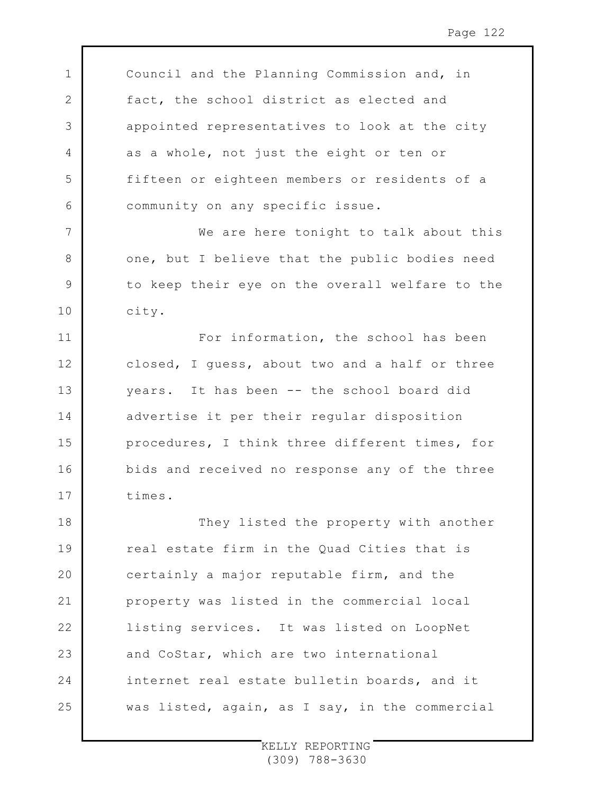Council and the Planning Commission and, in fact, the school district as elected and appointed representatives to look at the city as a whole, not just the eight or ten or fifteen or eighteen members or residents of a community on any specific issue.

1

2

3

4

5

6

7

8

9

10

11

12

13

14

15

16

17

We are here tonight to talk about this one, but I believe that the public bodies need to keep their eye on the overall welfare to the city.

For information, the school has been closed, I guess, about two and a half or three years. It has been -- the school board did advertise it per their regular disposition procedures, I think three different times, for bids and received no response any of the three times.

18 19 20 21 22 23 24 25 They listed the property with another real estate firm in the Quad Cities that is certainly a major reputable firm, and the property was listed in the commercial local listing services. It was listed on LoopNet and CoStar, which are two international internet real estate bulletin boards, and it was listed, again, as I say, in the commercial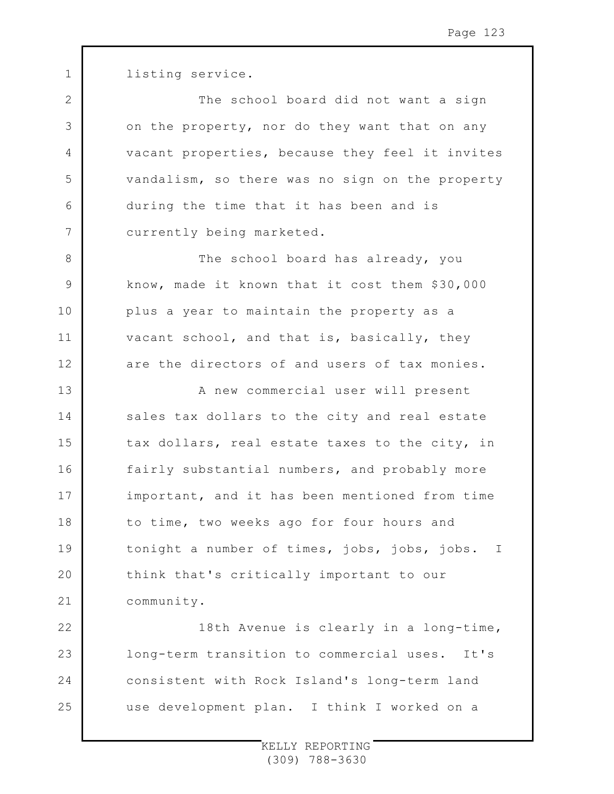1 2 3 4 5 6 7 8 9 10 11 12 13 14 15 16 17 18 19  $20$ 21 22 23 24 25 listing service. The school board did not want a sign on the property, nor do they want that on any vacant properties, because they feel it invites vandalism, so there was no sign on the property during the time that it has been and is currently being marketed. The school board has already, you know, made it known that it cost them \$30,000 plus a year to maintain the property as a vacant school, and that is, basically, they are the directors of and users of tax monies. A new commercial user will present sales tax dollars to the city and real estate tax dollars, real estate taxes to the city, in fairly substantial numbers, and probably more important, and it has been mentioned from time to time, two weeks ago for four hours and tonight a number of times, jobs, jobs, jobs. I think that's critically important to our community. 18th Avenue is clearly in a long-time, long-term transition to commercial uses. It's consistent with Rock Island's long-term land use development plan. I think I worked on a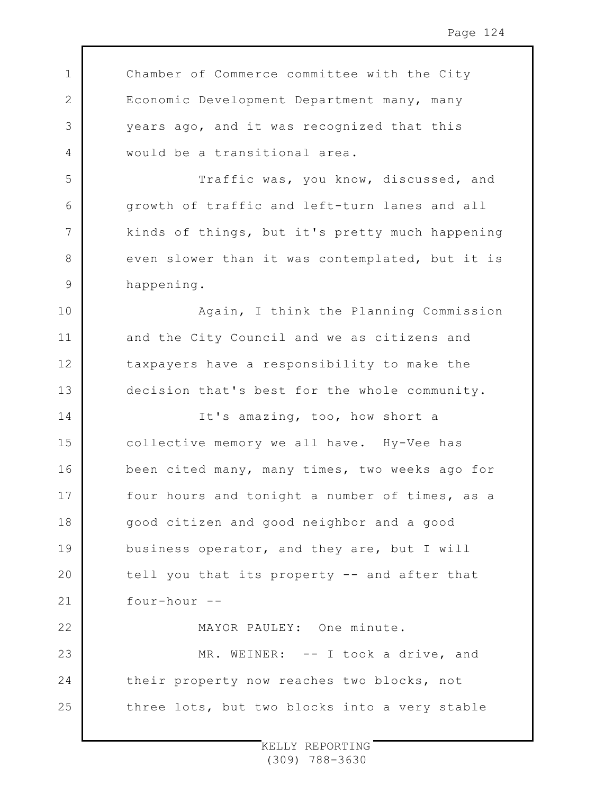1 2 3 4 5 6 7 8 9 10 11 12 13 14 15 16 17 18 19  $20$ 21 22 23 24 25 Chamber of Commerce committee with the City Economic Development Department many, many years ago, and it was recognized that this would be a transitional area. Traffic was, you know, discussed, and growth of traffic and left-turn lanes and all kinds of things, but it's pretty much happening even slower than it was contemplated, but it is happening. Again, I think the Planning Commission and the City Council and we as citizens and taxpayers have a responsibility to make the decision that's best for the whole community. It's amazing, too, how short a collective memory we all have. Hy-Vee has been cited many, many times, two weeks ago for four hours and tonight a number of times, as a good citizen and good neighbor and a good business operator, and they are, but I will tell you that its property -- and after that four-hour -- MAYOR PAULEY: One minute. MR. WEINER: -- I took a drive, and their property now reaches two blocks, not three lots, but two blocks into a very stable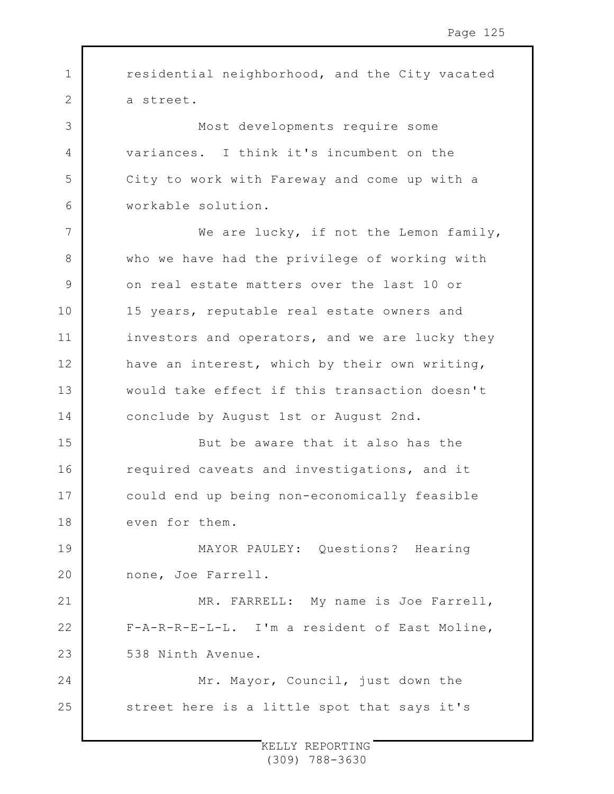1 2 3 4 5 6 7 8 9 10 11 12 13 14 15 16 17 18 19 20 21 22 23 24 25 residential neighborhood, and the City vacated a street. Most developments require some variances. I think it's incumbent on the City to work with Fareway and come up with a workable solution. We are lucky, if not the Lemon family, who we have had the privilege of working with on real estate matters over the last 10 or 15 years, reputable real estate owners and investors and operators, and we are lucky they have an interest, which by their own writing, would take effect if this transaction doesn't conclude by August 1st or August 2nd. But be aware that it also has the required caveats and investigations, and it could end up being non-economically feasible even for them. MAYOR PAULEY: Questions? Hearing none, Joe Farrell. MR. FARRELL: My name is Joe Farrell, F-A-R-R-E-L-L. I'm a resident of East Moline, 538 Ninth Avenue. Mr. Mayor, Council, just down the street here is a little spot that says it's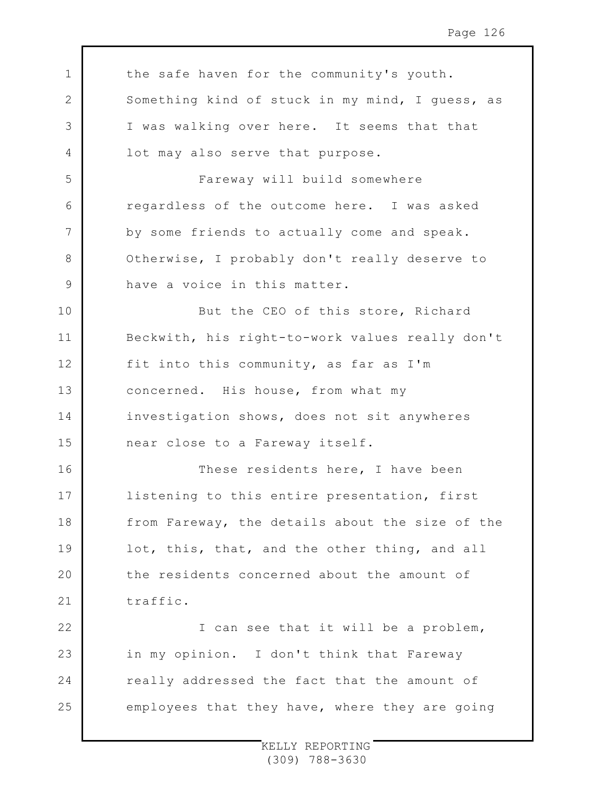1 2 3 4 5 6 7 8 9 10 11 12 13 14 15 16 17 18 19  $20$ 21 22 23 24 25 the safe haven for the community's youth. Something kind of stuck in my mind, I guess, as I was walking over here. It seems that that lot may also serve that purpose. Fareway will build somewhere regardless of the outcome here. I was asked by some friends to actually come and speak. Otherwise, I probably don't really deserve to have a voice in this matter. But the CEO of this store, Richard Beckwith, his right-to-work values really don't fit into this community, as far as I'm concerned. His house, from what my investigation shows, does not sit anywheres near close to a Fareway itself. These residents here, I have been listening to this entire presentation, first from Fareway, the details about the size of the lot, this, that, and the other thing, and all the residents concerned about the amount of traffic. I can see that it will be a problem, in my opinion. I don't think that Fareway really addressed the fact that the amount of employees that they have, where they are going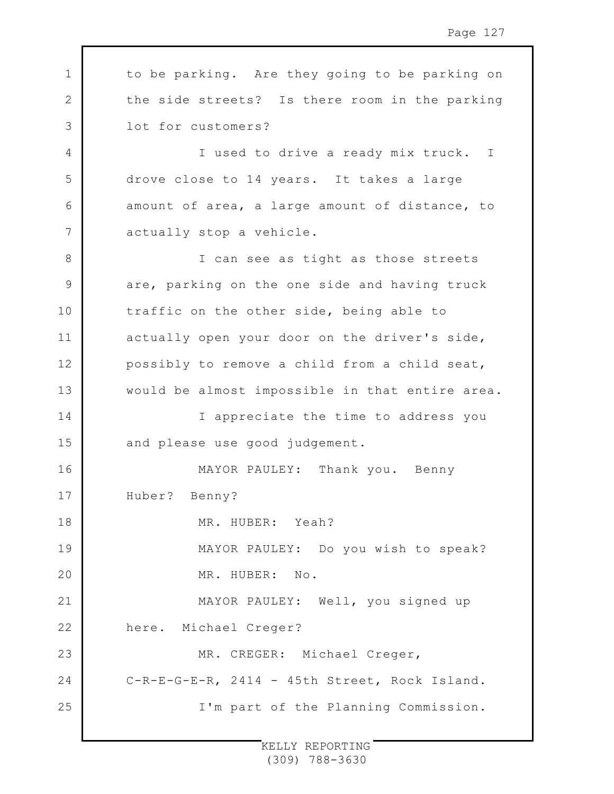| 1  | to be parking. Are they going to be parking on  |
|----|-------------------------------------------------|
| 2  | the side streets? Is there room in the parking  |
| 3  | lot for customers?                              |
| 4  | I used to drive a ready mix truck. I            |
| 5  | drove close to 14 years. It takes a large       |
| 6  | amount of area, a large amount of distance, to  |
| 7  | actually stop a vehicle.                        |
| 8  | I can see as tight as those streets             |
| 9  | are, parking on the one side and having truck   |
| 10 | traffic on the other side, being able to        |
| 11 | actually open your door on the driver's side,   |
| 12 | possibly to remove a child from a child seat,   |
| 13 | would be almost impossible in that entire area. |
| 14 | I appreciate the time to address you            |
| 15 | and please use good judgement.                  |
| 16 | MAYOR PAULEY: Thank you. Benny                  |
| 17 | Huber? Benny?                                   |
| 18 | MR. HUBER: Yeah?                                |
| 19 | MAYOR PAULEY: Do you wish to speak?             |
| 20 | MR. HUBER: No.                                  |
| 21 | MAYOR PAULEY: Well, you signed up               |
| 22 | here. Michael Creger?                           |
| 23 | MR. CREGER: Michael Creger,                     |
| 24 | C-R-E-G-E-R, 2414 - 45th Street, Rock Island.   |
| 25 | I'm part of the Planning Commission.            |
|    |                                                 |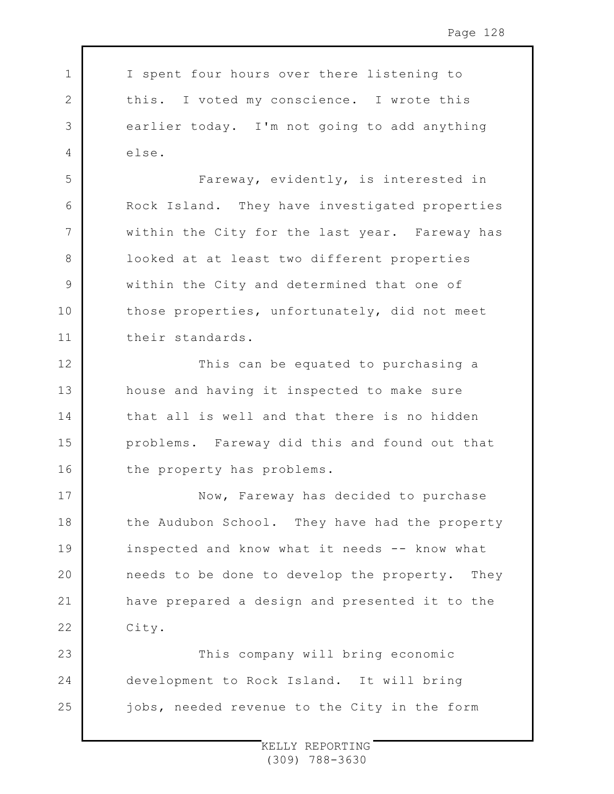| $1 \mid$  | I spent four hours over there listening to               |
|-----------|----------------------------------------------------------|
| 2 $\vert$ | this. I voted my conscience. I wrote this                |
|           | $3 \mid$<br>earlier today. I'm not going to add anything |
| $4 \quad$ | else.                                                    |

5

6

7

8

9

10

11

17

18

19

 $20$ 

21

22

Fareway, evidently, is interested in Rock Island. They have investigated properties within the City for the last year. Fareway has looked at at least two different properties within the City and determined that one of those properties, unfortunately, did not meet their standards.

12 13 14 15 16 This can be equated to purchasing a house and having it inspected to make sure that all is well and that there is no hidden problems. Fareway did this and found out that the property has problems.

Now, Fareway has decided to purchase the Audubon School. They have had the property inspected and know what it needs -- know what needs to be done to develop the property. They have prepared a design and presented it to the City.

23 24 25 This company will bring economic development to Rock Island. It will bring jobs, needed revenue to the City in the form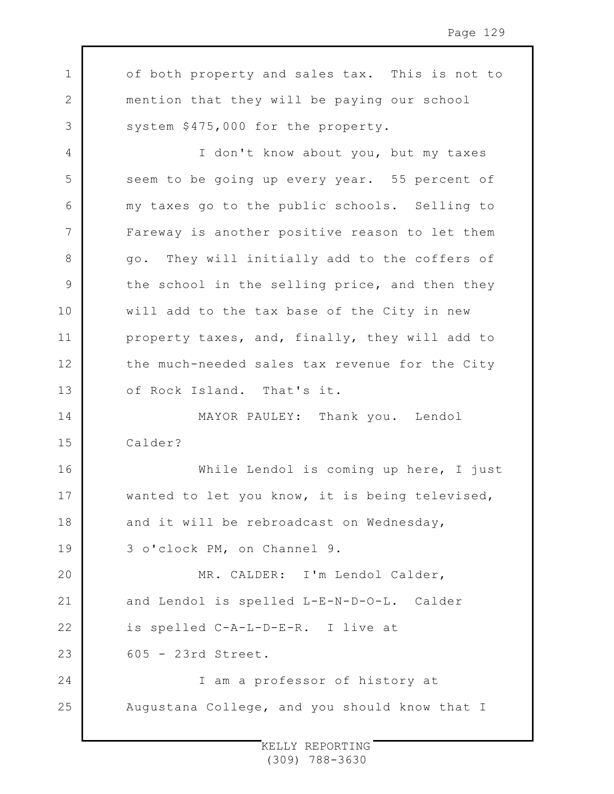1 2 3 4 5 6 7 8 9 10 11 12 13 14 15 16 17 18 19  $20$ 21 22 23 24 25 of both property and sales tax. This is not to mention that they will be paying our school system \$475,000 for the property. I don't know about you, but my taxes seem to be going up every year. 55 percent of my taxes go to the public schools. Selling to Fareway is another positive reason to let them go. They will initially add to the coffers of the school in the selling price, and then they will add to the tax base of the City in new property taxes, and, finally, they will add to the much-needed sales tax revenue for the City of Rock Island. That's it. MAYOR PAULEY: Thank you. Lendol Calder? While Lendol is coming up here, I just wanted to let you know, it is being televised, and it will be rebroadcast on Wednesday, 3 o'clock PM, on Channel 9. MR. CALDER: I'm Lendol Calder, and Lendol is spelled L-E-N-D-O-L. Calder is spelled C-A-L-D-E-R. I live at 605 - 23rd Street. I am a professor of history at Augustana College, and you should know that I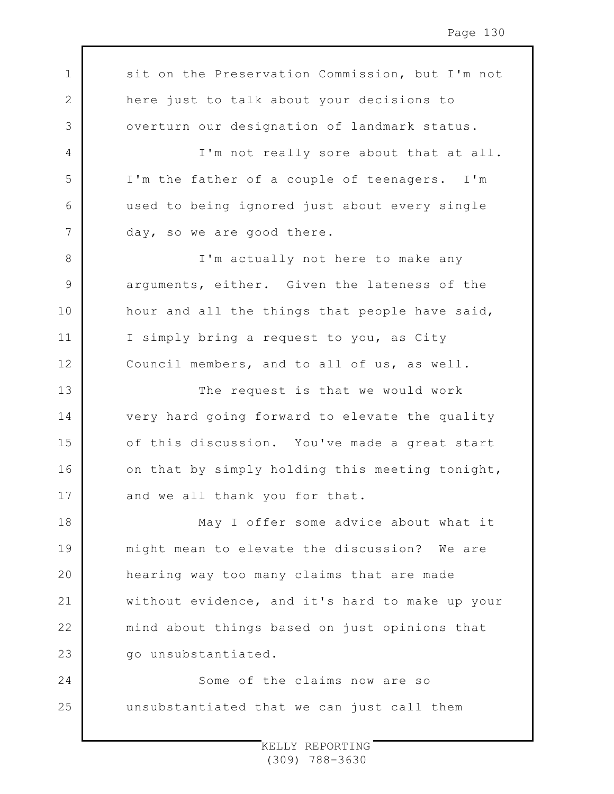1 2 3 4 5 6 7 8 9 10 11 12 13 14 15 16 17 18 19  $20$ 21 22 23 24 25 sit on the Preservation Commission, but I'm not here just to talk about your decisions to overturn our designation of landmark status. I'm not really sore about that at all. I'm the father of a couple of teenagers. I'm used to being ignored just about every single day, so we are good there. I'm actually not here to make any arguments, either. Given the lateness of the hour and all the things that people have said, I simply bring a request to you, as City Council members, and to all of us, as well. The request is that we would work very hard going forward to elevate the quality of this discussion. You've made a great start on that by simply holding this meeting tonight, and we all thank you for that. May I offer some advice about what it might mean to elevate the discussion? We are hearing way too many claims that are made without evidence, and it's hard to make up your mind about things based on just opinions that go unsubstantiated. Some of the claims now are so unsubstantiated that we can just call them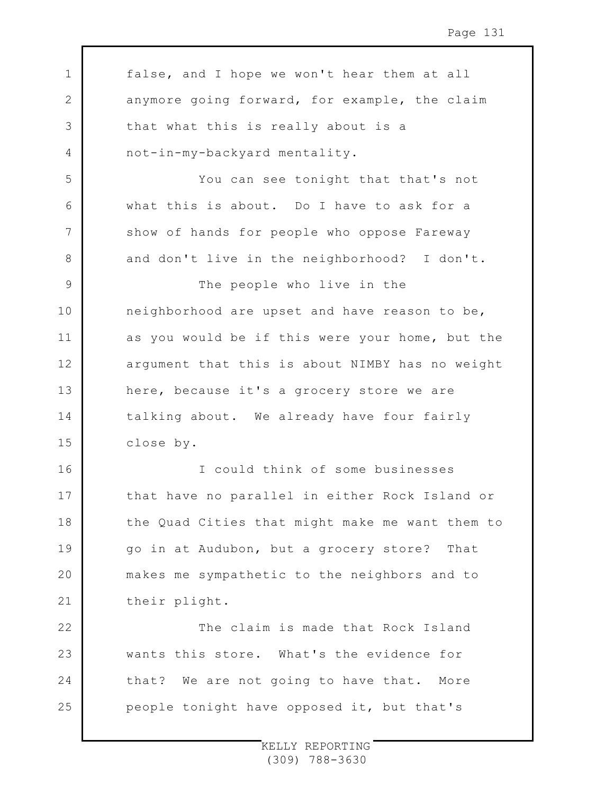1 2 3 4 5 6 7 8 9 10 11 12 13 14 15 16 17 18 19 20 21 22 23 24 25 false, and I hope we won't hear them at all anymore going forward, for example, the claim that what this is really about is a not-in-my-backyard mentality. You can see tonight that that's not what this is about. Do I have to ask for a show of hands for people who oppose Fareway and don't live in the neighborhood? I don't. The people who live in the neighborhood are upset and have reason to be, as you would be if this were your home, but the argument that this is about NIMBY has no weight here, because it's a grocery store we are talking about. We already have four fairly close by. I could think of some businesses that have no parallel in either Rock Island or the Quad Cities that might make me want them to go in at Audubon, but a grocery store? That makes me sympathetic to the neighbors and to their plight. The claim is made that Rock Island wants this store. What's the evidence for that? We are not going to have that. More people tonight have opposed it, but that's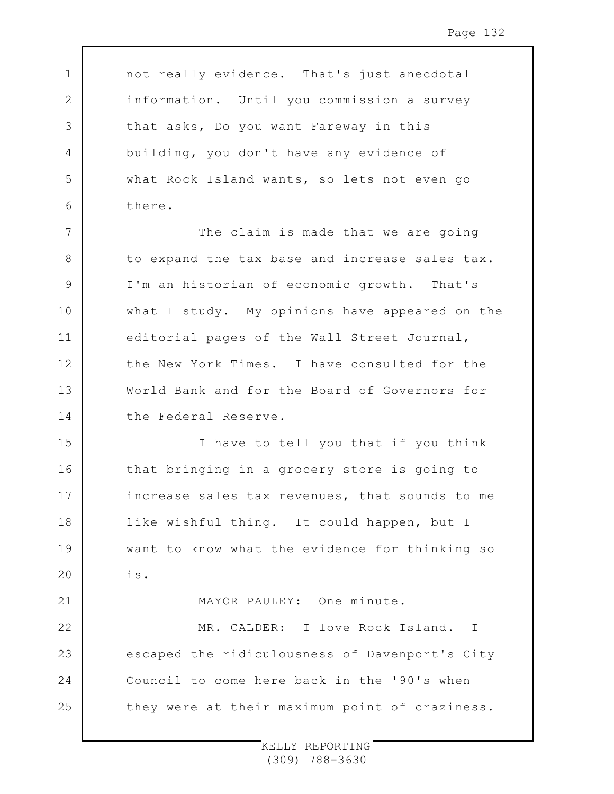not really evidence. That's just anecdotal information. Until you commission a survey that asks, Do you want Fareway in this building, you don't have any evidence of what Rock Island wants, so lets not even go there.

1

2

3

4

5

6

21

7 8 9 10 11 12 13 14 The claim is made that we are going to expand the tax base and increase sales tax. I'm an historian of economic growth. That's what I study. My opinions have appeared on the editorial pages of the Wall Street Journal, the New York Times. I have consulted for the World Bank and for the Board of Governors for the Federal Reserve.

15 16 17 18 19  $20$ I have to tell you that if you think that bringing in a grocery store is going to increase sales tax revenues, that sounds to me like wishful thing. It could happen, but I want to know what the evidence for thinking so is.

MAYOR PAULEY: One minute.

22 23 24 25 MR. CALDER: I love Rock Island. I escaped the ridiculousness of Davenport's City Council to come here back in the '90's when they were at their maximum point of craziness.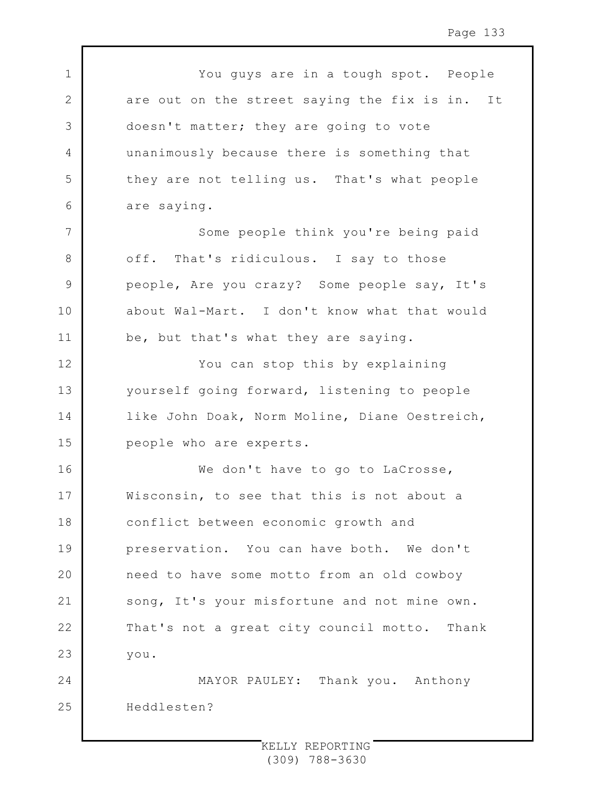1 2 3 4 5 6 7 8 9 10 11 12 13 14 15 16 17 18 19  $20$ 21 22 23 24 25 You guys are in a tough spot. People are out on the street saying the fix is in. It doesn't matter; they are going to vote unanimously because there is something that they are not telling us. That's what people are saying. Some people think you're being paid off. That's ridiculous. I say to those people, Are you crazy? Some people say, It's about Wal-Mart. I don't know what that would be, but that's what they are saying. You can stop this by explaining yourself going forward, listening to people like John Doak, Norm Moline, Diane Oestreich, people who are experts. We don't have to go to LaCrosse, Wisconsin, to see that this is not about a conflict between economic growth and preservation. You can have both. We don't need to have some motto from an old cowboy song, It's your misfortune and not mine own. That's not a great city council motto. Thank you. MAYOR PAULEY: Thank you. Anthony Heddlesten?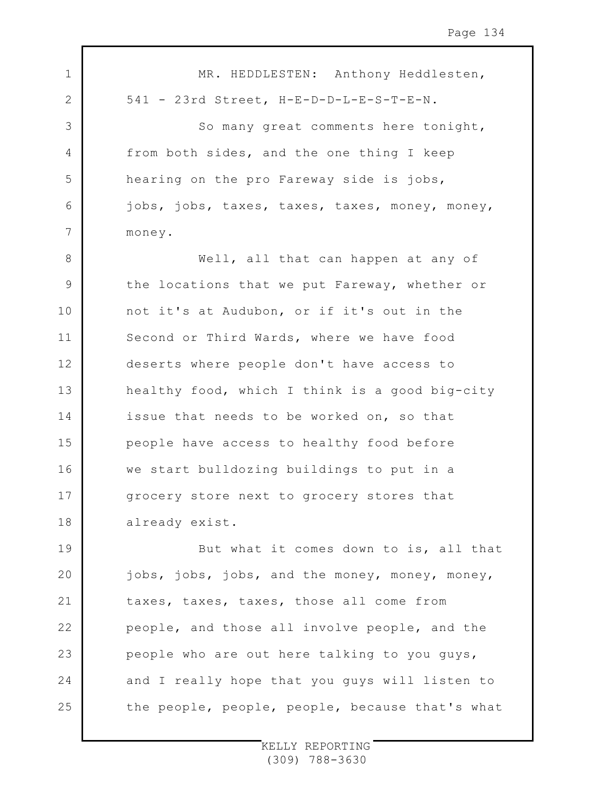| $\mathbf 1$    | MR. HEDDLESTEN: Anthony Heddlesten,             |
|----------------|-------------------------------------------------|
| $\overline{2}$ | 541 - 23rd Street, H-E-D-D-L-E-S-T-E-N.         |
| 3              | So many great comments here tonight,            |
| 4              | from both sides, and the one thing I keep       |
| 5              | hearing on the pro Fareway side is jobs,        |
| 6              | jobs, jobs, taxes, taxes, taxes, money, money,  |
| $\overline{7}$ | money.                                          |
| $\,8\,$        | Well, all that can happen at any of             |
| $\mathsf 9$    | the locations that we put Fareway, whether or   |
| 10             | not it's at Audubon, or if it's out in the      |
| 11             | Second or Third Wards, where we have food       |
| 12             | deserts where people don't have access to       |
| 13             | healthy food, which I think is a good big-city  |
| 14             | issue that needs to be worked on, so that       |
| 15             | people have access to healthy food before       |
| 16             | we start bulldozing buildings to put in a       |
| 17             | grocery store next to grocery stores that       |
| 18             | already exist.                                  |
| 19             | But what it comes down to is, all that          |
| 20             | jobs, jobs, jobs, and the money, money, money,  |
| 21             | taxes, taxes, taxes, those all come from        |
| 22             | people, and those all involve people, and the   |
| 23             | people who are out here talking to you guys,    |
| 24             | and I really hope that you guys will listen to  |
| 25             | the people, people, people, because that's what |

 $\Gamma$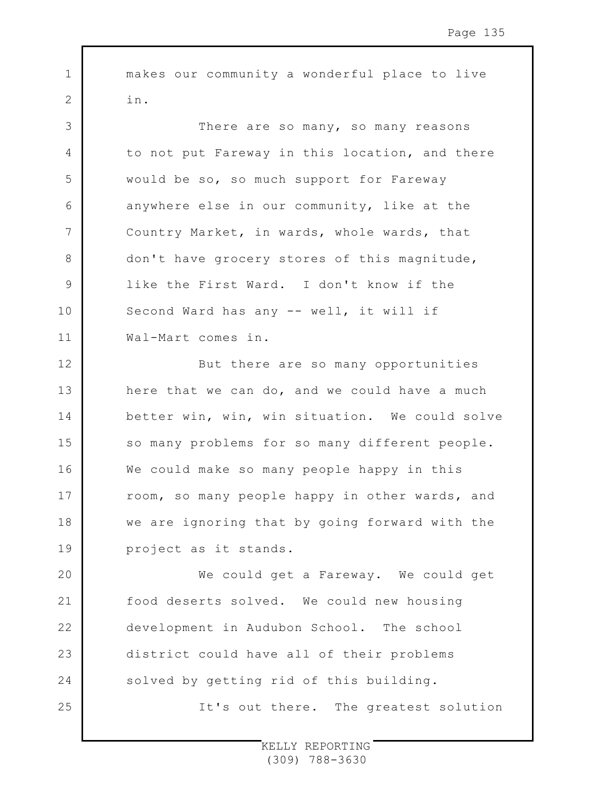makes our community a wonderful place to live in.

1

2

25

3 4 5 6 7 8 9 10 11 There are so many, so many reasons to not put Fareway in this location, and there would be so, so much support for Fareway anywhere else in our community, like at the Country Market, in wards, whole wards, that don't have grocery stores of this magnitude, like the First Ward. I don't know if the Second Ward has any -- well, it will if Wal-Mart comes in.

12 13 14 15 16 17 18 19 But there are so many opportunities here that we can do, and we could have a much better win, win, win situation. We could solve so many problems for so many different people. We could make so many people happy in this room, so many people happy in other wards, and we are ignoring that by going forward with the project as it stands.

 $20$ 21 22 23 24 We could get a Fareway. We could get food deserts solved. We could new housing development in Audubon School. The school district could have all of their problems solved by getting rid of this building.

It's out there. The greatest solution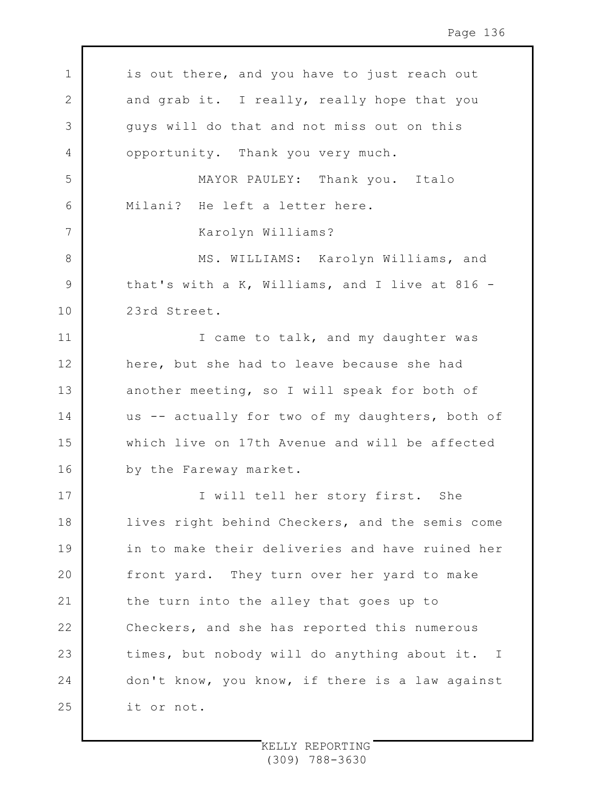| $\mathbf 1$ | is out there, and you have to just reach out    |
|-------------|-------------------------------------------------|
| 2           | and grab it. I really, really hope that you     |
| 3           | guys will do that and not miss out on this      |
| 4           | opportunity. Thank you very much.               |
| 5           | MAYOR PAULEY: Thank you. Italo                  |
| 6           | Milani? He left a letter here.                  |
| 7           | Karolyn Williams?                               |
| 8           | MS. WILLIAMS: Karolyn Williams, and             |
| 9           | that's with a K, Williams, and I live at 816 -  |
| 10          | 23rd Street.                                    |
| 11          | I came to talk, and my daughter was             |
| 12          | here, but she had to leave because she had      |
| 13          | another meeting, so I will speak for both of    |
| 14          | us -- actually for two of my daughters, both of |
| 15          | which live on 17th Avenue and will be affected  |
| 16          | by the Fareway market.                          |
| 17          | I will tell her story first. She                |
| 18          | lives right behind Checkers, and the semis come |
| 19          | in to make their deliveries and have ruined her |
| 20          | front yard. They turn over her yard to make     |
| 21          | the turn into the alley that goes up to         |
| 22          | Checkers, and she has reported this numerous    |
| 23          | times, but nobody will do anything about it. I  |
| 24          | don't know, you know, if there is a law against |
| 25          | it or not.                                      |

 $\Gamma$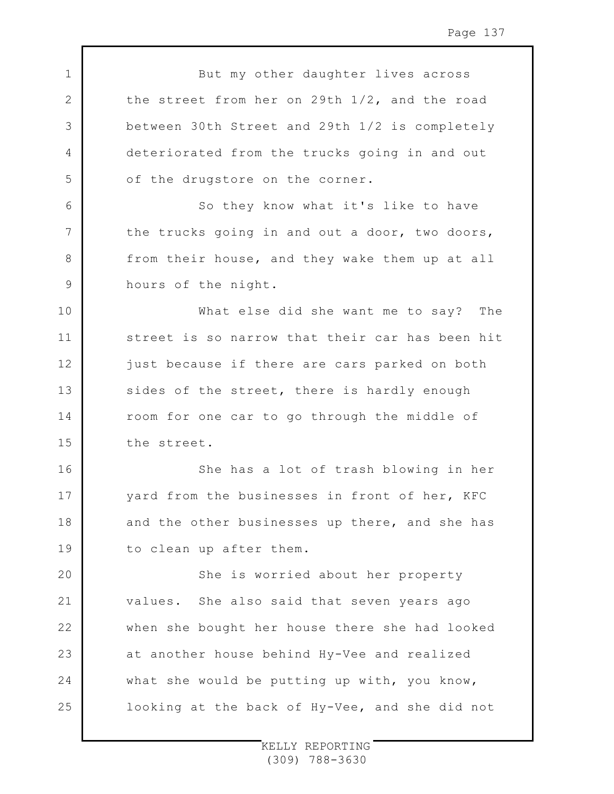1 2 3 4 5 6 7 8 9 10 11 12 13 14 15 16 17 18 19  $20$ 21 22 23 24 25 But my other daughter lives across the street from her on 29th 1/2, and the road between 30th Street and 29th 1/2 is completely deteriorated from the trucks going in and out of the drugstore on the corner. So they know what it's like to have the trucks going in and out a door, two doors, from their house, and they wake them up at all hours of the night. What else did she want me to say? The street is so narrow that their car has been hit just because if there are cars parked on both sides of the street, there is hardly enough room for one car to go through the middle of the street. She has a lot of trash blowing in her yard from the businesses in front of her, KFC and the other businesses up there, and she has to clean up after them. She is worried about her property values. She also said that seven years ago when she bought her house there she had looked at another house behind Hy-Vee and realized what she would be putting up with, you know, looking at the back of Hy-Vee, and she did not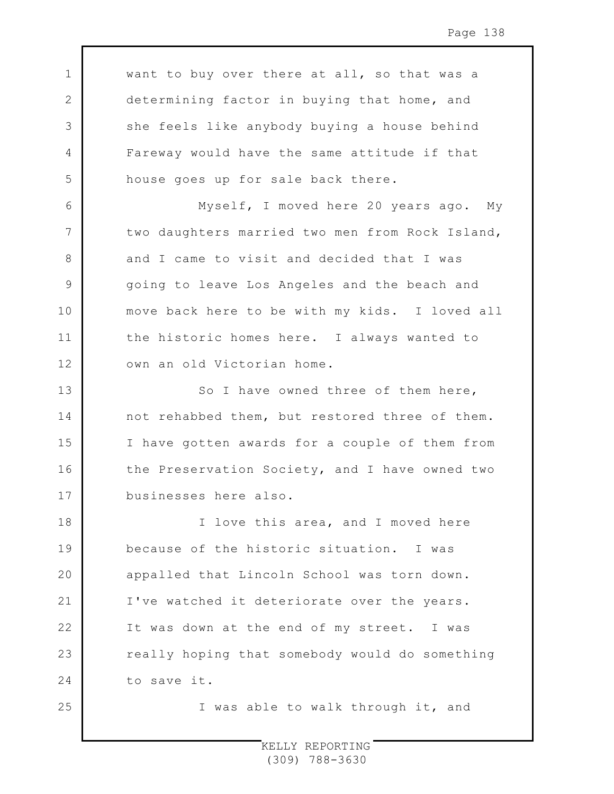want to buy over there at all, so that was a determining factor in buying that home, and she feels like anybody buying a house behind Fareway would have the same attitude if that house goes up for sale back there.

1

2

3

4

5

6

7

8

9

10

11

12

13

14

15

16

17

25

Myself, I moved here 20 years ago. My two daughters married two men from Rock Island, and I came to visit and decided that I was going to leave Los Angeles and the beach and move back here to be with my kids. I loved all the historic homes here. I always wanted to own an old Victorian home.

So I have owned three of them here, not rehabbed them, but restored three of them. I have gotten awards for a couple of them from the Preservation Society, and I have owned two businesses here also.

18 19  $20$ 21 22 23 24 I love this area, and I moved here because of the historic situation. I was appalled that Lincoln School was torn down. I've watched it deteriorate over the years. It was down at the end of my street. I was really hoping that somebody would do something to save it.

I was able to walk through it, and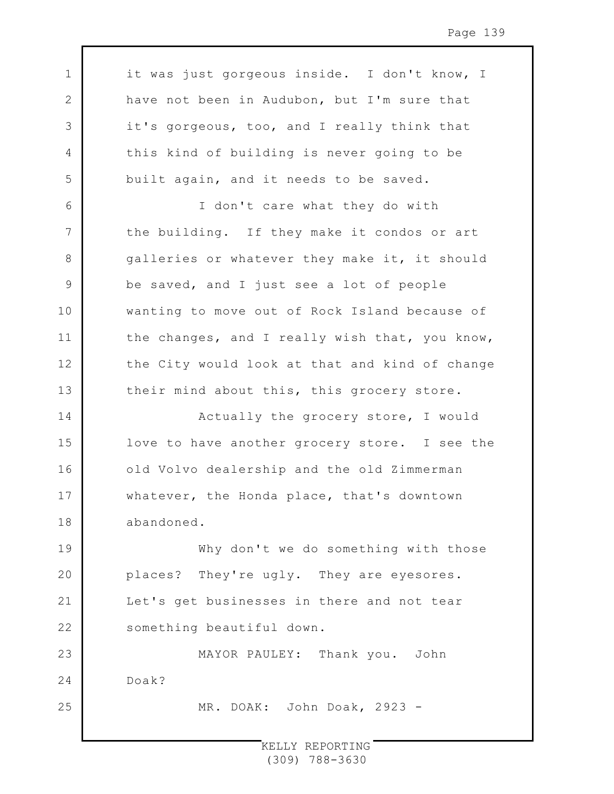it was just gorgeous inside. I don't know, I have not been in Audubon, but I'm sure that it's gorgeous, too, and I really think that this kind of building is never going to be built again, and it needs to be saved.

1

2

3

4

5

6

7

8

9

10

11

12

13

25

I don't care what they do with the building. If they make it condos or art galleries or whatever they make it, it should be saved, and I just see a lot of people wanting to move out of Rock Island because of the changes, and I really wish that, you know, the City would look at that and kind of change their mind about this, this grocery store.

14 15 16 17 18 Actually the grocery store, I would love to have another grocery store. I see the old Volvo dealership and the old Zimmerman whatever, the Honda place, that's downtown abandoned.

19 20 21 22 Why don't we do something with those places? They're ugly. They are eyesores. Let's get businesses in there and not tear something beautiful down.

23 24 MAYOR PAULEY: Thank you. John Doak?

MR. DOAK: John Doak, 2923 -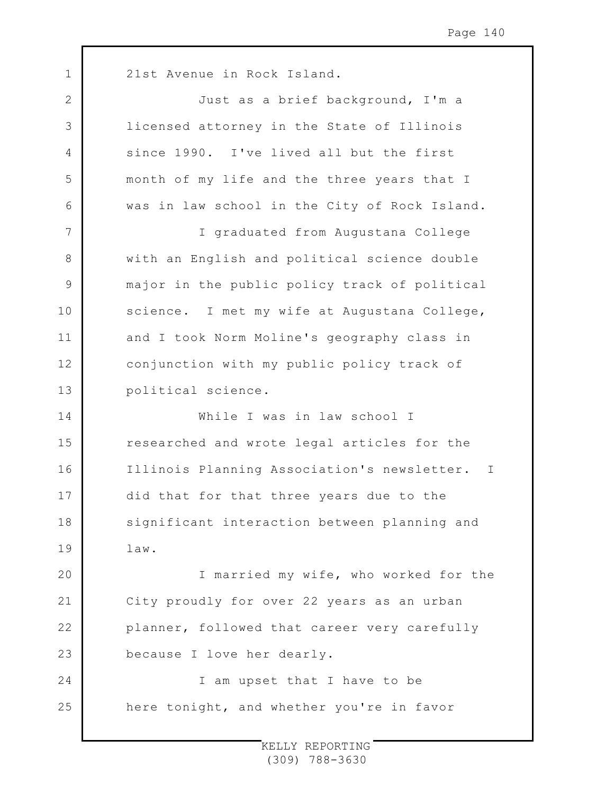1 2 3 4 5 6 7 8 9 10 11 12 13 14 15 16 17 18 19 20 21 22 23 24 25 21st Avenue in Rock Island. Just as a brief background, I'm a licensed attorney in the State of Illinois since 1990. I've lived all but the first month of my life and the three years that I was in law school in the City of Rock Island. I graduated from Augustana College with an English and political science double major in the public policy track of political science. I met my wife at Augustana College, and I took Norm Moline's geography class in conjunction with my public policy track of political science. While I was in law school I researched and wrote legal articles for the Illinois Planning Association's newsletter. I did that for that three years due to the significant interaction between planning and law. I married my wife, who worked for the City proudly for over 22 years as an urban planner, followed that career very carefully because I love her dearly. I am upset that I have to be here tonight, and whether you're in favor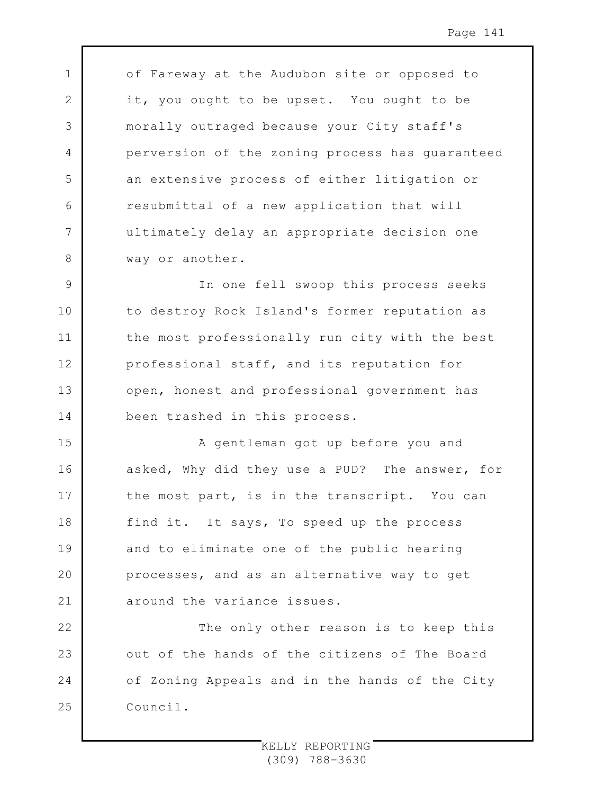of Fareway at the Audubon site or opposed to it, you ought to be upset. You ought to be morally outraged because your City staff's perversion of the zoning process has guaranteed an extensive process of either litigation or resubmittal of a new application that will ultimately delay an appropriate decision one way or another.

1

2

3

4

5

6

7

8

9 10 11 12 13 14 In one fell swoop this process seeks to destroy Rock Island's former reputation as the most professionally run city with the best professional staff, and its reputation for open, honest and professional government has been trashed in this process.

15 16 17 18 19 20 21 A gentleman got up before you and asked, Why did they use a PUD? The answer, for the most part, is in the transcript. You can find it. It says, To speed up the process and to eliminate one of the public hearing processes, and as an alternative way to get around the variance issues.

22 23 24 25 The only other reason is to keep this out of the hands of the citizens of The Board of Zoning Appeals and in the hands of the City Council.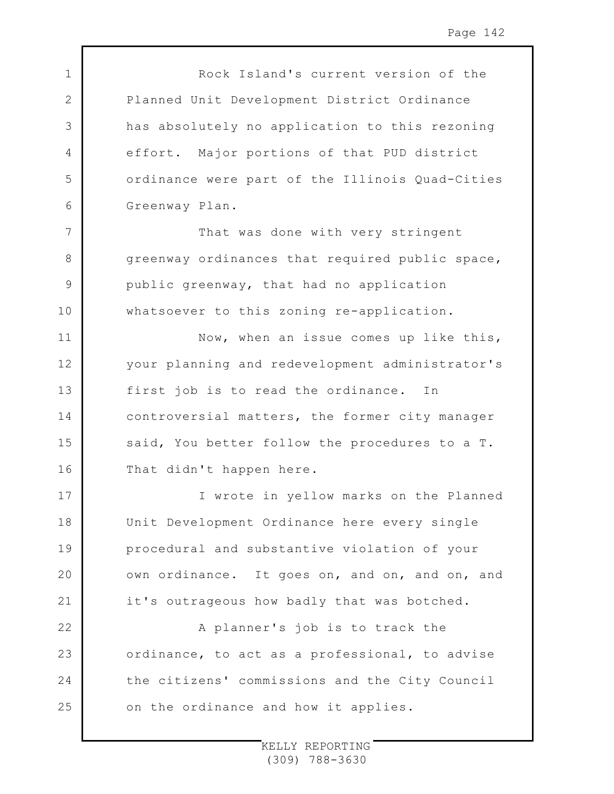1 2 3 4 5 6 7 8 9 10 11 12 13 14 15 16 17 18 19  $20$ 21 22 23 24 25 Rock Island's current version of the Planned Unit Development District Ordinance has absolutely no application to this rezoning effort. Major portions of that PUD district ordinance were part of the Illinois Quad-Cities Greenway Plan. That was done with very stringent greenway ordinances that required public space, public greenway, that had no application whatsoever to this zoning re-application. Now, when an issue comes up like this, your planning and redevelopment administrator's first job is to read the ordinance. In controversial matters, the former city manager said, You better follow the procedures to a T. That didn't happen here. I wrote in yellow marks on the Planned Unit Development Ordinance here every single procedural and substantive violation of your own ordinance. It goes on, and on, and on, and it's outrageous how badly that was botched. A planner's job is to track the ordinance, to act as a professional, to advise the citizens' commissions and the City Council on the ordinance and how it applies.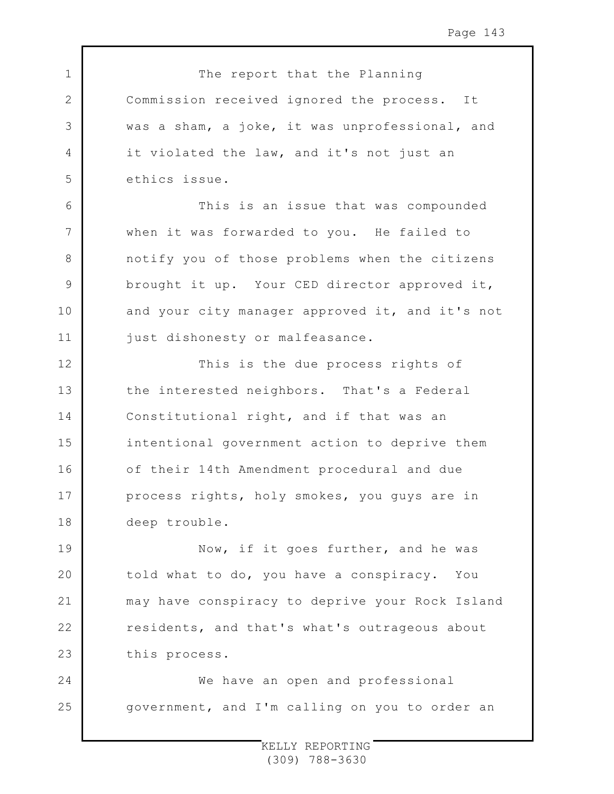Page 143

The report that the Planning Commission received ignored the process. It was a sham, a joke, it was unprofessional, and it violated the law, and it's not just an ethics issue. This is an issue that was compounded when it was forwarded to you. He failed to notify you of those problems when the citizens brought it up. Your CED director approved it, and your city manager approved it, and it's not just dishonesty or malfeasance.

1

2

3

4

5

6

7

8

9

10

11

12 13 14 15 16 17 18 This is the due process rights of the interested neighbors. That's a Federal Constitutional right, and if that was an intentional government action to deprive them of their 14th Amendment procedural and due process rights, holy smokes, you guys are in deep trouble.

19 20 21 22 23 Now, if it goes further, and he was told what to do, you have a conspiracy. You may have conspiracy to deprive your Rock Island residents, and that's what's outrageous about this process.

24 25 We have an open and professional government, and I'm calling on you to order an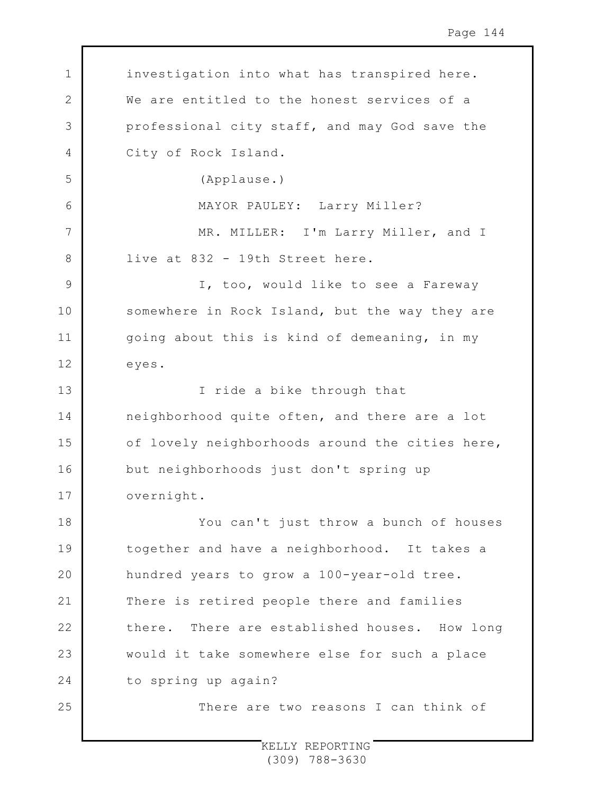1 2 3 4 5 6 7 8 9 10 11 12 13 14 15 16 17 18 19  $20$ 21 22 23 24 25 investigation into what has transpired here. We are entitled to the honest services of a professional city staff, and may God save the City of Rock Island. (Applause.) MAYOR PAULEY: Larry Miller? MR. MILLER: I'm Larry Miller, and I live at 832 - 19th Street here. I, too, would like to see a Fareway somewhere in Rock Island, but the way they are going about this is kind of demeaning, in my eyes. I ride a bike through that neighborhood quite often, and there are a lot of lovely neighborhoods around the cities here, but neighborhoods just don't spring up overnight. You can't just throw a bunch of houses together and have a neighborhood. It takes a hundred years to grow a 100-year-old tree. There is retired people there and families there. There are established houses. How long would it take somewhere else for such a place to spring up again? There are two reasons I can think of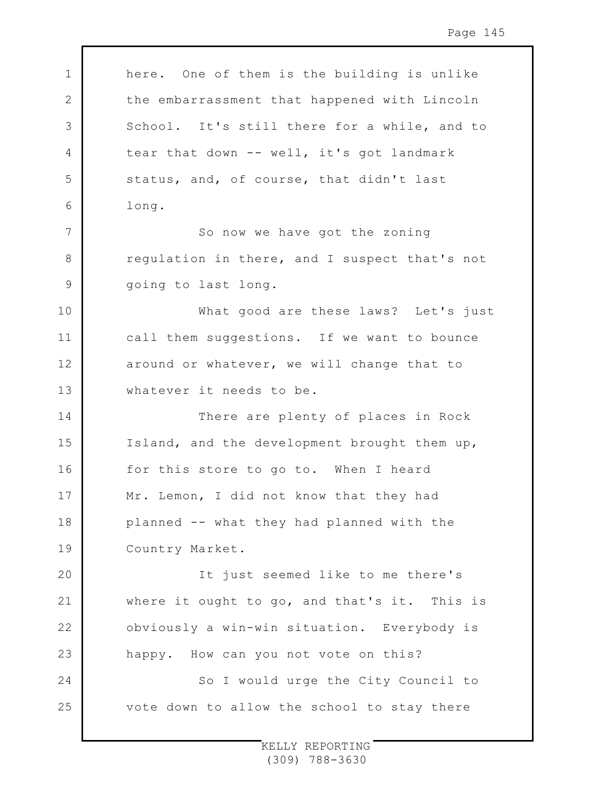1 2 3 4 5 6 7 8 9 10 11 12 13 14 15 16 17 18 19 20 21 22 23 24 25 here. One of them is the building is unlike the embarrassment that happened with Lincoln School. It's still there for a while, and to tear that down -- well, it's got landmark status, and, of course, that didn't last long. So now we have got the zoning regulation in there, and I suspect that's not going to last long. What good are these laws? Let's just call them suggestions. If we want to bounce around or whatever, we will change that to whatever it needs to be. There are plenty of places in Rock Island, and the development brought them up, for this store to go to. When I heard Mr. Lemon, I did not know that they had planned -- what they had planned with the Country Market. It just seemed like to me there's where it ought to go, and that's it. This is obviously a win-win situation. Everybody is happy. How can you not vote on this? So I would urge the City Council to vote down to allow the school to stay there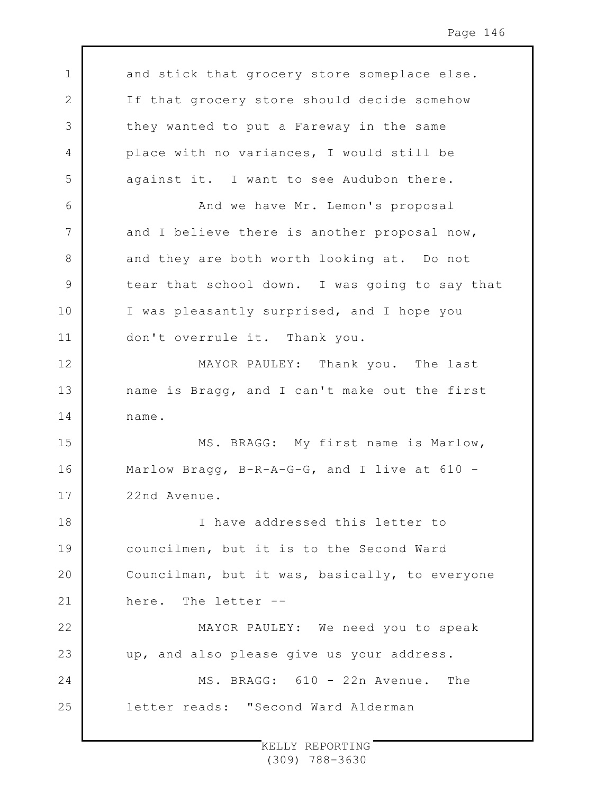1 2 3 4 5 6 7 8 9 10 11 12 13 14 15 16 17 18 19 20 21 22 23 24 25 and stick that grocery store someplace else. If that grocery store should decide somehow they wanted to put a Fareway in the same place with no variances, I would still be against it. I want to see Audubon there. And we have Mr. Lemon's proposal and I believe there is another proposal now, and they are both worth looking at. Do not tear that school down. I was going to say that I was pleasantly surprised, and I hope you don't overrule it. Thank you. MAYOR PAULEY: Thank you. The last name is Bragg, and I can't make out the first name. MS. BRAGG: My first name is Marlow, Marlow Bragg, B-R-A-G-G, and I live at 610 -22nd Avenue. I have addressed this letter to councilmen, but it is to the Second Ward Councilman, but it was, basically, to everyone here. The letter -- MAYOR PAULEY: We need you to speak up, and also please give us your address. MS. BRAGG: 610 - 22n Avenue. The letter reads: "Second Ward Alderman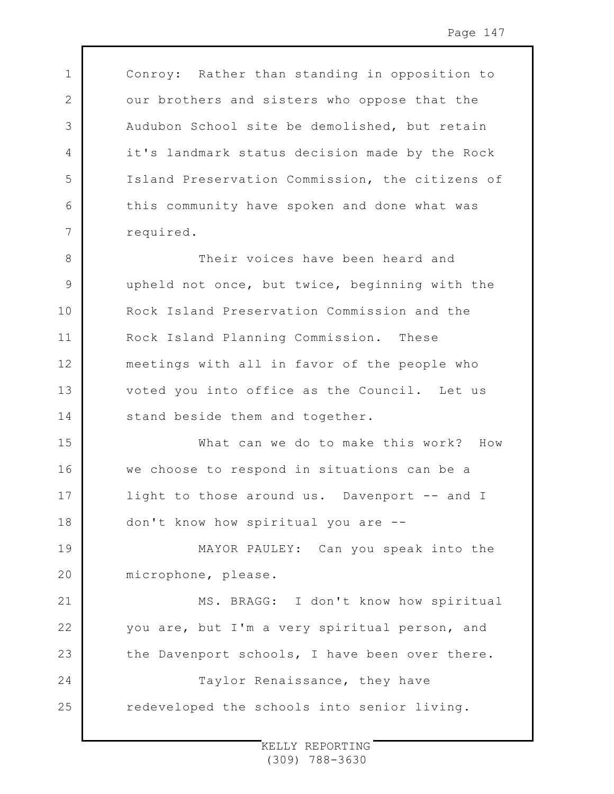Conroy: Rather than standing in opposition to our brothers and sisters who oppose that the Audubon School site be demolished, but retain it's landmark status decision made by the Rock Island Preservation Commission, the citizens of this community have spoken and done what was required.

1

2

3

4

5

6

7

8 9 10 11 12 13 14 Their voices have been heard and upheld not once, but twice, beginning with the Rock Island Preservation Commission and the Rock Island Planning Commission. These meetings with all in favor of the people who voted you into office as the Council. Let us stand beside them and together.

15 16 17 18 What can we do to make this work? How we choose to respond in situations can be a light to those around us. Davenport -- and I don't know how spiritual you are --

19  $20$ MAYOR PAULEY: Can you speak into the microphone, please.

21 22 23 24 25 MS. BRAGG: I don't know how spiritual you are, but I'm a very spiritual person, and the Davenport schools, I have been over there. Taylor Renaissance, they have redeveloped the schools into senior living.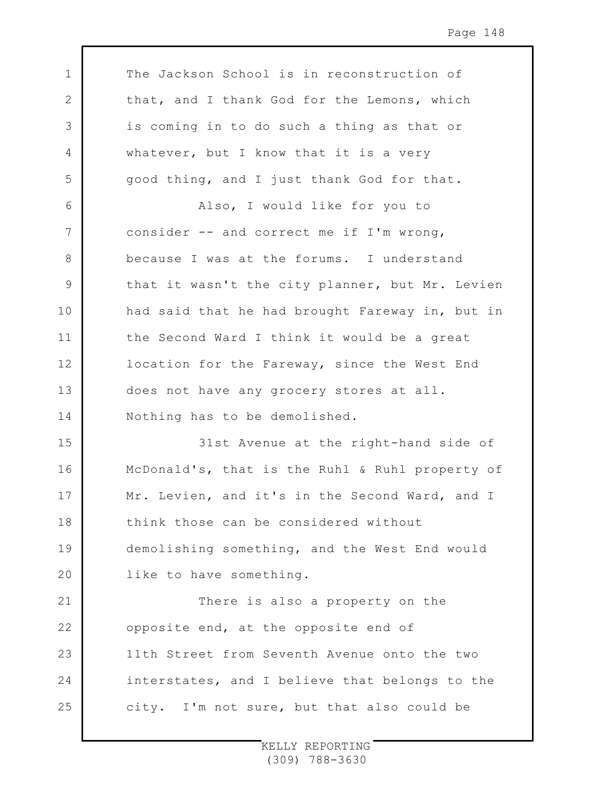1 2 3 4 5 6 7 8 9 10 11 12 13 14 15 16 17 18 19  $20$ 21 22 23 24 25 The Jackson School is in reconstruction of that, and I thank God for the Lemons, which is coming in to do such a thing as that or whatever, but I know that it is a very good thing, and I just thank God for that. Also, I would like for you to consider -- and correct me if I'm wrong, because I was at the forums. I understand that it wasn't the city planner, but Mr. Levien had said that he had brought Fareway in, but in the Second Ward I think it would be a great location for the Fareway, since the West End does not have any grocery stores at all. Nothing has to be demolished. 31st Avenue at the right-hand side of McDonald's, that is the Ruhl & Ruhl property of Mr. Levien, and it's in the Second Ward, and I think those can be considered without demolishing something, and the West End would like to have something. There is also a property on the opposite end, at the opposite end of 11th Street from Seventh Avenue onto the two interstates, and I believe that belongs to the city. I'm not sure, but that also could be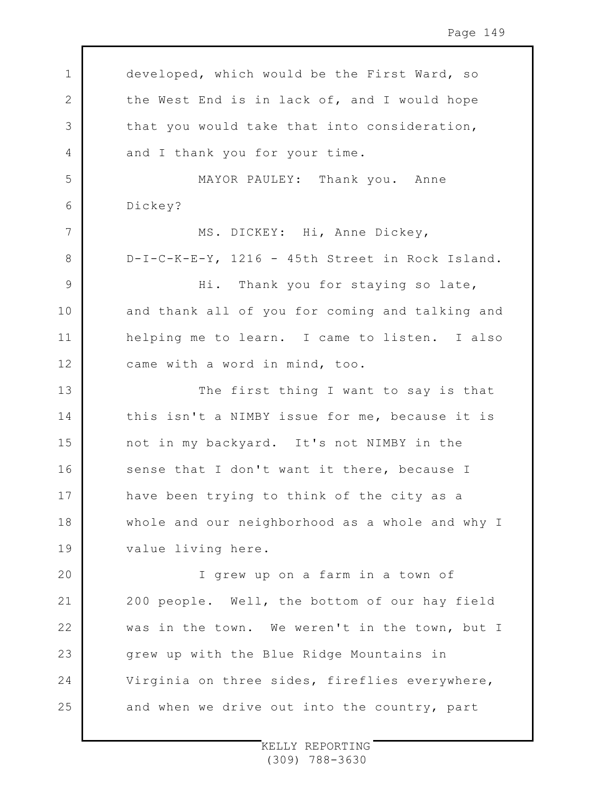1 2 3 4 5 6 7 8 9 10 11 12 13 14 15 16 17 18 19 20 21 22 23 24 25 developed, which would be the First Ward, so the West End is in lack of, and I would hope that you would take that into consideration, and I thank you for your time. MAYOR PAULEY: Thank you. Anne Dickey? MS. DICKEY: Hi, Anne Dickey, D-I-C-K-E-Y, 1216 - 45th Street in Rock Island. Hi. Thank you for staying so late, and thank all of you for coming and talking and helping me to learn. I came to listen. I also came with a word in mind, too. The first thing I want to say is that this isn't a NIMBY issue for me, because it is not in my backyard. It's not NIMBY in the sense that I don't want it there, because I have been trying to think of the city as a whole and our neighborhood as a whole and why I value living here. I grew up on a farm in a town of 200 people. Well, the bottom of our hay field was in the town. We weren't in the town, but I grew up with the Blue Ridge Mountains in Virginia on three sides, fireflies everywhere, and when we drive out into the country, part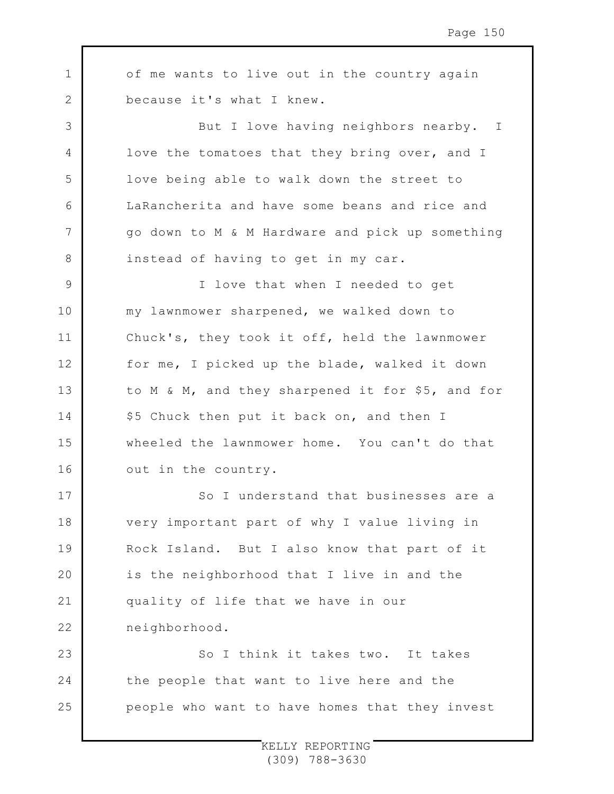1 2 3 4 5 6 of me wants to live out in the country again because it's what I knew. But I love having neighbors nearby. I love the tomatoes that they bring over, and I love being able to walk down the street to LaRancherita and have some beans and rice and

7

8

go down to M & M Hardware and pick up something instead of having to get in my car.

9 10 11 12 13 14 15 16 I love that when I needed to get my lawnmower sharpened, we walked down to Chuck's, they took it off, held the lawnmower for me, I picked up the blade, walked it down to M & M, and they sharpened it for \$5, and for \$5 Chuck then put it back on, and then I wheeled the lawnmower home. You can't do that out in the country.

17 18 19  $20$ 21 22 So I understand that businesses are a very important part of why I value living in Rock Island. But I also know that part of it is the neighborhood that I live in and the quality of life that we have in our neighborhood.

23 24 25 So I think it takes two. It takes the people that want to live here and the people who want to have homes that they invest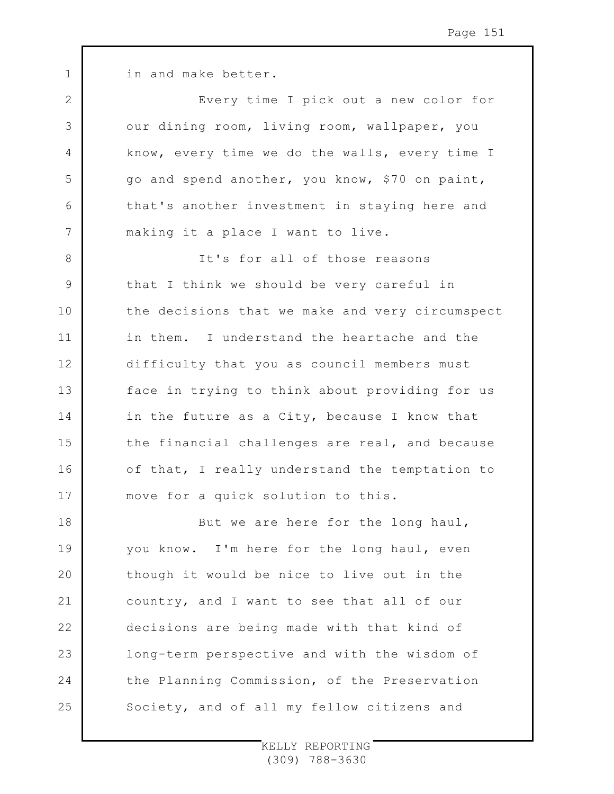in and make better.

1

2

3

4

5

6

7

8

9

11

12

14

16

Every time I pick out a new color for our dining room, living room, wallpaper, you know, every time we do the walls, every time I go and spend another, you know, \$70 on paint, that's another investment in staying here and making it a place I want to live.

10 13 15 17 It's for all of those reasons that I think we should be very careful in the decisions that we make and very circumspect in them. I understand the heartache and the difficulty that you as council members must face in trying to think about providing for us in the future as a City, because I know that the financial challenges are real, and because of that, I really understand the temptation to move for a quick solution to this.

18 19  $20$ 21 22 23 24 25 But we are here for the long haul, you know. I'm here for the long haul, even though it would be nice to live out in the country, and I want to see that all of our decisions are being made with that kind of long-term perspective and with the wisdom of the Planning Commission, of the Preservation Society, and of all my fellow citizens and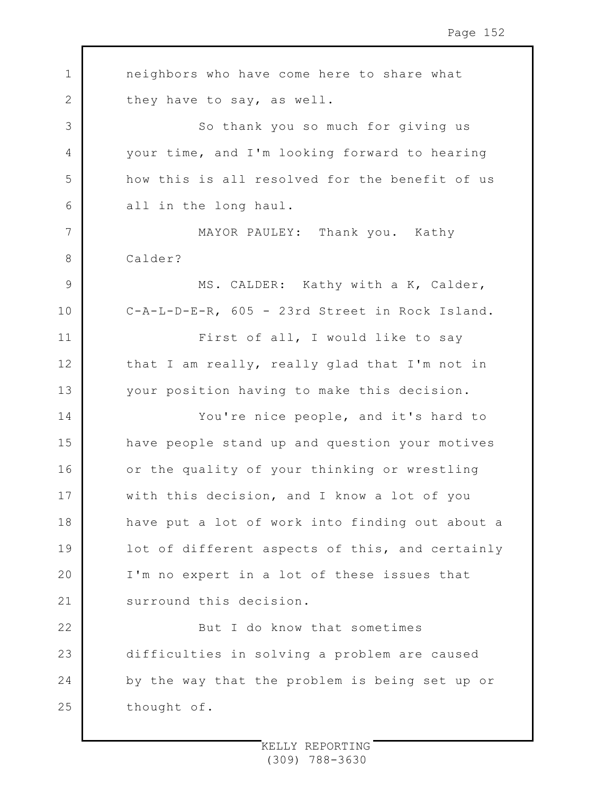1 2 3 4 5 6 7 8 9 10 11 12 13 14 15 16 17 18 19 20 21 22 23 24 25 neighbors who have come here to share what they have to say, as well. So thank you so much for giving us your time, and I'm looking forward to hearing how this is all resolved for the benefit of us all in the long haul. MAYOR PAULEY: Thank you. Kathy Calder? MS. CALDER: Kathy with a K, Calder, C-A-L-D-E-R, 605 - 23rd Street in Rock Island. First of all, I would like to say that I am really, really glad that I'm not in your position having to make this decision. You're nice people, and it's hard to have people stand up and question your motives or the quality of your thinking or wrestling with this decision, and I know a lot of you have put a lot of work into finding out about a lot of different aspects of this, and certainly I'm no expert in a lot of these issues that surround this decision. But I do know that sometimes difficulties in solving a problem are caused by the way that the problem is being set up or thought of.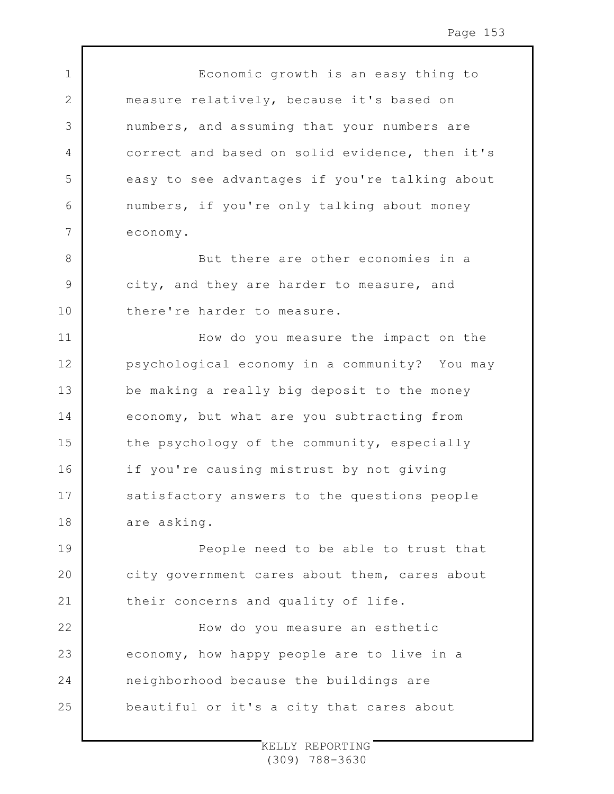Economic growth is an easy thing to measure relatively, because it's based on numbers, and assuming that your numbers are correct and based on solid evidence, then it's easy to see advantages if you're talking about numbers, if you're only talking about money economy.

1

2

3

4

5

6

7

8

9

10

11

12

13

14

15

16

17

18

But there are other economies in a city, and they are harder to measure, and there're harder to measure.

How do you measure the impact on the psychological economy in a community? You may be making a really big deposit to the money economy, but what are you subtracting from the psychology of the community, especially if you're causing mistrust by not giving satisfactory answers to the questions people are asking.

19 20 21 People need to be able to trust that city government cares about them, cares about their concerns and quality of life.

22 23 24 25 How do you measure an esthetic economy, how happy people are to live in a neighborhood because the buildings are beautiful or it's a city that cares about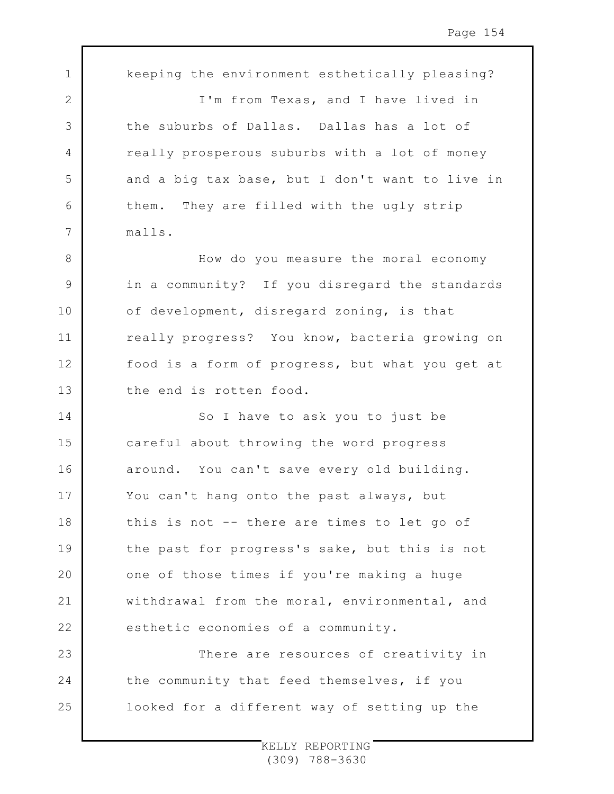1 2 3 4 5 6 7 8 9 10 11 12 13 14 15 16 17 18 19  $20$ 21 22 23 24 25 keeping the environment esthetically pleasing? I'm from Texas, and I have lived in the suburbs of Dallas. Dallas has a lot of really prosperous suburbs with a lot of money and a big tax base, but I don't want to live in them. They are filled with the ugly strip malls. How do you measure the moral economy in a community? If you disregard the standards of development, disregard zoning, is that really progress? You know, bacteria growing on food is a form of progress, but what you get at the end is rotten food. So I have to ask you to just be careful about throwing the word progress around. You can't save every old building. You can't hang onto the past always, but this is not -- there are times to let go of the past for progress's sake, but this is not one of those times if you're making a huge withdrawal from the moral, environmental, and esthetic economies of a community. There are resources of creativity in the community that feed themselves, if you looked for a different way of setting up the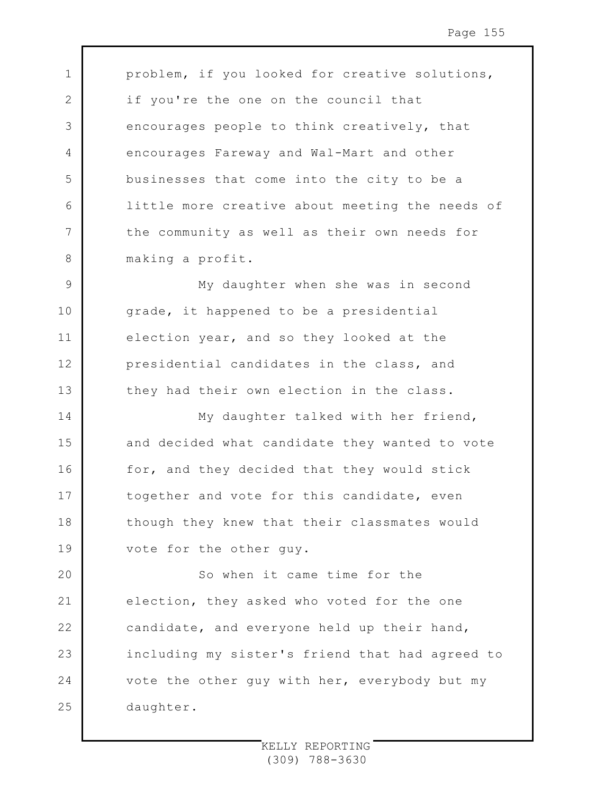problem, if you looked for creative solutions, if you're the one on the council that encourages people to think creatively, that encourages Fareway and Wal-Mart and other businesses that come into the city to be a little more creative about meeting the needs of the community as well as their own needs for making a profit.

1

2

3

4

5

6

7

8

9 10 11 12 13 My daughter when she was in second grade, it happened to be a presidential election year, and so they looked at the presidential candidates in the class, and they had their own election in the class.

14 15 16 17 18 19 My daughter talked with her friend, and decided what candidate they wanted to vote for, and they decided that they would stick together and vote for this candidate, even though they knew that their classmates would vote for the other guy.

 $20$ 21 22 23 24 25 So when it came time for the election, they asked who voted for the one candidate, and everyone held up their hand, including my sister's friend that had agreed to vote the other guy with her, everybody but my daughter.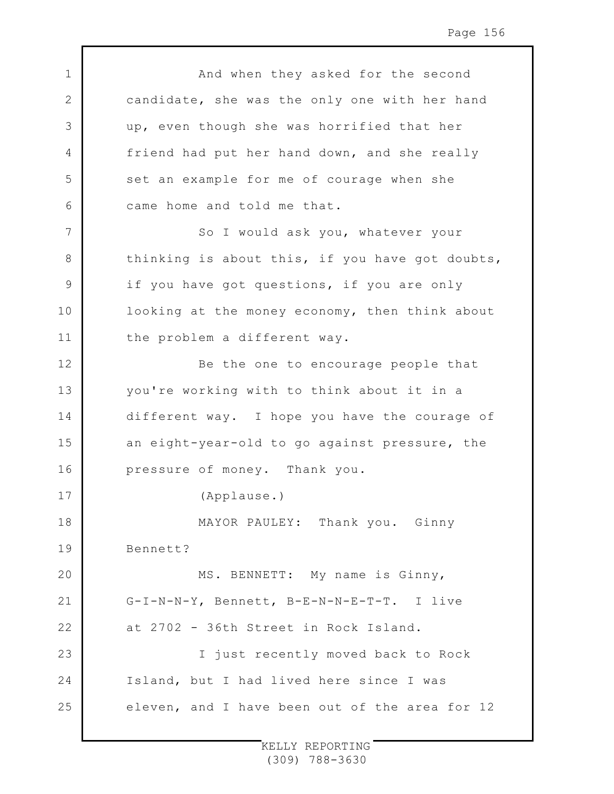1 2 3 4 5 6 7 8 9 10 11 12 13 14 15 16 17 18 19  $20$ 21 22 23 24 25 And when they asked for the second candidate, she was the only one with her hand up, even though she was horrified that her friend had put her hand down, and she really set an example for me of courage when she came home and told me that. So I would ask you, whatever your thinking is about this, if you have got doubts, if you have got questions, if you are only looking at the money economy, then think about the problem a different way. Be the one to encourage people that you're working with to think about it in a different way. I hope you have the courage of an eight-year-old to go against pressure, the pressure of money. Thank you. (Applause.) MAYOR PAULEY: Thank you. Ginny Bennett? MS. BENNETT: My name is Ginny, G-I-N-N-Y, Bennett, B-E-N-N-E-T-T. I live at 2702 - 36th Street in Rock Island. I just recently moved back to Rock Island, but I had lived here since I was eleven, and I have been out of the area for 12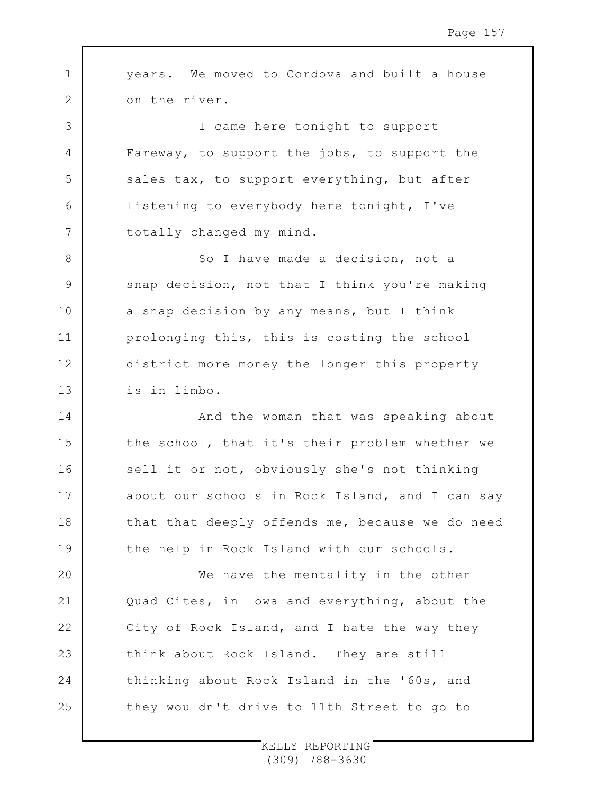1 2 3 4 5 6 7 8 9 10 11 12 13 14 15 16 17 18 19 20 21 22 23 24 25 years. We moved to Cordova and built a house on the river. I came here tonight to support Fareway, to support the jobs, to support the sales tax, to support everything, but after listening to everybody here tonight, I've totally changed my mind. So I have made a decision, not a snap decision, not that I think you're making a snap decision by any means, but I think prolonging this, this is costing the school district more money the longer this property is in limbo. And the woman that was speaking about the school, that it's their problem whether we sell it or not, obviously she's not thinking about our schools in Rock Island, and I can say that that deeply offends me, because we do need the help in Rock Island with our schools. We have the mentality in the other Quad Cites, in Iowa and everything, about the City of Rock Island, and I hate the way they think about Rock Island. They are still thinking about Rock Island in the '60s, and they wouldn't drive to 11th Street to go to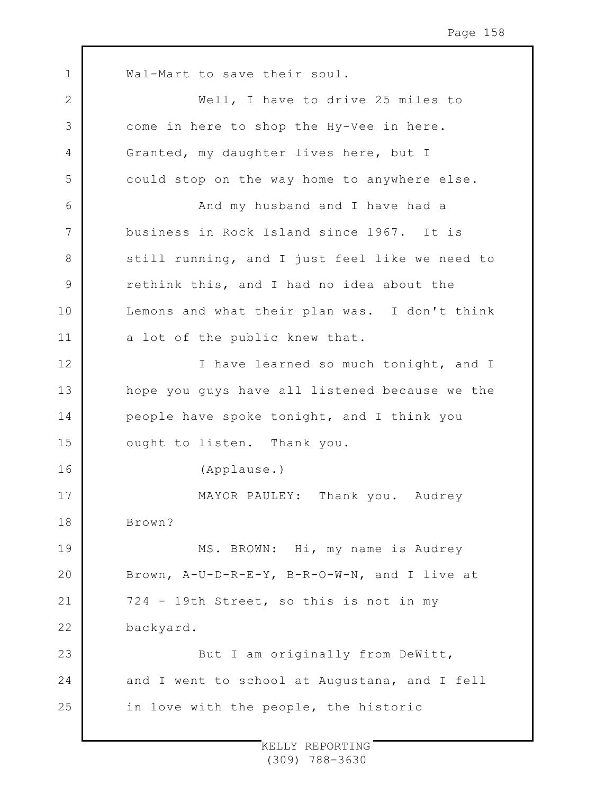1 2 3 4 5 6 7 8 9 10 11 12 13 14 15 16 17 18 19 20 21 22 23 24 25 Wal-Mart to save their soul. Well, I have to drive 25 miles to come in here to shop the Hy-Vee in here. Granted, my daughter lives here, but I could stop on the way home to anywhere else. And my husband and I have had a business in Rock Island since 1967. It is still running, and I just feel like we need to rethink this, and I had no idea about the Lemons and what their plan was. I don't think a lot of the public knew that. I have learned so much tonight, and I hope you guys have all listened because we the people have spoke tonight, and I think you ought to listen. Thank you. (Applause.) MAYOR PAULEY: Thank you. Audrey Brown? MS. BROWN: Hi, my name is Audrey Brown, A-U-D-R-E-Y, B-R-O-W-N, and I live at 724 - 19th Street, so this is not in my backyard. But I am originally from DeWitt, and I went to school at Augustana, and I fell in love with the people, the historic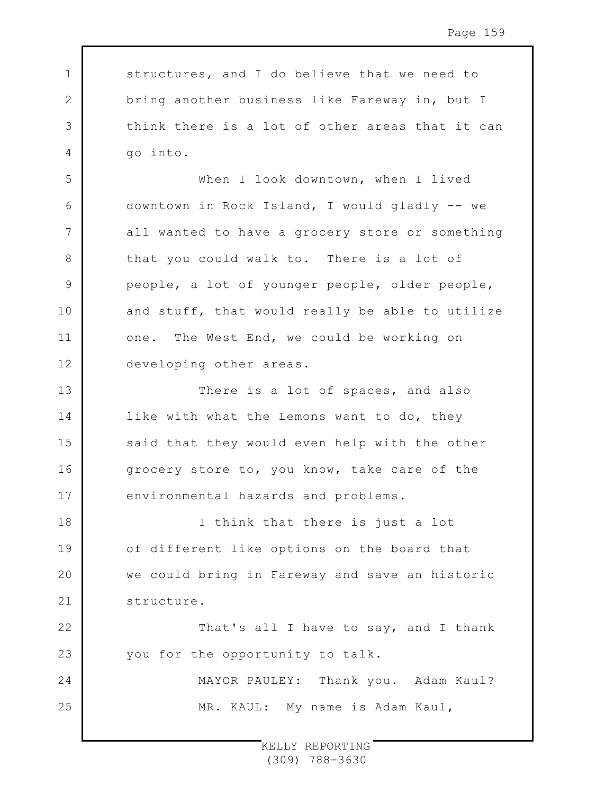structures, and I do believe that we need to bring another business like Fareway in, but I think there is a lot of other areas that it can go into.

1

2

3

4

5

6

7

8

9

10

11

12

22

23

24

25

When I look downtown, when I lived downtown in Rock Island, I would gladly -- we all wanted to have a grocery store or something that you could walk to. There is a lot of people, a lot of younger people, older people, and stuff, that would really be able to utilize one. The West End, we could be working on developing other areas.

13 14 15 16 17 There is a lot of spaces, and also like with what the Lemons want to do, they said that they would even help with the other grocery store to, you know, take care of the environmental hazards and problems.

18 19  $20$ 21 I think that there is just a lot of different like options on the board that we could bring in Fareway and save an historic structure.

> That's all I have to say, and I thank you for the opportunity to talk.

MAYOR PAULEY: Thank you. Adam Kaul? MR. KAUL: My name is Adam Kaul,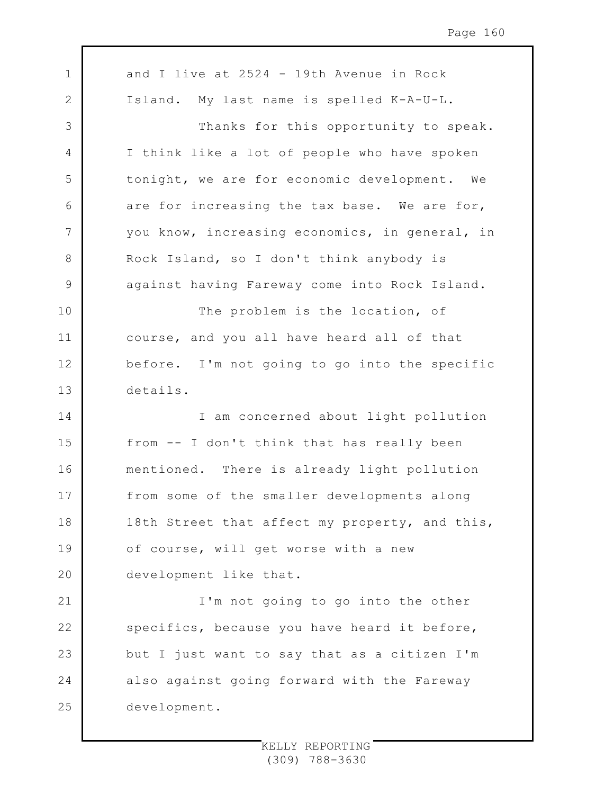1 2 3 4 5 6 7 8 9 10 11 12 13 14 15 16 17 18 19 20 21 22 23 24 25 and I live at 2524 - 19th Avenue in Rock Island. My last name is spelled K-A-U-L. Thanks for this opportunity to speak. I think like a lot of people who have spoken tonight, we are for economic development. We are for increasing the tax base. We are for, you know, increasing economics, in general, in Rock Island, so I don't think anybody is against having Fareway come into Rock Island. The problem is the location, of course, and you all have heard all of that before. I'm not going to go into the specific details. I am concerned about light pollution from -- I don't think that has really been mentioned. There is already light pollution from some of the smaller developments along 18th Street that affect my property, and this, of course, will get worse with a new development like that. I'm not going to go into the other specifics, because you have heard it before, but I just want to say that as a citizen I'm also against going forward with the Fareway development.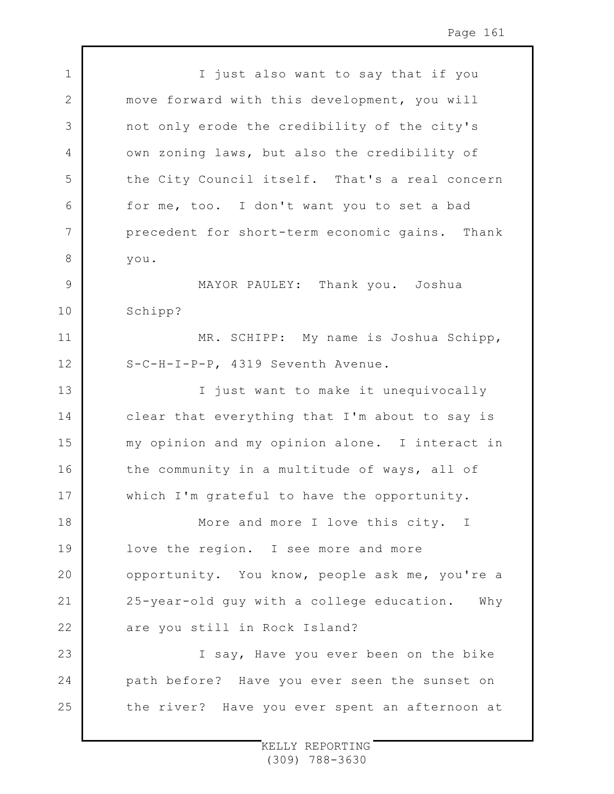1 2 3 4 5 6 7 8 9 10 11 12 13 14 15 16 17 18 19  $20$ 21 22 23 24 25 I just also want to say that if you move forward with this development, you will not only erode the credibility of the city's own zoning laws, but also the credibility of the City Council itself. That's a real concern for me, too. I don't want you to set a bad precedent for short-term economic gains. Thank you. MAYOR PAULEY: Thank you. Joshua Schipp? MR. SCHIPP: My name is Joshua Schipp, S-C-H-I-P-P, 4319 Seventh Avenue. I just want to make it unequivocally clear that everything that I'm about to say is my opinion and my opinion alone. I interact in the community in a multitude of ways, all of which I'm grateful to have the opportunity. More and more I love this city. I love the region. I see more and more opportunity. You know, people ask me, you're a 25-year-old guy with a college education. Why are you still in Rock Island? I say, Have you ever been on the bike path before? Have you ever seen the sunset on the river? Have you ever spent an afternoon at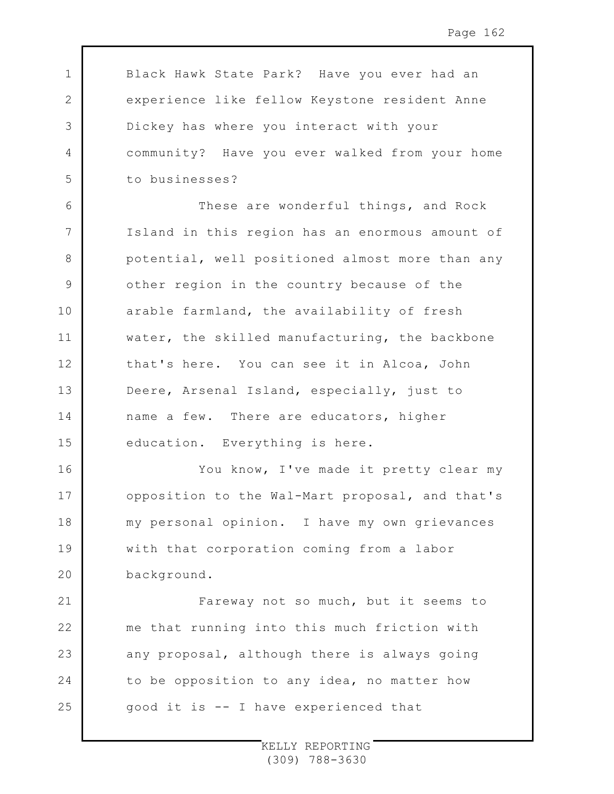Black Hawk State Park? Have you ever had an experience like fellow Keystone resident Anne Dickey has where you interact with your community? Have you ever walked from your home to businesses?

1

2

3

4

5

8

11

12

14

16

17

18

19

 $20$ 

21

22

23

24

25

6 7 9 10 13 15 These are wonderful things, and Rock Island in this region has an enormous amount of potential, well positioned almost more than any other region in the country because of the arable farmland, the availability of fresh water, the skilled manufacturing, the backbone that's here. You can see it in Alcoa, John Deere, Arsenal Island, especially, just to name a few. There are educators, higher education. Everything is here.

You know, I've made it pretty clear my opposition to the Wal-Mart proposal, and that's my personal opinion. I have my own grievances with that corporation coming from a labor background.

Fareway not so much, but it seems to me that running into this much friction with any proposal, although there is always going to be opposition to any idea, no matter how good it is -- I have experienced that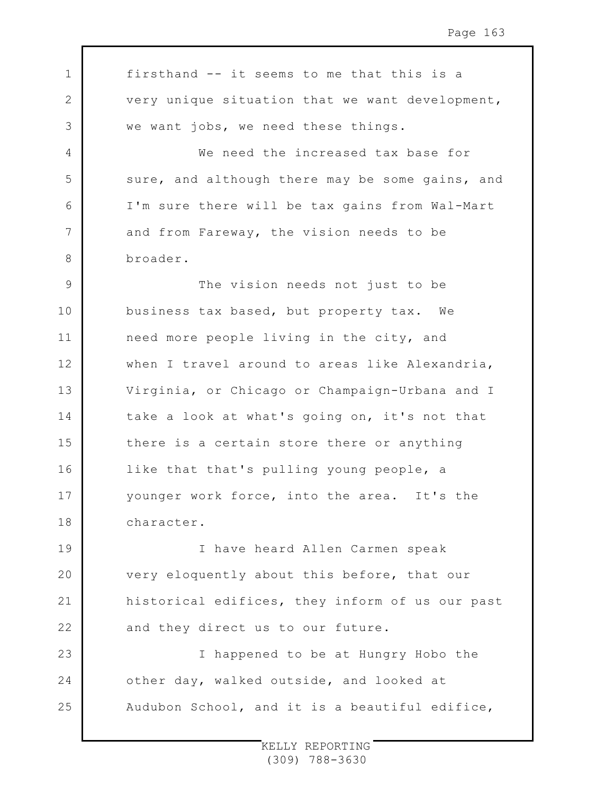1 2 3 4 5 6 7 8 9 10 11 12 13 14 15 16 17 18 19 20 21 22 23 24 25 firsthand -- it seems to me that this is a very unique situation that we want development, we want jobs, we need these things. We need the increased tax base for sure, and although there may be some gains, and I'm sure there will be tax gains from Wal-Mart and from Fareway, the vision needs to be broader. The vision needs not just to be business tax based, but property tax. We need more people living in the city, and when I travel around to areas like Alexandria, Virginia, or Chicago or Champaign-Urbana and I take a look at what's going on, it's not that there is a certain store there or anything like that that's pulling young people, a younger work force, into the area. It's the character. I have heard Allen Carmen speak very eloquently about this before, that our historical edifices, they inform of us our past and they direct us to our future. I happened to be at Hungry Hobo the other day, walked outside, and looked at Audubon School, and it is a beautiful edifice,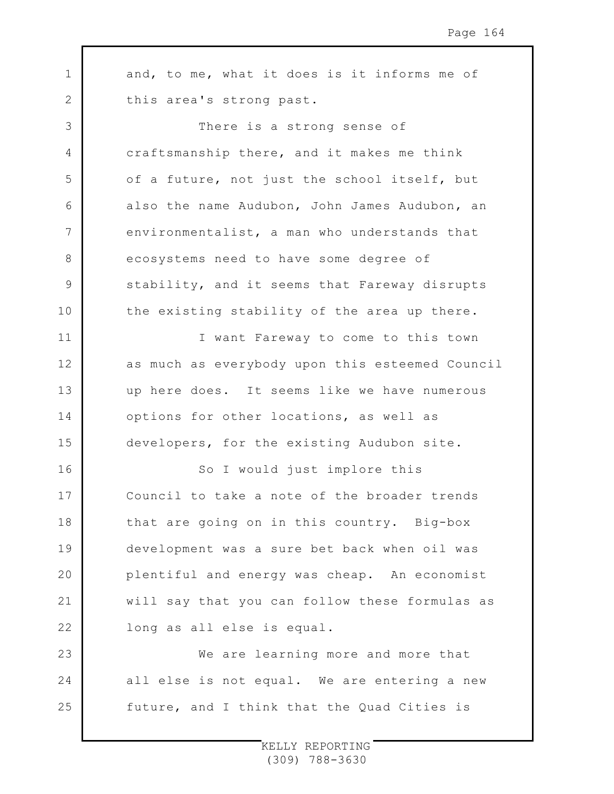1 2 3 4 5 6 7 8 9 10 11 12 13 14 15 16 17 18 19  $20$ 21 22 23 24 25 and, to me, what it does is it informs me of this area's strong past. There is a strong sense of craftsmanship there, and it makes me think of a future, not just the school itself, but also the name Audubon, John James Audubon, an environmentalist, a man who understands that ecosystems need to have some degree of stability, and it seems that Fareway disrupts the existing stability of the area up there. I want Fareway to come to this town as much as everybody upon this esteemed Council up here does. It seems like we have numerous options for other locations, as well as developers, for the existing Audubon site. So I would just implore this Council to take a note of the broader trends that are going on in this country. Big-box development was a sure bet back when oil was plentiful and energy was cheap. An economist will say that you can follow these formulas as long as all else is equal. We are learning more and more that all else is not equal. We are entering a new future, and I think that the Quad Cities is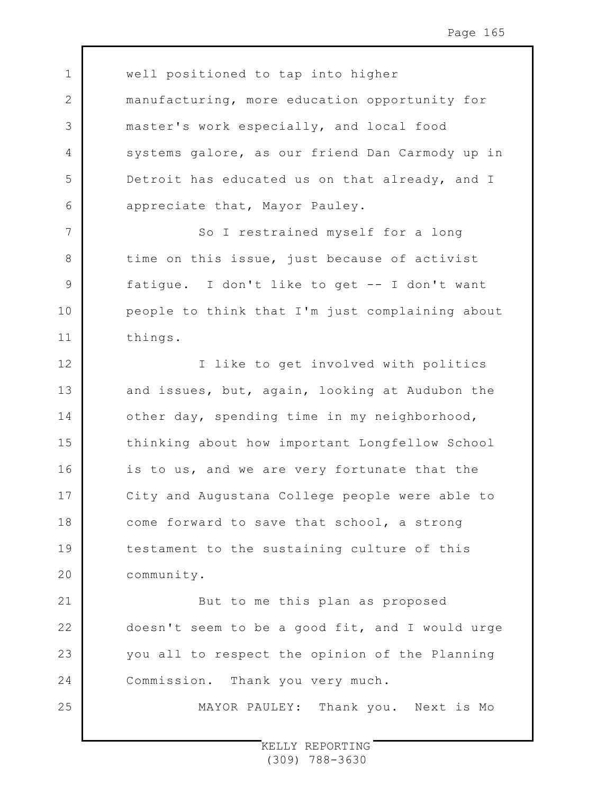1 2 3 4 5 6 7 8 9 10 11 12 13 14 15 16 17 18 19 20 21 22 23 24 well positioned to tap into higher manufacturing, more education opportunity for master's work especially, and local food systems galore, as our friend Dan Carmody up in Detroit has educated us on that already, and I appreciate that, Mayor Pauley. So I restrained myself for a long time on this issue, just because of activist fatigue. I don't like to get -- I don't want people to think that I'm just complaining about things. I like to get involved with politics and issues, but, again, looking at Audubon the other day, spending time in my neighborhood, thinking about how important Longfellow School is to us, and we are very fortunate that the City and Augustana College people were able to come forward to save that school, a strong testament to the sustaining culture of this community. But to me this plan as proposed doesn't seem to be a good fit, and I would urge you all to respect the opinion of the Planning Commission. Thank you very much.

MAYOR PAULEY: Thank you. Next is Mo

25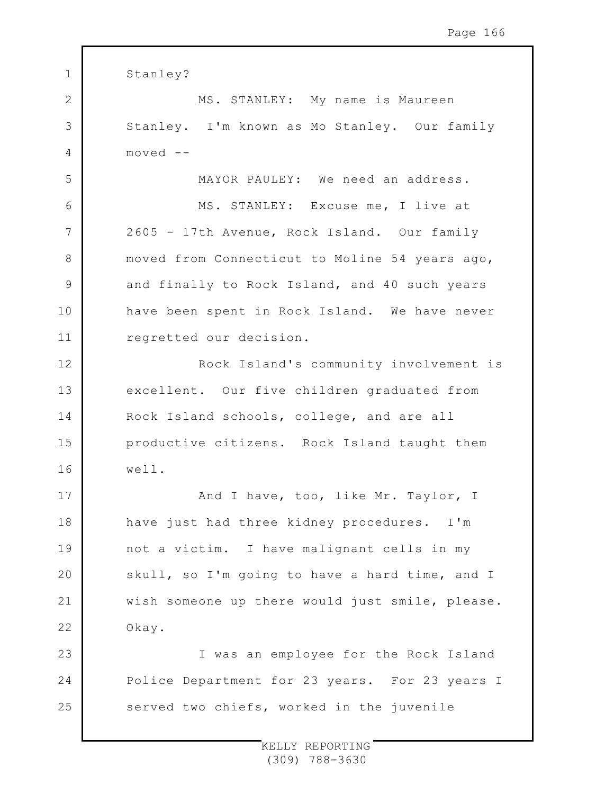| $\mathbf 1$    | Stanley?                                        |
|----------------|-------------------------------------------------|
| $\overline{2}$ | MS. STANLEY: My name is Maureen                 |
| 3              | Stanley. I'm known as Mo Stanley. Our family    |
| 4              | $move d - -$                                    |
| 5              | MAYOR PAULEY: We need an address.               |
| 6              | MS. STANLEY: Excuse me, I live at               |
| 7              | 2605 - 17th Avenue, Rock Island. Our family     |
| 8              | moved from Connecticut to Moline 54 years ago,  |
| 9              | and finally to Rock Island, and 40 such years   |
| 10             | have been spent in Rock Island. We have never   |
| 11             | regretted our decision.                         |
| 12             | Rock Island's community involvement is          |
| 13             | excellent. Our five children graduated from     |
| 14             | Rock Island schools, college, and are all       |
| 15             | productive citizens. Rock Island taught them    |
| 16             | well.                                           |
| 17             | And I have, too, like Mr. Taylor, I             |
| 18             | have just had three kidney procedures. I'm      |
| 19             | not a victim. I have malignant cells in my      |
| 20             | skull, so I'm going to have a hard time, and I  |
| 21             | wish someone up there would just smile, please. |
| 22             | Okay.                                           |
| 23             | I was an employee for the Rock Island           |
| 24             | Police Department for 23 years. For 23 years I  |
| 25             | served two chiefs, worked in the juvenile       |
|                |                                                 |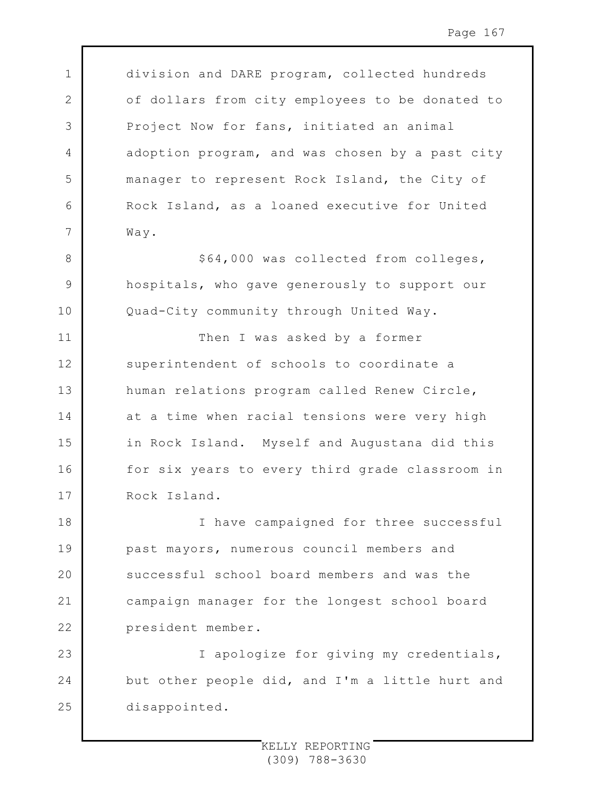division and DARE program, collected hundreds of dollars from city employees to be donated to Project Now for fans, initiated an animal adoption program, and was chosen by a past city manager to represent Rock Island, the City of Rock Island, as a loaned executive for United Way.

1

2

3

4

5

6

7

8

9

10

11

12

13

14

15

16

17

\$64,000 was collected from colleges, hospitals, who gave generously to support our Quad-City community through United Way.

Then I was asked by a former superintendent of schools to coordinate a human relations program called Renew Circle, at a time when racial tensions were very high in Rock Island. Myself and Augustana did this for six years to every third grade classroom in Rock Island.

18 19  $20$ 21 22 I have campaigned for three successful past mayors, numerous council members and successful school board members and was the campaign manager for the longest school board president member.

23 24 25 I apologize for giving my credentials, but other people did, and I'm a little hurt and disappointed.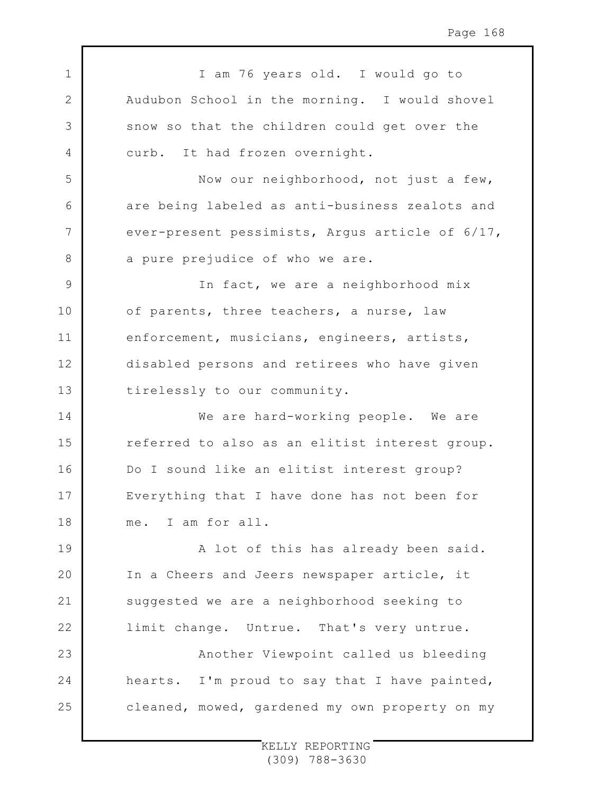1 2 3 4 5 6 7 8 9 10 11 12 13 14 15 16 17 18 19 20 21 22 23 24 25 I am 76 years old. I would go to Audubon School in the morning. I would shovel snow so that the children could get over the curb. It had frozen overnight. Now our neighborhood, not just a few, are being labeled as anti-business zealots and ever-present pessimists, Argus article of 6/17, a pure prejudice of who we are. In fact, we are a neighborhood mix of parents, three teachers, a nurse, law enforcement, musicians, engineers, artists, disabled persons and retirees who have given tirelessly to our community. We are hard-working people. We are referred to also as an elitist interest group. Do I sound like an elitist interest group? Everything that I have done has not been for me. I am for all. A lot of this has already been said. In a Cheers and Jeers newspaper article, it suggested we are a neighborhood seeking to limit change. Untrue. That's very untrue. Another Viewpoint called us bleeding hearts. I'm proud to say that I have painted, cleaned, mowed, gardened my own property on my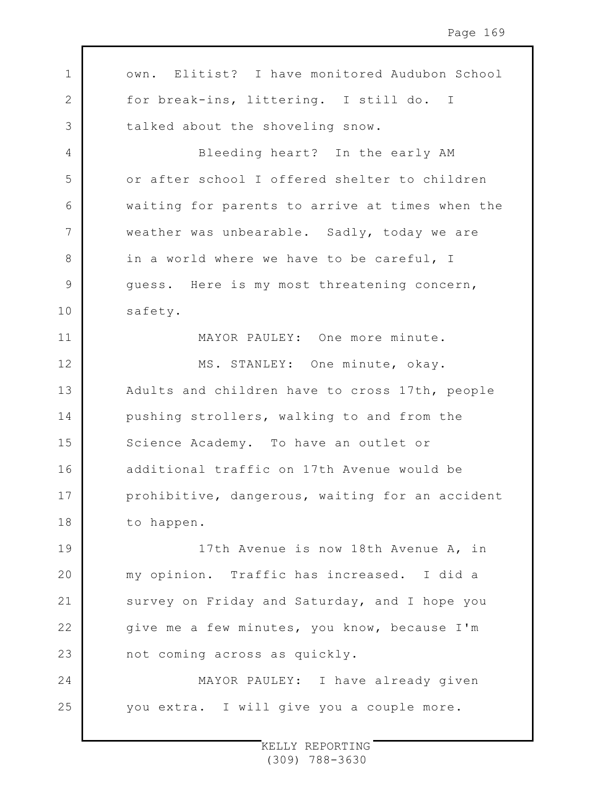1 2 3 4 5 6 7 8 9 10 11 12 13 14 15 16 17 18 19 20 21 22 23 24 25 own. Elitist? I have monitored Audubon School for break-ins, littering. I still do. I talked about the shoveling snow. Bleeding heart? In the early AM or after school I offered shelter to children waiting for parents to arrive at times when the weather was unbearable. Sadly, today we are in a world where we have to be careful, I guess. Here is my most threatening concern, safety. MAYOR PAULEY: One more minute. MS. STANLEY: One minute, okay. Adults and children have to cross 17th, people pushing strollers, walking to and from the Science Academy. To have an outlet or additional traffic on 17th Avenue would be prohibitive, dangerous, waiting for an accident to happen. 17th Avenue is now 18th Avenue A, in my opinion. Traffic has increased. I did a survey on Friday and Saturday, and I hope you give me a few minutes, you know, because I'm not coming across as quickly. MAYOR PAULEY: I have already given you extra. I will give you a couple more.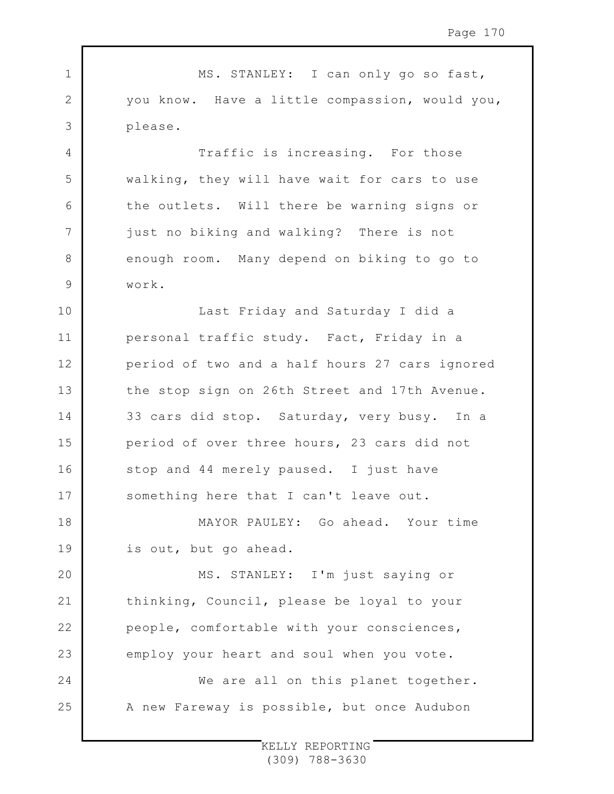1 2 3 4 5 6 7 8 9 10 11 12 13 14 15 16 17 18 19 20 21 22 23 24 25 MS. STANLEY: I can only go so fast, you know. Have a little compassion, would you, please. Traffic is increasing. For those walking, they will have wait for cars to use the outlets. Will there be warning signs or just no biking and walking? There is not enough room. Many depend on biking to go to work. Last Friday and Saturday I did a personal traffic study. Fact, Friday in a period of two and a half hours 27 cars ignored the stop sign on 26th Street and 17th Avenue. 33 cars did stop. Saturday, very busy. In a period of over three hours, 23 cars did not stop and 44 merely paused. I just have something here that I can't leave out. MAYOR PAULEY: Go ahead. Your time is out, but go ahead. MS. STANLEY: I'm just saying or thinking, Council, please be loyal to your people, comfortable with your consciences, employ your heart and soul when you vote. We are all on this planet together. A new Fareway is possible, but once Audubon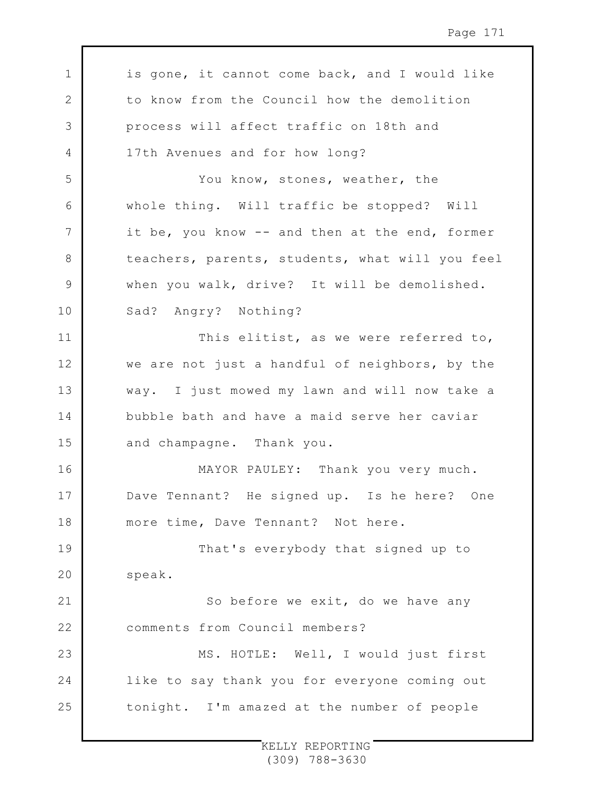1 2 3 4 5 6 7 8 9 10 11 12 13 14 15 16 17 18 19 20 21 22 23 24 25 is gone, it cannot come back, and I would like to know from the Council how the demolition process will affect traffic on 18th and 17th Avenues and for how long? You know, stones, weather, the whole thing. Will traffic be stopped? Will it be, you know -- and then at the end, former teachers, parents, students, what will you feel when you walk, drive? It will be demolished. Sad? Angry? Nothing? This elitist, as we were referred to, we are not just a handful of neighbors, by the way. I just mowed my lawn and will now take a bubble bath and have a maid serve her caviar and champagne. Thank you. MAYOR PAULEY: Thank you very much. Dave Tennant? He signed up. Is he here? One more time, Dave Tennant? Not here. That's everybody that signed up to speak. So before we exit, do we have any comments from Council members? MS. HOTLE: Well, I would just first like to say thank you for everyone coming out tonight. I'm amazed at the number of people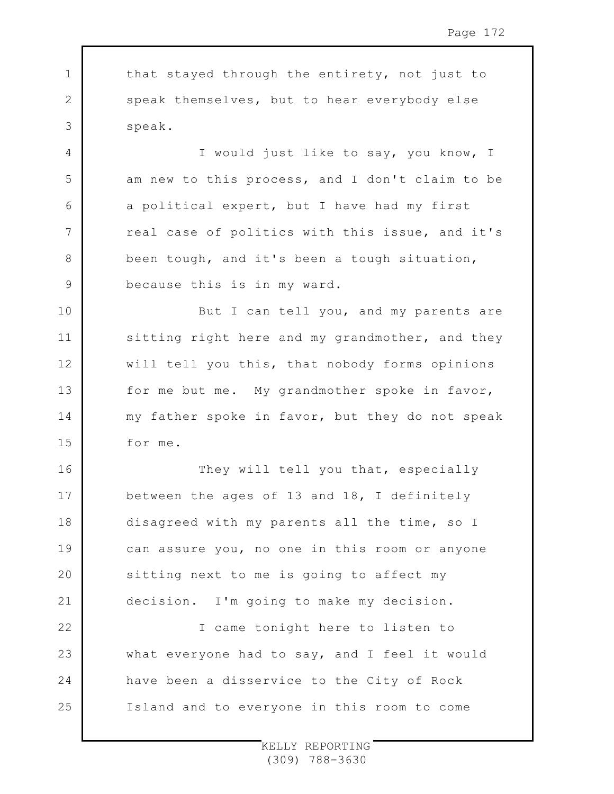1 2 3 4 5 6 7 8 9 10 11 12 13 14 15 16 17 18 19 20 21 22 23 24 25 that stayed through the entirety, not just to speak themselves, but to hear everybody else speak. I would just like to say, you know, I am new to this process, and I don't claim to be a political expert, but I have had my first real case of politics with this issue, and it's been tough, and it's been a tough situation, because this is in my ward. But I can tell you, and my parents are sitting right here and my grandmother, and they will tell you this, that nobody forms opinions for me but me. My grandmother spoke in favor, my father spoke in favor, but they do not speak for me. They will tell you that, especially between the ages of 13 and 18, I definitely disagreed with my parents all the time, so I can assure you, no one in this room or anyone sitting next to me is going to affect my decision. I'm going to make my decision. I came tonight here to listen to what everyone had to say, and I feel it would have been a disservice to the City of Rock Island and to everyone in this room to come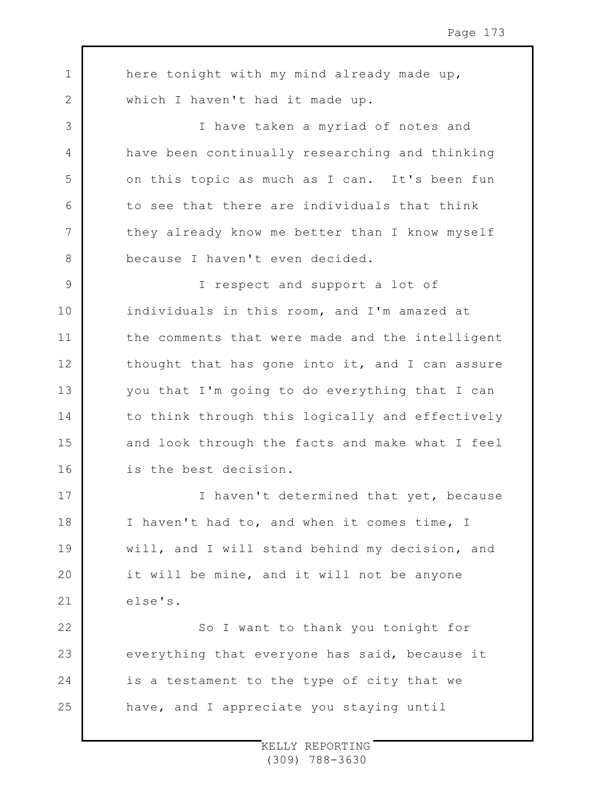1 2 3 4 5 6 7 8 9 10 11 12 13 14 15 16 17 18 19  $20$ 21 22 23 24 25 here tonight with my mind already made up, which I haven't had it made up. I have taken a myriad of notes and have been continually researching and thinking on this topic as much as I can. It's been fun to see that there are individuals that think they already know me better than I know myself because I haven't even decided. I respect and support a lot of individuals in this room, and I'm amazed at the comments that were made and the intelligent thought that has gone into it, and I can assure you that I'm going to do everything that I can to think through this logically and effectively and look through the facts and make what I feel is the best decision. I haven't determined that yet, because I haven't had to, and when it comes time, I will, and I will stand behind my decision, and it will be mine, and it will not be anyone else's. So I want to thank you tonight for everything that everyone has said, because it is a testament to the type of city that we have, and I appreciate you staying until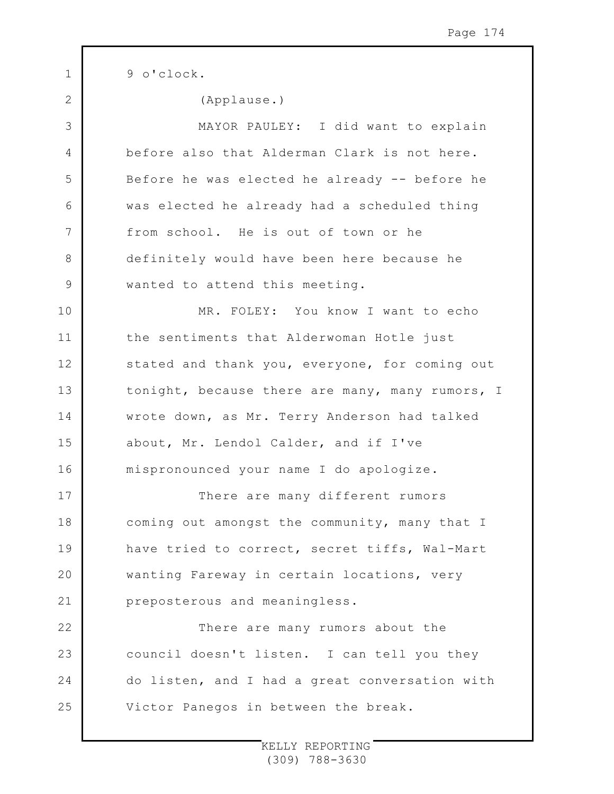1 2 3 4 5 6 7 8 9 10 11 12 13 14 15 16 17 18 19  $20$ 21 22 23 24 25 9 o'clock. (Applause.) MAYOR PAULEY: I did want to explain before also that Alderman Clark is not here. Before he was elected he already -- before he was elected he already had a scheduled thing from school. He is out of town or he definitely would have been here because he wanted to attend this meeting. MR. FOLEY: You know I want to echo the sentiments that Alderwoman Hotle just stated and thank you, everyone, for coming out tonight, because there are many, many rumors, I wrote down, as Mr. Terry Anderson had talked about, Mr. Lendol Calder, and if I've mispronounced your name I do apologize. There are many different rumors coming out amongst the community, many that I have tried to correct, secret tiffs, Wal-Mart wanting Fareway in certain locations, very preposterous and meaningless. There are many rumors about the council doesn't listen. I can tell you they do listen, and I had a great conversation with Victor Panegos in between the break.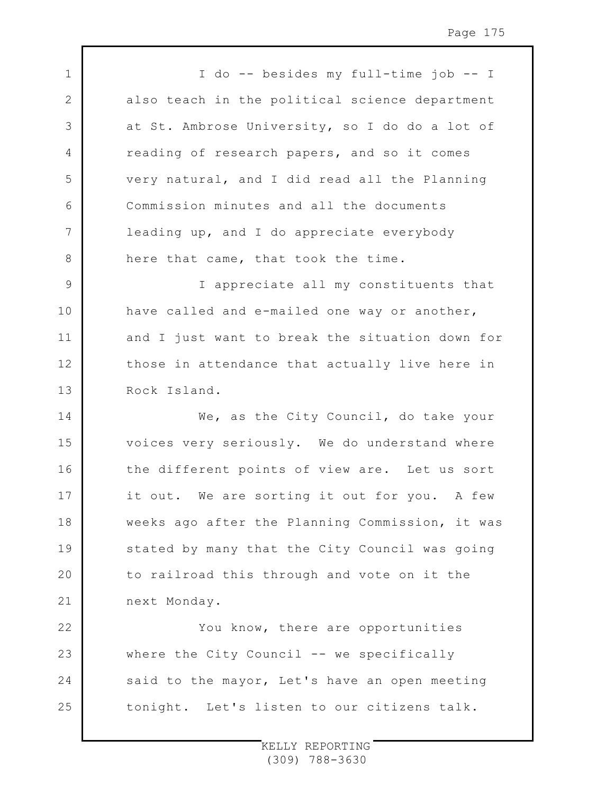I do -- besides my full-time job -- I also teach in the political science department at St. Ambrose University, so I do do a lot of reading of research papers, and so it comes very natural, and I did read all the Planning Commission minutes and all the documents leading up, and I do appreciate everybody here that came, that took the time.

1

2

3

4

5

6

7

8

9 10 11 12 13 I appreciate all my constituents that have called and e-mailed one way or another, and I just want to break the situation down for those in attendance that actually live here in Rock Island.

14 15 16 17 18 19  $20$ 21 We, as the City Council, do take your voices very seriously. We do understand where the different points of view are. Let us sort it out. We are sorting it out for you. A few weeks ago after the Planning Commission, it was stated by many that the City Council was going to railroad this through and vote on it the next Monday.

22 23 24 25 You know, there are opportunities where the City Council -- we specifically said to the mayor, Let's have an open meeting tonight. Let's listen to our citizens talk.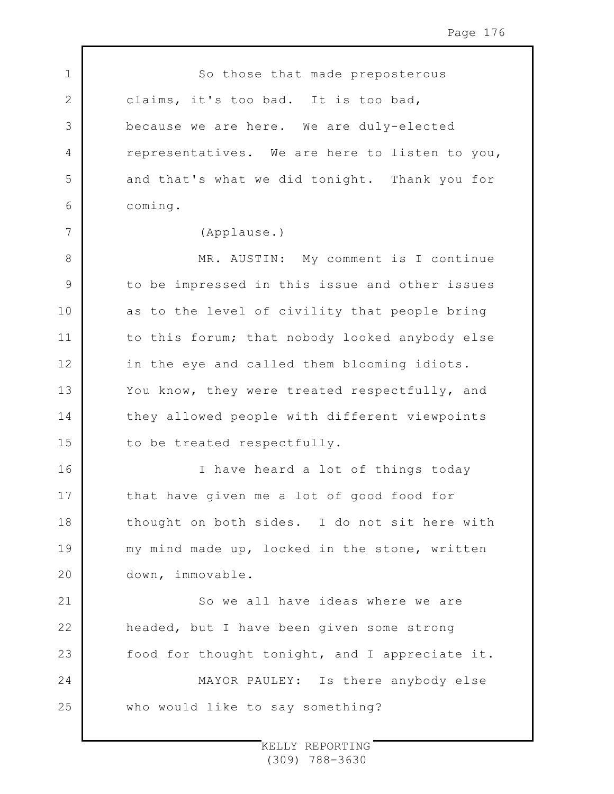1 2 3 4 5 6 7 8 9 10 11 12 13 14 15 16 17 18 19  $20$ 21 22 23 24 25 So those that made preposterous claims, it's too bad. It is too bad, because we are here. We are duly-elected representatives. We are here to listen to you, and that's what we did tonight. Thank you for coming. (Applause.) MR. AUSTIN: My comment is I continue to be impressed in this issue and other issues as to the level of civility that people bring to this forum; that nobody looked anybody else in the eye and called them blooming idiots. You know, they were treated respectfully, and they allowed people with different viewpoints to be treated respectfully. I have heard a lot of things today that have given me a lot of good food for thought on both sides. I do not sit here with my mind made up, locked in the stone, written down, immovable. So we all have ideas where we are headed, but I have been given some strong food for thought tonight, and I appreciate it. MAYOR PAULEY: Is there anybody else who would like to say something?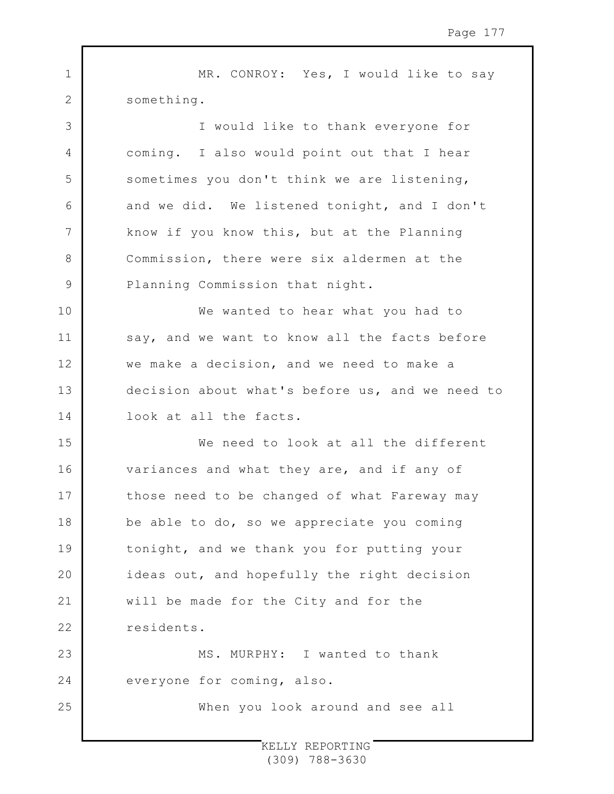1 2 3 4 5 6 7 8 9 10 11 12 13 14 15 16 17 18 19  $20$ 21 22 23 24 25 MR. CONROY: Yes, I would like to say something. I would like to thank everyone for coming. I also would point out that I hear sometimes you don't think we are listening, and we did. We listened tonight, and I don't know if you know this, but at the Planning Commission, there were six aldermen at the Planning Commission that night. We wanted to hear what you had to say, and we want to know all the facts before we make a decision, and we need to make a decision about what's before us, and we need to look at all the facts. We need to look at all the different variances and what they are, and if any of those need to be changed of what Fareway may be able to do, so we appreciate you coming tonight, and we thank you for putting your ideas out, and hopefully the right decision will be made for the City and for the residents. MS. MURPHY: I wanted to thank everyone for coming, also. When you look around and see all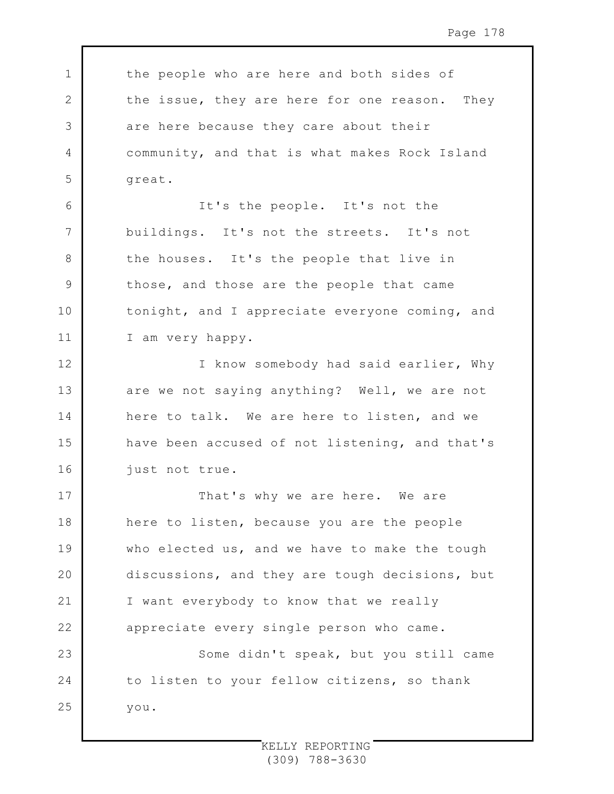1 2 3 4 5 6 7 8 9 10 11 12 13 14 15 16 17 18 19 20 21 22 23 24 25 the people who are here and both sides of the issue, they are here for one reason. They are here because they care about their community, and that is what makes Rock Island great. It's the people. It's not the buildings. It's not the streets. It's not the houses. It's the people that live in those, and those are the people that came tonight, and I appreciate everyone coming, and I am very happy. I know somebody had said earlier, Why are we not saying anything? Well, we are not here to talk. We are here to listen, and we have been accused of not listening, and that's just not true. That's why we are here. We are here to listen, because you are the people who elected us, and we have to make the tough discussions, and they are tough decisions, but I want everybody to know that we really appreciate every single person who came. Some didn't speak, but you still came to listen to your fellow citizens, so thank you.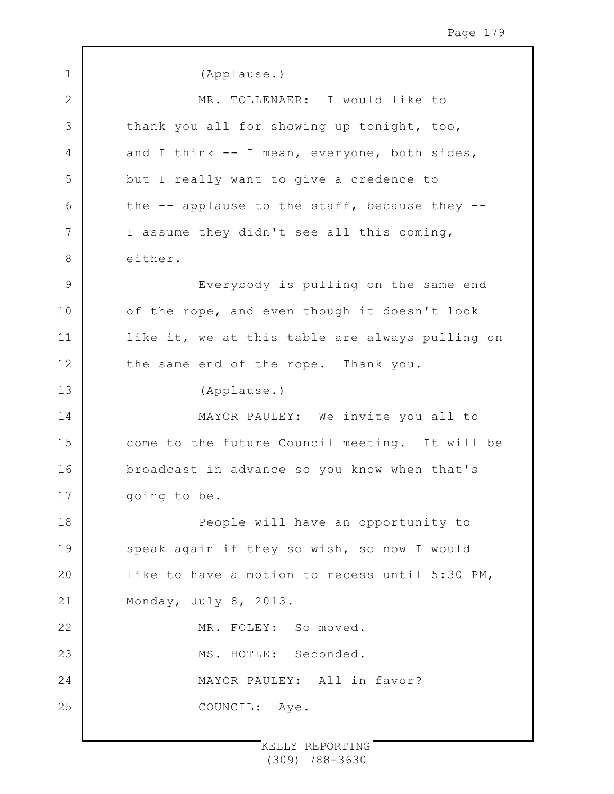1 2 3 4 5 6 7 8 9 10 11 12 13 14 15 16 17 18 19  $20$ 21 22 23 24 25 (Applause.) MR. TOLLENAER: I would like to thank you all for showing up tonight, too, and I think -- I mean, everyone, both sides, but I really want to give a credence to the  $-$  applause to the staff, because they  $-$ I assume they didn't see all this coming, either. Everybody is pulling on the same end of the rope, and even though it doesn't look like it, we at this table are always pulling on the same end of the rope. Thank you. (Applause.) MAYOR PAULEY: We invite you all to come to the future Council meeting. It will be broadcast in advance so you know when that's going to be. People will have an opportunity to speak again if they so wish, so now I would like to have a motion to recess until 5:30 PM, Monday, July 8, 2013. MR. FOLEY: So moved. MS. HOTLE: Seconded. MAYOR PAULEY: All in favor? COUNCIL: Aye.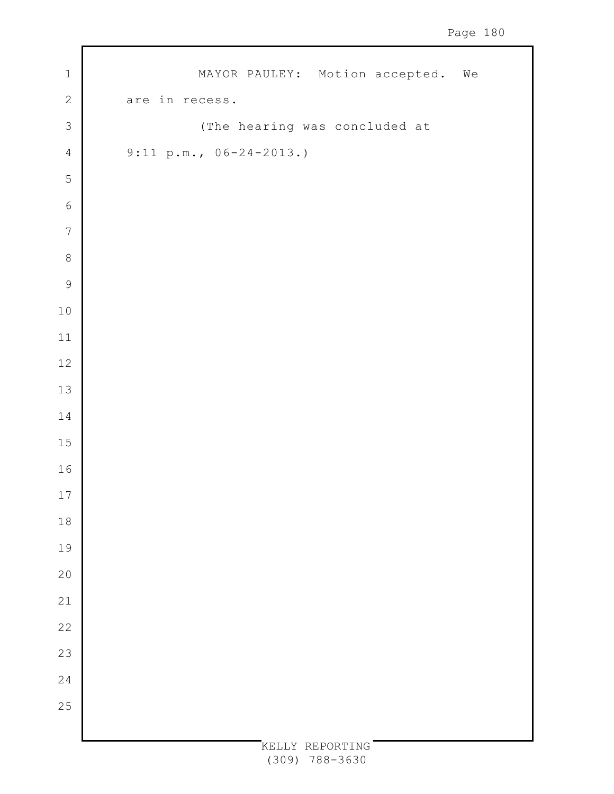| $\mathbf 1$    | MAYOR PAULEY: Motion accepted. We |  |
|----------------|-----------------------------------|--|
| $\overline{c}$ | are in recess.                    |  |
| $\mathfrak{Z}$ | (The hearing was concluded at     |  |
| $\overline{4}$ | $9:11 p.m., 06-24-2013.)$         |  |
| 5              |                                   |  |
| $6\phantom{a}$ |                                   |  |
| $\overline{7}$ |                                   |  |
| $\,8\,$        |                                   |  |
| $\mathcal{G}$  |                                   |  |
| $1\,0$         |                                   |  |
| $11\,$         |                                   |  |
| $12\,$         |                                   |  |
| $13\,$         |                                   |  |
| $1\,4$         |                                   |  |
| $15\,$         |                                   |  |
| $16\,$         |                                   |  |
| 17             |                                   |  |
| $1\,8$         |                                   |  |
| 19             |                                   |  |
| 20             |                                   |  |
| 21             |                                   |  |
| 22             |                                   |  |
| 23             |                                   |  |
| 24             |                                   |  |
| 25             |                                   |  |
|                |                                   |  |